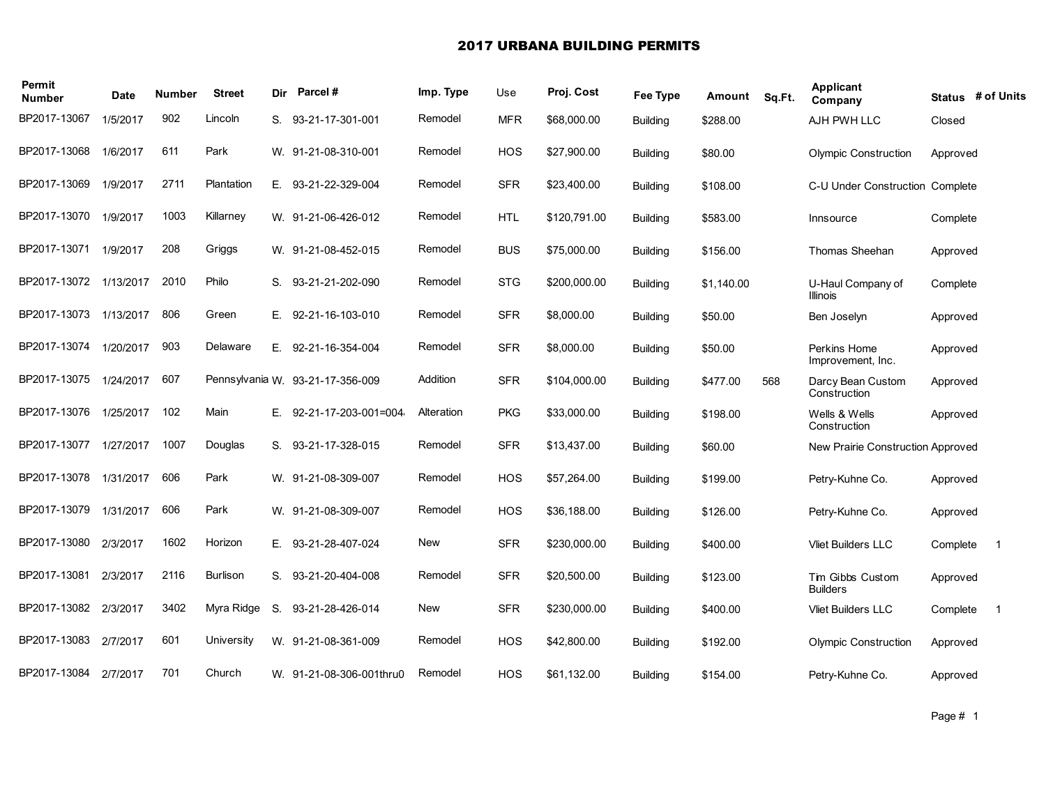## 2017 URBANA BUILDING PERMITS

| Permit<br><b>Number</b> | <b>Date</b> | Number | <b>Street</b> |    | Dir Parcel#                      | Imp. Type  | Use        | Proj. Cost   | Fee Type        | Amount     | Sq.Ft. | Applicant<br>Company                | Status # of Units |              |
|-------------------------|-------------|--------|---------------|----|----------------------------------|------------|------------|--------------|-----------------|------------|--------|-------------------------------------|-------------------|--------------|
| BP2017-13067            | 1/5/2017    | 902    | Lincoln       |    | S. 93-21-17-301-001              | Remodel    | <b>MFR</b> | \$68,000.00  | <b>Building</b> | \$288.00   |        | AJH PWH LLC                         | Closed            |              |
| BP2017-13068            | 1/6/2017    | 611    | Park          |    | W. 91-21-08-310-001              | Remodel    | HOS        | \$27,900.00  | <b>Building</b> | \$80.00    |        | <b>Olympic Construction</b>         | Approved          |              |
| BP2017-13069            | 1/9/2017    | 2711   | Plantation    |    | E. 93-21-22-329-004              | Remodel    | <b>SFR</b> | \$23,400.00  | <b>Building</b> | \$108.00   |        | C-U Under Construction Complete     |                   |              |
| BP2017-13070            | 1/9/2017    | 1003   | Killarney     |    | W. 91-21-06-426-012              | Remodel    | <b>HTL</b> | \$120,791.00 | <b>Building</b> | \$583.00   |        | Innsource                           | Complete          |              |
| BP2017-13071            | 1/9/2017    | 208    | Griggs        |    | W. 91-21-08-452-015              | Remodel    | <b>BUS</b> | \$75,000.00  | <b>Building</b> | \$156.00   |        | Thomas Sheehan                      | Approved          |              |
| BP2017-13072            | 1/13/2017   | 2010   | Philo         |    | S. 93-21-21-202-090              | Remodel    | <b>STG</b> | \$200,000.00 | <b>Building</b> | \$1,140.00 |        | U-Haul Company of<br>Illinois       | Complete          |              |
| BP2017-13073            | 1/13/2017   | 806    | Green         |    | E. 92-21-16-103-010              | Remodel    | <b>SFR</b> | \$8,000.00   | <b>Building</b> | \$50.00    |        | Ben Joselyn                         | Approved          |              |
| BP2017-13074            | 1/20/2017   | 903    | Delaware      |    | E. 92-21-16-354-004              | Remodel    | <b>SFR</b> | \$8,000.00   | <b>Building</b> | \$50.00    |        | Perkins Home<br>Improvement, Inc.   | Approved          |              |
| BP2017-13075            | 1/24/2017   | 607    |               |    | Pennsylvania W. 93-21-17-356-009 | Addition   | <b>SFR</b> | \$104,000.00 | <b>Building</b> | \$477.00   | 568    | Darcy Bean Custom<br>Construction   | Approved          |              |
| BP2017-13076            | 1/25/2017   | 102    | Main          | Е. | 92-21-17-203-001=004             | Alteration | <b>PKG</b> | \$33,000.00  | <b>Building</b> | \$198.00   |        | Wells & Wells<br>Construction       | Approved          |              |
| BP2017-13077            | 1/27/2017   | 1007   | Douglas       |    | S. 93-21-17-328-015              | Remodel    | <b>SFR</b> | \$13,437.00  | <b>Building</b> | \$60.00    |        | New Prairie Construction Approved   |                   |              |
| BP2017-13078            | 1/31/2017   | 606    | Park          |    | W. 91-21-08-309-007              | Remodel    | <b>HOS</b> | \$57,264.00  | <b>Building</b> | \$199.00   |        | Petry-Kuhne Co.                     | Approved          |              |
| BP2017-13079            | 1/31/2017   | 606    | Park          |    | W. 91-21-08-309-007              | Remodel    | <b>HOS</b> | \$36,188.00  | <b>Building</b> | \$126.00   |        | Petry-Kuhne Co.                     | Approved          |              |
| BP2017-13080            | 2/3/2017    | 1602   | Horizon       |    | E. 93-21-28-407-024              | New        | <b>SFR</b> | \$230,000.00 | <b>Building</b> | \$400.00   |        | <b>Vliet Builders LLC</b>           | Complete          | $\mathbf{1}$ |
| BP2017-13081            | 2/3/2017    | 2116   | Burlison      | S. | 93-21-20-404-008                 | Remodel    | <b>SFR</b> | \$20,500.00  | <b>Building</b> | \$123.00   |        | Tim Gibbs Custom<br><b>Builders</b> | Approved          |              |
| BP2017-13082            | 2/3/2017    | 3402   | Myra Ridge    | S. | 93-21-28-426-014                 | New        | <b>SFR</b> | \$230,000.00 | <b>Building</b> | \$400.00   |        | <b>Vliet Builders LLC</b>           | Complete          | $\mathbf 1$  |
| BP2017-13083            | 2/7/2017    | 601    | University    |    | W. 91-21-08-361-009              | Remodel    | <b>HOS</b> | \$42,800.00  | <b>Building</b> | \$192.00   |        | <b>Olympic Construction</b>         | Approved          |              |
| BP2017-13084            | 2/7/2017    | 701    | Church        |    | W. 91-21-08-306-001thru0         | Remodel    | <b>HOS</b> | \$61.132.00  | <b>Building</b> | \$154.00   |        | Petry-Kuhne Co.                     | Approved          |              |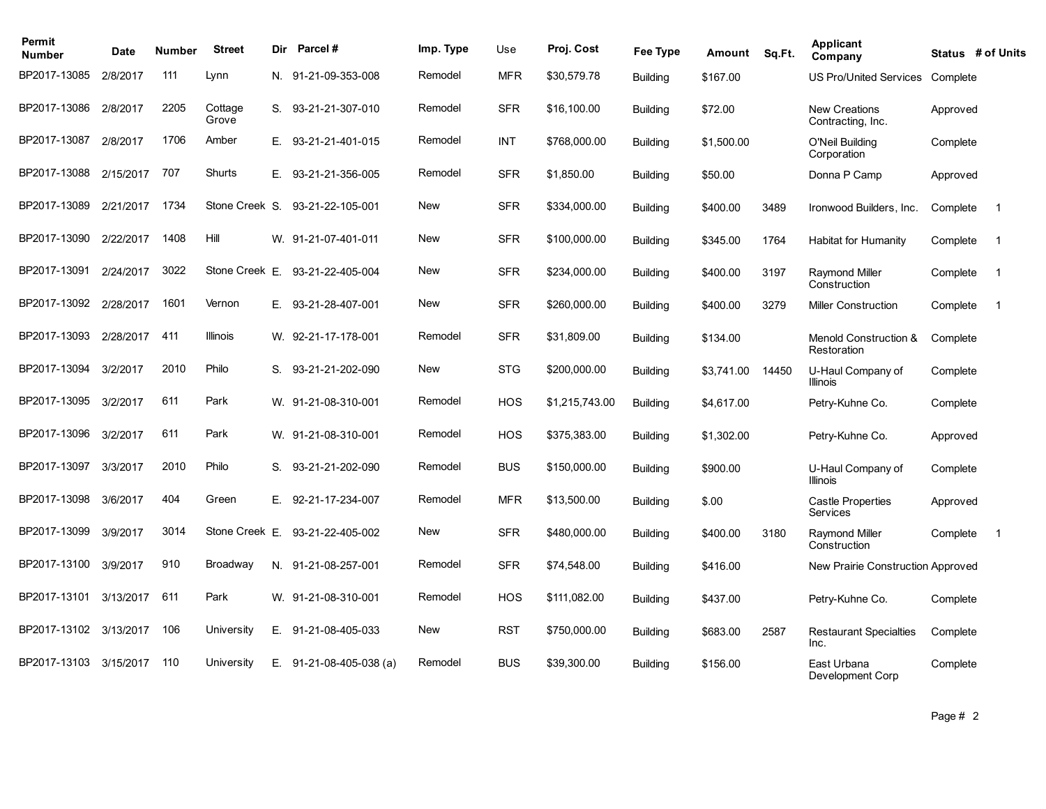| Permit<br><b>Number</b> | Date      | <b>Number</b> | <b>Street</b>    | Dir | Parcel #                       | Imp. Type  | Use        | Proj. Cost     | Fee Type        | Amount     | Sq.Ft. | Applicant<br>Company                      |          | Status # of Units |
|-------------------------|-----------|---------------|------------------|-----|--------------------------------|------------|------------|----------------|-----------------|------------|--------|-------------------------------------------|----------|-------------------|
| BP2017-13085            | 2/8/2017  | 111           | Lynn             |     | N. 91-21-09-353-008            | Remodel    | <b>MFR</b> | \$30,579.78    | <b>Building</b> | \$167.00   |        | <b>US Pro/United Services</b>             | Complete |                   |
| BP2017-13086            | 2/8/2017  | 2205          | Cottage<br>Grove | S.  | 93-21-21-307-010               | Remodel    | <b>SFR</b> | \$16,100.00    | <b>Building</b> | \$72.00    |        | <b>New Creations</b><br>Contracting, Inc. | Approved |                   |
| BP2017-13087            | 2/8/2017  | 1706          | Amber            | Е.  | 93-21-21-401-015               | Remodel    | <b>INT</b> | \$768,000.00   | <b>Building</b> | \$1,500.00 |        | O'Neil Building<br>Corporation            | Complete |                   |
| BP2017-13088            | 2/15/2017 | 707           | Shurts           | E.  | 93-21-21-356-005               | Remodel    | <b>SFR</b> | \$1,850.00     | <b>Building</b> | \$50.00    |        | Donna P Camp                              | Approved |                   |
| BP2017-13089            | 2/21/2017 | 1734          | Stone Creek S.   |     | 93-21-22-105-001               | <b>New</b> | <b>SFR</b> | \$334,000.00   | Building        | \$400.00   | 3489   | Ironwood Builders, Inc.                   | Complete | $\overline{1}$    |
| BP2017-13090            | 2/22/2017 | 1408          | Hill             |     | W. 91-21-07-401-011            | <b>New</b> | <b>SFR</b> | \$100,000.00   | <b>Building</b> | \$345.00   | 1764   | <b>Habitat for Humanity</b>               | Complete | $\overline{1}$    |
| BP2017-13091            | 2/24/2017 | 3022          | Stone Creek E.   |     | 93-21-22-405-004               | <b>New</b> | <b>SFR</b> | \$234,000.00   | <b>Building</b> | \$400.00   | 3197   | Raymond Miller<br>Construction            | Complete | $\overline{1}$    |
| BP2017-13092            | 2/28/2017 | 1601          | Vernon           | Е.  | 93-21-28-407-001               | <b>New</b> | <b>SFR</b> | \$260,000.00   | <b>Building</b> | \$400.00   | 3279   | <b>Miller Construction</b>                | Complete | $\overline{1}$    |
| BP2017-13093            | 2/28/2017 | 411           | <b>Illinois</b>  |     | W. 92-21-17-178-001            | Remodel    | <b>SFR</b> | \$31,809.00    | <b>Building</b> | \$134.00   |        | Menold Construction &<br>Restoration      | Complete |                   |
| BP2017-13094            | 3/2/2017  | 2010          | Philo            | S.  | 93-21-21-202-090               | New        | <b>STG</b> | \$200,000.00   | <b>Building</b> | \$3.741.00 | 14450  | U-Haul Company of<br><b>Illinois</b>      | Complete |                   |
| BP2017-13095            | 3/2/2017  | 611           | Park             |     | W. 91-21-08-310-001            | Remodel    | <b>HOS</b> | \$1,215,743.00 | <b>Building</b> | \$4.617.00 |        | Petry-Kuhne Co.                           | Complete |                   |
| BP2017-13096            | 3/2/2017  | 611           | Park             |     | W. 91-21-08-310-001            | Remodel    | <b>HOS</b> | \$375,383.00   | <b>Building</b> | \$1,302.00 |        | Petry-Kuhne Co.                           | Approved |                   |
| BP2017-13097            | 3/3/2017  | 2010          | Philo            | S.  | 93-21-21-202-090               | Remodel    | <b>BUS</b> | \$150,000.00   | <b>Building</b> | \$900.00   |        | U-Haul Company of<br><b>Illinois</b>      | Complete |                   |
| BP2017-13098            | 3/6/2017  | 404           | Green            | E.  | 92-21-17-234-007               | Remodel    | <b>MFR</b> | \$13,500.00    | <b>Building</b> | \$.00      |        | <b>Castle Properties</b><br>Services      | Approved |                   |
| BP2017-13099            | 3/9/2017  | 3014          | Stone Creek E.   |     | 93-21-22-405-002               | New        | <b>SFR</b> | \$480,000.00   | <b>Building</b> | \$400.00   | 3180   | <b>Raymond Miller</b><br>Construction     | Complete | $\overline{1}$    |
| BP2017-13100            | 3/9/2017  | 910           | Broadway         |     | N. 91-21-08-257-001            | Remodel    | <b>SFR</b> | \$74,548.00    | <b>Building</b> | \$416.00   |        | New Prairie Construction Approved         |          |                   |
| BP2017-13101            | 3/13/2017 | 611           | Park             |     | W. 91-21-08-310-001            | Remodel    | <b>HOS</b> | \$111.082.00   | <b>Building</b> | \$437.00   |        | Petry-Kuhne Co.                           | Complete |                   |
| BP2017-13102            | 3/13/2017 | 106           | University       | Е.  | 91-21-08-405-033               | New        | <b>RST</b> | \$750,000.00   | <b>Building</b> | \$683.00   | 2587   | <b>Restaurant Specialties</b><br>Inc.     | Complete |                   |
| BP2017-13103            | 3/15/2017 | 110           | University       | Е.  | $91 - 21 - 08 - 405 - 038$ (a) | Remodel    | <b>BUS</b> | \$39,300.00    | <b>Building</b> | \$156.00   |        | East Urbana<br>Development Corp           | Complete |                   |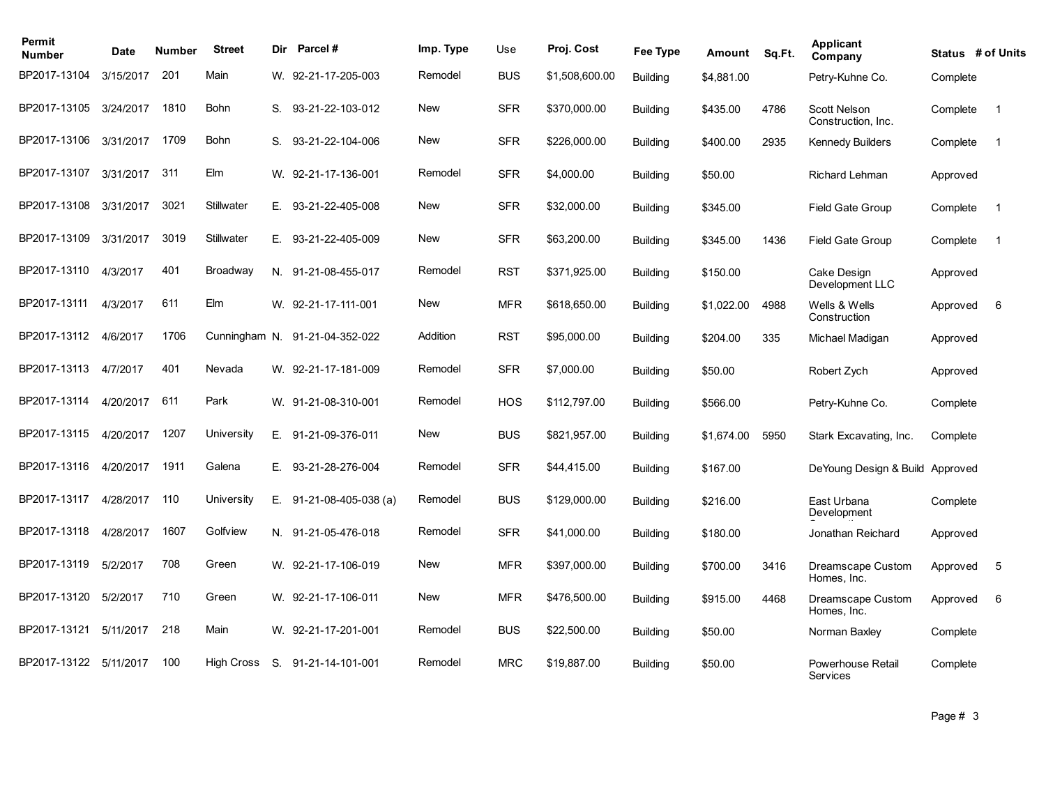| Permit<br><b>Number</b> | Date      | <b>Number</b> | <b>Street</b> | Dir | <b>Parcel#</b>         | Imp. Type  | Use        | Proj. Cost     | Fee Type        | Amount     | Sq.Ft. | <b>Applicant</b><br>Company          |          | Status # of Units |
|-------------------------|-----------|---------------|---------------|-----|------------------------|------------|------------|----------------|-----------------|------------|--------|--------------------------------------|----------|-------------------|
| BP2017-13104            | 3/15/2017 | 201           | Main          |     | W. 92-21-17-205-003    | Remodel    | <b>BUS</b> | \$1,508,600.00 | <b>Building</b> | \$4,881.00 |        | Petry-Kuhne Co.                      | Complete |                   |
| BP2017-13105            | 3/24/2017 | 1810          | Bohn          | S.  | 93-21-22-103-012       | <b>New</b> | <b>SFR</b> | \$370,000.00   | <b>Building</b> | \$435.00   | 4786   | Scott Nelson<br>Construction, Inc.   | Complete | $\overline{1}$    |
| BP2017-13106            | 3/31/2017 | 1709          | Bohn          | S.  | 93-21-22-104-006       | <b>New</b> | <b>SFR</b> | \$226,000.00   | <b>Building</b> | \$400.00   | 2935   | <b>Kennedy Builders</b>              | Complete | $\overline{1}$    |
| BP2017-13107            | 3/31/2017 | 311           | Elm           |     | W. 92-21-17-136-001    | Remodel    | <b>SFR</b> | \$4,000.00     | <b>Building</b> | \$50.00    |        | Richard Lehman                       | Approved |                   |
| BP2017-13108            | 3/31/2017 | 3021          | Stillwater    | E., | 93-21-22-405-008       | New        | <b>SFR</b> | \$32,000.00    | <b>Building</b> | \$345.00   |        | <b>Field Gate Group</b>              | Complete | $\overline{1}$    |
| BP2017-13109            | 3/31/2017 | 3019          | Stillwater    | E.  | 93-21-22-405-009       | <b>New</b> | <b>SFR</b> | \$63,200.00    | <b>Building</b> | \$345.00   | 1436   | <b>Field Gate Group</b>              | Complete | $\overline{1}$    |
| BP2017-13110            | 4/3/2017  | 401           | Broadway      |     | N. 91-21-08-455-017    | Remodel    | <b>RST</b> | \$371,925.00   | <b>Building</b> | \$150.00   |        | Cake Design<br>Development LLC       | Approved |                   |
| BP2017-13111            | 4/3/2017  | 611           | Elm           |     | W. 92-21-17-111-001    | <b>New</b> | <b>MFR</b> | \$618,650.00   | <b>Building</b> | \$1,022.00 | 4988   | Wells & Wells<br>Construction        | Approved | 6                 |
| BP2017-13112            | 4/6/2017  | 1706          | Cunningham N. |     | 91-21-04-352-022       | Addition   | <b>RST</b> | \$95,000.00    | <b>Building</b> | \$204.00   | 335    | Michael Madigan                      | Approved |                   |
| BP2017-13113            | 4/7/2017  | 401           | Nevada        |     | W. 92-21-17-181-009    | Remodel    | <b>SFR</b> | \$7,000.00     | <b>Building</b> | \$50.00    |        | Robert Zych                          | Approved |                   |
| BP2017-13114            | 4/20/2017 | 611           | Park          |     | W. 91-21-08-310-001    | Remodel    | <b>HOS</b> | \$112,797.00   | <b>Building</b> | \$566.00   |        | Petry-Kuhne Co.                      | Complete |                   |
| BP2017-13115            | 4/20/2017 | 1207          | University    | E.  | 91-21-09-376-011       | <b>New</b> | <b>BUS</b> | \$821,957.00   | <b>Building</b> | \$1,674.00 | 5950   | Stark Excavating, Inc.               | Complete |                   |
| BP2017-13116            | 4/20/2017 | 1911          | Galena        | Е.  | 93-21-28-276-004       | Remodel    | <b>SFR</b> | \$44,415.00    | <b>Building</b> | \$167.00   |        | DeYoung Design & Build Approved      |          |                   |
| BP2017-13117            | 4/28/2017 | 110           | University    | Е.  | $91-21-08-405-038$ (a) | Remodel    | <b>BUS</b> | \$129,000.00   | <b>Building</b> | \$216.00   |        | East Urbana<br>Development           | Complete |                   |
| BP2017-13118            | 4/28/2017 | 1607          | Golfview      |     | N. 91-21-05-476-018    | Remodel    | <b>SFR</b> | \$41,000.00    | <b>Building</b> | \$180.00   |        | Jonathan Reichard                    | Approved |                   |
| BP2017-13119            | 5/2/2017  | 708           | Green         |     | W. 92-21-17-106-019    | <b>New</b> | <b>MFR</b> | \$397,000.00   | <b>Building</b> | \$700.00   | 3416   | Dreamscape Custom<br>Homes, Inc.     | Approved | 5                 |
| BP2017-13120            | 5/2/2017  | 710           | Green         |     | W. 92-21-17-106-011    | New        | <b>MFR</b> | \$476,500.00   | <b>Building</b> | \$915.00   | 4468   | Dreamscape Custom<br>Homes, Inc.     | Approved | 6                 |
| BP2017-13121            | 5/11/2017 | 218           | Main          |     | W. 92-21-17-201-001    | Remodel    | <b>BUS</b> | \$22,500.00    | <b>Building</b> | \$50.00    |        | Norman Baxley                        | Complete |                   |
| BP2017-13122            | 5/11/2017 | 100           | High Cross    |     | S. 91-21-14-101-001    | Remodel    | <b>MRC</b> | \$19,887.00    | <b>Building</b> | \$50.00    |        | Powerhouse Retail<br><b>Services</b> | Complete |                   |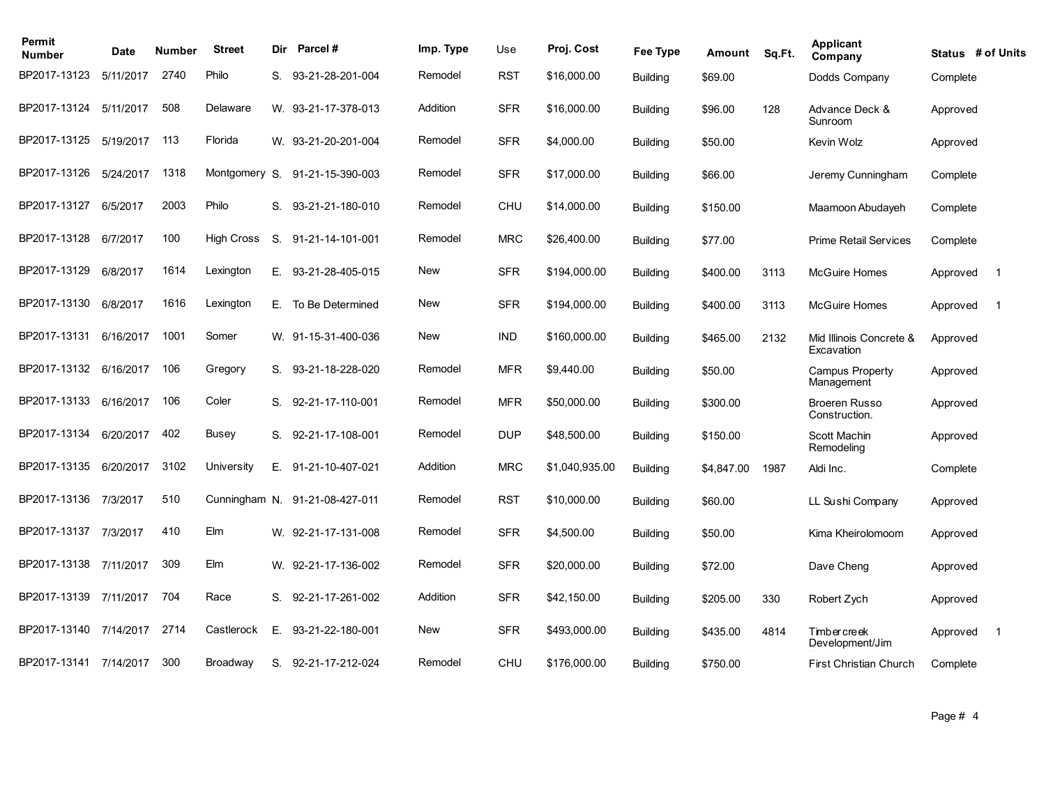| Permit<br><b>Number</b> | Date      | Number | <b>Street</b> | Dir | <b>Parcel#</b>                 | Imp. Type  | Use        | Proj. Cost     | Fee Type        | Amount     | Sq.Ft. | <b>Applicant</b><br>Company           | Status # of Units |                |
|-------------------------|-----------|--------|---------------|-----|--------------------------------|------------|------------|----------------|-----------------|------------|--------|---------------------------------------|-------------------|----------------|
| BP2017-13123            | 5/11/2017 | 2740   | Philo         |     | S. 93-21-28-201-004            | Remodel    | <b>RST</b> | \$16,000.00    | <b>Building</b> | \$69.00    |        | Dodds Company                         | Complete          |                |
| BP2017-13124            | 5/11/2017 | 508    | Delaware      |     | W. 93-21-17-378-013            | Addition   | <b>SFR</b> | \$16,000.00    | <b>Building</b> | \$96.00    | 128    | Advance Deck &<br>Sunroom             | Approved          |                |
| BP2017-13125            | 5/19/2017 | 113    | Florida       |     | W. 93-21-20-201-004            | Remodel    | <b>SFR</b> | \$4,000.00     | <b>Building</b> | \$50.00    |        | Kevin Wolz                            | Approved          |                |
| BP2017-13126            | 5/24/2017 | 1318   | Montgomery S. |     | 91-21-15-390-003               | Remodel    | <b>SFR</b> | \$17,000.00    | <b>Building</b> | \$66.00    |        | Jeremy Cunningham                     | Complete          |                |
| BP2017-13127            | 6/5/2017  | 2003   | Philo         | S.  | 93-21-21-180-010               | Remodel    | <b>CHU</b> | \$14,000.00    | <b>Building</b> | \$150.00   |        | Maamoon Abudayeh                      | Complete          |                |
| BP2017-13128            | 6/7/2017  | 100    | High Cross    | S.  | 91-21-14-101-001               | Remodel    | <b>MRC</b> | \$26,400.00    | <b>Building</b> | \$77.00    |        | Prime Retail Services                 | Complete          |                |
| BP2017-13129            | 6/8/2017  | 1614   | Lexington     | E.  | 93-21-28-405-015               | New        | <b>SFR</b> | \$194,000.00   | <b>Building</b> | \$400.00   | 3113   | <b>McGuire Homes</b>                  | Approved          | $\overline{1}$ |
| BP2017-13130            | 6/8/2017  | 1616   | Lexington     | E., | To Be Determined               | <b>New</b> | <b>SFR</b> | \$194,000.00   | <b>Building</b> | \$400.00   | 3113   | <b>McGuire Homes</b>                  | Approved          | $\overline{1}$ |
| BP2017-13131            | 6/16/2017 | 1001   | Somer         |     | W. 91-15-31-400-036            | <b>New</b> | <b>IND</b> | \$160,000.00   | <b>Building</b> | \$465.00   | 2132   | Mid Illinois Concrete &<br>Excavation | Approved          |                |
| BP2017-13132            | 6/16/2017 | 106    | Gregory       |     | S. 93-21-18-228-020            | Remodel    | <b>MFR</b> | \$9,440.00     | <b>Building</b> | \$50.00    |        | <b>Campus Property</b><br>Management  | Approved          |                |
| BP2017-13133            | 6/16/2017 | 106    | Coler         | S.  | 92-21-17-110-001               | Remodel    | <b>MFR</b> | \$50,000.00    | <b>Building</b> | \$300.00   |        | <b>Broeren Russo</b><br>Construction. | Approved          |                |
| BP2017-13134            | 6/20/2017 | 402    | Busey         | S.  | 92-21-17-108-001               | Remodel    | <b>DUP</b> | \$48,500.00    | <b>Building</b> | \$150.00   |        | Scott Machin<br>Remodeling            | Approved          |                |
| BP2017-13135            | 6/20/2017 | 3102   | University    | Е.  | 91-21-10-407-021               | Addition   | <b>MRC</b> | \$1,040,935.00 | <b>Building</b> | \$4.847.00 | 1987   | Aldi Inc.                             | Complete          |                |
| BP2017-13136            | 7/3/2017  | 510    |               |     | Cunningham N. 91-21-08-427-011 | Remodel    | <b>RST</b> | \$10,000.00    | <b>Building</b> | \$60.00    |        | LL Sushi Company                      | Approved          |                |
| BP2017-13137            | 7/3/2017  | 410    | Elm           |     | W. 92-21-17-131-008            | Remodel    | <b>SFR</b> | \$4,500.00     | <b>Building</b> | \$50.00    |        | Kima Kheirolomoom                     | Approved          |                |
| BP2017-13138            | 7/11/2017 | 309    | Elm           |     | W. 92-21-17-136-002            | Remodel    | <b>SFR</b> | \$20,000.00    | <b>Building</b> | \$72.00    |        | Dave Cheng                            | Approved          |                |
| BP2017-13139            | 7/11/2017 | 704    | Race          | S.  | 92-21-17-261-002               | Addition   | <b>SFR</b> | \$42,150.00    | <b>Building</b> | \$205.00   | 330    | Robert Zych                           | Approved          |                |
| BP2017-13140            | 7/14/2017 | 2714   | Castlerock    | E.  | 93-21-22-180-001               | <b>New</b> | <b>SFR</b> | \$493,000.00   | <b>Building</b> | \$435.00   | 4814   | <b>Timbercreek</b><br>Development/Jim | Approved          | $\overline{1}$ |
| BP2017-13141 7/14/2017  |           | 300    | Broadway      | S.  | 92-21-17-212-024               | Remodel    | <b>CHU</b> | \$176,000.00   | <b>Building</b> | \$750.00   |        | <b>First Christian Church</b>         | Complete          |                |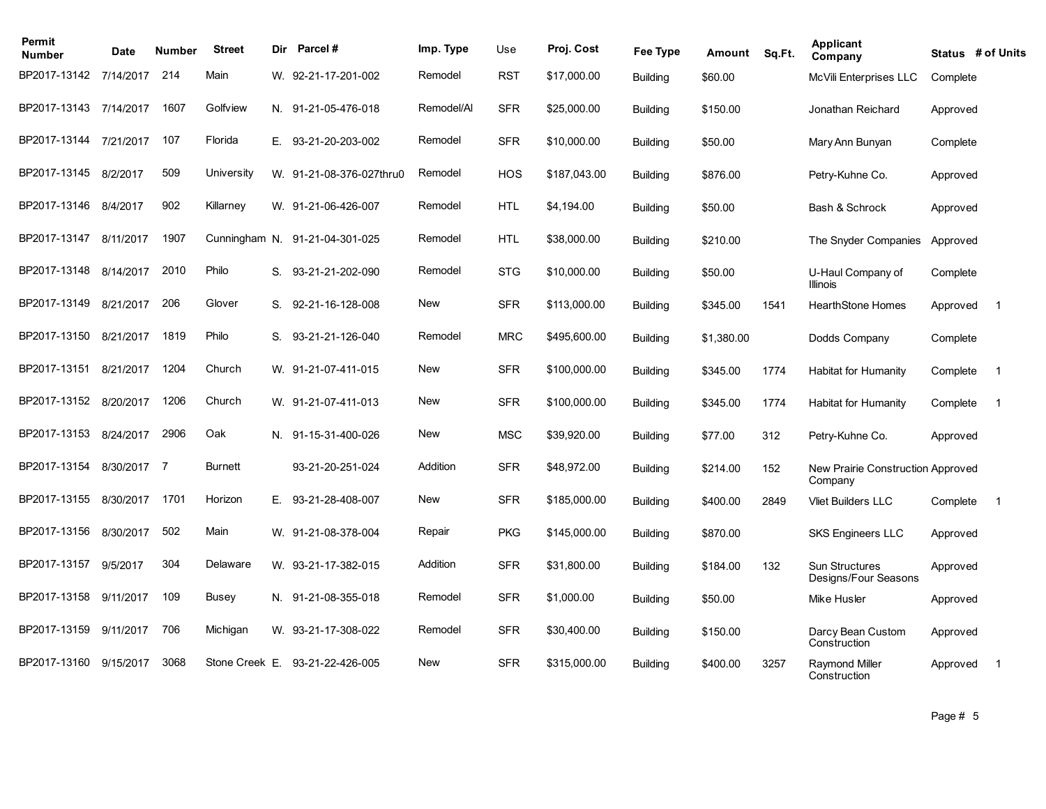| Permit<br><b>Number</b> | Date      | Number | <b>Street</b>  | Dir | <b>Parcel#</b>                 | Imp. Type  | Use        | Proj. Cost   | Fee Type        | Amount     | Sq.Ft. | Applicant<br>Company                          | Status # of Units |                         |
|-------------------------|-----------|--------|----------------|-----|--------------------------------|------------|------------|--------------|-----------------|------------|--------|-----------------------------------------------|-------------------|-------------------------|
| BP2017-13142            | 7/14/2017 | 214    | Main           |     | W. 92-21-17-201-002            | Remodel    | <b>RST</b> | \$17,000.00  | <b>Building</b> | \$60.00    |        | McVili Enterprises LLC                        | Complete          |                         |
| BP2017-13143            | 7/14/2017 | 1607   | Golfview       |     | N. 91-21-05-476-018            | Remodel/Al | <b>SFR</b> | \$25,000.00  | <b>Building</b> | \$150.00   |        | Jonathan Reichard                             | Approved          |                         |
| BP2017-13144            | 7/21/2017 | 107    | Florida        |     | E. 93-21-20-203-002            | Remodel    | <b>SFR</b> | \$10,000.00  | <b>Building</b> | \$50.00    |        | Mary Ann Bunyan                               | Complete          |                         |
| BP2017-13145            | 8/2/2017  | 509    | University     |     | W. 91-21-08-376-027thru0       | Remodel    | <b>HOS</b> | \$187,043.00 | <b>Building</b> | \$876.00   |        | Petry-Kuhne Co.                               | Approved          |                         |
| BP2017-13146            | 8/4/2017  | 902    | Killarney      |     | W. 91-21-06-426-007            | Remodel    | <b>HTL</b> | \$4,194.00   | <b>Building</b> | \$50.00    |        | Bash & Schrock                                | Approved          |                         |
| BP2017-13147            | 8/11/2017 | 1907   |                |     | Cunningham N. 91-21-04-301-025 | Remodel    | <b>HTL</b> | \$38,000.00  | <b>Building</b> | \$210.00   |        | The Snyder Companies                          | Approved          |                         |
| BP2017-13148            | 8/14/2017 | 2010   | Philo          |     | S. 93-21-21-202-090            | Remodel    | <b>STG</b> | \$10,000.00  | <b>Building</b> | \$50.00    |        | U-Haul Company of<br><b>Illinois</b>          | Complete          |                         |
| BP2017-13149            | 8/21/2017 | 206    | Glover         |     | S. 92-21-16-128-008            | <b>New</b> | <b>SFR</b> | \$113,000.00 | <b>Building</b> | \$345.00   | 1541   | <b>HearthStone Homes</b>                      | Approved          | $\overline{1}$          |
| BP2017-13150            | 8/21/2017 | 1819   | Philo          | S.  | 93-21-21-126-040               | Remodel    | <b>MRC</b> | \$495,600.00 | <b>Building</b> | \$1,380.00 |        | Dodds Company                                 | Complete          |                         |
| BP2017-13151            | 8/21/2017 | 1204   | Church         |     | W. 91-21-07-411-015            | <b>New</b> | <b>SFR</b> | \$100,000.00 | <b>Building</b> | \$345.00   | 1774   | Habitat for Humanity                          | Complete          | $\overline{1}$          |
| BP2017-13152            | 8/20/2017 | 1206   | Church         |     | W. 91-21-07-411-013            | New        | <b>SFR</b> | \$100,000.00 | <b>Building</b> | \$345.00   | 1774   | <b>Habitat for Humanity</b>                   | Complete          | $\overline{\mathbf{1}}$ |
| BP2017-13153            | 8/24/2017 | 2906   | Oak            |     | N. 91-15-31-400-026            | <b>New</b> | <b>MSC</b> | \$39,920.00  | <b>Building</b> | \$77.00    | 312    | Petry-Kuhne Co.                               | Approved          |                         |
| BP2017-13154            | 8/30/2017 | -7     | <b>Burnett</b> |     | 93-21-20-251-024               | Addition   | <b>SFR</b> | \$48,972.00  | <b>Building</b> | \$214.00   | 152    | New Prairie Construction Approved<br>Company  |                   |                         |
| BP2017-13155            | 8/30/2017 | 1701   | Horizon        | E.  | 93-21-28-408-007               | <b>New</b> | <b>SFR</b> | \$185,000.00 | <b>Building</b> | \$400.00   | 2849   | <b>Vliet Builders LLC</b>                     | Complete          | $\overline{1}$          |
| BP2017-13156            | 8/30/2017 | 502    | Main           |     | W. 91-21-08-378-004            | Repair     | <b>PKG</b> | \$145,000.00 | <b>Building</b> | \$870.00   |        | <b>SKS Engineers LLC</b>                      | Approved          |                         |
| BP2017-13157            | 9/5/2017  | 304    | Delaware       |     | W. 93-21-17-382-015            | Addition   | <b>SFR</b> | \$31,800.00  | <b>Building</b> | \$184.00   | 132    | <b>Sun Structures</b><br>Designs/Four Seasons | Approved          |                         |
| BP2017-13158            | 9/11/2017 | 109    | Busey          |     | N. 91-21-08-355-018            | Remodel    | <b>SFR</b> | \$1,000.00   | <b>Building</b> | \$50.00    |        | Mike Husler                                   | Approved          |                         |
| BP2017-13159            | 9/11/2017 | 706    | Michigan       |     | W. 93-21-17-308-022            | Remodel    | <b>SFR</b> | \$30,400.00  | <b>Building</b> | \$150.00   |        | Darcy Bean Custom<br>Construction             | Approved          |                         |
| BP2017-13160            | 9/15/2017 | 3068   | Stone Creek E. |     | 93-21-22-426-005               | <b>New</b> | <b>SFR</b> | \$315,000.00 | <b>Building</b> | \$400.00   | 3257   | Raymond Miller<br>Construction                | Approved          | $\overline{1}$          |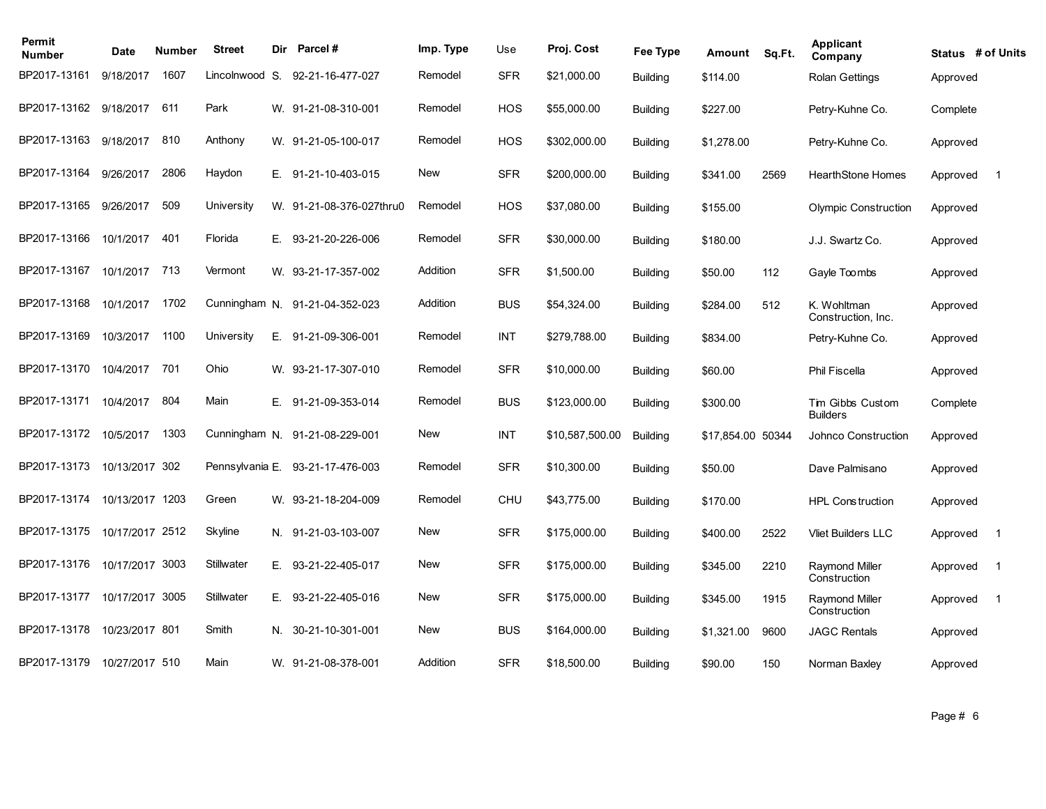| Permit<br><b>Number</b> | Date            | Number | <b>Street</b>   | <b>Dir</b> | Parcel #                       | Imp. Type  | Use        | Proj. Cost      | Fee Type        | Amount            | Sq.Ft. | Applicant<br>Company                  | Status # of Units |                |
|-------------------------|-----------------|--------|-----------------|------------|--------------------------------|------------|------------|-----------------|-----------------|-------------------|--------|---------------------------------------|-------------------|----------------|
| BP2017-13161            | 9/18/2017       | 1607   | Lincolnwood S.  |            | 92-21-16-477-027               | Remodel    | <b>SFR</b> | \$21,000.00     | <b>Building</b> | \$114.00          |        | <b>Rolan Gettings</b>                 | Approved          |                |
| BP2017-13162            | 9/18/2017       | 611    | Park            |            | W. 91-21-08-310-001            | Remodel    | <b>HOS</b> | \$55,000.00     | <b>Building</b> | \$227.00          |        | Petry-Kuhne Co.                       | Complete          |                |
| BP2017-13163            | 9/18/2017       | 810    | Anthony         |            | W. 91-21-05-100-017            | Remodel    | <b>HOS</b> | \$302,000.00    | <b>Building</b> | \$1,278.00        |        | Petry-Kuhne Co.                       | Approved          |                |
| BP2017-13164            | 9/26/2017       | 2806   | Haydon          | Е.         | 91-21-10-403-015               | <b>New</b> | <b>SFR</b> | \$200,000.00    | <b>Building</b> | \$341.00          | 2569   | <b>HearthStone Homes</b>              | Approved          | $\overline{1}$ |
| BP2017-13165            | 9/26/2017       | 509    | University      |            | W. 91-21-08-376-027thru0       | Remodel    | <b>HOS</b> | \$37,080.00     | <b>Building</b> | \$155.00          |        | <b>Olympic Construction</b>           | Approved          |                |
| BP2017-13166            | 10/1/2017       | 401    | Florida         | Е.         | 93-21-20-226-006               | Remodel    | <b>SFR</b> | \$30,000.00     | <b>Building</b> | \$180.00          |        | J.J. Swartz Co.                       | Approved          |                |
| BP2017-13167            | 10/1/2017       | 713    | Vermont         | W.         | 93-21-17-357-002               | Addition   | <b>SFR</b> | \$1,500.00      | <b>Building</b> | \$50.00           | 112    | Gayle Toombs                          | Approved          |                |
| BP2017-13168            | 10/1/2017       | 1702   |                 |            | Cunningham N. 91-21-04-352-023 | Addition   | <b>BUS</b> | \$54,324.00     | <b>Building</b> | \$284.00          | 512    | K. Wohltman<br>Construction, Inc.     | Approved          |                |
| BP2017-13169            | 10/3/2017       | 1100   | University      |            | E. 91-21-09-306-001            | Remodel    | <b>INT</b> | \$279,788.00    | <b>Building</b> | \$834.00          |        | Petry-Kuhne Co.                       | Approved          |                |
| BP2017-13170            | 10/4/2017       | 701    | Ohio            |            | W. 93-21-17-307-010            | Remodel    | <b>SFR</b> | \$10,000.00     | <b>Building</b> | \$60.00           |        | Phil Fiscella                         | Approved          |                |
| BP2017-13171            | 10/4/2017       | 804    | Main            |            | E. 91-21-09-353-014            | Remodel    | <b>BUS</b> | \$123,000.00    | <b>Building</b> | \$300.00          |        | Tim Gibbs Custom<br><b>Builders</b>   | Complete          |                |
| BP2017-13172            | 10/5/2017       | 1303   |                 |            | Cunningham N. 91-21-08-229-001 | <b>New</b> | <b>INT</b> | \$10,587,500.00 | <b>Building</b> | \$17,854.00 50344 |        | Johnco Construction                   | Approved          |                |
| BP2017-13173            | 10/13/2017 302  |        | Pennsylvania E. |            | 93-21-17-476-003               | Remodel    | <b>SFR</b> | \$10,300.00     | <b>Building</b> | \$50.00           |        | Dave Palmisano                        | Approved          |                |
| BP2017-13174            | 10/13/2017 1203 |        | Green           |            | W. 93-21-18-204-009            | Remodel    | <b>CHU</b> | \$43,775.00     | <b>Building</b> | \$170.00          |        | <b>HPL Construction</b>               | Approved          |                |
| BP2017-13175            | 10/17/2017 2512 |        | Skyline         |            | N. 91-21-03-103-007            | <b>New</b> | <b>SFR</b> | \$175,000.00    | <b>Building</b> | \$400.00          | 2522   | <b>Vliet Builders LLC</b>             | Approved          | $\mathbf 1$    |
| BP2017-13176            | 10/17/2017 3003 |        | Stillwater      | Е.         | 93-21-22-405-017               | New        | <b>SFR</b> | \$175,000.00    | <b>Building</b> | \$345.00          | 2210   | <b>Raymond Miller</b><br>Construction | Approved          | $\mathbf 1$    |
| BP2017-13177            | 10/17/2017 3005 |        | Stillwater      | Е.         | 93-21-22-405-016               | <b>New</b> | <b>SFR</b> | \$175,000.00    | <b>Building</b> | \$345.00          | 1915   | <b>Raymond Miller</b><br>Construction | Approved          | $\overline{1}$ |
| BP2017-13178            | 10/23/2017 801  |        | Smith           | N.         | 30-21-10-301-001               | <b>New</b> | <b>BUS</b> | \$164,000.00    | <b>Building</b> | \$1,321.00        | 9600   | <b>JAGC Rentals</b>                   | Approved          |                |
| BP2017-13179            | 10/27/2017 510  |        | Main            |            | W. 91-21-08-378-001            | Addition   | <b>SFR</b> | \$18,500.00     | <b>Building</b> | \$90.00           | 150    | Norman Baxley                         | Approved          |                |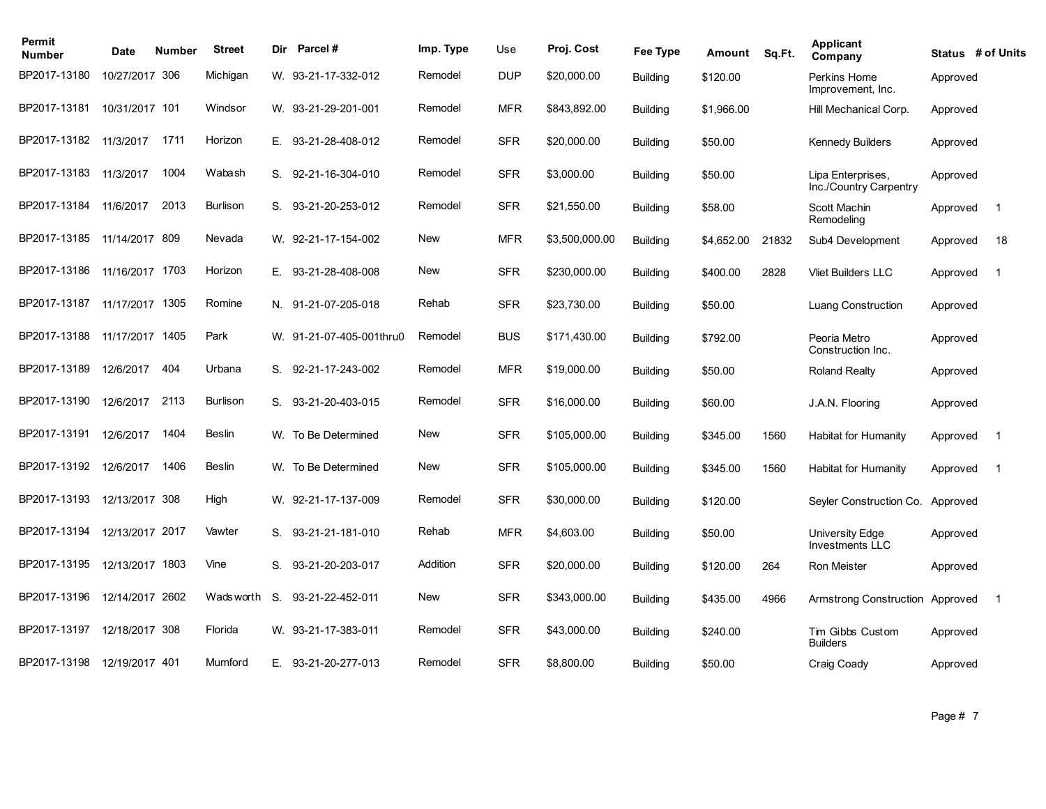| Permit<br><b>Number</b> | Date            | Number | <b>Street</b>   | Dir | Parcel#                  | Imp. Type  | Use        | Proj. Cost     | Fee Type        | Amount     | Sq.Ft. | Applicant<br>Company                        | Status # of Units |                |
|-------------------------|-----------------|--------|-----------------|-----|--------------------------|------------|------------|----------------|-----------------|------------|--------|---------------------------------------------|-------------------|----------------|
| BP2017-13180            | 10/27/2017 306  |        | Michigan        |     | W. 93-21-17-332-012      | Remodel    | <b>DUP</b> | \$20,000.00    | <b>Building</b> | \$120.00   |        | Perkins Home<br>Improvement, Inc.           | Approved          |                |
| BP2017-13181            | 10/31/2017 101  |        | Windsor         |     | W. 93-21-29-201-001      | Remodel    | <b>MFR</b> | \$843,892.00   | <b>Building</b> | \$1,966.00 |        | Hill Mechanical Corp.                       | Approved          |                |
| BP2017-13182            | 11/3/2017       | 1711   | Horizon         | E.  | 93-21-28-408-012         | Remodel    | <b>SFR</b> | \$20,000.00    | <b>Building</b> | \$50.00    |        | <b>Kennedy Builders</b>                     | Approved          |                |
| BP2017-13183            | 11/3/2017       | 1004   | Wabash          | S.  | 92-21-16-304-010         | Remodel    | <b>SFR</b> | \$3,000.00     | <b>Building</b> | \$50.00    |        | Lipa Enterprises,<br>Inc./Country Carpentry | Approved          |                |
| BP2017-13184            | 11/6/2017       | 2013   | <b>Burlison</b> | S.  | 93-21-20-253-012         | Remodel    | <b>SFR</b> | \$21,550.00    | <b>Building</b> | \$58.00    |        | Scott Machin<br>Remodeling                  | Approved          | $\overline{1}$ |
| BP2017-13185            | 11/14/2017 809  |        | Nevada          |     | W. 92-21-17-154-002      | New        | <b>MFR</b> | \$3,500,000.00 | <b>Building</b> | \$4,652.00 | 21832  | Sub4 Development                            | Approved          | 18             |
| BP2017-13186            | 11/16/2017 1703 |        | Horizon         | Е.  | 93-21-28-408-008         | New        | <b>SFR</b> | \$230,000.00   | <b>Building</b> | \$400.00   | 2828   | <b>Vliet Builders LLC</b>                   | Approved          | $\mathbf 1$    |
| BP2017-13187            | 11/17/2017 1305 |        | Romine          |     | N. 91-21-07-205-018      | Rehab      | <b>SFR</b> | \$23,730.00    | <b>Building</b> | \$50.00    |        | Luang Construction                          | Approved          |                |
| BP2017-13188            | 11/17/2017 1405 |        | Park            |     | W. 91-21-07-405-001thru0 | Remodel    | <b>BUS</b> | \$171,430.00   | <b>Building</b> | \$792.00   |        | Peoria Metro<br>Construction Inc.           | Approved          |                |
| BP2017-13189            | 12/6/2017       | 404    | Urbana          |     | S. 92-21-17-243-002      | Remodel    | <b>MFR</b> | \$19,000.00    | <b>Building</b> | \$50.00    |        | <b>Roland Realty</b>                        | Approved          |                |
| BP2017-13190            | 12/6/2017       | 2113   | <b>Burlison</b> | S.  | 93-21-20-403-015         | Remodel    | <b>SFR</b> | \$16,000.00    | <b>Building</b> | \$60.00    |        | J.A.N. Flooring                             | Approved          |                |
| BP2017-13191            | 12/6/2017       | 1404   | Beslin          | W.  | To Be Determined         | New        | <b>SFR</b> | \$105,000.00   | <b>Building</b> | \$345.00   | 1560   | Habitat for Humanity                        | Approved          | $\overline{1}$ |
| BP2017-13192            | 12/6/2017       | 1406   | <b>Beslin</b>   |     | W. To Be Determined      | <b>New</b> | <b>SFR</b> | \$105,000.00   | <b>Building</b> | \$345.00   | 1560   | Habitat for Humanity                        | Approved          | $\overline{1}$ |
| BP2017-13193            | 12/13/2017 308  |        | High            |     | W. 92-21-17-137-009      | Remodel    | <b>SFR</b> | \$30,000.00    | <b>Building</b> | \$120.00   |        | Seyler Construction Co.                     | Approved          |                |
| BP2017-13194            | 12/13/2017 2017 |        | Vawter          | S.  | 93-21-21-181-010         | Rehab      | <b>MFR</b> | \$4,603.00     | <b>Building</b> | \$50.00    |        | University Edge<br><b>Investments LLC</b>   | Approved          |                |
| BP2017-13195            | 12/13/2017 1803 |        | Vine            | S.  | 93-21-20-203-017         | Addition   | <b>SFR</b> | \$20,000.00    | <b>Building</b> | \$120.00   | 264    | Ron Meister                                 | Approved          |                |
| BP2017-13196            | 12/14/2017 2602 |        | Wads worth      | S.  | 93-21-22-452-011         | New        | <b>SFR</b> | \$343,000.00   | <b>Building</b> | \$435.00   | 4966   | Armstrong Construction                      | Approved          | $\overline{1}$ |
| BP2017-13197            | 12/18/2017 308  |        | Florida         |     | W. 93-21-17-383-011      | Remodel    | <b>SFR</b> | \$43,000.00    | <b>Building</b> | \$240.00   |        | Tim Gibbs Custom<br><b>Builders</b>         | Approved          |                |
| BP2017-13198            | 12/19/2017 401  |        | Mumford         |     | E. 93-21-20-277-013      | Remodel    | <b>SFR</b> | \$8,800.00     | <b>Building</b> | \$50.00    |        | Craig Coady                                 | Approved          |                |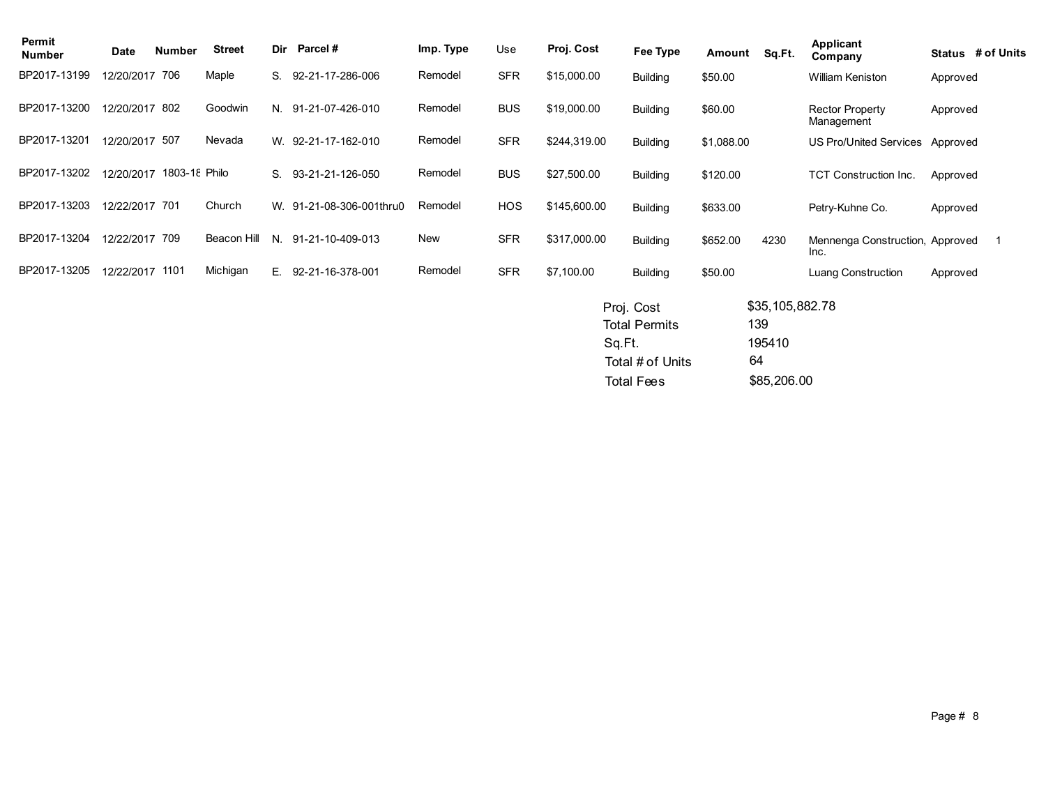| Date | <b>Number</b> | <b>Street</b>                                                                                                           | Dir           | Parcel#          | Imp. Type                                       | Use        | Proj. Cost   | Fee Type        | Amount                                       | Sq.Ft. | <b>Applicant</b><br>Company          |                 | Status # of Units                                                                                                              |
|------|---------------|-------------------------------------------------------------------------------------------------------------------------|---------------|------------------|-------------------------------------------------|------------|--------------|-----------------|----------------------------------------------|--------|--------------------------------------|-----------------|--------------------------------------------------------------------------------------------------------------------------------|
|      |               | Maple                                                                                                                   | S.            | 92-21-17-286-006 | Remodel                                         | <b>SFR</b> | \$15,000.00  | <b>Building</b> | \$50.00                                      |        | William Keniston                     |                 |                                                                                                                                |
|      |               | Goodwin                                                                                                                 | N.            | 91-21-07-426-010 | Remodel                                         | <b>BUS</b> | \$19,000.00  | <b>Building</b> | \$60.00                                      |        | <b>Rector Property</b><br>Management |                 |                                                                                                                                |
|      |               | Nevada                                                                                                                  |               |                  | Remodel                                         | <b>SFR</b> | \$244,319.00 | <b>Building</b> | \$1,088.00                                   |        |                                      |                 |                                                                                                                                |
|      |               |                                                                                                                         | S.            | 93-21-21-126-050 | Remodel                                         | <b>BUS</b> | \$27,500.00  | <b>Building</b> | \$120.00                                     |        | <b>TCT Construction Inc.</b>         |                 |                                                                                                                                |
|      |               | Church                                                                                                                  |               |                  | Remodel                                         | <b>HOS</b> | \$145,600.00 | <b>Building</b> | \$633.00                                     |        | Petry-Kuhne Co.                      |                 |                                                                                                                                |
|      |               | Beacon Hill                                                                                                             | N.            | 91-21-10-409-013 | New                                             | <b>SFR</b> | \$317,000.00 | <b>Building</b> | \$652.00                                     | 4230   | Inc.                                 |                 |                                                                                                                                |
|      |               | Michigan                                                                                                                | E.,           | 92-21-16-378-001 | Remodel                                         | <b>SFR</b> | \$7,100.00   | <b>Building</b> | \$50.00                                      |        | Luang Construction                   |                 |                                                                                                                                |
|      |               |                                                                                                                         |               |                  |                                                 |            |              |                 |                                              |        |                                      |                 |                                                                                                                                |
|      |               | 12/20/2017 706<br>12/20/2017 802<br>12/20/2017 507<br>12/20/2017<br>12/22/2017 701<br>12/22/2017 709<br>12/22/2017 1101 | 1803-18 Philo |                  | W. 92-21-17-162-010<br>W. 91-21-08-306-001thru0 |            |              |                 | Proj. Cost<br><b>Total Permits</b><br>Sq.Ft. |        | 139<br>195410                        | \$35,105,882.78 | Approved<br>Approved<br>US Pro/United Services Approved<br>Approved<br>Approved<br>Mennenga Construction, Approved<br>Approved |

64 Total Fees \$85,206.00 Total # of Units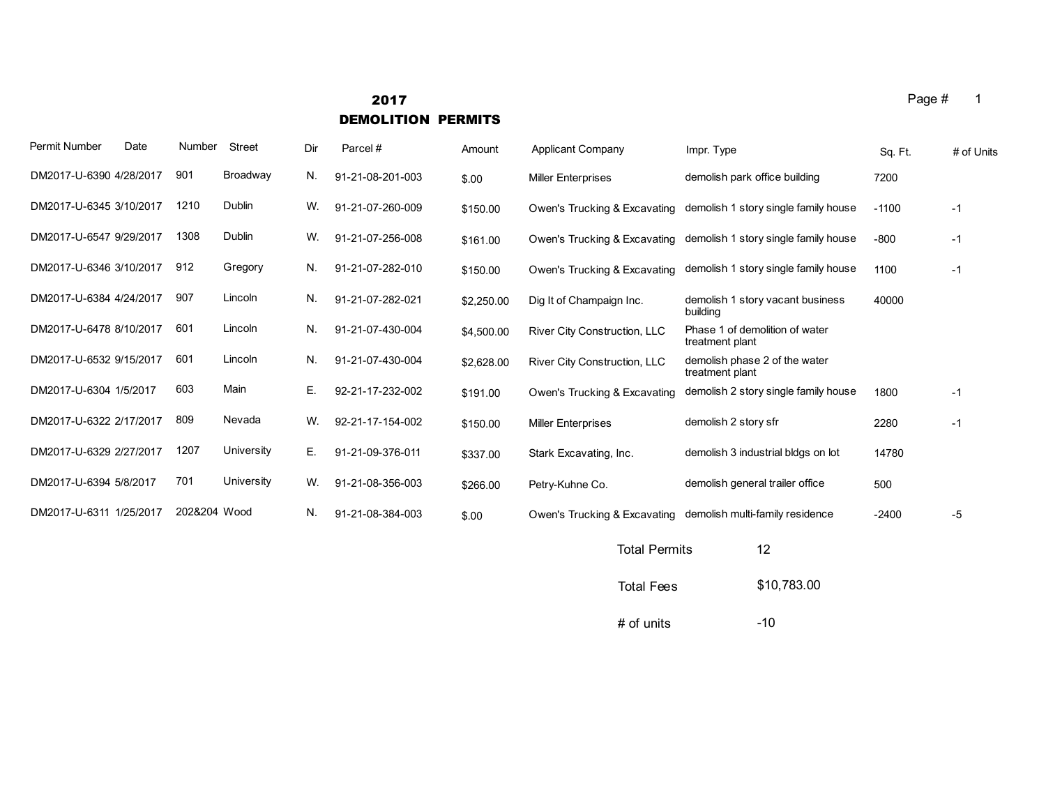# **2017** Page # 1 DEMOLITION PERMITS

| Permit Number           | Date | Number       | <b>Street</b> | Dir | Parcel#          | Amount     | Applicant Company            | Impr. Type                                        | Sq. Ft. | # of Units |
|-------------------------|------|--------------|---------------|-----|------------------|------------|------------------------------|---------------------------------------------------|---------|------------|
| DM2017-U-6390 4/28/2017 |      | 901          | Broadway      | N.  | 91-21-08-201-003 | \$.00      | <b>Miller Enterprises</b>    | demolish park office building                     | 7200    |            |
| DM2017-U-6345 3/10/2017 |      | 1210         | Dublin        | W.  | 91-21-07-260-009 | \$150.00   | Owen's Trucking & Excavating | demolish 1 story single family house              | $-1100$ | $-1$       |
| DM2017-U-6547 9/29/2017 |      | 1308         | Dublin        | W.  | 91-21-07-256-008 | \$161.00   | Owen's Trucking & Excavating | demolish 1 story single family house              | $-800$  | $-1$       |
| DM2017-U-6346 3/10/2017 |      | 912          | Gregory       | N.  | 91-21-07-282-010 | \$150.00   | Owen's Trucking & Excavating | demolish 1 story single family house              | 1100    | $-1$       |
| DM2017-U-6384 4/24/2017 |      | 907          | Lincoln       | N.  | 91-21-07-282-021 | \$2,250.00 | Dig It of Champaign Inc.     | demolish 1 story vacant business<br>building      | 40000   |            |
| DM2017-U-6478 8/10/2017 |      | 601          | Lincoln       | N.  | 91-21-07-430-004 | \$4,500.00 | River City Construction, LLC | Phase 1 of demolition of water<br>treatment plant |         |            |
| DM2017-U-6532 9/15/2017 |      | 601          | Lincoln       | N.  | 91-21-07-430-004 | \$2,628.00 | River City Construction, LLC | demolish phase 2 of the water<br>treatment plant  |         |            |
| DM2017-U-6304 1/5/2017  |      | 603          | Main          | Е.  | 92-21-17-232-002 | \$191.00   | Owen's Trucking & Excavating | demolish 2 story single family house              | 1800    | $-1$       |
| DM2017-U-6322 2/17/2017 |      | 809          | Nevada        | W.  | 92-21-17-154-002 | \$150.00   | <b>Miller Enterprises</b>    | demolish 2 story sfr                              | 2280    | $-1$       |
| DM2017-U-6329 2/27/2017 |      | 1207         | University    | Е.  | 91-21-09-376-011 | \$337.00   | Stark Excavating, Inc.       | demolish 3 industrial bldgs on lot                | 14780   |            |
| DM2017-U-6394 5/8/2017  |      | 701          | University    | W.  | 91-21-08-356-003 | \$266.00   | Petry-Kuhne Co.              | demolish general trailer office                   | 500     |            |
| DM2017-U-6311 1/25/2017 |      | 202&204 Wood |               | N.  | 91-21-08-384-003 | \$.00      | Owen's Trucking & Excavating | demolish multi-family residence                   | $-2400$ | -5         |
|                         |      |              |               |     |                  |            |                              |                                                   |         |            |

| <b>Total Permits</b> | 12          |
|----------------------|-------------|
| <b>Total Fees</b>    | \$10,783.00 |
| # of units           | $-10$       |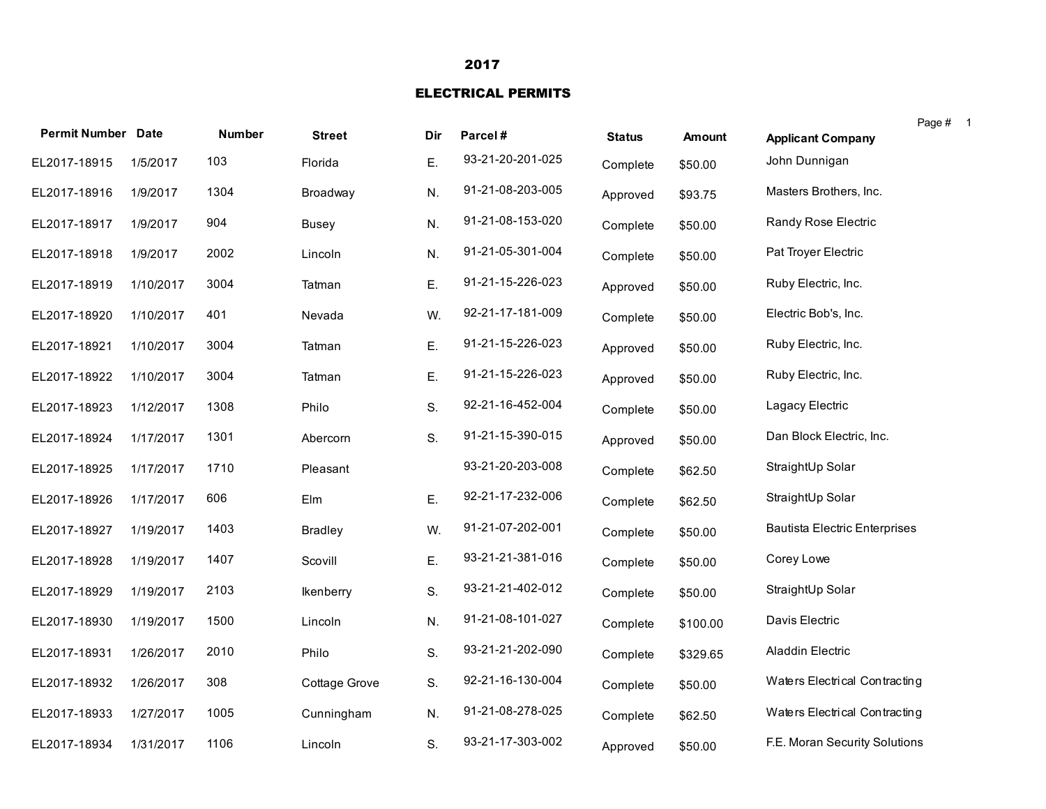### 2017

### ELECTRICAL PERMITS

| <b>Permit Number Date</b> |           | <b>Number</b> | <b>Street</b>  | Dir | Parcel#          | <b>Status</b> | <b>Amount</b> | <b>Applicant Company</b>             | Page # |
|---------------------------|-----------|---------------|----------------|-----|------------------|---------------|---------------|--------------------------------------|--------|
| EL2017-18915              | 1/5/2017  | 103           | Florida        | Ε.  | 93-21-20-201-025 | Complete      | \$50.00       | John Dunnigan                        |        |
| EL2017-18916              | 1/9/2017  | 1304          | Broadway       | N.  | 91-21-08-203-005 | Approved      | \$93.75       | Masters Brothers, Inc.               |        |
| EL2017-18917              | 1/9/2017  | 904           | Busey          | N.  | 91-21-08-153-020 | Complete      | \$50.00       | Randy Rose Electric                  |        |
| EL2017-18918              | 1/9/2017  | 2002          | Lincoln        | N.  | 91-21-05-301-004 | Complete      | \$50.00       | Pat Troyer Electric                  |        |
| EL2017-18919              | 1/10/2017 | 3004          | Tatman         | Ε.  | 91-21-15-226-023 | Approved      | \$50.00       | Ruby Electric, Inc.                  |        |
| EL2017-18920              | 1/10/2017 | 401           | Nevada         | W.  | 92-21-17-181-009 | Complete      | \$50.00       | Electric Bob's, Inc.                 |        |
| EL2017-18921              | 1/10/2017 | 3004          | Tatman         | Ε.  | 91-21-15-226-023 | Approved      | \$50.00       | Ruby Electric, Inc.                  |        |
| EL2017-18922              | 1/10/2017 | 3004          | Tatman         | Ε.  | 91-21-15-226-023 | Approved      | \$50.00       | Ruby Electric, Inc.                  |        |
| EL2017-18923              | 1/12/2017 | 1308          | Philo          | S.  | 92-21-16-452-004 | Complete      | \$50.00       | Lagacy Electric                      |        |
| EL2017-18924              | 1/17/2017 | 1301          | Abercorn       | S.  | 91-21-15-390-015 | Approved      | \$50.00       | Dan Block Electric, Inc.             |        |
| EL2017-18925              | 1/17/2017 | 1710          | Pleasant       |     | 93-21-20-203-008 | Complete      | \$62.50       | StraightUp Solar                     |        |
| EL2017-18926              | 1/17/2017 | 606           | Elm            | Ε.  | 92-21-17-232-006 | Complete      | \$62.50       | StraightUp Solar                     |        |
| EL2017-18927              | 1/19/2017 | 1403          | <b>Bradley</b> | W.  | 91-21-07-202-001 | Complete      | \$50.00       | <b>Bautista Electric Enterprises</b> |        |
| EL2017-18928              | 1/19/2017 | 1407          | Scovill        | Ε.  | 93-21-21-381-016 | Complete      | \$50.00       | Corey Lowe                           |        |
| EL2017-18929              | 1/19/2017 | 2103          | Ikenberry      | S.  | 93-21-21-402-012 | Complete      | \$50.00       | StraightUp Solar                     |        |
| EL2017-18930              | 1/19/2017 | 1500          | Lincoln        | N.  | 91-21-08-101-027 | Complete      | \$100.00      | Davis Electric                       |        |
| EL2017-18931              | 1/26/2017 | 2010          | Philo          | S.  | 93-21-21-202-090 | Complete      | \$329.65      | Aladdin Electric                     |        |
| EL2017-18932              | 1/26/2017 | 308           | Cottage Grove  | S.  | 92-21-16-130-004 | Complete      | \$50.00       | Waters Electrical Contracting        |        |
| EL2017-18933              | 1/27/2017 | 1005          | Cunningham     | N.  | 91-21-08-278-025 | Complete      | \$62.50       | Waters Electrical Contracting        |        |
| EL2017-18934              | 1/31/2017 | 1106          | Lincoln        | S.  | 93-21-17-303-002 | Approved      | \$50.00       | F.E. Moran Security Solutions        |        |

1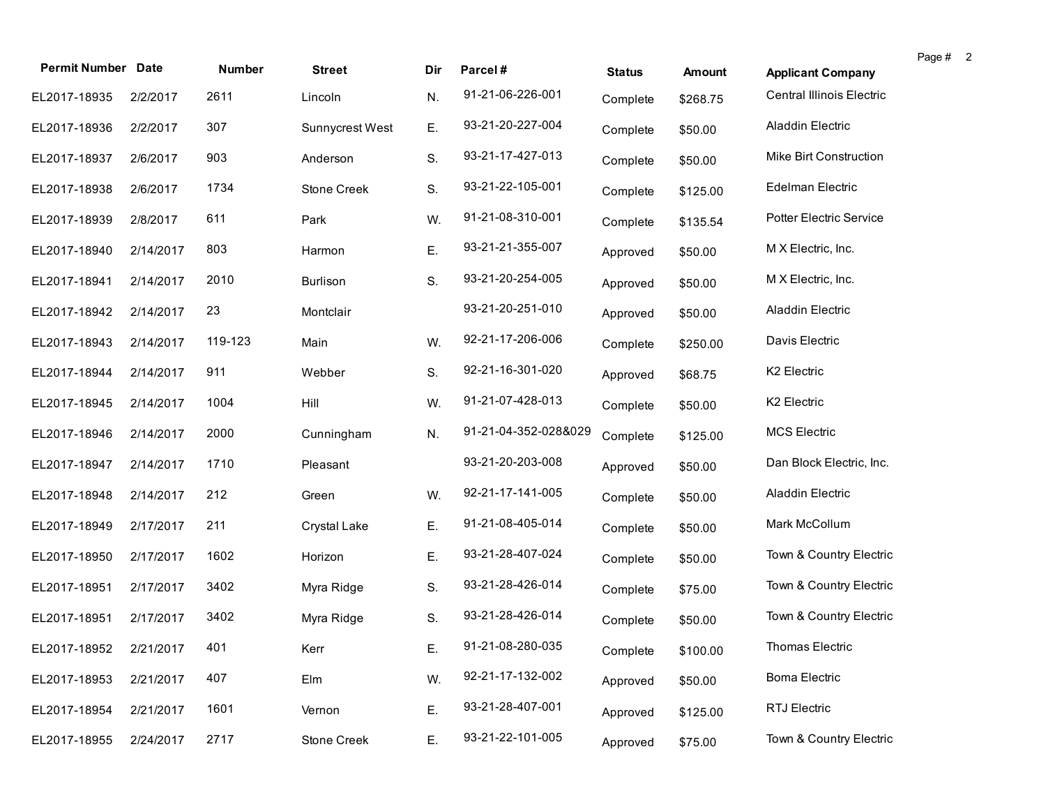| <b>Permit Number Date</b> |           | <b>Number</b> | <b>Street</b>   | Dir | Parcel#              |               |          |                           | Page # 2 |
|---------------------------|-----------|---------------|-----------------|-----|----------------------|---------------|----------|---------------------------|----------|
|                           |           |               |                 |     |                      | <b>Status</b> | Amount   | <b>Applicant Company</b>  |          |
| EL2017-18935              | 2/2/2017  | 2611          | Lincoln         | N.  | 91-21-06-226-001     | Complete      | \$268.75 | Central Illinois Electric |          |
| EL2017-18936              | 2/2/2017  | 307           | Sunnycrest West | Ε.  | 93-21-20-227-004     | Complete      | \$50.00  | Aladdin Electric          |          |
| EL2017-18937              | 2/6/2017  | 903           | Anderson        | S.  | 93-21-17-427-013     | Complete      | \$50.00  | Mike Birt Construction    |          |
| EL2017-18938              | 2/6/2017  | 1734          | Stone Creek     | S.  | 93-21-22-105-001     | Complete      | \$125.00 | Edelman Electric          |          |
| EL2017-18939              | 2/8/2017  | 611           | Park            | W.  | 91-21-08-310-001     | Complete      | \$135.54 | Potter Electric Service   |          |
| EL2017-18940              | 2/14/2017 | 803           | Harmon          | Ε.  | 93-21-21-355-007     | Approved      | \$50.00  | M X Electric, Inc.        |          |
| EL2017-18941              | 2/14/2017 | 2010          | <b>Burlison</b> | S.  | 93-21-20-254-005     | Approved      | \$50.00  | M X Electric, Inc.        |          |
| EL2017-18942              | 2/14/2017 | 23            | Montclair       |     | 93-21-20-251-010     | Approved      | \$50.00  | Aladdin Electric          |          |
| EL2017-18943              | 2/14/2017 | 119-123       | Main            | W.  | 92-21-17-206-006     | Complete      | \$250.00 | Davis Electric            |          |
| EL2017-18944              | 2/14/2017 | 911           | Webber          | S.  | 92-21-16-301-020     | Approved      | \$68.75  | K2 Electric               |          |
| EL2017-18945              | 2/14/2017 | 1004          | Hill            | W.  | 91-21-07-428-013     | Complete      | \$50.00  | K2 Electric               |          |
| EL2017-18946              | 2/14/2017 | 2000          | Cunningham      | N.  | 91-21-04-352-028&029 | Complete      | \$125.00 | <b>MCS Electric</b>       |          |
| EL2017-18947              | 2/14/2017 | 1710          | Pleasant        |     | 93-21-20-203-008     | Approved      | \$50.00  | Dan Block Electric, Inc.  |          |
| EL2017-18948              | 2/14/2017 | 212           | Green           | W.  | 92-21-17-141-005     | Complete      | \$50.00  | Aladdin Electric          |          |
| EL2017-18949              | 2/17/2017 | 211           | Crystal Lake    | Ε.  | 91-21-08-405-014     | Complete      | \$50.00  | Mark McCollum             |          |
| EL2017-18950              | 2/17/2017 | 1602          | Horizon         | Ε.  | 93-21-28-407-024     | Complete      | \$50.00  | Town & Country Electric   |          |
| EL2017-18951              | 2/17/2017 | 3402          | Myra Ridge      | S.  | 93-21-28-426-014     | Complete      | \$75.00  | Town & Country Electric   |          |
| EL2017-18951              | 2/17/2017 | 3402          | Myra Ridge      | S.  | 93-21-28-426-014     | Complete      | \$50.00  | Town & Country Electric   |          |
| EL2017-18952 2/21/2017    |           | 401           | Kerr            | E.  | 91-21-08-280-035     | Complete      | \$100.00 | Thomas Electric           |          |
| EL2017-18953              | 2/21/2017 | 407           | Elm             | W.  | 92-21-17-132-002     | Approved      | \$50.00  | <b>Boma Electric</b>      |          |
| EL2017-18954              | 2/21/2017 | 1601          | Vernon          | Ε.  | 93-21-28-407-001     | Approved      | \$125.00 | RTJ Electric              |          |
| EL2017-18955              | 2/24/2017 | 2717          | Stone Creek     | Ε.  | 93-21-22-101-005     | Approved      | \$75.00  | Town & Country Electric   |          |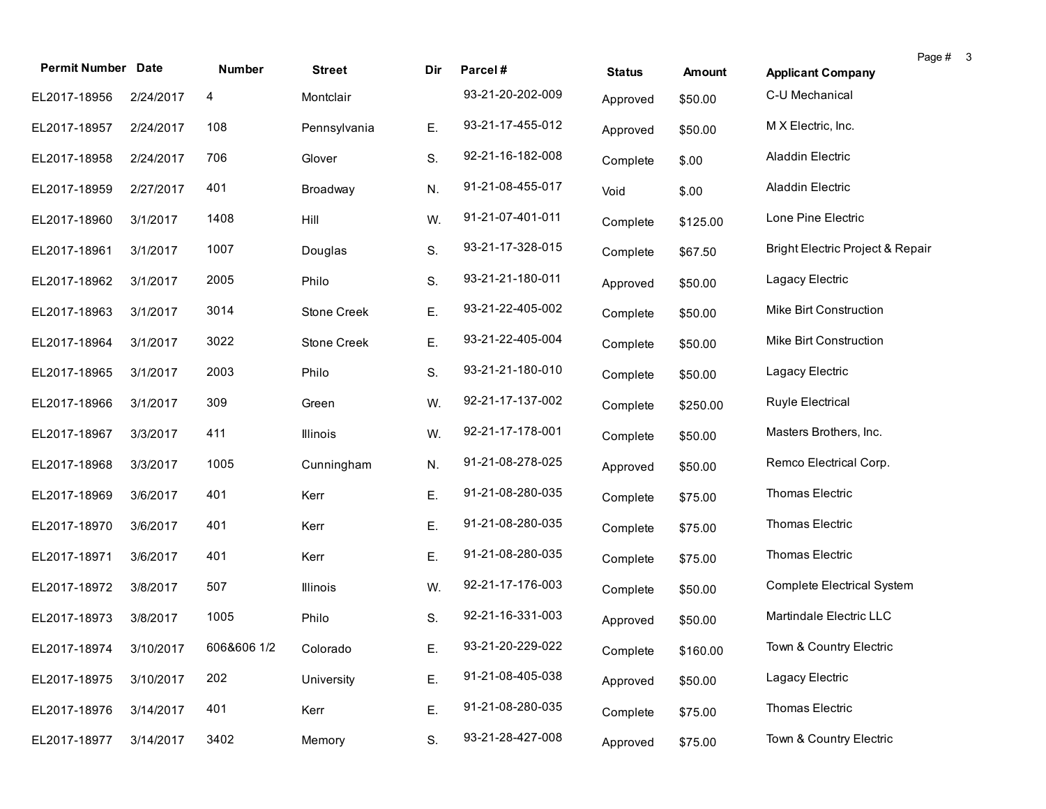| <b>Permit Number Date</b> |           | <b>Number</b> | <b>Street</b> | Dir | Parcel#          | <b>Status</b> | Amount   | Page # 3<br><b>Applicant Company</b> |
|---------------------------|-----------|---------------|---------------|-----|------------------|---------------|----------|--------------------------------------|
| EL2017-18956              | 2/24/2017 | 4             | Montclair     |     | 93-21-20-202-009 | Approved      | \$50.00  | C-U Mechanical                       |
| EL2017-18957              | 2/24/2017 | 108           | Pennsylvania  | Ε.  | 93-21-17-455-012 | Approved      | \$50.00  | M X Electric, Inc.                   |
| EL2017-18958              | 2/24/2017 | 706           | Glover        | S.  | 92-21-16-182-008 | Complete      | \$.00    | Aladdin Electric                     |
| EL2017-18959              | 2/27/2017 | 401           | Broadway      | N.  | 91-21-08-455-017 | Void          | \$.00    | Aladdin Electric                     |
| EL2017-18960              | 3/1/2017  | 1408          | Hill          | W.  | 91-21-07-401-011 | Complete      | \$125.00 | Lone Pine Electric                   |
| EL2017-18961              | 3/1/2017  | 1007          | Douglas       | S.  | 93-21-17-328-015 | Complete      | \$67.50  | Bright Electric Project & Repair     |
| EL2017-18962              | 3/1/2017  | 2005          | Philo         | S.  | 93-21-21-180-011 | Approved      | \$50.00  | Lagacy Electric                      |
| EL2017-18963              | 3/1/2017  | 3014          | Stone Creek   | Ε.  | 93-21-22-405-002 | Complete      | \$50.00  | Mike Birt Construction               |
| EL2017-18964              | 3/1/2017  | 3022          | Stone Creek   | Ε.  | 93-21-22-405-004 | Complete      | \$50.00  | Mike Birt Construction               |
| EL2017-18965              | 3/1/2017  | 2003          | Philo         | S.  | 93-21-21-180-010 | Complete      | \$50.00  | Lagacy Electric                      |
| EL2017-18966              | 3/1/2017  | 309           | Green         | W.  | 92-21-17-137-002 | Complete      | \$250.00 | Ruyle Electrical                     |
| EL2017-18967              | 3/3/2017  | 411           | Illinois      | W.  | 92-21-17-178-001 | Complete      | \$50.00  | Masters Brothers, Inc.               |
| EL2017-18968              | 3/3/2017  | 1005          | Cunningham    | N.  | 91-21-08-278-025 | Approved      | \$50.00  | Remco Electrical Corp.               |
| EL2017-18969              | 3/6/2017  | 401           | Kerr          | Ε.  | 91-21-08-280-035 | Complete      | \$75.00  | Thomas Electric                      |
| EL2017-18970              | 3/6/2017  | 401           | Kerr          | Ε.  | 91-21-08-280-035 | Complete      | \$75.00  | Thomas Electric                      |
| EL2017-18971              | 3/6/2017  | 401           | Kerr          | Ε.  | 91-21-08-280-035 | Complete      | \$75.00  | Thomas Electric                      |
| EL2017-18972              | 3/8/2017  | 507           | Illinois      | W.  | 92-21-17-176-003 | Complete      | \$50.00  | <b>Complete Electrical System</b>    |
| EL2017-18973              | 3/8/2017  | 1005          | Philo         | S.  | 92-21-16-331-003 | Approved      | \$50.00  | Martindale Electric LLC              |
| EL2017-18974 3/10/2017    |           | 606&606 1/2   | Colorado      | Е.  | 93-21-20-229-022 | Complete      | \$160.00 | Town & Country Electric              |
| EL2017-18975              | 3/10/2017 | 202           | University    | Ε.  | 91-21-08-405-038 | Approved      | \$50.00  | Lagacy Electric                      |
| EL2017-18976              | 3/14/2017 | 401           | Kerr          | Ε.  | 91-21-08-280-035 | Complete      | \$75.00  | Thomas Electric                      |
| EL2017-18977              | 3/14/2017 | 3402          | Memory        | S.  | 93-21-28-427-008 | Approved      | \$75.00  | Town & Country Electric              |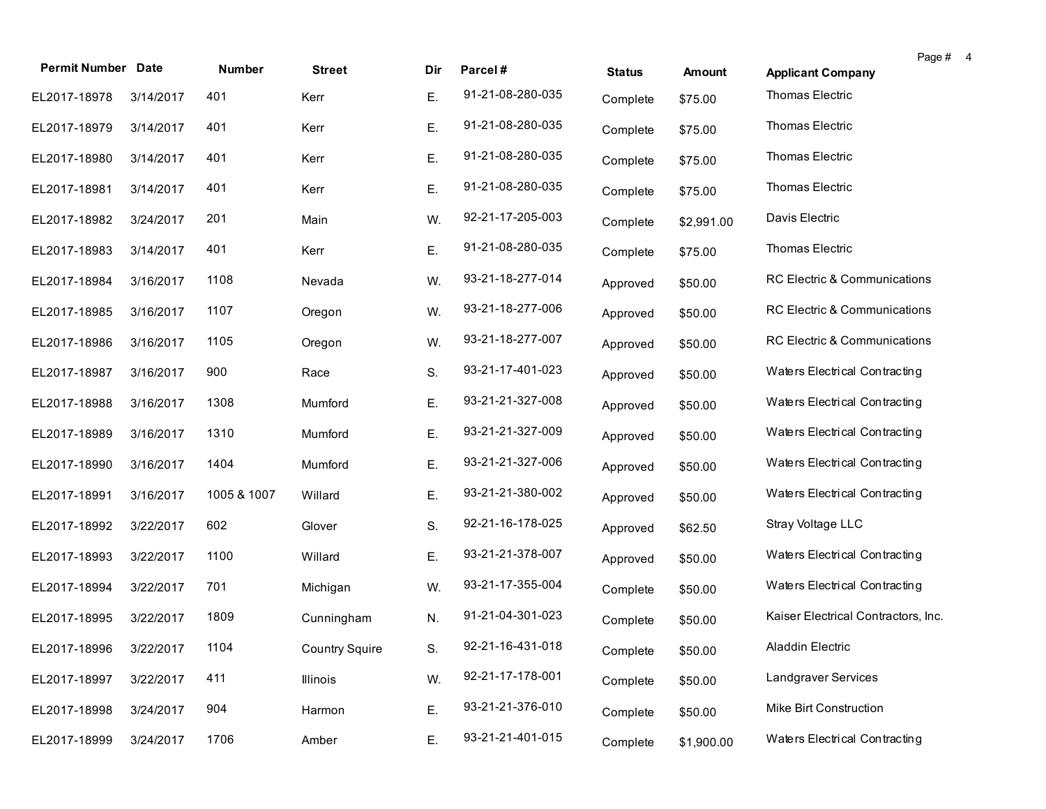| <b>Permit Number Date</b> |           | <b>Number</b> | <b>Street</b>         | Dir | Parcel#          | <b>Status</b> | <b>Amount</b> | Page #<br><b>Applicant Company</b>  | $\overline{a}$ |
|---------------------------|-----------|---------------|-----------------------|-----|------------------|---------------|---------------|-------------------------------------|----------------|
| EL2017-18978              | 3/14/2017 | 401           | Kerr                  | Е.  | 91-21-08-280-035 |               |               | Thomas Electric                     |                |
|                           |           |               |                       |     |                  | Complete      | \$75.00       |                                     |                |
| EL2017-18979              | 3/14/2017 | 401           | Kerr                  | Ε.  | 91-21-08-280-035 | Complete      | \$75.00       | Thomas Electric                     |                |
| EL2017-18980              | 3/14/2017 | 401           | Kerr                  | Ε.  | 91-21-08-280-035 | Complete      | \$75.00       | Thomas Electric                     |                |
| EL2017-18981              | 3/14/2017 | 401           | Kerr                  | Ε.  | 91-21-08-280-035 | Complete      | \$75.00       | Thomas Electric                     |                |
| EL2017-18982              | 3/24/2017 | 201           | Main                  | W.  | 92-21-17-205-003 | Complete      | \$2,991.00    | Davis Electric                      |                |
| EL2017-18983              | 3/14/2017 | 401           | Kerr                  | Ε.  | 91-21-08-280-035 | Complete      | \$75.00       | Thomas Electric                     |                |
| EL2017-18984              | 3/16/2017 | 1108          | Nevada                | W.  | 93-21-18-277-014 | Approved      | \$50.00       | RC Electric & Communications        |                |
| EL2017-18985              | 3/16/2017 | 1107          | Oregon                | W.  | 93-21-18-277-006 | Approved      | \$50.00       | RC Electric & Communications        |                |
| EL2017-18986              | 3/16/2017 | 1105          | Oregon                | W.  | 93-21-18-277-007 | Approved      | \$50.00       | RC Electric & Communications        |                |
| EL2017-18987              | 3/16/2017 | 900           | Race                  | S.  | 93-21-17-401-023 | Approved      | \$50.00       | Waters Electrical Contracting       |                |
| EL2017-18988              | 3/16/2017 | 1308          | Mumford               | Ε.  | 93-21-21-327-008 | Approved      | \$50.00       | Waters Electrical Contracting       |                |
| EL2017-18989              | 3/16/2017 | 1310          | Mumford               | Ε.  | 93-21-21-327-009 | Approved      | \$50.00       | Waters Electrical Contracting       |                |
| EL2017-18990              | 3/16/2017 | 1404          | Mumford               | Ε.  | 93-21-21-327-006 | Approved      | \$50.00       | Waters Electrical Contracting       |                |
| EL2017-18991              | 3/16/2017 | 1005 & 1007   | Willard               | Ε.  | 93-21-21-380-002 | Approved      | \$50.00       | Waters Electrical Contracting       |                |
| EL2017-18992              | 3/22/2017 | 602           | Glover                | S.  | 92-21-16-178-025 | Approved      | \$62.50       | Stray Voltage LLC                   |                |
| EL2017-18993              | 3/22/2017 | 1100          | Willard               | Ε.  | 93-21-21-378-007 | Approved      | \$50.00       | Waters Electrical Contracting       |                |
| EL2017-18994              | 3/22/2017 | 701           | Michigan              | W.  | 93-21-17-355-004 | Complete      | \$50.00       | Waters Electrical Contracting       |                |
| EL2017-18995              | 3/22/2017 | 1809          | Cunningham            | N.  | 91-21-04-301-023 | Complete      | \$50.00       | Kaiser Electrical Contractors, Inc. |                |
| EL2017-18996 3/22/2017    |           | 1104          | <b>Country Squire</b> | S.  | 92-21-16-431-018 | Complete      | \$50.00       | Aladdin Electric                    |                |
| EL2017-18997              | 3/22/2017 | 411           | Illinois              | W.  | 92-21-17-178-001 | Complete      | \$50.00       | Landgraver Services                 |                |
| EL2017-18998              | 3/24/2017 | 904           | Harmon                | Ε.  | 93-21-21-376-010 | Complete      | \$50.00       | Mike Birt Construction              |                |
| EL2017-18999              | 3/24/2017 | 1706          | Amber                 | Ε.  | 93-21-21-401-015 | Complete      | \$1,900.00    | Waters Electrical Contracting       |                |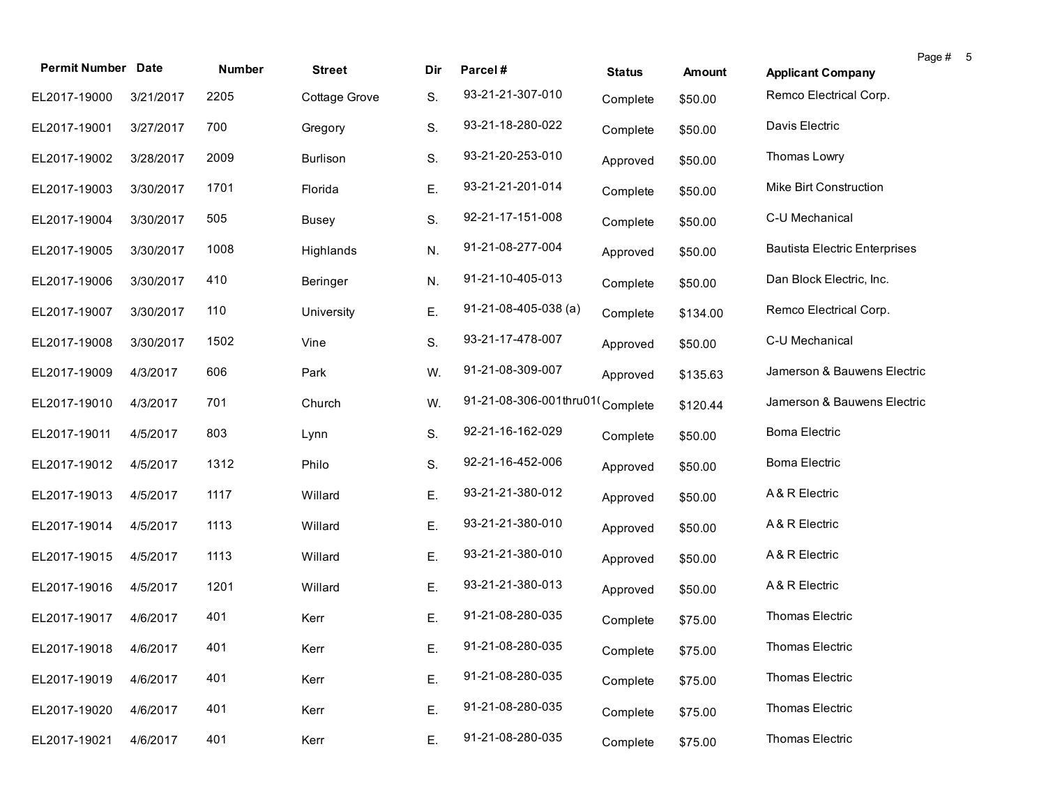| <b>Permit Number Date</b> |           | <b>Number</b> | <b>Street</b>   | Dir | Parcel#                         | <b>Status</b> | Amount   | Page #<br><b>Applicant Company</b>   | - 5 |
|---------------------------|-----------|---------------|-----------------|-----|---------------------------------|---------------|----------|--------------------------------------|-----|
| EL2017-19000              | 3/21/2017 | 2205          | Cottage Grove   | S.  | 93-21-21-307-010                | Complete      | \$50.00  | Remco Electrical Corp.               |     |
| EL2017-19001              | 3/27/2017 | 700           | Gregory         | S.  | 93-21-18-280-022                | Complete      | \$50.00  | Davis Electric                       |     |
| EL2017-19002              | 3/28/2017 | 2009          | <b>Burlison</b> | S.  | 93-21-20-253-010                | Approved      | \$50.00  | Thomas Lowry                         |     |
| EL2017-19003              | 3/30/2017 | 1701          | Florida         | Ε.  | 93-21-21-201-014                | Complete      | \$50.00  | Mike Birt Construction               |     |
| EL2017-19004              | 3/30/2017 | 505           | <b>Busey</b>    | S.  | 92-21-17-151-008                | Complete      | \$50.00  | C-U Mechanical                       |     |
| EL2017-19005              | 3/30/2017 | 1008          | Highlands       | N.  | 91-21-08-277-004                | Approved      | \$50.00  | <b>Bautista Electric Enterprises</b> |     |
| EL2017-19006              | 3/30/2017 | 410           | Beringer        | N.  | 91-21-10-405-013                | Complete      | \$50.00  | Dan Block Electric, Inc.             |     |
| EL2017-19007              | 3/30/2017 | 110           | University      | Ε.  | $91 - 21 - 08 - 405 - 038$ (a)  | Complete      | \$134.00 | Remco Electrical Corp.               |     |
| EL2017-19008              | 3/30/2017 | 1502          | Vine            | S.  | 93-21-17-478-007                | Approved      | \$50.00  | C-U Mechanical                       |     |
| EL2017-19009              | 4/3/2017  | 606           | Park            | W.  | 91-21-08-309-007                | Approved      | \$135.63 | Jamerson & Bauwens Electric          |     |
| EL2017-19010              | 4/3/2017  | 701           | Church          | W.  | 91-21-08-306-001thru01(Complete |               | \$120.44 | Jamerson & Bauwens Electric          |     |
| EL2017-19011              | 4/5/2017  | 803           | Lynn            | S.  | 92-21-16-162-029                | Complete      | \$50.00  | <b>Boma Electric</b>                 |     |
| EL2017-19012              | 4/5/2017  | 1312          | Philo           | S.  | 92-21-16-452-006                | Approved      | \$50.00  | <b>Boma Electric</b>                 |     |
| EL2017-19013              | 4/5/2017  | 1117          | Willard         | Ε.  | 93-21-21-380-012                | Approved      | \$50.00  | A & R Electric                       |     |
| EL2017-19014              | 4/5/2017  | 1113          | Willard         | Ε.  | 93-21-21-380-010                | Approved      | \$50.00  | A & R Electric                       |     |
| EL2017-19015              | 4/5/2017  | 1113          | Willard         | Ε.  | 93-21-21-380-010                | Approved      | \$50.00  | A & R Electric                       |     |
| EL2017-19016              | 4/5/2017  | 1201          | Willard         | Ε.  | 93-21-21-380-013                | Approved      | \$50.00  | A & R Electric                       |     |
| EL2017-19017              | 4/6/2017  | 401           | Kerr            | Ε.  | 91-21-08-280-035                | Complete      | \$75.00  | Thomas Electric                      |     |
| EL2017-19018 4/6/2017     |           | 401           | Kerr            |     | 91-21-08-280-035                | Complete      | \$75.00  | Thomas Electric                      |     |
| EL2017-19019              | 4/6/2017  | 401           | Kerr            | Ε.  | 91-21-08-280-035                | Complete      | \$75.00  | Thomas Electric                      |     |
| EL2017-19020              | 4/6/2017  | 401           | Kerr            | Ε.  | 91-21-08-280-035                | Complete      | \$75.00  | Thomas Electric                      |     |
| EL2017-19021              | 4/6/2017  | 401           | Kerr            | Ε.  | 91-21-08-280-035                | Complete      | \$75.00  | Thomas Electric                      |     |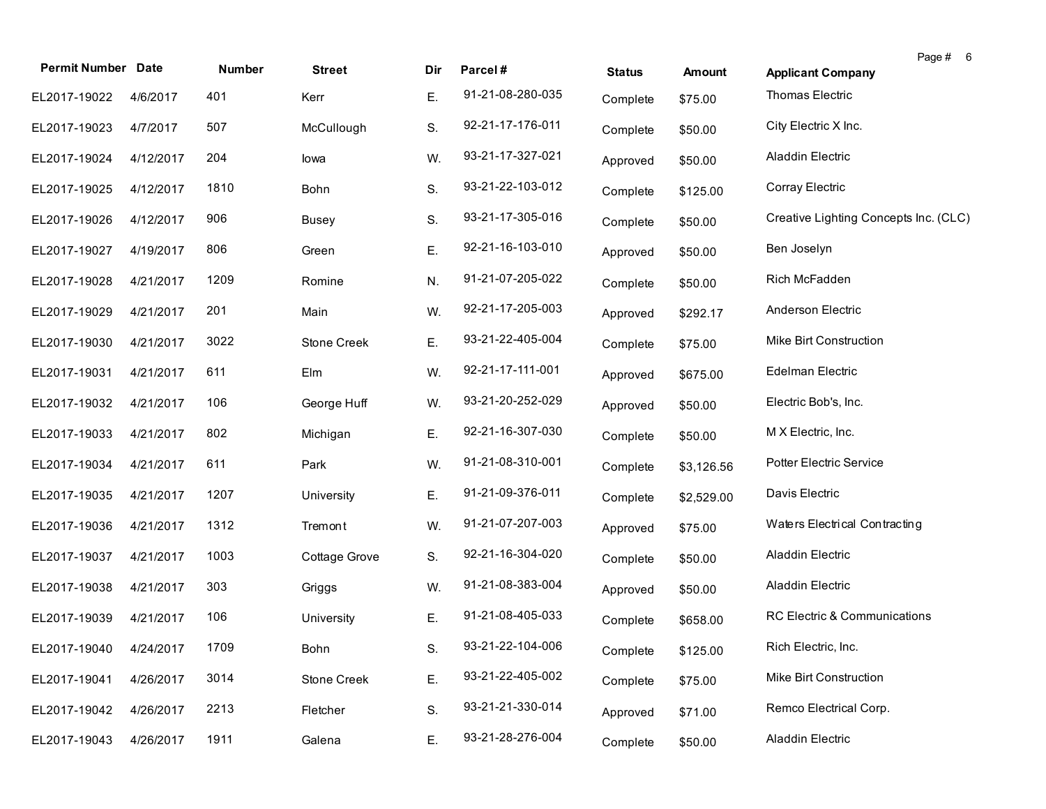| <b>Permit Number Date</b> |           | Number | <b>Street</b>      | Dir | Parcel#          | <b>Status</b> | <b>Amount</b> | Page # 6<br><b>Applicant Company</b>  |
|---------------------------|-----------|--------|--------------------|-----|------------------|---------------|---------------|---------------------------------------|
| EL2017-19022              | 4/6/2017  | 401    | Kerr               | Ε.  | 91-21-08-280-035 | Complete      | \$75.00       | Thomas Electric                       |
| EL2017-19023              | 4/7/2017  | 507    | McCullough         | S.  | 92-21-17-176-011 | Complete      | \$50.00       | City Electric X Inc.                  |
| EL2017-19024              | 4/12/2017 | 204    | lowa               | W.  | 93-21-17-327-021 | Approved      | \$50.00       | Aladdin Electric                      |
| EL2017-19025              | 4/12/2017 | 1810   | Bohn               | S.  | 93-21-22-103-012 | Complete      | \$125.00      | Corray Electric                       |
| EL2017-19026              | 4/12/2017 | 906    | <b>Busey</b>       | S.  | 93-21-17-305-016 | Complete      | \$50.00       | Creative Lighting Concepts Inc. (CLC) |
| EL2017-19027              | 4/19/2017 | 806    | Green              | Ε.  | 92-21-16-103-010 | Approved      | \$50.00       | Ben Joselyn                           |
| EL2017-19028              | 4/21/2017 | 1209   | Romine             | N.  | 91-21-07-205-022 | Complete      | \$50.00       | Rich McFadden                         |
| EL2017-19029              | 4/21/2017 | 201    | Main               | W.  | 92-21-17-205-003 | Approved      | \$292.17      | Anderson Electric                     |
| EL2017-19030              | 4/21/2017 | 3022   | <b>Stone Creek</b> | Ε.  | 93-21-22-405-004 | Complete      | \$75.00       | Mike Birt Construction                |
| EL2017-19031              | 4/21/2017 | 611    | Elm                | W.  | 92-21-17-111-001 | Approved      | \$675.00      | Edelman Electric                      |
| EL2017-19032              | 4/21/2017 | 106    | George Huff        | W.  | 93-21-20-252-029 | Approved      | \$50.00       | Electric Bob's, Inc.                  |
| EL2017-19033              | 4/21/2017 | 802    | Michigan           | Ε.  | 92-21-16-307-030 | Complete      | \$50.00       | M X Electric, Inc.                    |
| EL2017-19034              | 4/21/2017 | 611    | Park               | W.  | 91-21-08-310-001 | Complete      | \$3,126.56    | Potter Electric Service               |
| EL2017-19035              | 4/21/2017 | 1207   | University         | Ε.  | 91-21-09-376-011 | Complete      | \$2,529.00    | Davis Electric                        |
| EL2017-19036              | 4/21/2017 | 1312   | Tremont            | W.  | 91-21-07-207-003 | Approved      | \$75.00       | Waters Electrical Contracting         |
| EL2017-19037              | 4/21/2017 | 1003   | Cottage Grove      | S.  | 92-21-16-304-020 | Complete      | \$50.00       | Aladdin Electric                      |
| EL2017-19038              | 4/21/2017 | 303    | Griggs             | W.  | 91-21-08-383-004 | Approved      | \$50.00       | Aladdin Electric                      |
| EL2017-19039              | 4/21/2017 | 106    | University         | Ε.  | 91-21-08-405-033 | Complete      | \$658.00      | RC Electric & Communications          |
| EL2017-19040 4/24/2017    |           | 1709   | Bohn               | S.  | 93-21-22-104-006 | Complete      | \$125.00      | Rich Electric, Inc.                   |
| EL2017-19041              | 4/26/2017 | 3014   | Stone Creek        | Ε.  | 93-21-22-405-002 | Complete      | \$75.00       | Mike Birt Construction                |
| EL2017-19042              | 4/26/2017 | 2213   | Fletcher           | S.  | 93-21-21-330-014 | Approved      | \$71.00       | Remco Electrical Corp.                |
| EL2017-19043              | 4/26/2017 | 1911   | Galena             | Ε.  | 93-21-28-276-004 | Complete      | \$50.00       | Aladdin Electric                      |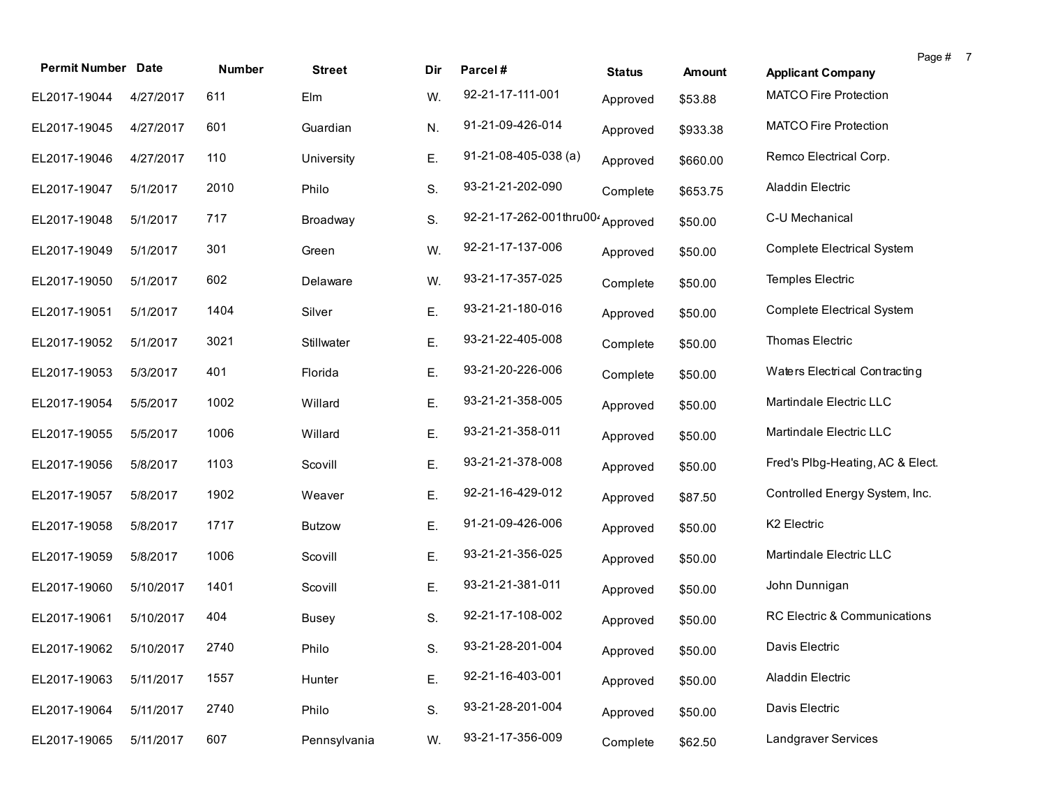| <b>Permit Number Date</b> |           | Number | <b>Street</b> | Dir. | Parcel#                                      |               |          |                                  | Page # 7 |  |
|---------------------------|-----------|--------|---------------|------|----------------------------------------------|---------------|----------|----------------------------------|----------|--|
|                           |           |        |               |      |                                              | <b>Status</b> | Amount   | <b>Applicant Company</b>         |          |  |
| EL2017-19044              | 4/27/2017 | 611    | Elm           | W.   | 92-21-17-111-001                             | Approved      | \$53.88  | <b>MATCO Fire Protection</b>     |          |  |
| EL2017-19045              | 4/27/2017 | 601    | Guardian      | N.   | 91-21-09-426-014                             | Approved      | \$933.38 | <b>MATCO Fire Protection</b>     |          |  |
| EL2017-19046              | 4/27/2017 | 110    | University    | Ε.   | $91-21-08-405-038$ (a)                       | Approved      | \$660.00 | Remco Electrical Corp.           |          |  |
| EL2017-19047              | 5/1/2017  | 2010   | Philo         | S.   | 93-21-21-202-090                             | Complete      | \$653.75 | Aladdin Electric                 |          |  |
| EL2017-19048              | 5/1/2017  | 717    | Broadway      | S.   | 92-21-17-262-001thru00 <sup>2</sup> Approved |               | \$50.00  | C-U Mechanical                   |          |  |
| EL2017-19049              | 5/1/2017  | 301    | Green         | W.   | 92-21-17-137-006                             | Approved      | \$50.00  | Complete Electrical System       |          |  |
| EL2017-19050              | 5/1/2017  | 602    | Delaware      | W.   | 93-21-17-357-025                             | Complete      | \$50.00  | Temples Electric                 |          |  |
| EL2017-19051              | 5/1/2017  | 1404   | Silver        | Ε.   | 93-21-21-180-016                             | Approved      | \$50.00  | Complete Electrical System       |          |  |
| EL2017-19052              | 5/1/2017  | 3021   | Stillwater    | Е.   | 93-21-22-405-008                             | Complete      | \$50.00  | Thomas Electric                  |          |  |
| EL2017-19053              | 5/3/2017  | 401    | Florida       | Ε.   | 93-21-20-226-006                             | Complete      | \$50.00  | Waters Electrical Contracting    |          |  |
| EL2017-19054              | 5/5/2017  | 1002   | Willard       | Ε.   | 93-21-21-358-005                             | Approved      | \$50.00  | Martindale Electric LLC          |          |  |
| EL2017-19055              | 5/5/2017  | 1006   | Willard       | Ε.   | 93-21-21-358-011                             | Approved      | \$50.00  | Martindale Electric LLC          |          |  |
| EL2017-19056              | 5/8/2017  | 1103   | Scovill       | Ε.   | 93-21-21-378-008                             | Approved      | \$50.00  | Fred's Plbg-Heating, AC & Elect. |          |  |
| EL2017-19057              | 5/8/2017  | 1902   | Weaver        | Е.   | 92-21-16-429-012                             | Approved      | \$87.50  | Controlled Energy System, Inc.   |          |  |
| EL2017-19058              | 5/8/2017  | 1717   | <b>Butzow</b> | Ε.   | 91-21-09-426-006                             | Approved      | \$50.00  | K2 Electric                      |          |  |
| EL2017-19059              | 5/8/2017  | 1006   | Scovill       | Е.   | 93-21-21-356-025                             | Approved      | \$50.00  | Martindale Electric LLC          |          |  |
| EL2017-19060              | 5/10/2017 | 1401   | Scovill       | Ε.   | 93-21-21-381-011                             | Approved      | \$50.00  | John Dunnigan                    |          |  |
| EL2017-19061              | 5/10/2017 | 404    | Busey         | S.   | 92-21-17-108-002                             | Approved      | \$50.00  | RC Electric & Communications     |          |  |
| EL2017-19062 5/10/2017    |           | 2740   | Philo         | S.   | 93-21-28-201-004                             | Approved      | \$50.00  | Davis Electric                   |          |  |
| EL2017-19063              | 5/11/2017 | 1557   | Hunter        | E.   | 92-21-16-403-001                             | Approved      | \$50.00  | Aladdin Electric                 |          |  |
| EL2017-19064              | 5/11/2017 | 2740   | Philo         | S.   | 93-21-28-201-004                             | Approved      | \$50.00  | Davis Electric                   |          |  |
| EL2017-19065              | 5/11/2017 | 607    | Pennsylvania  | W.   | 93-21-17-356-009                             | Complete      | \$62.50  | Landgraver Services              |          |  |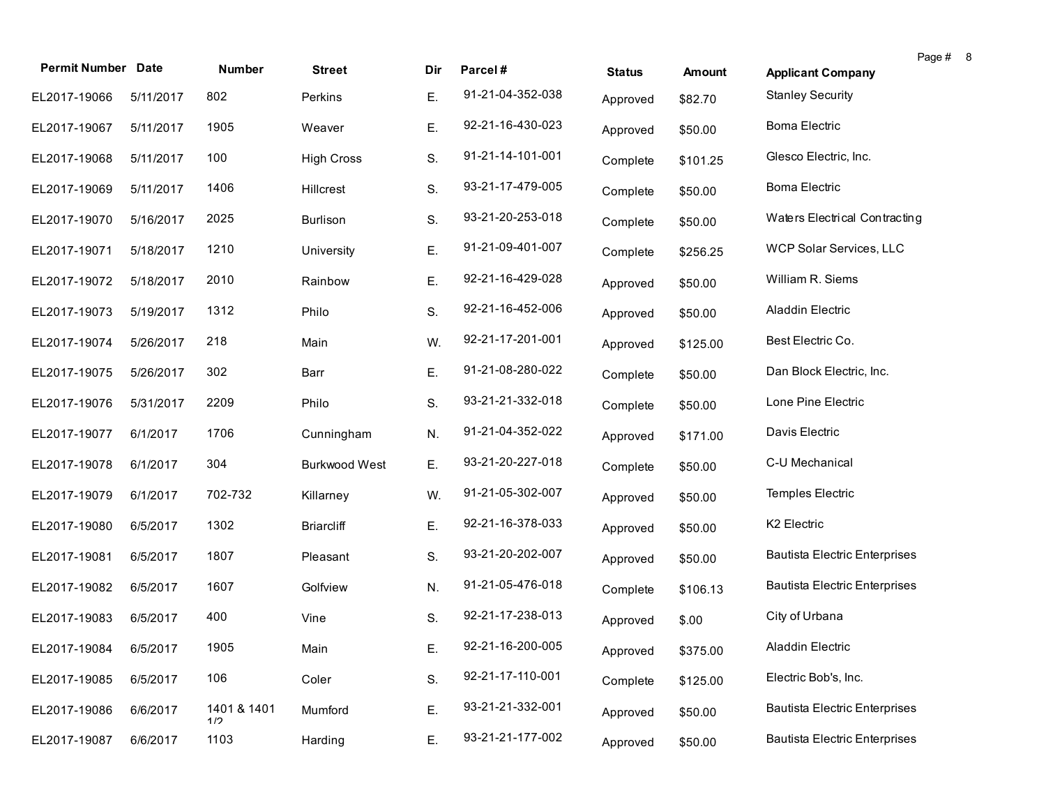| <b>Permit Number Date</b> |           | <b>Number</b>      | <b>Street</b>        | Dir | Parcel#          | <b>Status</b> | <b>Amount</b> | <b>Applicant Company</b>             | Page # 8 |  |
|---------------------------|-----------|--------------------|----------------------|-----|------------------|---------------|---------------|--------------------------------------|----------|--|
| EL2017-19066              | 5/11/2017 | 802                | Perkins              | Ε.  | 91-21-04-352-038 |               |               | <b>Stanley Security</b>              |          |  |
|                           |           |                    |                      |     |                  | Approved      | \$82.70       |                                      |          |  |
| EL2017-19067              | 5/11/2017 | 1905               | Weaver               | Ε.  | 92-21-16-430-023 | Approved      | \$50.00       | <b>Boma Electric</b>                 |          |  |
| EL2017-19068              | 5/11/2017 | 100                | <b>High Cross</b>    | S.  | 91-21-14-101-001 | Complete      | \$101.25      | Glesco Electric, Inc.                |          |  |
| EL2017-19069              | 5/11/2017 | 1406               | Hillcrest            | S.  | 93-21-17-479-005 | Complete      | \$50.00       | <b>Boma Electric</b>                 |          |  |
| EL2017-19070              | 5/16/2017 | 2025               | <b>Burlison</b>      | S.  | 93-21-20-253-018 | Complete      | \$50.00       | Waters Electrical Contracting        |          |  |
| EL2017-19071              | 5/18/2017 | 1210               | University           | Ε.  | 91-21-09-401-007 | Complete      | \$256.25      | WCP Solar Services, LLC              |          |  |
| EL2017-19072              | 5/18/2017 | 2010               | Rainbow              | Ε.  | 92-21-16-429-028 | Approved      | \$50.00       | William R. Siems                     |          |  |
| EL2017-19073              | 5/19/2017 | 1312               | Philo                | S.  | 92-21-16-452-006 | Approved      | \$50.00       | Aladdin Electric                     |          |  |
| EL2017-19074              | 5/26/2017 | 218                | Main                 | W.  | 92-21-17-201-001 | Approved      | \$125.00      | Best Electric Co.                    |          |  |
| EL2017-19075              | 5/26/2017 | 302                | Barr                 | Ε.  | 91-21-08-280-022 | Complete      | \$50.00       | Dan Block Electric, Inc.             |          |  |
| EL2017-19076              | 5/31/2017 | 2209               | Philo                | S.  | 93-21-21-332-018 | Complete      | \$50.00       | Lone Pine Electric                   |          |  |
| EL2017-19077              | 6/1/2017  | 1706               | Cunningham           | N.  | 91-21-04-352-022 | Approved      | \$171.00      | Davis Electric                       |          |  |
| EL2017-19078              | 6/1/2017  | 304                | <b>Burkwood West</b> | Ε.  | 93-21-20-227-018 | Complete      | \$50.00       | C-U Mechanical                       |          |  |
| EL2017-19079              | 6/1/2017  | 702-732            | Killarney            | W.  | 91-21-05-302-007 | Approved      | \$50.00       | Temples Electric                     |          |  |
| EL2017-19080              | 6/5/2017  | 1302               | <b>Briarcliff</b>    | Ε.  | 92-21-16-378-033 | Approved      | \$50.00       | K2 Electric                          |          |  |
| EL2017-19081              | 6/5/2017  | 1807               | Pleasant             | S.  | 93-21-20-202-007 | Approved      | \$50.00       | <b>Bautista Electric Enterprises</b> |          |  |
| EL2017-19082              | 6/5/2017  | 1607               | Golfview             | N.  | 91-21-05-476-018 | Complete      | \$106.13      | <b>Bautista Electric Enterprises</b> |          |  |
| EL2017-19083              | 6/5/2017  | 400                | Vine                 | S.  | 92-21-17-238-013 | Approved      | \$.00         | City of Urbana                       |          |  |
| EL2017-19084 6/5/2017     |           | 1905               | Main                 | Ε.  | 92-21-16-200-005 | Approved      | \$375.00      | Aladdin Electric                     |          |  |
| EL2017-19085              | 6/5/2017  | 106                | Coler                | S.  | 92-21-17-110-001 | Complete      | \$125.00      | Electric Bob's, Inc.                 |          |  |
| EL2017-19086              | 6/6/2017  | 1401 & 1401<br>1/2 | Mumford              | Ε.  | 93-21-21-332-001 | Approved      | \$50.00       | <b>Bautista Electric Enterprises</b> |          |  |
| EL2017-19087              | 6/6/2017  | 1103               | Harding              | Ε.  | 93-21-21-177-002 | Approved      | \$50.00       | <b>Bautista Electric Enterprises</b> |          |  |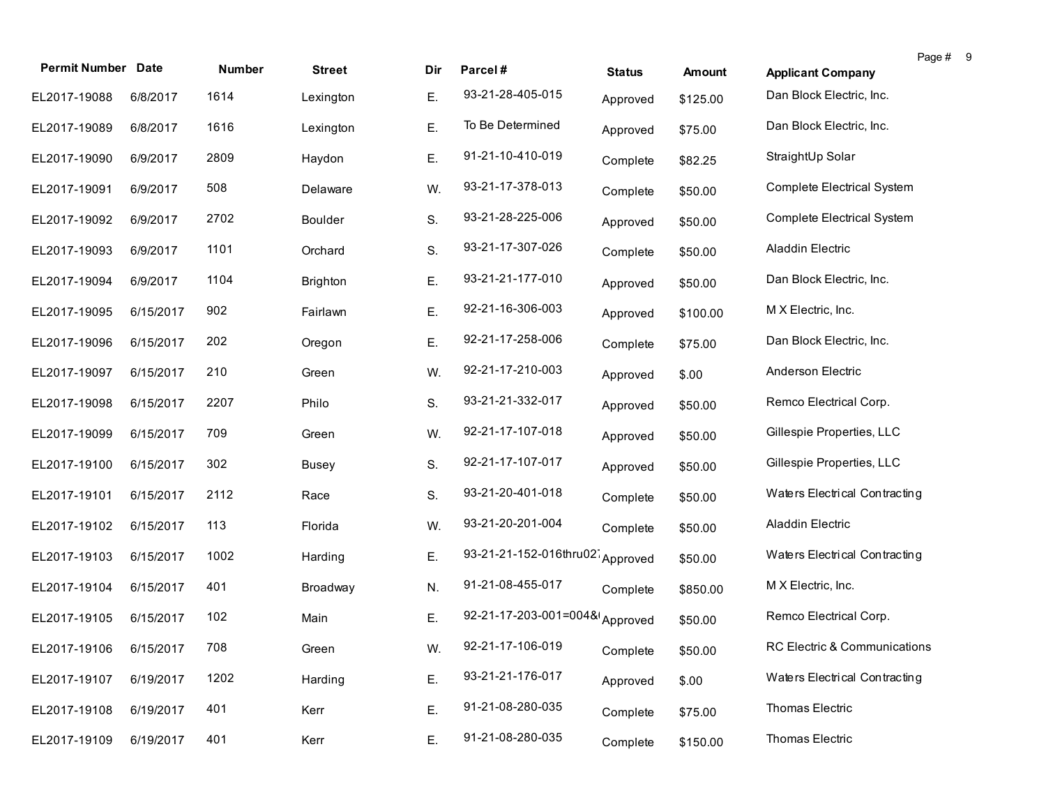| <b>Permit Number Date</b> |           | <b>Number</b> |               |     |                                 |               |          |                               | Page # | - 9 |
|---------------------------|-----------|---------------|---------------|-----|---------------------------------|---------------|----------|-------------------------------|--------|-----|
|                           |           |               | <b>Street</b> | Dir | Parcel#                         | <b>Status</b> | Amount   | <b>Applicant Company</b>      |        |     |
| EL2017-19088              | 6/8/2017  | 1614          | Lexington     | Ε.  | 93-21-28-405-015                | Approved      | \$125.00 | Dan Block Electric, Inc.      |        |     |
| EL2017-19089              | 6/8/2017  | 1616          | Lexington     | Ε.  | To Be Determined                | Approved      | \$75.00  | Dan Block Electric, Inc.      |        |     |
| EL2017-19090              | 6/9/2017  | 2809          | Haydon        | Ε.  | 91-21-10-410-019                | Complete      | \$82.25  | StraightUp Solar              |        |     |
| EL2017-19091              | 6/9/2017  | 508           | Delaware      | W.  | 93-21-17-378-013                | Complete      | \$50.00  | Complete Electrical System    |        |     |
| EL2017-19092              | 6/9/2017  | 2702          | Boulder       | S.  | 93-21-28-225-006                | Approved      | \$50.00  | Complete Electrical System    |        |     |
| EL2017-19093              | 6/9/2017  | 1101          | Orchard       | S.  | 93-21-17-307-026                | Complete      | \$50.00  | Aladdin Electric              |        |     |
| EL2017-19094              | 6/9/2017  | 1104          | Brighton      | Ε.  | 93-21-21-177-010                | Approved      | \$50.00  | Dan Block Electric, Inc.      |        |     |
| EL2017-19095              | 6/15/2017 | 902           | Fairlawn      | Ε.  | 92-21-16-306-003                | Approved      | \$100.00 | M X Electric, Inc.            |        |     |
| EL2017-19096              | 6/15/2017 | 202           | Oregon        | Ε.  | 92-21-17-258-006                | Complete      | \$75.00  | Dan Block Electric, Inc.      |        |     |
| EL2017-19097              | 6/15/2017 | 210           | Green         | W.  | 92-21-17-210-003                | Approved      | \$.00    | Anderson Electric             |        |     |
| EL2017-19098              | 6/15/2017 | 2207          | Philo         | S.  | 93-21-21-332-017                | Approved      | \$50.00  | Remco Electrical Corp.        |        |     |
| EL2017-19099              | 6/15/2017 | 709           | Green         | W.  | 92-21-17-107-018                | Approved      | \$50.00  | Gillespie Properties, LLC     |        |     |
| EL2017-19100              | 6/15/2017 | 302           | <b>Busey</b>  | S.  | 92-21-17-107-017                | Approved      | \$50.00  | Gillespie Properties, LLC     |        |     |
| EL2017-19101              | 6/15/2017 | 2112          | Race          | S.  | 93-21-20-401-018                | Complete      | \$50.00  | Waters Electrical Contracting |        |     |
| EL2017-19102              | 6/15/2017 | 113           | Florida       | W.  | 93-21-20-201-004                | Complete      | \$50.00  | Aladdin Electric              |        |     |
| EL2017-19103              | 6/15/2017 | 1002          | Harding       | Ε.  | 93-21-21-152-016thru02 Approved |               | \$50.00  | Waters Electrical Contracting |        |     |
| EL2017-19104              | 6/15/2017 | 401           | Broadway      | N.  | 91-21-08-455-017                | Complete      | \$850.00 | M X Electric, Inc.            |        |     |
| EL2017-19105              | 6/15/2017 | 102           | Main          | Ε.  | 92-21-17-203-001=004& Approved  |               | \$50.00  | Remco Electrical Corp.        |        |     |
| EL2017-19106 6/15/2017    |           | 708           | Green         | W.  | 92-21-17-106-019                | Complete      | \$50.00  | RC Electric & Communications  |        |     |
| EL2017-19107              | 6/19/2017 | 1202          | Harding       | Ε.  | 93-21-21-176-017                | Approved      | \$.00    | Waters Electrical Contracting |        |     |
| EL2017-19108              | 6/19/2017 | 401           | Kerr          | Ε.  | 91-21-08-280-035                | Complete      | \$75.00  | Thomas Electric               |        |     |
| EL2017-19109              | 6/19/2017 | 401           | Kerr          | Ε.  | 91-21-08-280-035                | Complete      | \$150.00 | Thomas Electric               |        |     |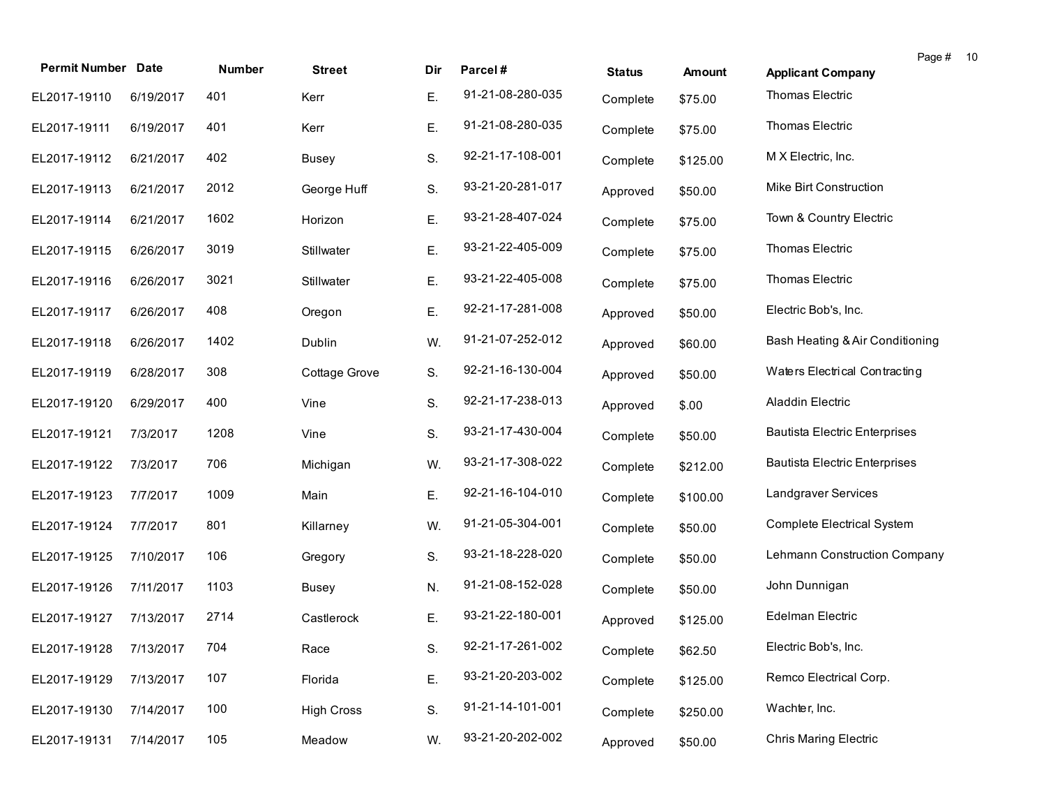| <b>Permit Number Date</b> |           | Number | <b>Street</b>     | Dir | Parcel#          | <b>Status</b> | <b>Amount</b> | Page #<br><b>Applicant Company</b>   | 10 |
|---------------------------|-----------|--------|-------------------|-----|------------------|---------------|---------------|--------------------------------------|----|
| EL2017-19110              | 6/19/2017 | 401    | Kerr              | Ε.  | 91-21-08-280-035 | Complete      | \$75.00       | Thomas Electric                      |    |
| EL2017-19111              | 6/19/2017 | 401    | Kerr              | Ε.  | 91-21-08-280-035 | Complete      | \$75.00       | Thomas Electric                      |    |
| EL2017-19112              | 6/21/2017 | 402    | <b>Busey</b>      | S.  | 92-21-17-108-001 | Complete      | \$125.00      | M X Electric, Inc.                   |    |
| EL2017-19113              | 6/21/2017 | 2012   | George Huff       | S.  | 93-21-20-281-017 | Approved      | \$50.00       | Mike Birt Construction               |    |
| EL2017-19114              | 6/21/2017 | 1602   | Horizon           | Ε.  | 93-21-28-407-024 | Complete      | \$75.00       | Town & Country Electric              |    |
| EL2017-19115              | 6/26/2017 | 3019   | Stillwater        | Ε.  | 93-21-22-405-009 | Complete      | \$75.00       | Thomas Electric                      |    |
| EL2017-19116              | 6/26/2017 | 3021   | Stillwater        | Ε.  | 93-21-22-405-008 | Complete      | \$75.00       | Thomas Electric                      |    |
| EL2017-19117              | 6/26/2017 | 408    | Oregon            | Ε.  | 92-21-17-281-008 | Approved      | \$50.00       | Electric Bob's, Inc.                 |    |
| EL2017-19118              | 6/26/2017 | 1402   | Dublin            | W.  | 91-21-07-252-012 | Approved      | \$60.00       | Bash Heating & Air Conditioning      |    |
| EL2017-19119              | 6/28/2017 | 308    | Cottage Grove     | S.  | 92-21-16-130-004 | Approved      | \$50.00       | Waters Electrical Contracting        |    |
| EL2017-19120              | 6/29/2017 | 400    | Vine              | S.  | 92-21-17-238-013 | Approved      | \$.00         | <b>Aladdin Electric</b>              |    |
| EL2017-19121              | 7/3/2017  | 1208   | Vine              | S.  | 93-21-17-430-004 | Complete      | \$50.00       | <b>Bautista Electric Enterprises</b> |    |
| EL2017-19122              | 7/3/2017  | 706    | Michigan          | W.  | 93-21-17-308-022 | Complete      | \$212.00      | <b>Bautista Electric Enterprises</b> |    |
| EL2017-19123              | 7/7/2017  | 1009   | Main              | Ε.  | 92-21-16-104-010 | Complete      | \$100.00      | Landgraver Services                  |    |
| EL2017-19124              | 7/7/2017  | 801    | Killarney         | W.  | 91-21-05-304-001 | Complete      | \$50.00       | <b>Complete Electrical System</b>    |    |
| EL2017-19125              | 7/10/2017 | 106    | Gregory           | S.  | 93-21-18-228-020 | Complete      | \$50.00       | Lehmann Construction Company         |    |
| EL2017-19126              | 7/11/2017 | 1103   | <b>Busey</b>      | N.  | 91-21-08-152-028 | Complete      | \$50.00       | John Dunnigan                        |    |
| EL2017-19127              | 7/13/2017 | 2714   | Castlerock        | Ε.  | 93-21-22-180-001 | Approved      | \$125.00      | Edelman Electric                     |    |
| EL2017-19128 7/13/2017    |           | 704    | Race              | S.  | 92-21-17-261-002 | Complete      | \$62.50       | Electric Bob's, Inc.                 |    |
| EL2017-19129              | 7/13/2017 | 107    | Florida           | Ε.  | 93-21-20-203-002 | Complete      | \$125.00      | Remco Electrical Corp.               |    |
| EL2017-19130              | 7/14/2017 | 100    | <b>High Cross</b> | S.  | 91-21-14-101-001 | Complete      | \$250.00      | Wachter, Inc.                        |    |
| EL2017-19131              | 7/14/2017 | 105    | Meadow            | W.  | 93-21-20-202-002 | Approved      | \$50.00       | <b>Chris Maring Electric</b>         |    |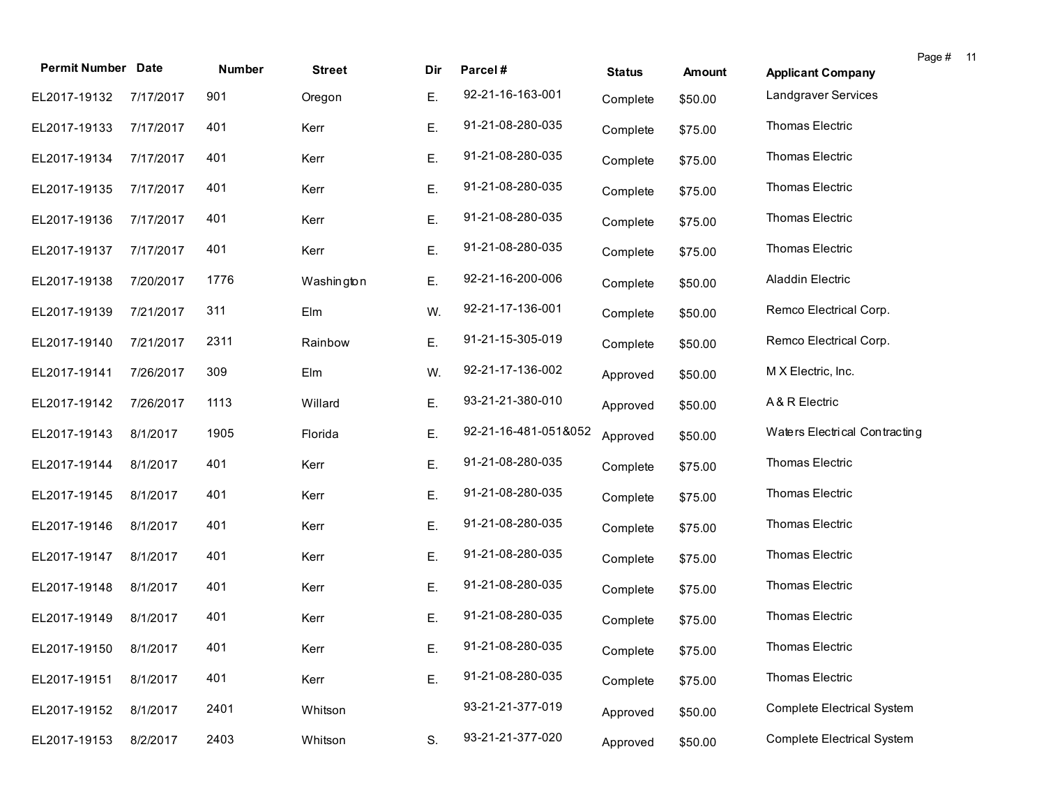| <b>Permit Number Date</b> |           | Number | <b>Street</b> | Dir | Parcel#              | <b>Status</b> | <b>Amount</b> | <b>Applicant Company</b>          | Page # 11 |  |
|---------------------------|-----------|--------|---------------|-----|----------------------|---------------|---------------|-----------------------------------|-----------|--|
| EL2017-19132              | 7/17/2017 | 901    | Oregon        | Ε.  | 92-21-16-163-001     | Complete      | \$50.00       | Landgraver Services               |           |  |
| EL2017-19133              | 7/17/2017 | 401    | Kerr          | Ε.  | 91-21-08-280-035     | Complete      | \$75.00       | Thomas Electric                   |           |  |
| EL2017-19134              | 7/17/2017 | 401    | Kerr          | Ε.  | 91-21-08-280-035     | Complete      | \$75.00       | Thomas Electric                   |           |  |
| EL2017-19135              | 7/17/2017 | 401    | Kerr          | Ε.  | 91-21-08-280-035     | Complete      | \$75.00       | Thomas Electric                   |           |  |
| EL2017-19136              | 7/17/2017 | 401    | Kerr          | Ε.  | 91-21-08-280-035     | Complete      | \$75.00       | Thomas Electric                   |           |  |
| EL2017-19137              | 7/17/2017 | 401    | Kerr          | Ε.  | 91-21-08-280-035     | Complete      | \$75.00       | Thomas Electric                   |           |  |
| EL2017-19138              | 7/20/2017 | 1776   | Washington    | Ε.  | 92-21-16-200-006     | Complete      | \$50.00       | Aladdin Electric                  |           |  |
| EL2017-19139              | 7/21/2017 | 311    | Elm           | W.  | 92-21-17-136-001     | Complete      | \$50.00       | Remco Electrical Corp.            |           |  |
| EL2017-19140              | 7/21/2017 | 2311   | Rainbow       | Ε.  | 91-21-15-305-019     | Complete      | \$50.00       | Remco Electrical Corp.            |           |  |
| EL2017-19141              | 7/26/2017 | 309    | Elm           | W.  | 92-21-17-136-002     | Approved      | \$50.00       | M X Electric, Inc.                |           |  |
| EL2017-19142              | 7/26/2017 | 1113   | Willard       | Ε.  | 93-21-21-380-010     | Approved      | \$50.00       | A & R Electric                    |           |  |
| EL2017-19143              | 8/1/2017  | 1905   | Florida       | Ε.  | 92-21-16-481-051&052 | Approved      | \$50.00       | Waters Electrical Contracting     |           |  |
| EL2017-19144              | 8/1/2017  | 401    | Kerr          | Ε.  | 91-21-08-280-035     | Complete      | \$75.00       | Thomas Electric                   |           |  |
| EL2017-19145              | 8/1/2017  | 401    | Kerr          | Ε.  | 91-21-08-280-035     | Complete      | \$75.00       | Thomas Electric                   |           |  |
| EL2017-19146              | 8/1/2017  | 401    | Kerr          | Ε.  | 91-21-08-280-035     | Complete      | \$75.00       | Thomas Electric                   |           |  |
| EL2017-19147              | 8/1/2017  | 401    | Kerr          | Ε.  | 91-21-08-280-035     | Complete      | \$75.00       | Thomas Electric                   |           |  |
| EL2017-19148              | 8/1/2017  | 401    | Kerr          | Ε.  | 91-21-08-280-035     | Complete      | \$75.00       | Thomas Electric                   |           |  |
| EL2017-19149              | 8/1/2017  | 401    | Kerr          | Ε.  | 91-21-08-280-035     | Complete      | \$75.00       | Thomas Electric                   |           |  |
| EL2017-19150 8/1/2017     |           | 401    | Kerr          | Ε.  | 91-21-08-280-035     | Complete      | \$75.00       | Thomas Electric                   |           |  |
| EL2017-19151              | 8/1/2017  | 401    | Kerr          | Ε.  | 91-21-08-280-035     | Complete      | \$75.00       | Thomas Electric                   |           |  |
| EL2017-19152              | 8/1/2017  | 2401   | Whitson       |     | 93-21-21-377-019     | Approved      | \$50.00       | <b>Complete Electrical System</b> |           |  |
| EL2017-19153              | 8/2/2017  | 2403   | Whitson       | S.  | 93-21-21-377-020     | Approved      | \$50.00       | <b>Complete Electrical System</b> |           |  |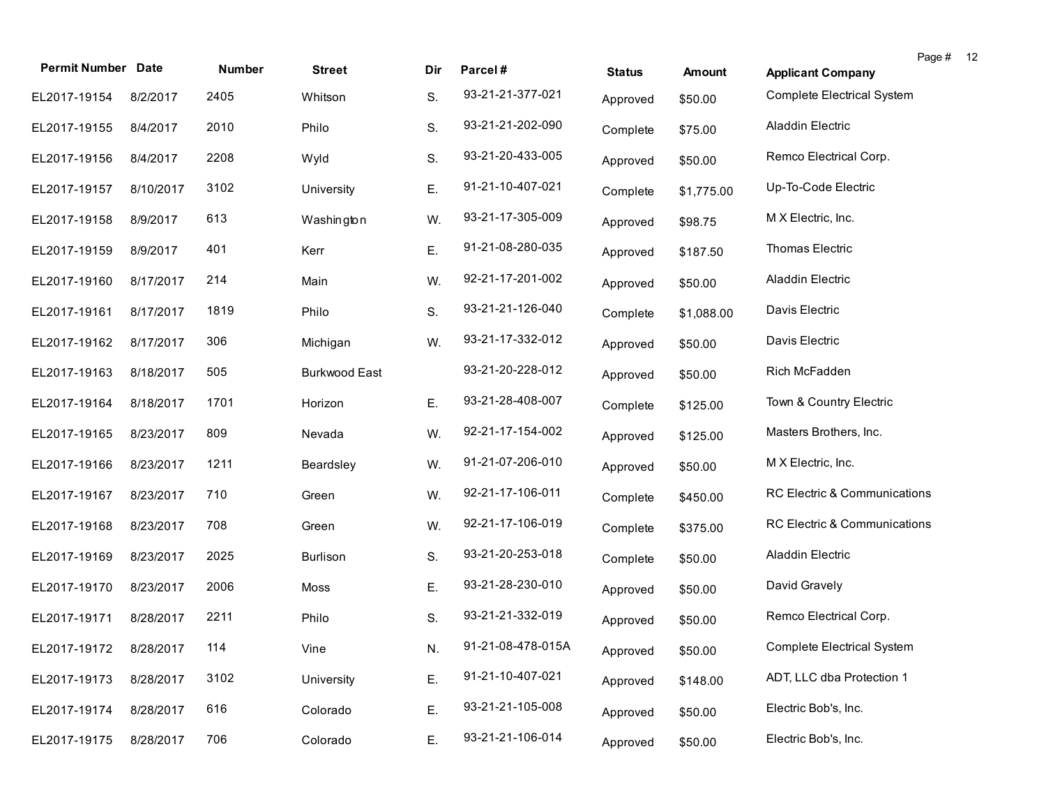| <b>Permit Number Date</b> |           | Number | <b>Street</b>        | Dir | Parcel#           | <b>Status</b> | <b>Amount</b> | <b>Applicant Company</b>          | Page # | 12 |
|---------------------------|-----------|--------|----------------------|-----|-------------------|---------------|---------------|-----------------------------------|--------|----|
| EL2017-19154              | 8/2/2017  | 2405   | Whitson              | S.  | 93-21-21-377-021  | Approved      | \$50.00       | <b>Complete Electrical System</b> |        |    |
| EL2017-19155              | 8/4/2017  | 2010   | Philo                | S.  | 93-21-21-202-090  | Complete      | \$75.00       | Aladdin Electric                  |        |    |
| EL2017-19156              | 8/4/2017  | 2208   | Wyld                 | S.  | 93-21-20-433-005  | Approved      | \$50.00       | Remco Electrical Corp.            |        |    |
| EL2017-19157              | 8/10/2017 | 3102   | University           | Ε.  | 91-21-10-407-021  | Complete      | \$1,775.00    | Up-To-Code Electric               |        |    |
| EL2017-19158              | 8/9/2017  | 613    | Washington           | W.  | 93-21-17-305-009  | Approved      | \$98.75       | M X Electric, Inc.                |        |    |
| EL2017-19159              | 8/9/2017  | 401    | Kerr                 | Ε.  | 91-21-08-280-035  | Approved      | \$187.50      | Thomas Electric                   |        |    |
| EL2017-19160              | 8/17/2017 | 214    | Main                 | W.  | 92-21-17-201-002  | Approved      | \$50.00       | Aladdin Electric                  |        |    |
| EL2017-19161              | 8/17/2017 | 1819   | Philo                | S.  | 93-21-21-126-040  | Complete      | \$1,088.00    | Davis Electric                    |        |    |
| EL2017-19162              | 8/17/2017 | 306    | Michigan             | W.  | 93-21-17-332-012  | Approved      | \$50.00       | Davis Electric                    |        |    |
| EL2017-19163              | 8/18/2017 | 505    | <b>Burkwood East</b> |     | 93-21-20-228-012  | Approved      | \$50.00       | Rich McFadden                     |        |    |
| EL2017-19164              | 8/18/2017 | 1701   | Horizon              | Ε.  | 93-21-28-408-007  | Complete      | \$125.00      | Town & Country Electric           |        |    |
| EL2017-19165              | 8/23/2017 | 809    | Nevada               | W.  | 92-21-17-154-002  | Approved      | \$125.00      | Masters Brothers, Inc.            |        |    |
| EL2017-19166              | 8/23/2017 | 1211   | Beardsley            | W.  | 91-21-07-206-010  | Approved      | \$50.00       | M X Electric, Inc.                |        |    |
| EL2017-19167              | 8/23/2017 | 710    | Green                | W.  | 92-21-17-106-011  | Complete      | \$450.00      | RC Electric & Communications      |        |    |
| EL2017-19168              | 8/23/2017 | 708    | Green                | W.  | 92-21-17-106-019  | Complete      | \$375.00      | RC Electric & Communications      |        |    |
| EL2017-19169              | 8/23/2017 | 2025   | <b>Burlison</b>      | S.  | 93-21-20-253-018  | Complete      | \$50.00       | Aladdin Electric                  |        |    |
| EL2017-19170              | 8/23/2017 | 2006   | Moss                 | Ε.  | 93-21-28-230-010  | Approved      | \$50.00       | David Gravely                     |        |    |
| EL2017-19171              | 8/28/2017 | 2211   | Philo                | S.  | 93-21-21-332-019  | Approved      | \$50.00       | Remco Electrical Corp.            |        |    |
| EL2017-19172 8/28/2017    |           | 114    | Vine                 | N.  | 91-21-08-478-015A | Approved      | \$50.00       | Complete Electrical System        |        |    |
| EL2017-19173              | 8/28/2017 | 3102   | University           | Ε.  | 91-21-10-407-021  | Approved      | \$148.00      | ADT, LLC dba Protection 1         |        |    |
| EL2017-19174              | 8/28/2017 | 616    | Colorado             | Ε.  | 93-21-21-105-008  | Approved      | \$50.00       | Electric Bob's, Inc.              |        |    |
| EL2017-19175              | 8/28/2017 | 706    | Colorado             | Ε.  | 93-21-21-106-014  | Approved      | \$50.00       | Electric Bob's, Inc.              |        |    |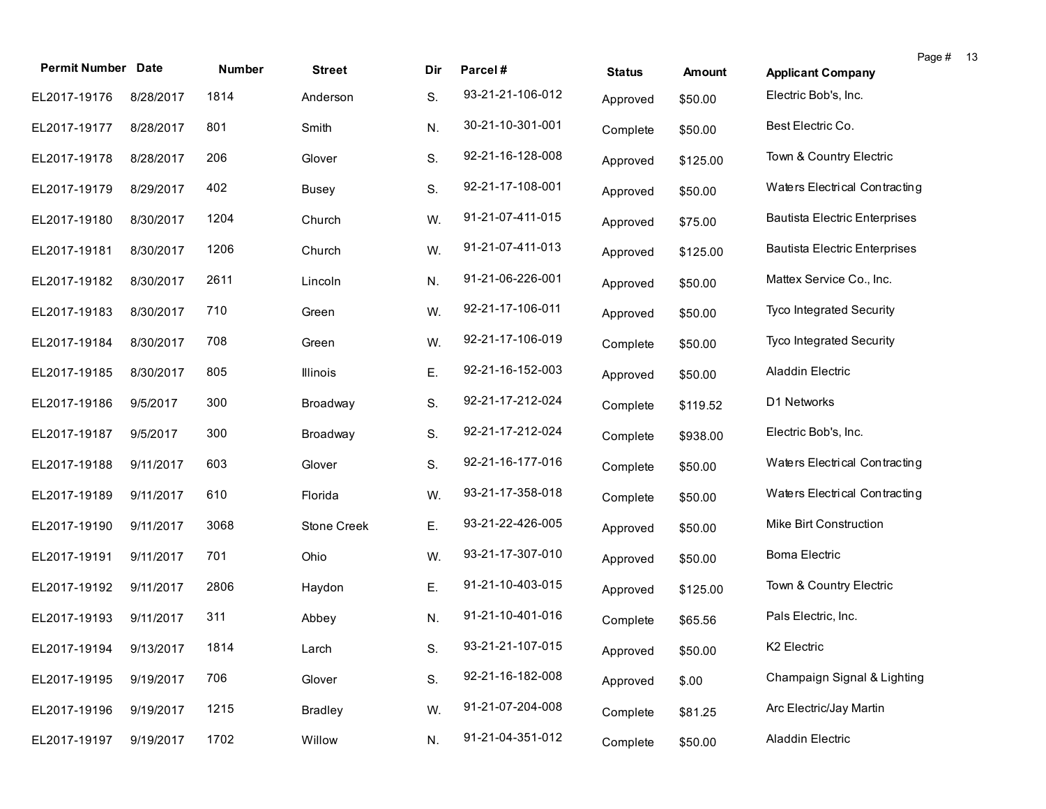| <b>Permit Number Date</b>   |           | Number | <b>Street</b>  | Dir | Parcel#          | <b>Status</b> | <b>Amount</b> | Page #<br>- 13<br><b>Applicant Company</b> |
|-----------------------------|-----------|--------|----------------|-----|------------------|---------------|---------------|--------------------------------------------|
| EL2017-19176                | 8/28/2017 | 1814   | Anderson       | S.  | 93-21-21-106-012 | Approved      | \$50.00       | Electric Bob's, Inc.                       |
| EL2017-19177                | 8/28/2017 | 801    | Smith          | N.  | 30-21-10-301-001 | Complete      | \$50.00       | Best Electric Co.                          |
| EL2017-19178                | 8/28/2017 | 206    | Glover         | S.  | 92-21-16-128-008 | Approved      | \$125.00      | Town & Country Electric                    |
| EL2017-19179                | 8/29/2017 | 402    | Busey          | S.  | 92-21-17-108-001 | Approved      | \$50.00       | Waters Electrical Contracting              |
| EL2017-19180                | 8/30/2017 | 1204   | Church         | W.  | 91-21-07-411-015 | Approved      | \$75.00       | <b>Bautista Electric Enterprises</b>       |
| EL2017-19181                | 8/30/2017 | 1206   | Church         | W.  | 91-21-07-411-013 | Approved      | \$125.00      | <b>Bautista Electric Enterprises</b>       |
| EL2017-19182                | 8/30/2017 | 2611   | Lincoln        | N.  | 91-21-06-226-001 | Approved      | \$50.00       | Mattex Service Co., Inc.                   |
| EL2017-19183                | 8/30/2017 | 710    | Green          | W.  | 92-21-17-106-011 | Approved      | \$50.00       | Tyco Integrated Security                   |
| EL2017-19184                | 8/30/2017 | 708    | Green          | W.  | 92-21-17-106-019 | Complete      | \$50.00       | Tyco Integrated Security                   |
| EL2017-19185                | 8/30/2017 | 805    | Illinois       | Ε.  | 92-21-16-152-003 | Approved      | \$50.00       | <b>Aladdin Electric</b>                    |
| EL2017-19186                | 9/5/2017  | 300    | Broadway       | S.  | 92-21-17-212-024 | Complete      | \$119.52      | D1 Networks                                |
| EL2017-19187                | 9/5/2017  | 300    | Broadway       | S.  | 92-21-17-212-024 | Complete      | \$938.00      | Electric Bob's, Inc.                       |
| EL2017-19188                | 9/11/2017 | 603    | Glover         | S.  | 92-21-16-177-016 | Complete      | \$50.00       | Waters Electrical Contracting              |
| EL2017-19189                | 9/11/2017 | 610    | Florida        | W.  | 93-21-17-358-018 | Complete      | \$50.00       | Waters Electrical Contracting              |
| EL2017-19190                | 9/11/2017 | 3068   | Stone Creek    | Ε.  | 93-21-22-426-005 | Approved      | \$50.00       | Mike Birt Construction                     |
| EL2017-19191                | 9/11/2017 | 701    | Ohio           | W.  | 93-21-17-307-010 | Approved      | \$50.00       | <b>Boma Electric</b>                       |
| EL2017-19192                | 9/11/2017 | 2806   | Haydon         | Ε.  | 91-21-10-403-015 | Approved      | \$125.00      | Town & Country Electric                    |
| EL2017-19193                | 9/11/2017 | 311    | Abbey          | N.  | 91-21-10-401-016 | Complete      | \$65.56       | Pals Electric, Inc.                        |
| EL2017-19194 9/13/2017 1814 |           |        | Larch          | S.  | 93-21-21-107-015 | Approved      | \$50.00       | K2 Electric                                |
| EL2017-19195                | 9/19/2017 | 706    | Glover         | S.  | 92-21-16-182-008 | Approved      | \$.00         | Champaign Signal & Lighting                |
| EL2017-19196                | 9/19/2017 | 1215   | <b>Bradley</b> | W.  | 91-21-07-204-008 | Complete      | \$81.25       | Arc Electric/Jay Martin                    |
| EL2017-19197                | 9/19/2017 | 1702   | Willow         | N.  | 91-21-04-351-012 | Complete      | \$50.00       | Aladdin Electric                           |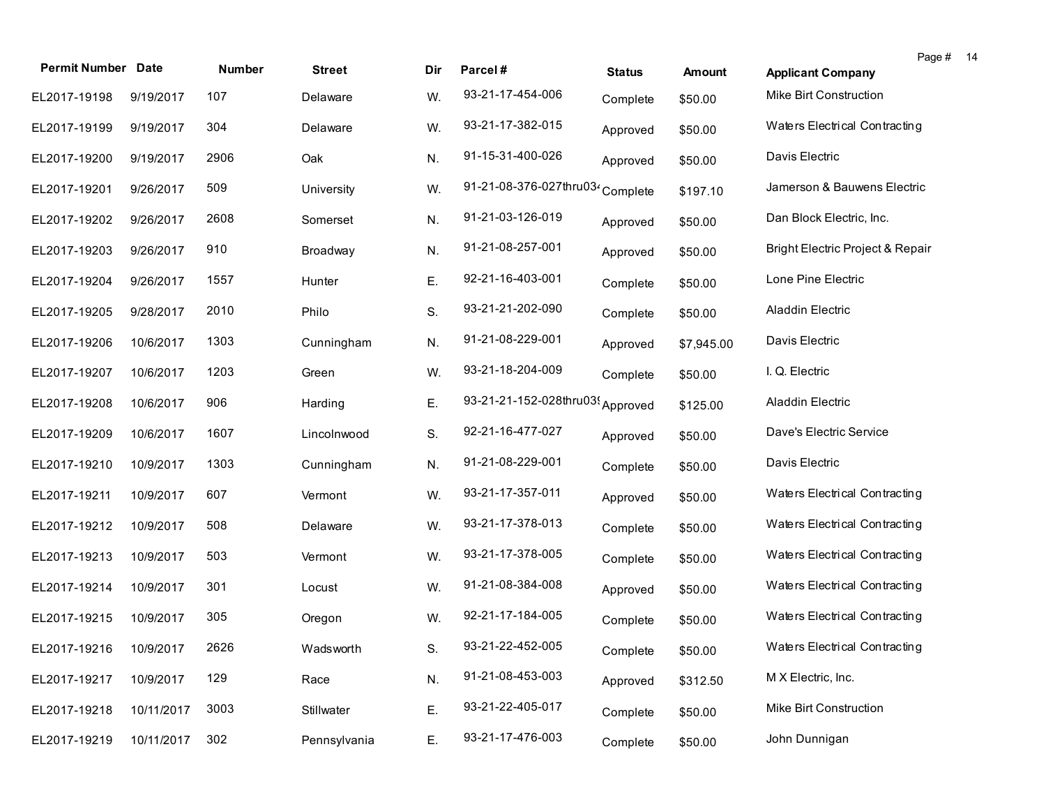| <b>Permit Number Date</b> |            | Number | <b>Street</b> | Dir | Parcel#                                      | <b>Status</b> | <b>Amount</b> | Page #<br>14<br><b>Applicant Company</b> |
|---------------------------|------------|--------|---------------|-----|----------------------------------------------|---------------|---------------|------------------------------------------|
| EL2017-19198              | 9/19/2017  | 107    | Delaware      | W.  | 93-21-17-454-006                             | Complete      | \$50.00       | Mike Birt Construction                   |
| EL2017-19199              | 9/19/2017  | 304    | Delaware      | W.  | 93-21-17-382-015                             | Approved      | \$50.00       | Waters Electrical Contracting            |
| EL2017-19200              | 9/19/2017  | 2906   | Oak           | N.  | 91-15-31-400-026                             | Approved      | \$50.00       | Davis Electric                           |
| EL2017-19201              | 9/26/2017  | 509    | University    | W.  | 91-21-08-376-027thru03 <sup>2</sup> Complete |               | \$197.10      | Jamerson & Bauwens Electric              |
| EL2017-19202              | 9/26/2017  | 2608   | Somerset      | N.  | 91-21-03-126-019                             | Approved      | \$50.00       | Dan Block Electric, Inc.                 |
| EL2017-19203              | 9/26/2017  | 910    | Broadway      | N.  | 91-21-08-257-001                             | Approved      | \$50.00       | Bright Electric Project & Repair         |
| EL2017-19204              | 9/26/2017  | 1557   | Hunter        | Ε.  | 92-21-16-403-001                             | Complete      | \$50.00       | Lone Pine Electric                       |
| EL2017-19205              | 9/28/2017  | 2010   | Philo         | S.  | 93-21-21-202-090                             | Complete      | \$50.00       | Aladdin Electric                         |
| EL2017-19206              | 10/6/2017  | 1303   | Cunningham    | N.  | 91-21-08-229-001                             | Approved      | \$7,945.00    | Davis Electric                           |
| EL2017-19207              | 10/6/2017  | 1203   | Green         | W.  | 93-21-18-204-009                             | Complete      | \$50.00       | I. Q. Electric                           |
| EL2017-19208              | 10/6/2017  | 906    | Harding       | Ε.  | 93-21-21-152-028thru03(Approved              |               | \$125.00      | <b>Aladdin Electric</b>                  |
| EL2017-19209              | 10/6/2017  | 1607   | Lincolnwood   | S.  | 92-21-16-477-027                             | Approved      | \$50.00       | Dave's Electric Service                  |
| EL2017-19210              | 10/9/2017  | 1303   | Cunningham    | N.  | 91-21-08-229-001                             | Complete      | \$50.00       | Davis Electric                           |
| EL2017-19211              | 10/9/2017  | 607    | Vermont       | W.  | 93-21-17-357-011                             | Approved      | \$50.00       | Waters Electrical Contracting            |
| EL2017-19212              | 10/9/2017  | 508    | Delaware      | W.  | 93-21-17-378-013                             | Complete      | \$50.00       | Waters Electrical Contracting            |
| EL2017-19213              | 10/9/2017  | 503    | Vermont       | W.  | 93-21-17-378-005                             | Complete      | \$50.00       | Waters Electrical Contracting            |
| EL2017-19214              | 10/9/2017  | 301    | Locust        | W.  | 91-21-08-384-008                             | Approved      | \$50.00       | Waters Electrical Contracting            |
| EL2017-19215              | 10/9/2017  | 305    | Oregon        | W.  | 92-21-17-184-005                             | Complete      | \$50.00       | Waters Electrical Contracting            |
| EL2017-19216 10/9/2017    |            | 2626   | Wadsworth     | S.  | 93-21-22-452-005                             | Complete      | \$50.00       | Waters Electrical Contracting            |
| EL2017-19217              | 10/9/2017  | 129    | Race          | N.  | 91-21-08-453-003                             | Approved      | \$312.50      | M X Electric, Inc.                       |
| EL2017-19218              | 10/11/2017 | 3003   | Stillwater    | Ε.  | 93-21-22-405-017                             | Complete      | \$50.00       | Mike Birt Construction                   |
| EL2017-19219              | 10/11/2017 | 302    | Pennsylvania  | Ε.  | 93-21-17-476-003                             | Complete      | \$50.00       | John Dunnigan                            |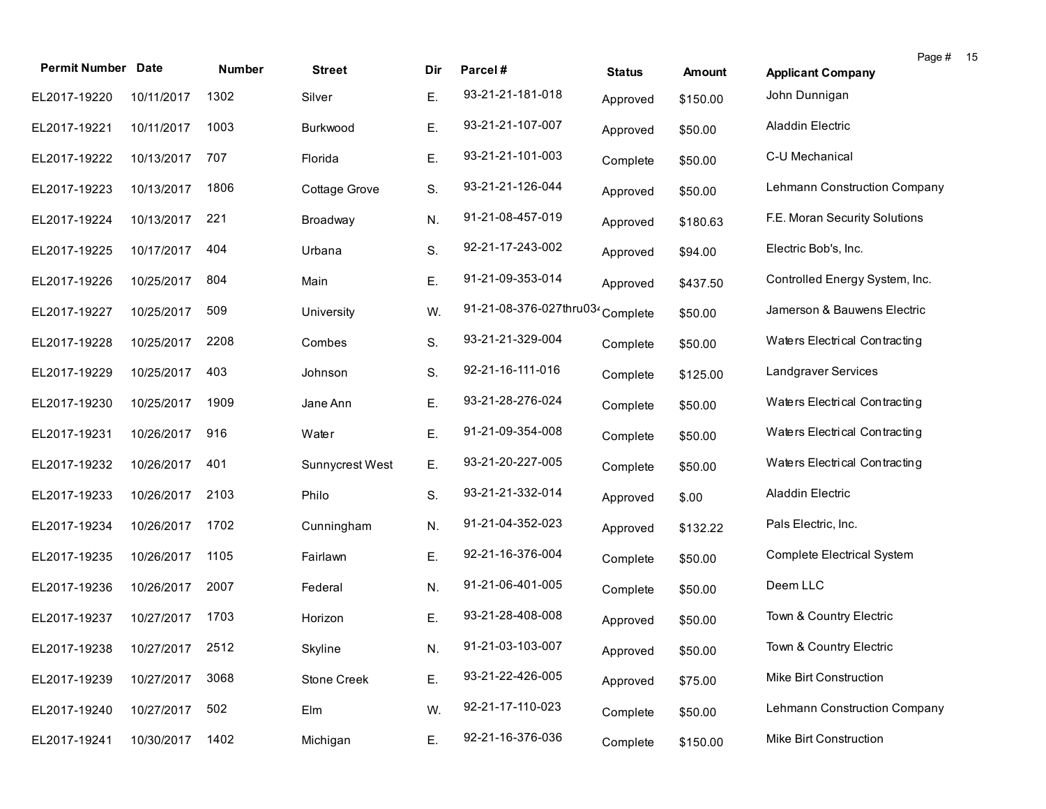| <b>Permit Number Date</b>    |            | Number | <b>Street</b>   | Dir | Parcel#                                      | <b>Status</b> | <b>Amount</b> | Page #<br>- 15<br><b>Applicant Company</b> |
|------------------------------|------------|--------|-----------------|-----|----------------------------------------------|---------------|---------------|--------------------------------------------|
| EL2017-19220                 | 10/11/2017 | 1302   | Silver          | Ε.  | 93-21-21-181-018                             | Approved      | \$150.00      | John Dunnigan                              |
| EL2017-19221                 | 10/11/2017 | 1003   | Burkwood        | Ε.  | 93-21-21-107-007                             | Approved      | \$50.00       | Aladdin Electric                           |
| EL2017-19222                 | 10/13/2017 | 707    | Florida         | Ε.  | 93-21-21-101-003                             | Complete      | \$50.00       | C-U Mechanical                             |
| EL2017-19223                 | 10/13/2017 | 1806   | Cottage Grove   | S.  | 93-21-21-126-044                             | Approved      | \$50.00       | Lehmann Construction Company               |
| EL2017-19224                 | 10/13/2017 | 221    | Broadway        | N.  | 91-21-08-457-019                             | Approved      | \$180.63      | F.E. Moran Security Solutions              |
| EL2017-19225                 | 10/17/2017 | 404    | Urbana          | S.  | 92-21-17-243-002                             | Approved      | \$94.00       | Electric Bob's, Inc.                       |
| EL2017-19226                 | 10/25/2017 | 804    | Main            | Ε.  | 91-21-09-353-014                             | Approved      | \$437.50      | Controlled Energy System, Inc.             |
| EL2017-19227                 | 10/25/2017 | 509    | University      | W.  | 91-21-08-376-027thru03 <sup>2</sup> Complete |               | \$50.00       | Jamerson & Bauwens Electric                |
| EL2017-19228                 | 10/25/2017 | 2208   | Combes          | S.  | 93-21-21-329-004                             | Complete      | \$50.00       | Waters Electrical Contracting              |
| EL2017-19229                 | 10/25/2017 | 403    | Johnson         | S.  | 92-21-16-111-016                             | Complete      | \$125.00      | Landgraver Services                        |
| EL2017-19230                 | 10/25/2017 | 1909   | Jane Ann        | Ε.  | 93-21-28-276-024                             | Complete      | \$50.00       | Waters Electrical Contracting              |
| EL2017-19231                 | 10/26/2017 | 916    | Water           | Ε.  | 91-21-09-354-008                             | Complete      | \$50.00       | Waters Electrical Contracting              |
| EL2017-19232                 | 10/26/2017 | 401    | Sunnycrest West | Ε.  | 93-21-20-227-005                             | Complete      | \$50.00       | Waters Electrical Contracting              |
| EL2017-19233                 | 10/26/2017 | 2103   | Philo           | S.  | 93-21-21-332-014                             | Approved      | \$.00         | Aladdin Electric                           |
| EL2017-19234                 | 10/26/2017 | 1702   | Cunningham      | N.  | 91-21-04-352-023                             | Approved      | \$132.22      | Pals Electric, Inc.                        |
| EL2017-19235                 | 10/26/2017 | 1105   | Fairlawn        | Ε.  | 92-21-16-376-004                             | Complete      | \$50.00       | Complete Electrical System                 |
| EL2017-19236                 | 10/26/2017 | 2007   | Federal         | N.  | 91-21-06-401-005                             | Complete      | \$50.00       | Deem LLC                                   |
| EL2017-19237                 | 10/27/2017 | 1703   | Horizon         | E.  | 93-21-28-408-008                             | Approved      | \$50.00       | Town & Country Electric                    |
| EL2017-19238 10/27/2017 2512 |            |        | Skyline         | N.  | 91-21-03-103-007                             | Approved      | \$50.00       | Town & Country Electric                    |
| EL2017-19239                 | 10/27/2017 | 3068   | Stone Creek     | Ε.  | 93-21-22-426-005                             | Approved      | \$75.00       | Mike Birt Construction                     |
| EL2017-19240                 | 10/27/2017 | 502    | Elm             | W.  | 92-21-17-110-023                             | Complete      | \$50.00       | <b>Lehmann Construction Company</b>        |
| EL2017-19241                 | 10/30/2017 | 1402   | Michigan        | Ε.  | 92-21-16-376-036                             | Complete      | \$150.00      | Mike Birt Construction                     |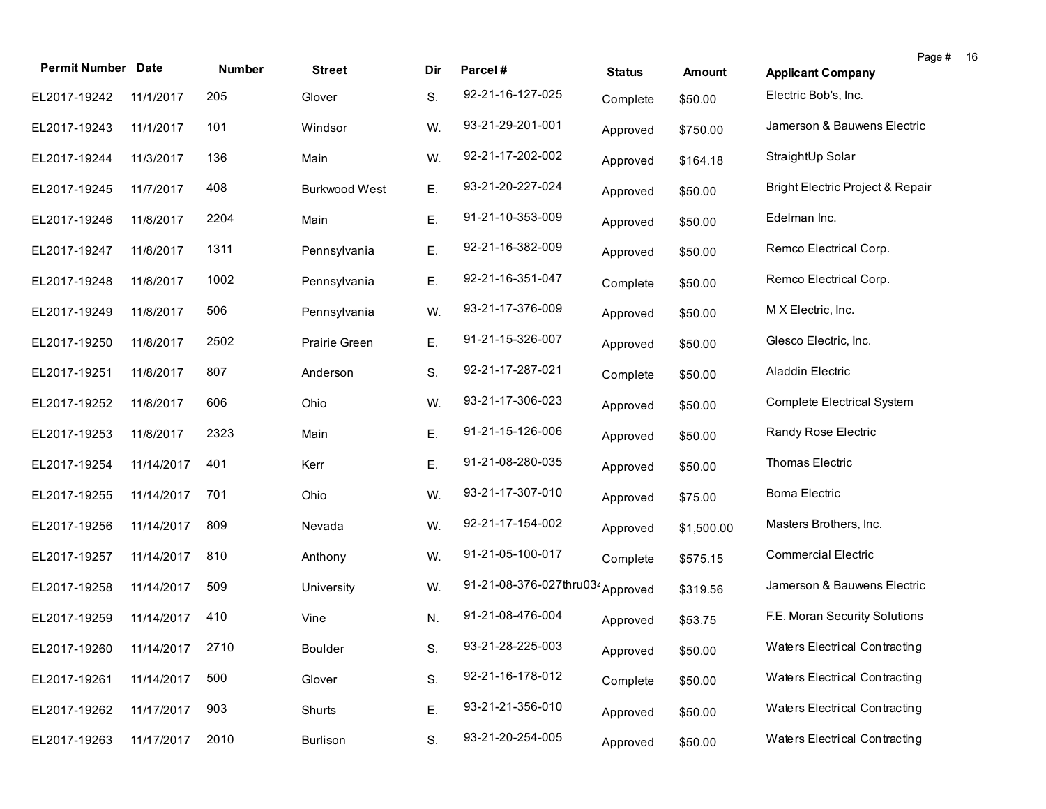| <b>Permit Number Date</b>    |            | Number | <b>Street</b>        | Dir | Parcel#                          | <b>Status</b> | <b>Amount</b> | Page #<br>-16<br><b>Applicant Company</b> |
|------------------------------|------------|--------|----------------------|-----|----------------------------------|---------------|---------------|-------------------------------------------|
| EL2017-19242                 | 11/1/2017  | 205    | Glover               | S.  | 92-21-16-127-025                 | Complete      | \$50.00       | Electric Bob's, Inc.                      |
| EL2017-19243                 | 11/1/2017  | 101    | Windsor              | W.  | 93-21-29-201-001                 | Approved      | \$750.00      | Jamerson & Bauwens Electric               |
| EL2017-19244                 | 11/3/2017  | 136    | Main                 | W.  | 92-21-17-202-002                 | Approved      | \$164.18      | StraightUp Solar                          |
| EL2017-19245                 | 11/7/2017  | 408    | <b>Burkwood West</b> | Ε.  | 93-21-20-227-024                 | Approved      | \$50.00       | Bright Electric Project & Repair          |
| EL2017-19246                 | 11/8/2017  | 2204   | Main                 | Ε.  | 91-21-10-353-009                 | Approved      | \$50.00       | Edelman Inc.                              |
| EL2017-19247                 | 11/8/2017  | 1311   | Pennsylvania         | Ε.  | 92-21-16-382-009                 | Approved      | \$50.00       | Remco Electrical Corp.                    |
| EL2017-19248                 | 11/8/2017  | 1002   | Pennsylvania         | Ε.  | 92-21-16-351-047                 | Complete      | \$50.00       | Remco Electrical Corp.                    |
| EL2017-19249                 | 11/8/2017  | 506    | Pennsylvania         | W.  | 93-21-17-376-009                 | Approved      | \$50.00       | M X Electric, Inc.                        |
| EL2017-19250                 | 11/8/2017  | 2502   | Prairie Green        | Ε.  | 91-21-15-326-007                 | Approved      | \$50.00       | Glesco Electric, Inc.                     |
| EL2017-19251                 | 11/8/2017  | 807    | Anderson             | S.  | 92-21-17-287-021                 | Complete      | \$50.00       | <b>Aladdin Electric</b>                   |
| EL2017-19252                 | 11/8/2017  | 606    | Ohio                 | W.  | 93-21-17-306-023                 | Approved      | \$50.00       | Complete Electrical System                |
| EL2017-19253                 | 11/8/2017  | 2323   | Main                 | Ε.  | 91-21-15-126-006                 | Approved      | \$50.00       | Randy Rose Electric                       |
| EL2017-19254                 | 11/14/2017 | 401    | Kerr                 | Ε.  | 91-21-08-280-035                 | Approved      | \$50.00       | Thomas Electric                           |
| EL2017-19255                 | 11/14/2017 | 701    | Ohio                 | W.  | 93-21-17-307-010                 | Approved      | \$75.00       | <b>Boma Electric</b>                      |
| EL2017-19256                 | 11/14/2017 | 809    | Nevada               | W.  | 92-21-17-154-002                 | Approved      | \$1,500.00    | Masters Brothers, Inc.                    |
| EL2017-19257                 | 11/14/2017 | 810    | Anthony              | W.  | 91-21-05-100-017                 | Complete      | \$575.15      | <b>Commercial Electric</b>                |
| EL2017-19258                 | 11/14/2017 | 509    | University           | W.  | 91-21-08-376-027thru034 Approved |               | \$319.56      | Jamerson & Bauwens Electric               |
| EL2017-19259                 | 11/14/2017 | 410    | Vine                 | N.  | 91-21-08-476-004                 | Approved      | \$53.75       | F.E. Moran Security Solutions             |
| EL2017-19260 11/14/2017 2710 |            |        | Boulder              | S.  | 93-21-28-225-003                 | Approved      | \$50.00       | Waters Electrical Contracting             |
| EL2017-19261                 | 11/14/2017 | 500    | Glover               | S.  | 92-21-16-178-012                 | Complete      | \$50.00       | Waters Electrical Contracting             |
| EL2017-19262                 | 11/17/2017 | 903    | Shurts               | Ε.  | 93-21-21-356-010                 | Approved      | \$50.00       | Waters Electrical Contracting             |
| EL2017-19263                 | 11/17/2017 | 2010   | Burlison             | S.  | 93-21-20-254-005                 | Approved      | \$50.00       | Waters Electrical Contracting             |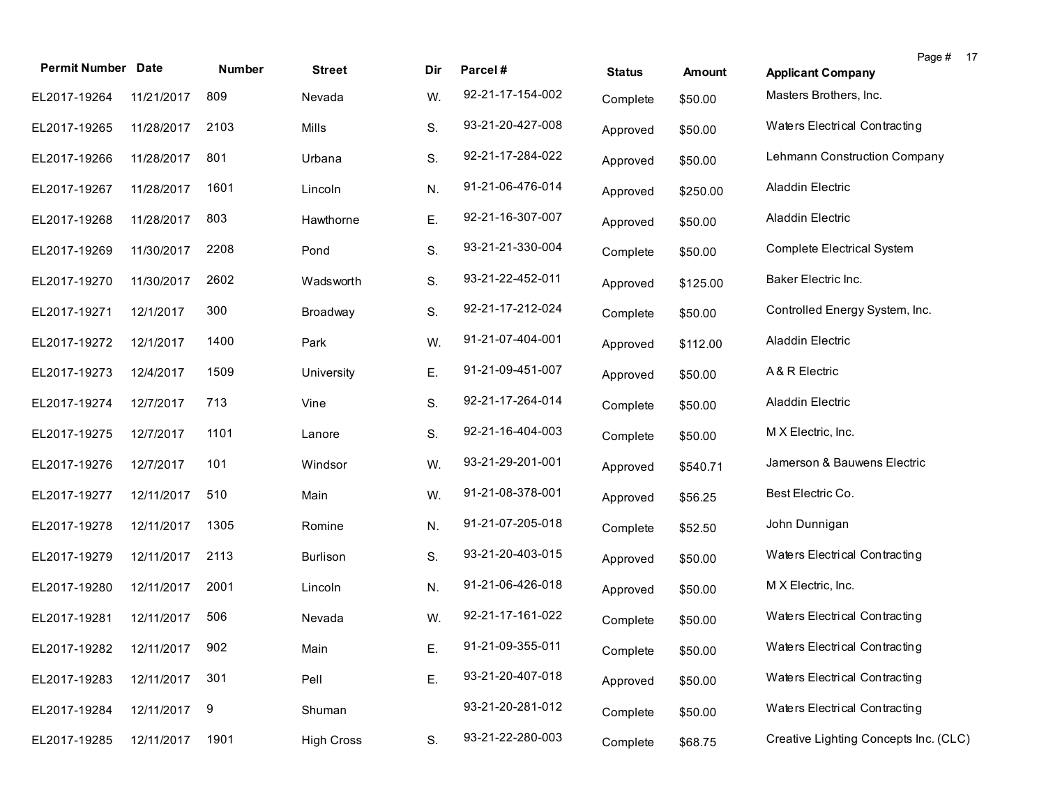| <b>Permit Number Date</b>   |              | Number | <b>Street</b>     | Dir | Parcel#          | <b>Status</b> | Amount   | Page # 17<br><b>Applicant Company</b> |  |
|-----------------------------|--------------|--------|-------------------|-----|------------------|---------------|----------|---------------------------------------|--|
| EL2017-19264                | 11/21/2017   | 809    | Nevada            | W.  | 92-21-17-154-002 | Complete      | \$50.00  | Masters Brothers, Inc.                |  |
| EL2017-19265                | 11/28/2017   | 2103   | Mills             | S.  | 93-21-20-427-008 | Approved      | \$50.00  | Waters Electrical Contracting         |  |
| EL2017-19266                | 11/28/2017   | 801    | Urbana            | S.  | 92-21-17-284-022 | Approved      | \$50.00  | Lehmann Construction Company          |  |
| EL2017-19267                | 11/28/2017   | 1601   | Lincoln           | N.  | 91-21-06-476-014 | Approved      | \$250.00 | Aladdin Electric                      |  |
| EL2017-19268                | 11/28/2017   | 803    | Hawthorne         | Ε.  | 92-21-16-307-007 | Approved      | \$50.00  | Aladdin Electric                      |  |
| EL2017-19269                | 11/30/2017   | 2208   | Pond              | S.  | 93-21-21-330-004 | Complete      | \$50.00  | Complete Electrical System            |  |
| EL2017-19270                | 11/30/2017   | 2602   | Wadsworth         | S.  | 93-21-22-452-011 | Approved      | \$125.00 | Baker Electric Inc.                   |  |
| EL2017-19271                | 12/1/2017    | 300    | Broadway          | S.  | 92-21-17-212-024 | Complete      | \$50.00  | Controlled Energy System, Inc.        |  |
| EL2017-19272                | 12/1/2017    | 1400   | Park              | W.  | 91-21-07-404-001 | Approved      | \$112.00 | <b>Aladdin Electric</b>               |  |
| EL2017-19273                | 12/4/2017    | 1509   | University        | Ε.  | 91-21-09-451-007 | Approved      | \$50.00  | A & R Electric                        |  |
| EL2017-19274                | 12/7/2017    | 713    | Vine              | S.  | 92-21-17-264-014 | Complete      | \$50.00  | <b>Aladdin Electric</b>               |  |
| EL2017-19275                | 12/7/2017    | 1101   | Lanore            | S.  | 92-21-16-404-003 | Complete      | \$50.00  | M X Electric, Inc.                    |  |
| EL2017-19276                | 12/7/2017    | 101    | Windsor           | W.  | 93-21-29-201-001 | Approved      | \$540.71 | Jamerson & Bauwens Electric           |  |
| EL2017-19277                | 12/11/2017   | 510    | Main              | W.  | 91-21-08-378-001 | Approved      | \$56.25  | Best Electric Co.                     |  |
| EL2017-19278                | 12/11/2017   | 1305   | Romine            | N.  | 91-21-07-205-018 | Complete      | \$52.50  | John Dunnigan                         |  |
| EL2017-19279                | 12/11/2017   | 2113   | <b>Burlison</b>   | S.  | 93-21-20-403-015 | Approved      | \$50.00  | Waters Electrical Contracting         |  |
| EL2017-19280                | 12/11/2017   | 2001   | Lincoln           | N.  | 91-21-06-426-018 | Approved      | \$50.00  | M X Electric, Inc.                    |  |
| EL2017-19281                | 12/11/2017   | 506    | Nevada            | W.  | 92-21-17-161-022 | Complete      | \$50.00  | Waters Electrical Contracting         |  |
| EL2017-19282 12/11/2017 902 |              |        | Main              | Ε.  | 91-21-09-355-011 | Complete      | \$50.00  | Waters Electrical Contracting         |  |
| EL2017-19283                | 12/11/2017   | 301    | Pell              | Ε.  | 93-21-20-407-018 | Approved      | \$50.00  | Waters Electrical Contracting         |  |
| EL2017-19284                | 12/11/2017 9 |        | Shuman            |     | 93-21-20-281-012 | Complete      | \$50.00  | Waters Electrical Contracting         |  |
| EL2017-19285                | 12/11/2017   | 1901   | <b>High Cross</b> | S.  | 93-21-22-280-003 | Complete      | \$68.75  | Creative Lighting Concepts Inc. (CLC) |  |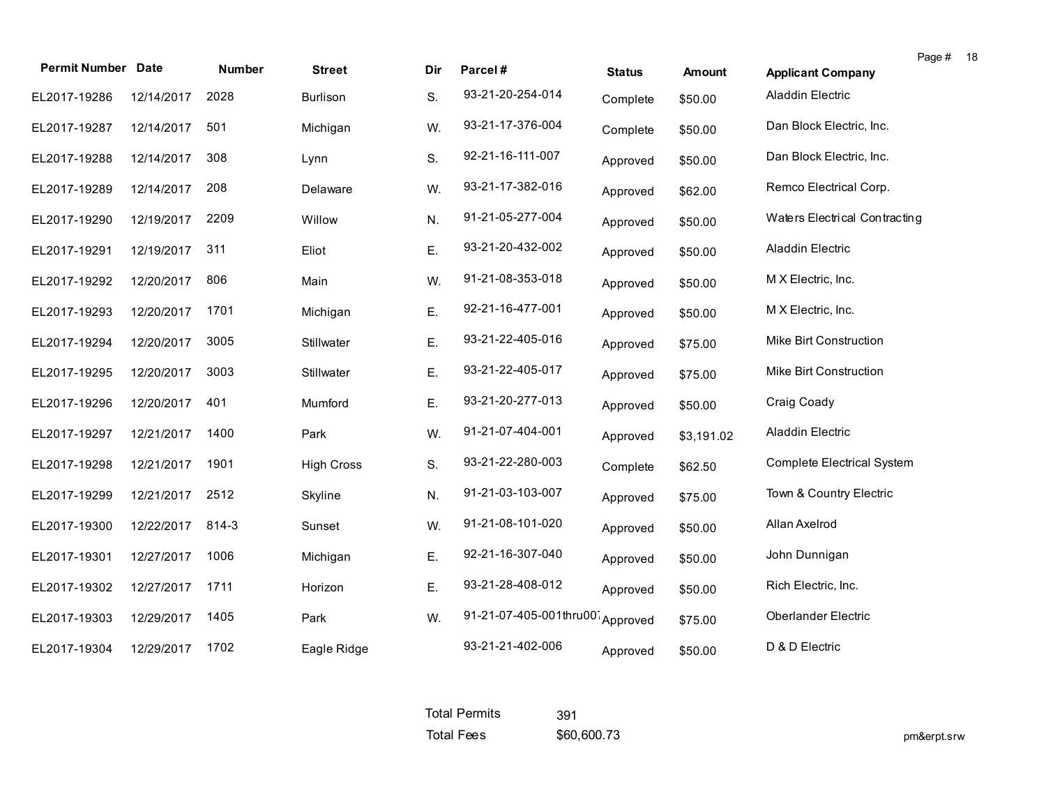| <b>Permit Number Date</b> |            | <b>Number</b> | <b>Street</b>     | Dir | Parcel#                         | <b>Status</b> | <b>Amount</b> | Page #<br>18<br><b>Applicant Company</b> |
|---------------------------|------------|---------------|-------------------|-----|---------------------------------|---------------|---------------|------------------------------------------|
| EL2017-19286              | 12/14/2017 | 2028          | Burlison          | S.  | 93-21-20-254-014                | Complete      | \$50.00       | Aladdin Electric                         |
| EL2017-19287              | 12/14/2017 | 501           | Michigan          | W.  | 93-21-17-376-004                | Complete      | \$50.00       | Dan Block Electric, Inc.                 |
| EL2017-19288              | 12/14/2017 | 308           | Lynn              | S.  | 92-21-16-111-007                | Approved      | \$50.00       | Dan Block Electric, Inc.                 |
| EL2017-19289              | 12/14/2017 | 208           | Delaware          | W.  | 93-21-17-382-016                | Approved      | \$62.00       | Remco Electrical Corp.                   |
| EL2017-19290              | 12/19/2017 | 2209          | Willow            | N.  | 91-21-05-277-004                | Approved      | \$50.00       | Waters Electrical Contracting            |
| EL2017-19291              | 12/19/2017 | 311           | Eliot             | Ε.  | 93-21-20-432-002                | Approved      | \$50.00       | Aladdin Electric                         |
| EL2017-19292              | 12/20/2017 | 806           | Main              | W.  | 91-21-08-353-018                | Approved      | \$50.00       | M X Electric, Inc.                       |
| EL2017-19293              | 12/20/2017 | 1701          | Michigan          | Ε.  | 92-21-16-477-001                | Approved      | \$50.00       | M X Electric, Inc.                       |
| EL2017-19294              | 12/20/2017 | 3005          | Stillwater        | Ε.  | 93-21-22-405-016                | Approved      | \$75.00       | Mike Birt Construction                   |
| EL2017-19295              | 12/20/2017 | 3003          | Stillwater        | Ε.  | 93-21-22-405-017                | Approved      | \$75.00       | Mike Birt Construction                   |
| EL2017-19296              | 12/20/2017 | 401           | Mumford           | Ε.  | 93-21-20-277-013                | Approved      | \$50.00       | Craig Coady                              |
| EL2017-19297              | 12/21/2017 | 1400          | Park              | W.  | 91-21-07-404-001                | Approved      | \$3,191.02    | Aladdin Electric                         |
| EL2017-19298              | 12/21/2017 | 1901          | <b>High Cross</b> | S.  | 93-21-22-280-003                | Complete      | \$62.50       | <b>Complete Electrical System</b>        |
| EL2017-19299              | 12/21/2017 | 2512          | Skyline           | N.  | 91-21-03-103-007                | Approved      | \$75.00       | Town & Country Electric                  |
| EL2017-19300              | 12/22/2017 | 814-3         | Sunset            | W.  | 91-21-08-101-020                | Approved      | \$50.00       | Allan Axelrod                            |
| EL2017-19301              | 12/27/2017 | 1006          | Michigan          | Ε.  | 92-21-16-307-040                | Approved      | \$50.00       | John Dunnigan                            |
| EL2017-19302              | 12/27/2017 | 1711          | Horizon           | Ε.  | 93-21-28-408-012                | Approved      | \$50.00       | Rich Electric, Inc.                      |
| EL2017-19303              | 12/29/2017 | 1405          | Park              | W.  | 91-21-07-405-001thru00 Approved |               | \$75.00       | <b>Oberlander Electric</b>               |
| EL2017-19304              | 12/29/2017 | 1702          | Eagle Ridge       |     | 93-21-21-402-006                | Approved      | \$50.00       | D & D Electric                           |

| <b>Total Permits</b> | 391         |
|----------------------|-------------|
| <b>Total Fees</b>    | \$60,600.73 |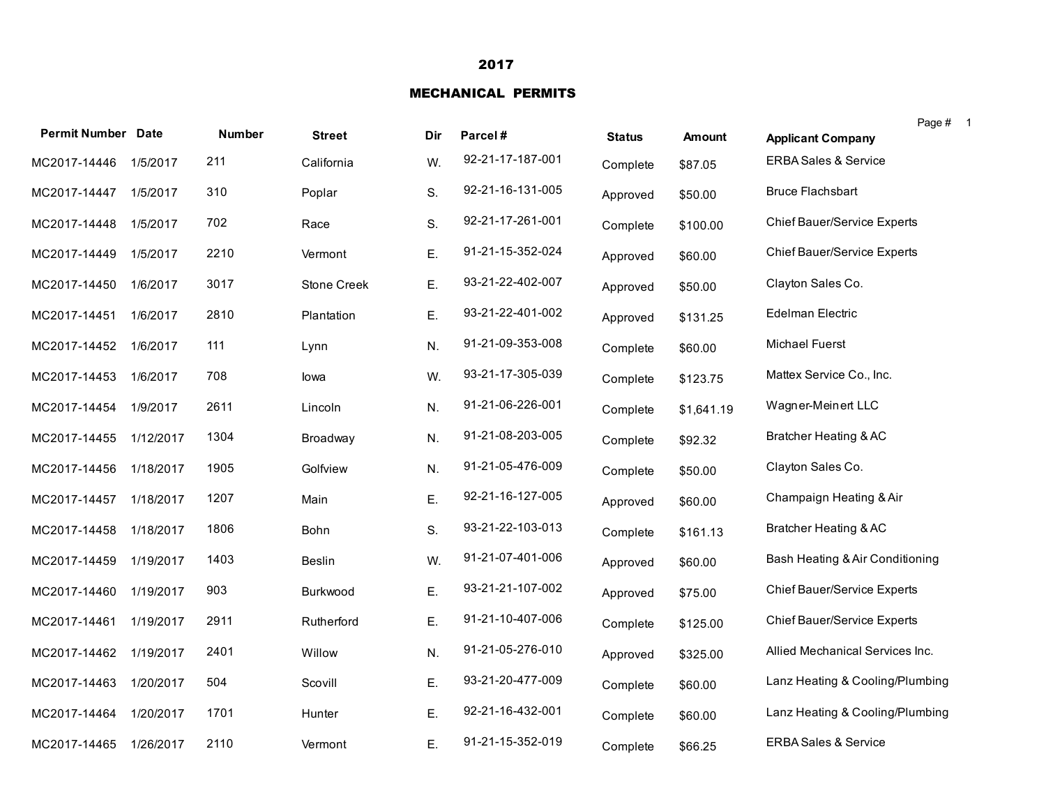### 2017

#### MECHANICAL PERMITS

| <b>Permit Number Date</b> |           | <b>Number</b> | <b>Street</b> | Dir | Parcel#          | <b>Status</b> | <b>Amount</b> | <b>Applicant Company</b>           | Page # |
|---------------------------|-----------|---------------|---------------|-----|------------------|---------------|---------------|------------------------------------|--------|
| MC2017-14446              | 1/5/2017  | 211           | California    | W.  | 92-21-17-187-001 | Complete      | \$87.05       | <b>ERBA Sales &amp; Service</b>    |        |
| MC2017-14447              | 1/5/2017  | 310           | Poplar        | S.  | 92-21-16-131-005 | Approved      | \$50.00       | <b>Bruce Flachsbart</b>            |        |
| MC2017-14448              | 1/5/2017  | 702           | Race          | S.  | 92-21-17-261-001 | Complete      | \$100.00      | <b>Chief Bauer/Service Experts</b> |        |
| MC2017-14449              | 1/5/2017  | 2210          | Vermont       | Ε.  | 91-21-15-352-024 | Approved      | \$60.00       | Chief Bauer/Service Experts        |        |
| MC2017-14450              | 1/6/2017  | 3017          | Stone Creek   | Ε.  | 93-21-22-402-007 | Approved      | \$50.00       | Clayton Sales Co.                  |        |
| MC2017-14451              | 1/6/2017  | 2810          | Plantation    | Ε.  | 93-21-22-401-002 | Approved      | \$131.25      | Edelman Electric                   |        |
| MC2017-14452              | 1/6/2017  | 111           | Lynn          | N.  | 91-21-09-353-008 | Complete      | \$60.00       | Michael Fuerst                     |        |
| MC2017-14453              | 1/6/2017  | 708           | lowa          | W.  | 93-21-17-305-039 | Complete      | \$123.75      | Mattex Service Co., Inc.           |        |
| MC2017-14454              | 1/9/2017  | 2611          | Lincoln       | N.  | 91-21-06-226-001 | Complete      | \$1,641.19    | Wagner-Meinert LLC                 |        |
| MC2017-14455              | 1/12/2017 | 1304          | Broadway      | N.  | 91-21-08-203-005 | Complete      | \$92.32       | <b>Bratcher Heating &amp; AC</b>   |        |
| MC2017-14456              | 1/18/2017 | 1905          | Golfview      | N.  | 91-21-05-476-009 | Complete      | \$50.00       | Clayton Sales Co.                  |        |
| MC2017-14457              | 1/18/2017 | 1207          | Main          | Ε.  | 92-21-16-127-005 | Approved      | \$60.00       | Champaign Heating & Air            |        |
| MC2017-14458              | 1/18/2017 | 1806          | <b>Bohn</b>   | S.  | 93-21-22-103-013 | Complete      | \$161.13      | Bratcher Heating & AC              |        |
| MC2017-14459              | 1/19/2017 | 1403          | Beslin        | W.  | 91-21-07-401-006 | Approved      | \$60.00       | Bash Heating & Air Conditioning    |        |
| MC2017-14460              | 1/19/2017 | 903           | Burkwood      | Ε.  | 93-21-21-107-002 | Approved      | \$75.00       | <b>Chief Bauer/Service Experts</b> |        |
| MC2017-14461              | 1/19/2017 | 2911          | Rutherford    | Ε.  | 91-21-10-407-006 | Complete      | \$125.00      | <b>Chief Bauer/Service Experts</b> |        |
| MC2017-14462              | 1/19/2017 | 2401          | Willow        | N.  | 91-21-05-276-010 | Approved      | \$325.00      | Allied Mechanical Services Inc.    |        |
| MC2017-14463              | 1/20/2017 | 504           | Scovill       | Ε.  | 93-21-20-477-009 | Complete      | \$60.00       | Lanz Heating & Cooling/Plumbing    |        |
| MC2017-14464              | 1/20/2017 | 1701          | Hunter        | Ε.  | 92-21-16-432-001 | Complete      | \$60.00       | Lanz Heating & Cooling/Plumbing    |        |
| MC2017-14465              | 1/26/2017 | 2110          | Vermont       | Ε.  | 91-21-15-352-019 | Complete      | \$66.25       | <b>ERBA Sales &amp; Service</b>    |        |

1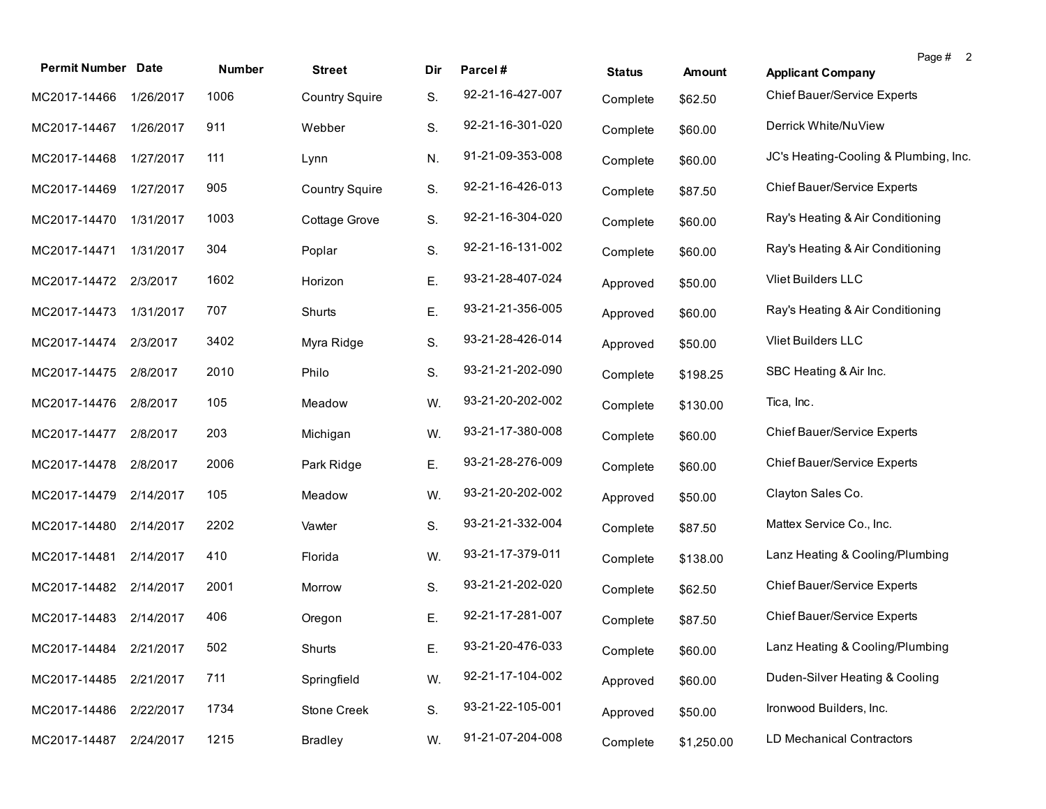| <b>Permit Number Date</b> |           | Number | <b>Street</b>         | Dir | Parcel#          | <b>Status</b> | Amount     | Page # 2<br><b>Applicant Company</b>  |
|---------------------------|-----------|--------|-----------------------|-----|------------------|---------------|------------|---------------------------------------|
| MC2017-14466              | 1/26/2017 | 1006   | <b>Country Squire</b> | S.  | 92-21-16-427-007 | Complete      | \$62.50    | Chief Bauer/Service Experts           |
| MC2017-14467              | 1/26/2017 | 911    | Webber                | S.  | 92-21-16-301-020 | Complete      | \$60.00    | Derrick White/NuView                  |
| MC2017-14468              | 1/27/2017 | 111    | Lynn                  | N.  | 91-21-09-353-008 | Complete      | \$60.00    | JC's Heating-Cooling & Plumbing, Inc. |
| MC2017-14469              | 1/27/2017 | 905    | <b>Country Squire</b> | S.  | 92-21-16-426-013 | Complete      | \$87.50    | Chief Bauer/Service Experts           |
| MC2017-14470              | 1/31/2017 | 1003   | Cottage Grove         | S.  | 92-21-16-304-020 | Complete      | \$60.00    | Ray's Heating & Air Conditioning      |
| MC2017-14471              | 1/31/2017 | 304    | Poplar                | S.  | 92-21-16-131-002 | Complete      | \$60.00    | Ray's Heating & Air Conditioning      |
| MC2017-14472              | 2/3/2017  | 1602   | Horizon               | Ε.  | 93-21-28-407-024 | Approved      | \$50.00    | <b>Vliet Builders LLC</b>             |
| MC2017-14473              | 1/31/2017 | 707    | Shurts                | Ε.  | 93-21-21-356-005 | Approved      | \$60.00    | Ray's Heating & Air Conditioning      |
| MC2017-14474              | 2/3/2017  | 3402   | Myra Ridge            | S.  | 93-21-28-426-014 | Approved      | \$50.00    | Vliet Builders LLC                    |
| MC2017-14475              | 2/8/2017  | 2010   | Philo                 | S.  | 93-21-21-202-090 | Complete      | \$198.25   | SBC Heating & Air Inc.                |
| MC2017-14476              | 2/8/2017  | 105    | Meadow                | W.  | 93-21-20-202-002 | Complete      | \$130.00   | Tica, Inc.                            |
| MC2017-14477              | 2/8/2017  | 203    | Michigan              | W.  | 93-21-17-380-008 | Complete      | \$60.00    | Chief Bauer/Service Experts           |
| MC2017-14478              | 2/8/2017  | 2006   | Park Ridge            | Ε.  | 93-21-28-276-009 | Complete      | \$60.00    | Chief Bauer/Service Experts           |
| MC2017-14479              | 2/14/2017 | 105    | Meadow                | W.  | 93-21-20-202-002 | Approved      | \$50.00    | Clayton Sales Co.                     |
| MC2017-14480              | 2/14/2017 | 2202   | Vawter                | S.  | 93-21-21-332-004 | Complete      | \$87.50    | Mattex Service Co., Inc.              |
| MC2017-14481              | 2/14/2017 | 410    | Florida               | W.  | 93-21-17-379-011 | Complete      | \$138.00   | Lanz Heating & Cooling/Plumbing       |
| MC2017-14482 2/14/2017    |           | 2001   | Morrow                | S.  | 93-21-21-202-020 | Complete      | \$62.50    | Chief Bauer/Service Experts           |
| MC2017-14483              | 2/14/2017 | 406    | Oregon                | Ε.  | 92-21-17-281-007 | Complete      | \$87.50    | Chief Bauer/Service Experts           |
| MC2017-14484 2/21/2017    |           | 502    | Shurts                | Ε.  | 93-21-20-476-033 | Complete      | \$60.00    | Lanz Heating & Cooling/Plumbing       |
| MC2017-14485              | 2/21/2017 | 711    | Springfield           | W.  | 92-21-17-104-002 | Approved      | \$60.00    | Duden-Silver Heating & Cooling        |
| MC2017-14486              | 2/22/2017 | 1734   | Stone Creek           | S.  | 93-21-22-105-001 | Approved      | \$50.00    | Ironwood Builders, Inc.               |
| MC2017-14487              | 2/24/2017 | 1215   | <b>Bradley</b>        | W.  | 91-21-07-204-008 | Complete      | \$1,250.00 | LD Mechanical Contractors             |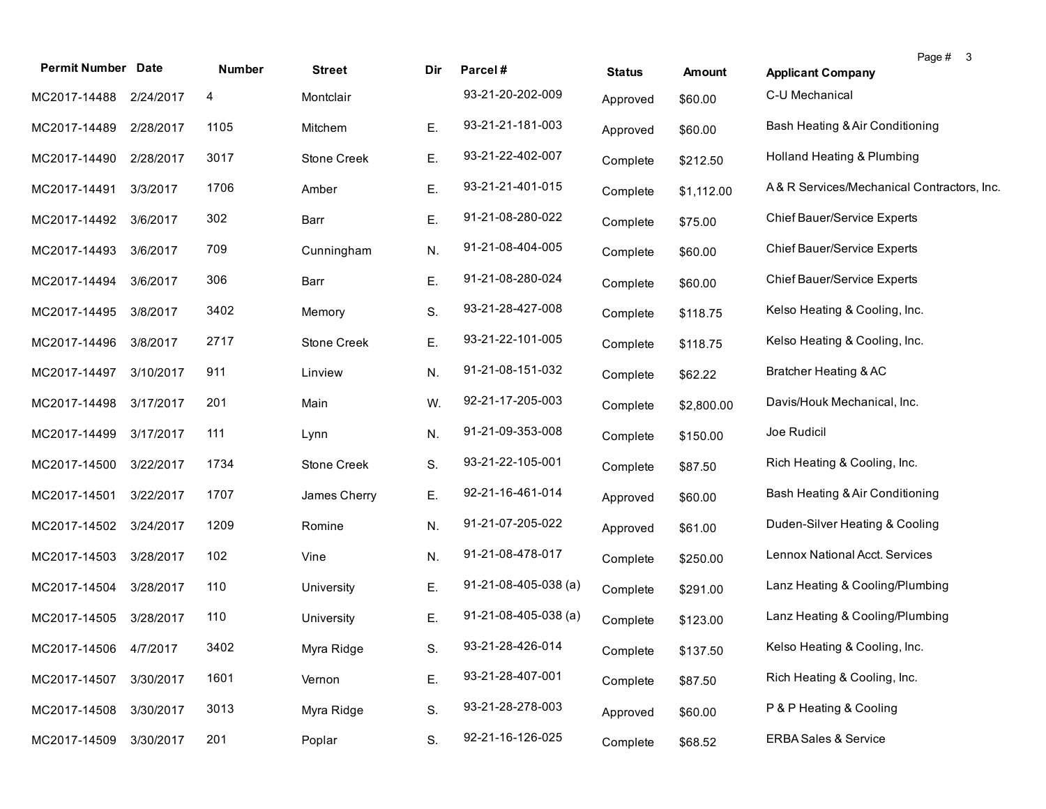| <b>Permit Number Date</b> |           | Number | <b>Street</b>      | Dir | Parcel#                        | <b>Status</b> | <b>Amount</b> | Page # 3<br><b>Applicant Company</b>       |
|---------------------------|-----------|--------|--------------------|-----|--------------------------------|---------------|---------------|--------------------------------------------|
| MC2017-14488              | 2/24/2017 | 4      | Montclair          |     | 93-21-20-202-009               | Approved      | \$60.00       | C-U Mechanical                             |
| MC2017-14489              | 2/28/2017 | 1105   | Mitchem            | Ε.  | 93-21-21-181-003               | Approved      | \$60.00       | Bash Heating & Air Conditioning            |
| MC2017-14490              | 2/28/2017 | 3017   | <b>Stone Creek</b> | Ε.  | 93-21-22-402-007               | Complete      | \$212.50      | Holland Heating & Plumbing                 |
| MC2017-14491              | 3/3/2017  | 1706   | Amber              | Е.  | 93-21-21-401-015               | Complete      | \$1,112.00    | A& R Services/Mechanical Contractors, Inc. |
| MC2017-14492              | 3/6/2017  | 302    | Barr               | Е.  | 91-21-08-280-022               | Complete      | \$75.00       | Chief Bauer/Service Experts                |
| MC2017-14493              | 3/6/2017  | 709    | Cunningham         | N.  | 91-21-08-404-005               | Complete      | \$60.00       | Chief Bauer/Service Experts                |
| MC2017-14494              | 3/6/2017  | 306    | Barr               | Ε.  | 91-21-08-280-024               | Complete      | \$60.00       | Chief Bauer/Service Experts                |
| MC2017-14495              | 3/8/2017  | 3402   | Memory             | S.  | 93-21-28-427-008               | Complete      | \$118.75      | Kelso Heating & Cooling, Inc.              |
| MC2017-14496              | 3/8/2017  | 2717   | <b>Stone Creek</b> | Ε.  | 93-21-22-101-005               | Complete      | \$118.75      | Kelso Heating & Cooling, Inc.              |
| MC2017-14497              | 3/10/2017 | 911    | Linview            | N.  | 91-21-08-151-032               | Complete      | \$62.22       | Bratcher Heating & AC                      |
| MC2017-14498              | 3/17/2017 | 201    | Main               | W.  | 92-21-17-205-003               | Complete      | \$2,800.00    | Davis/Houk Mechanical, Inc.                |
| MC2017-14499              | 3/17/2017 | 111    | Lynn               | N.  | 91-21-09-353-008               | Complete      | \$150.00      | Joe Rudicil                                |
| MC2017-14500              | 3/22/2017 | 1734   | Stone Creek        | S.  | 93-21-22-105-001               | Complete      | \$87.50       | Rich Heating & Cooling, Inc.               |
| MC2017-14501              | 3/22/2017 | 1707   | James Cherry       | Ε.  | 92-21-16-461-014               | Approved      | \$60.00       | Bash Heating & Air Conditioning            |
| MC2017-14502              | 3/24/2017 | 1209   | Romine             | N.  | 91-21-07-205-022               | Approved      | \$61.00       | Duden-Silver Heating & Cooling             |
| MC2017-14503              | 3/28/2017 | 102    | Vine               | N.  | 91-21-08-478-017               | Complete      | \$250.00      | Lennox National Acct. Services             |
| MC2017-14504              | 3/28/2017 | 110    | University         | Ε.  | $91-21-08-405-038$ (a)         | Complete      | \$291.00      | Lanz Heating & Cooling/Plumbing            |
| MC2017-14505              | 3/28/2017 | 110    | University         | Е.  | $91 - 21 - 08 - 405 - 038$ (a) | Complete      | \$123.00      | Lanz Heating & Cooling/Plumbing            |
| MC2017-14506 4/7/2017     |           | 3402   | Myra Ridge         | S.  | 93-21-28-426-014               | Complete      | \$137.50      | Kelso Heating & Cooling, Inc.              |
| MC2017-14507              | 3/30/2017 | 1601   | Vernon             | Ε.  | 93-21-28-407-001               | Complete      | \$87.50       | Rich Heating & Cooling, Inc.               |
| MC2017-14508              | 3/30/2017 | 3013   | Myra Ridge         | S.  | 93-21-28-278-003               | Approved      | \$60.00       | P & P Heating & Cooling                    |
| MC2017-14509              | 3/30/2017 | 201    | Poplar             | S.  | 92-21-16-126-025               | Complete      | \$68.52       | <b>ERBA Sales &amp; Service</b>            |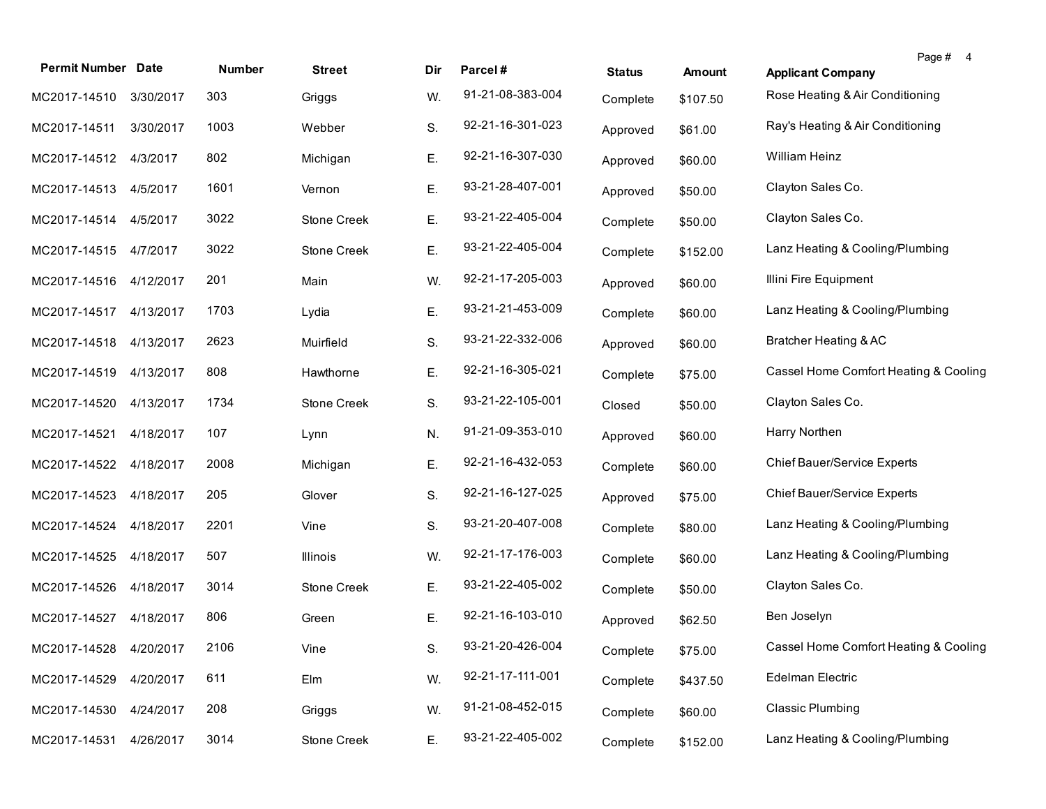| <b>Permit Number Date</b> |           | <b>Number</b> | <b>Street</b>      | Dir | Parcel#          | <b>Status</b> | <b>Amount</b> | Page # 4<br><b>Applicant Company</b>  |
|---------------------------|-----------|---------------|--------------------|-----|------------------|---------------|---------------|---------------------------------------|
| MC2017-14510              | 3/30/2017 | 303           | Griggs             | W.  | 91-21-08-383-004 | Complete      | \$107.50      | Rose Heating & Air Conditioning       |
| MC2017-14511              | 3/30/2017 | 1003          | Webber             | S.  | 92-21-16-301-023 | Approved      | \$61.00       | Ray's Heating & Air Conditioning      |
| MC2017-14512              | 4/3/2017  | 802           | Michigan           | Ε.  | 92-21-16-307-030 | Approved      | \$60.00       | William Heinz                         |
| MC2017-14513              | 4/5/2017  | 1601          | Vernon             | Ε.  | 93-21-28-407-001 | Approved      | \$50.00       | Clayton Sales Co.                     |
| MC2017-14514              | 4/5/2017  | 3022          | <b>Stone Creek</b> | Ε.  | 93-21-22-405-004 | Complete      | \$50.00       | Clayton Sales Co.                     |
| MC2017-14515              | 4/7/2017  | 3022          | <b>Stone Creek</b> | Ε.  | 93-21-22-405-004 | Complete      | \$152.00      | Lanz Heating & Cooling/Plumbing       |
| MC2017-14516              | 4/12/2017 | 201           | Main               | W.  | 92-21-17-205-003 | Approved      | \$60.00       | Illini Fire Equipment                 |
| MC2017-14517              | 4/13/2017 | 1703          | Lydia              | Ε.  | 93-21-21-453-009 | Complete      | \$60.00       | Lanz Heating & Cooling/Plumbing       |
| MC2017-14518              | 4/13/2017 | 2623          | Muirfield          | S.  | 93-21-22-332-006 | Approved      | \$60.00       | Bratcher Heating & AC                 |
| MC2017-14519              | 4/13/2017 | 808           | Hawthorne          | Ε.  | 92-21-16-305-021 | Complete      | \$75.00       | Cassel Home Comfort Heating & Cooling |
| MC2017-14520              | 4/13/2017 | 1734          | Stone Creek        | S.  | 93-21-22-105-001 | Closed        | \$50.00       | Clayton Sales Co.                     |
| MC2017-14521              | 4/18/2017 | 107           | Lynn               | N.  | 91-21-09-353-010 | Approved      | \$60.00       | Harry Northen                         |
| MC2017-14522              | 4/18/2017 | 2008          | Michigan           | Ε.  | 92-21-16-432-053 | Complete      | \$60.00       | Chief Bauer/Service Experts           |
| MC2017-14523              | 4/18/2017 | 205           | Glover             | S.  | 92-21-16-127-025 | Approved      | \$75.00       | <b>Chief Bauer/Service Experts</b>    |
| MC2017-14524              | 4/18/2017 | 2201          | Vine               | S.  | 93-21-20-407-008 | Complete      | \$80.00       | Lanz Heating & Cooling/Plumbing       |
| MC2017-14525              | 4/18/2017 | 507           | <b>Illinois</b>    | W.  | 92-21-17-176-003 | Complete      | \$60.00       | Lanz Heating & Cooling/Plumbing       |
| MC2017-14526              | 4/18/2017 | 3014          | Stone Creek        | Е.  | 93-21-22-405-002 | Complete      | \$50.00       | Clayton Sales Co.                     |
| MC2017-14527              | 4/18/2017 | 806           | Green              | Ε.  | 92-21-16-103-010 | Approved      | \$62.50       | Ben Joselyn                           |
| MC2017-14528 4/20/2017    |           | 2106          | Vine               | S.  | 93-21-20-426-004 | Complete      | \$75.00       | Cassel Home Comfort Heating & Cooling |
| MC2017-14529              | 4/20/2017 | 611           | Elm                | W.  | 92-21-17-111-001 | Complete      | \$437.50      | Edelman Electric                      |
| MC2017-14530              | 4/24/2017 | 208           | Griggs             | W.  | 91-21-08-452-015 | Complete      | \$60.00       | <b>Classic Plumbing</b>               |
| MC2017-14531              | 4/26/2017 | 3014          | Stone Creek        | Ε.  | 93-21-22-405-002 | Complete      | \$152.00      | Lanz Heating & Cooling/Plumbing       |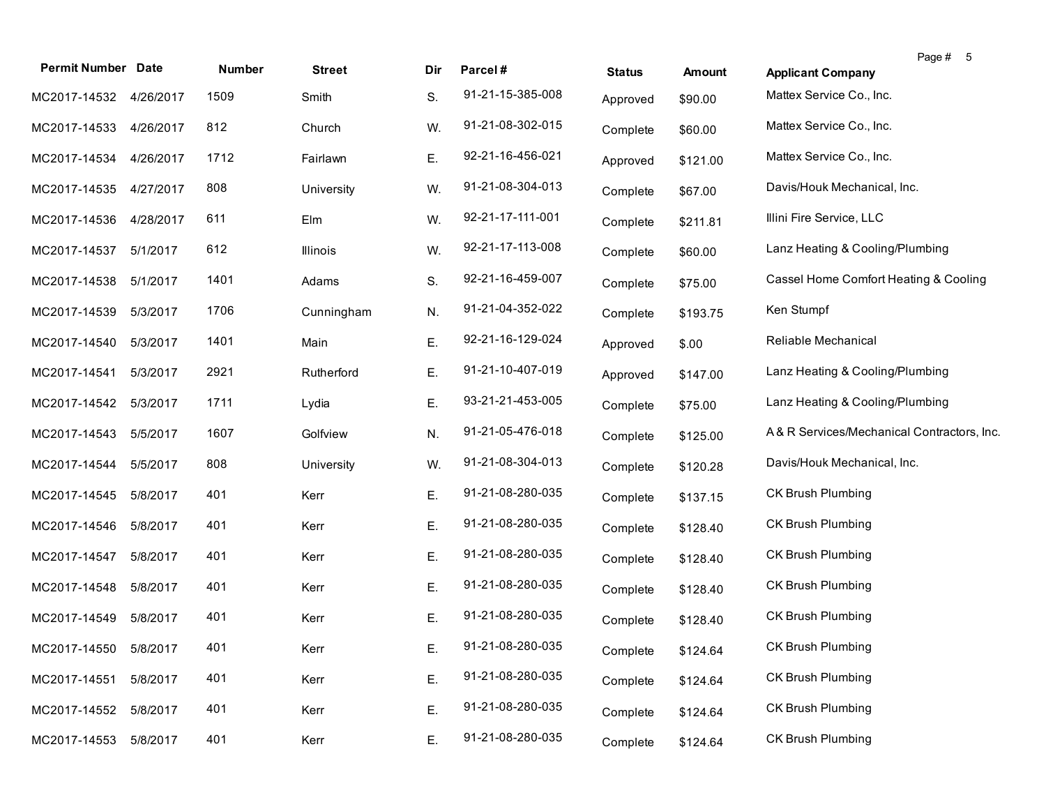| <b>Permit Number Date</b> |           | Number | <b>Street</b> | Dir | Parcel#          | <b>Status</b> | Amount   | Page # 5<br><b>Applicant Company</b>       |
|---------------------------|-----------|--------|---------------|-----|------------------|---------------|----------|--------------------------------------------|
| MC2017-14532 4/26/2017    |           | 1509   | Smith         | S.  | 91-21-15-385-008 | Approved      | \$90.00  | Mattex Service Co., Inc.                   |
| MC2017-14533              | 4/26/2017 | 812    | Church        | W.  | 91-21-08-302-015 | Complete      | \$60.00  | Mattex Service Co., Inc.                   |
| MC2017-14534              | 4/26/2017 | 1712   | Fairlawn      | Ε.  | 92-21-16-456-021 | Approved      | \$121.00 | Mattex Service Co., Inc.                   |
| MC2017-14535              | 4/27/2017 | 808    | University    | W.  | 91-21-08-304-013 | Complete      | \$67.00  | Davis/Houk Mechanical, Inc.                |
| MC2017-14536              | 4/28/2017 | 611    | Elm           | W.  | 92-21-17-111-001 | Complete      | \$211.81 | Illini Fire Service, LLC                   |
| MC2017-14537              | 5/1/2017  | 612    | Illinois      | W.  | 92-21-17-113-008 | Complete      | \$60.00  | Lanz Heating & Cooling/Plumbing            |
| MC2017-14538              | 5/1/2017  | 1401   | Adams         | S.  | 92-21-16-459-007 | Complete      | \$75.00  | Cassel Home Comfort Heating & Cooling      |
| MC2017-14539              | 5/3/2017  | 1706   | Cunningham    | N.  | 91-21-04-352-022 | Complete      | \$193.75 | Ken Stumpf                                 |
| MC2017-14540              | 5/3/2017  | 1401   | Main          | Ε.  | 92-21-16-129-024 | Approved      | \$.00    | Reliable Mechanical                        |
| MC2017-14541              | 5/3/2017  | 2921   | Rutherford    | Ε.  | 91-21-10-407-019 | Approved      | \$147.00 | Lanz Heating & Cooling/Plumbing            |
| MC2017-14542              | 5/3/2017  | 1711   | Lydia         | Ε.  | 93-21-21-453-005 | Complete      | \$75.00  | Lanz Heating & Cooling/Plumbing            |
| MC2017-14543              | 5/5/2017  | 1607   | Golfview      | N.  | 91-21-05-476-018 | Complete      | \$125.00 | A& R Services/Mechanical Contractors, Inc. |
| MC2017-14544              | 5/5/2017  | 808    | University    | W.  | 91-21-08-304-013 | Complete      | \$120.28 | Davis/Houk Mechanical, Inc.                |
| MC2017-14545              | 5/8/2017  | 401    | Kerr          | Ε.  | 91-21-08-280-035 | Complete      | \$137.15 | <b>CK Brush Plumbing</b>                   |
| MC2017-14546              | 5/8/2017  | 401    | Kerr          | Ε.  | 91-21-08-280-035 | Complete      | \$128.40 | <b>CK Brush Plumbing</b>                   |
| MC2017-14547              | 5/8/2017  | 401    | Kerr          | Ε.  | 91-21-08-280-035 | Complete      | \$128.40 | <b>CK Brush Plumbing</b>                   |
| MC2017-14548              | 5/8/2017  | 401    | Kerr          | Ε.  | 91-21-08-280-035 | Complete      | \$128.40 | <b>CK Brush Plumbing</b>                   |
| MC2017-14549              | 5/8/2017  | 401    | Kerr          | Е.  | 91-21-08-280-035 | Complete      | \$128.40 | <b>CK Brush Plumbing</b>                   |
| MC2017-14550 5/8/2017     |           | 401    | Kerr          |     | 91-21-08-280-035 | Complete      | \$124.64 | CK Brush Plumbing                          |
| MC2017-14551              | 5/8/2017  | 401    | Kerr          | Ε.  | 91-21-08-280-035 | Complete      | \$124.64 | CK Brush Plumbing                          |
| MC2017-14552              | 5/8/2017  | 401    | Kerr          | Ε.  | 91-21-08-280-035 | Complete      | \$124.64 | CK Brush Plumbing                          |
| MC2017-14553              | 5/8/2017  | 401    | Kerr          | Ε.  | 91-21-08-280-035 | Complete      | \$124.64 | CK Brush Plumbing                          |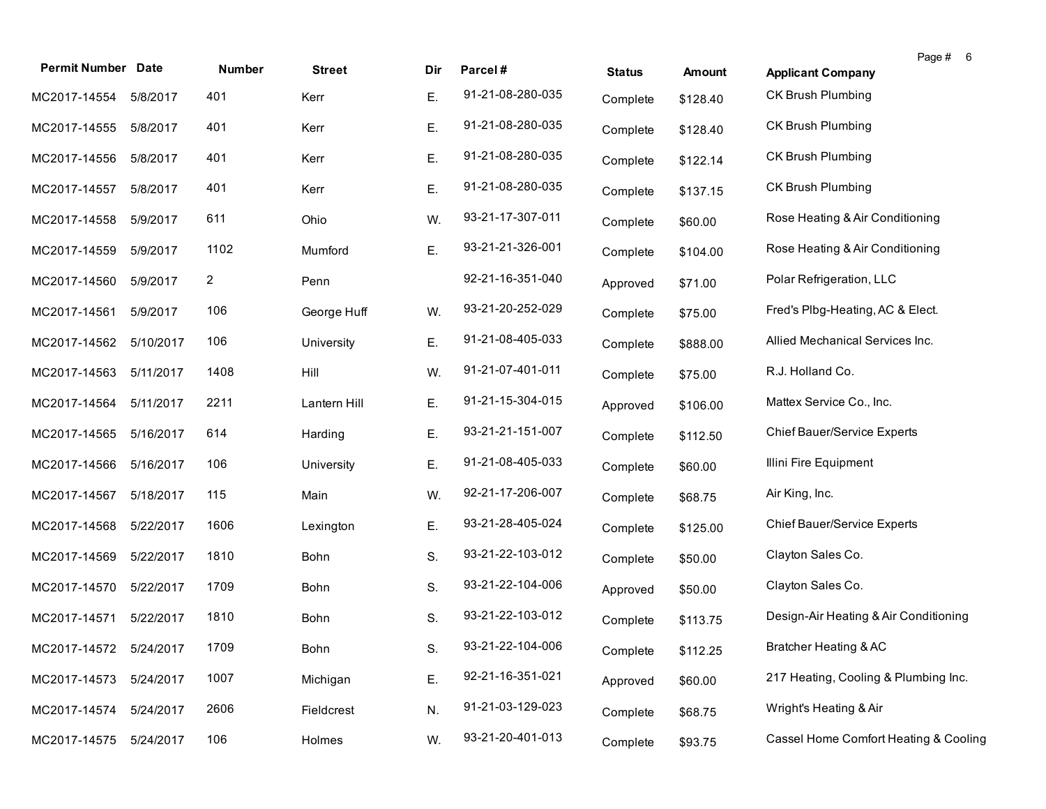| <b>Permit Number Date</b> |           | Number | <b>Street</b> | Dir | Parcel#          | <b>Status</b> | <b>Amount</b> | Page # 6<br><b>Applicant Company</b>  |
|---------------------------|-----------|--------|---------------|-----|------------------|---------------|---------------|---------------------------------------|
| MC2017-14554              | 5/8/2017  | 401    | Kerr          | Е.  | 91-21-08-280-035 | Complete      | \$128.40      | CK Brush Plumbing                     |
| MC2017-14555              | 5/8/2017  | 401    | Kerr          | Ε.  | 91-21-08-280-035 | Complete      | \$128.40      | CK Brush Plumbing                     |
| MC2017-14556              | 5/8/2017  | 401    | Kerr          | Ε.  | 91-21-08-280-035 | Complete      | \$122.14      | CK Brush Plumbing                     |
| MC2017-14557              | 5/8/2017  | 401    | Kerr          | Ε.  | 91-21-08-280-035 | Complete      | \$137.15      | CK Brush Plumbing                     |
| MC2017-14558              | 5/9/2017  | 611    | Ohio          | W.  | 93-21-17-307-011 | Complete      | \$60.00       | Rose Heating & Air Conditioning       |
| MC2017-14559              | 5/9/2017  | 1102   | Mumford       | Ε.  | 93-21-21-326-001 | Complete      | \$104.00      | Rose Heating & Air Conditioning       |
| MC2017-14560              | 5/9/2017  | 2      | Penn          |     | 92-21-16-351-040 | Approved      | \$71.00       | Polar Refrigeration, LLC              |
| MC2017-14561              | 5/9/2017  | 106    | George Huff   | W.  | 93-21-20-252-029 | Complete      | \$75.00       | Fred's Plbg-Heating, AC & Elect.      |
| MC2017-14562              | 5/10/2017 | 106    | University    | Ε.  | 91-21-08-405-033 | Complete      | \$888.00      | Allied Mechanical Services Inc.       |
| MC2017-14563              | 5/11/2017 | 1408   | Hill          | W.  | 91-21-07-401-011 | Complete      | \$75.00       | R.J. Holland Co.                      |
| MC2017-14564              | 5/11/2017 | 2211   | Lantern Hill  | Ε.  | 91-21-15-304-015 | Approved      | \$106.00      | Mattex Service Co., Inc.              |
| MC2017-14565              | 5/16/2017 | 614    | Harding       | Ε.  | 93-21-21-151-007 | Complete      | \$112.50      | Chief Bauer/Service Experts           |
| MC2017-14566              | 5/16/2017 | 106    | University    | Ε.  | 91-21-08-405-033 | Complete      | \$60.00       | Illini Fire Equipment                 |
| MC2017-14567              | 5/18/2017 | 115    | Main          | W.  | 92-21-17-206-007 | Complete      | \$68.75       | Air King, Inc.                        |
| MC2017-14568              | 5/22/2017 | 1606   | Lexington     | Ε.  | 93-21-28-405-024 | Complete      | \$125.00      | Chief Bauer/Service Experts           |
| MC2017-14569              | 5/22/2017 | 1810   | Bohn          | S.  | 93-21-22-103-012 | Complete      | \$50.00       | Clayton Sales Co.                     |
| MC2017-14570              | 5/22/2017 | 1709   | Bohn          | S.  | 93-21-22-104-006 | Approved      | \$50.00       | Clayton Sales Co.                     |
| MC2017-14571              | 5/22/2017 | 1810   | Bohn          | S.  | 93-21-22-103-012 | Complete      | \$113.75      | Design-Air Heating & Air Conditioning |
| MC2017-14572 5/24/2017    |           | 1709   | Bohn          | S.  | 93-21-22-104-006 | Complete      | \$112.25      | Bratcher Heating & AC                 |
| MC2017-14573              | 5/24/2017 | 1007   | Michigan      | Ε.  | 92-21-16-351-021 | Approved      | \$60.00       | 217 Heating, Cooling & Plumbing Inc.  |
| MC2017-14574              | 5/24/2017 | 2606   | Fieldcrest    | N.  | 91-21-03-129-023 | Complete      | \$68.75       | Wright's Heating & Air                |
| MC2017-14575              | 5/24/2017 | 106    | Holmes        | W.  | 93-21-20-401-013 | Complete      | \$93.75       | Cassel Home Comfort Heating & Cooling |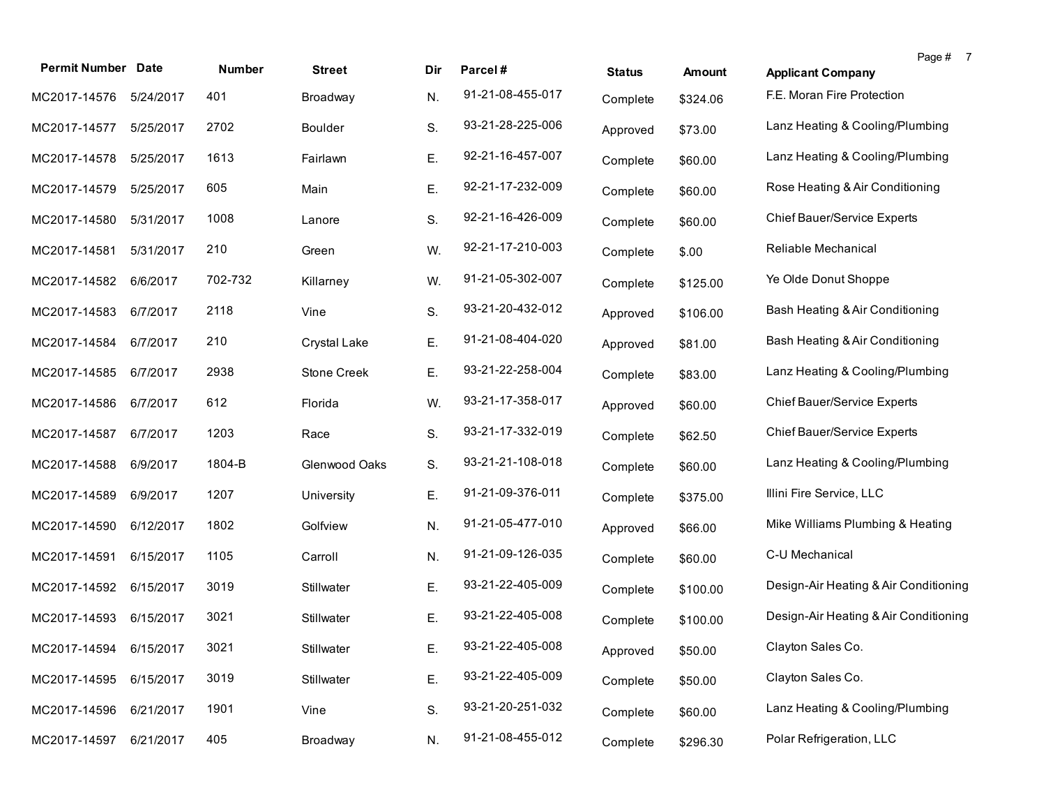| <b>Permit Number Date</b> |           | Number  | <b>Street</b>  | Dir. | Parcel#          | <b>Status</b> | <b>Amount</b> | Page # 7<br><b>Applicant Company</b>  |
|---------------------------|-----------|---------|----------------|------|------------------|---------------|---------------|---------------------------------------|
| MC2017-14576              | 5/24/2017 | 401     | Broadway       | N.   | 91-21-08-455-017 | Complete      | \$324.06      | F.E. Moran Fire Protection            |
| MC2017-14577              | 5/25/2017 | 2702    | <b>Boulder</b> | S.   | 93-21-28-225-006 | Approved      | \$73.00       | Lanz Heating & Cooling/Plumbing       |
| MC2017-14578              | 5/25/2017 | 1613    | Fairlawn       | Ε.   | 92-21-16-457-007 | Complete      | \$60.00       | Lanz Heating & Cooling/Plumbing       |
| MC2017-14579              | 5/25/2017 | 605     | Main           | Ε.   | 92-21-17-232-009 | Complete      | \$60.00       | Rose Heating & Air Conditioning       |
| MC2017-14580              | 5/31/2017 | 1008    | Lanore         | S.   | 92-21-16-426-009 | Complete      | \$60.00       | Chief Bauer/Service Experts           |
| MC2017-14581              | 5/31/2017 | 210     | Green          | W.   | 92-21-17-210-003 | Complete      | \$.00         | Reliable Mechanical                   |
| MC2017-14582              | 6/6/2017  | 702-732 | Killarney      | W.   | 91-21-05-302-007 | Complete      | \$125.00      | Ye Olde Donut Shoppe                  |
| MC2017-14583              | 6/7/2017  | 2118    | Vine           | S.   | 93-21-20-432-012 | Approved      | \$106.00      | Bash Heating & Air Conditioning       |
| MC2017-14584              | 6/7/2017  | 210     | Crystal Lake   | Ε.   | 91-21-08-404-020 | Approved      | \$81.00       | Bash Heating & Air Conditioning       |
| MC2017-14585              | 6/7/2017  | 2938    | Stone Creek    | Ε.   | 93-21-22-258-004 | Complete      | \$83.00       | Lanz Heating & Cooling/Plumbing       |
| MC2017-14586              | 6/7/2017  | 612     | Florida        | W.   | 93-21-17-358-017 | Approved      | \$60.00       | Chief Bauer/Service Experts           |
| MC2017-14587              | 6/7/2017  | 1203    | Race           | S.   | 93-21-17-332-019 | Complete      | \$62.50       | Chief Bauer/Service Experts           |
| MC2017-14588              | 6/9/2017  | 1804-B  | Glenwood Oaks  | S.   | 93-21-21-108-018 | Complete      | \$60.00       | Lanz Heating & Cooling/Plumbing       |
| MC2017-14589              | 6/9/2017  | 1207    | University     | Ε.   | 91-21-09-376-011 | Complete      | \$375.00      | Illini Fire Service, LLC              |
| MC2017-14590              | 6/12/2017 | 1802    | Golfview       | N.   | 91-21-05-477-010 | Approved      | \$66.00       | Mike Williams Plumbing & Heating      |
| MC2017-14591              | 6/15/2017 | 1105    | Carroll        | N.   | 91-21-09-126-035 | Complete      | \$60.00       | C-U Mechanical                        |
| MC2017-14592              | 6/15/2017 | 3019    | Stillwater     | Ε.   | 93-21-22-405-009 | Complete      | \$100.00      | Design-Air Heating & Air Conditioning |
| MC2017-14593              | 6/15/2017 | 3021    | Stillwater     | Ε.   | 93-21-22-405-008 | Complete      | \$100.00      | Design-Air Heating & Air Conditioning |
| MC2017-14594 6/15/2017    |           | 3021    | Stillwater     | Ε.   | 93-21-22-405-008 | Approved      | \$50.00       | Clayton Sales Co.                     |
| MC2017-14595              | 6/15/2017 | 3019    | Stillwater     | Ε.   | 93-21-22-405-009 | Complete      | \$50.00       | Clayton Sales Co.                     |
| MC2017-14596              | 6/21/2017 | 1901    | Vine           | S.   | 93-21-20-251-032 | Complete      | \$60.00       | Lanz Heating & Cooling/Plumbing       |
| MC2017-14597              | 6/21/2017 | 405     | Broadway       | N.   | 91-21-08-455-012 | Complete      | \$296.30      | Polar Refrigeration, LLC              |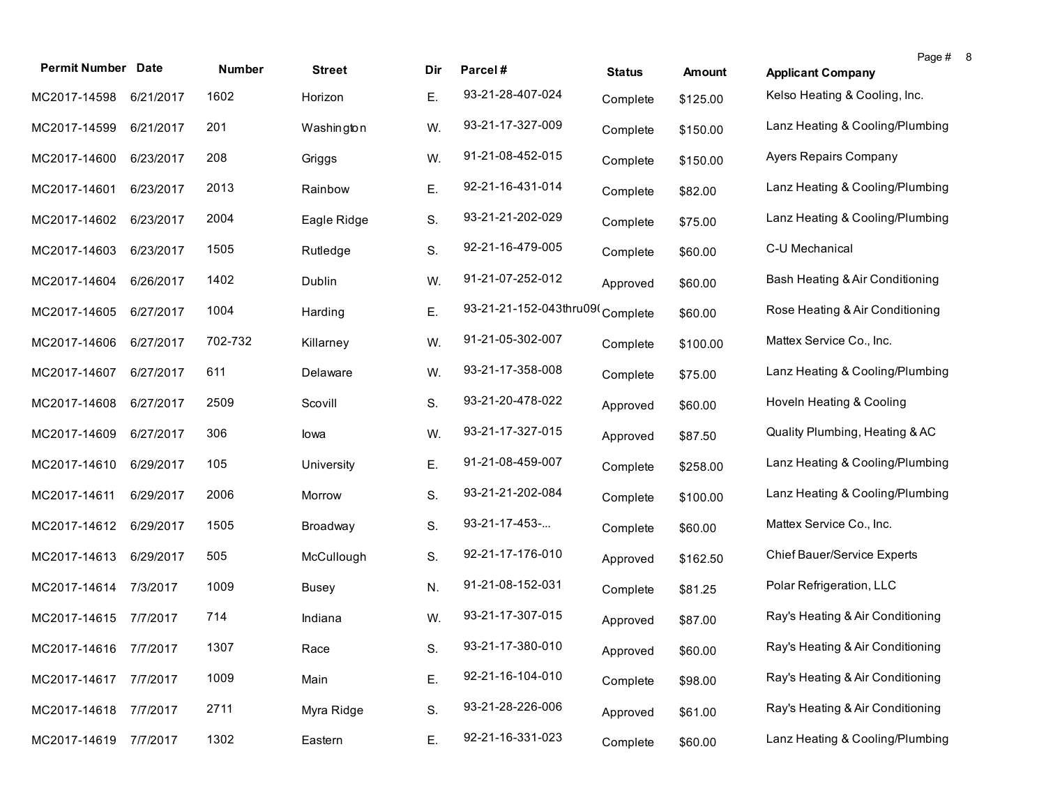| <b>Permit Number Date</b> |           | Number  | <b>Street</b> | Dir | Parcel#                         | <b>Status</b> | Amount   | Page #<br><b>Applicant Company</b> | -8 |
|---------------------------|-----------|---------|---------------|-----|---------------------------------|---------------|----------|------------------------------------|----|
| MC2017-14598              | 6/21/2017 | 1602    | Horizon       | Ε.  | 93-21-28-407-024                | Complete      | \$125.00 | Kelso Heating & Cooling, Inc.      |    |
| MC2017-14599              | 6/21/2017 | 201     | Washington    | W.  | 93-21-17-327-009                | Complete      | \$150.00 | Lanz Heating & Cooling/Plumbing    |    |
| MC2017-14600              | 6/23/2017 | 208     | Griggs        | W.  | 91-21-08-452-015                | Complete      | \$150.00 | <b>Ayers Repairs Company</b>       |    |
| MC2017-14601              | 6/23/2017 | 2013    | Rainbow       | Ε.  | 92-21-16-431-014                | Complete      | \$82.00  | Lanz Heating & Cooling/Plumbing    |    |
| MC2017-14602              | 6/23/2017 | 2004    | Eagle Ridge   | S.  | 93-21-21-202-029                | Complete      | \$75.00  | Lanz Heating & Cooling/Plumbing    |    |
| MC2017-14603              | 6/23/2017 | 1505    | Rutledge      | S.  | 92-21-16-479-005                | Complete      | \$60.00  | C-U Mechanical                     |    |
| MC2017-14604              | 6/26/2017 | 1402    | Dublin        | W.  | 91-21-07-252-012                | Approved      | \$60.00  | Bash Heating & Air Conditioning    |    |
| MC2017-14605              | 6/27/2017 | 1004    | Harding       | Ε.  | 93-21-21-152-043thru09(Complete |               | \$60.00  | Rose Heating & Air Conditioning    |    |
| MC2017-14606              | 6/27/2017 | 702-732 | Killarney     | W.  | 91-21-05-302-007                | Complete      | \$100.00 | Mattex Service Co., Inc.           |    |
| MC2017-14607              | 6/27/2017 | 611     | Delaware      | W.  | 93-21-17-358-008                | Complete      | \$75.00  | Lanz Heating & Cooling/Plumbing    |    |
| MC2017-14608              | 6/27/2017 | 2509    | Scovill       | S.  | 93-21-20-478-022                | Approved      | \$60.00  | Hoveln Heating & Cooling           |    |
| MC2017-14609              | 6/27/2017 | 306     | lowa          | W.  | 93-21-17-327-015                | Approved      | \$87.50  | Quality Plumbing, Heating & AC     |    |
| MC2017-14610              | 6/29/2017 | 105     | University    | Ε.  | 91-21-08-459-007                | Complete      | \$258.00 | Lanz Heating & Cooling/Plumbing    |    |
| MC2017-14611              | 6/29/2017 | 2006    | Morrow        | S.  | 93-21-21-202-084                | Complete      | \$100.00 | Lanz Heating & Cooling/Plumbing    |    |
| MC2017-14612              | 6/29/2017 | 1505    | Broadway      | S.  | 93-21-17-453-                   | Complete      | \$60.00  | Mattex Service Co., Inc.           |    |
| MC2017-14613              | 6/29/2017 | 505     | McCullough    | S.  | 92-21-17-176-010                | Approved      | \$162.50 | <b>Chief Bauer/Service Experts</b> |    |
| MC2017-14614              | 7/3/2017  | 1009    | <b>Busey</b>  | N.  | 91-21-08-152-031                | Complete      | \$81.25  | Polar Refrigeration, LLC           |    |
| MC2017-14615 7/7/2017     |           | 714     | Indiana       | W.  | 93-21-17-307-015                | Approved      | \$87.00  | Ray's Heating & Air Conditioning   |    |
| MC2017-14616 7/7/2017     |           | 1307    | Race          | S.  | 93-21-17-380-010                | Approved      | \$60.00  | Ray's Heating & Air Conditioning   |    |
| MC2017-14617              | 7/7/2017  | 1009    | Main          | Ε.  | 92-21-16-104-010                | Complete      | \$98.00  | Ray's Heating & Air Conditioning   |    |
| MC2017-14618              | 7/7/2017  | 2711    | Myra Ridge    | S.  | 93-21-28-226-006                | Approved      | \$61.00  | Ray's Heating & Air Conditioning   |    |
| MC2017-14619              | 7/7/2017  | 1302    | Eastern       | Ε.  | 92-21-16-331-023                | Complete      | \$60.00  | Lanz Heating & Cooling/Plumbing    |    |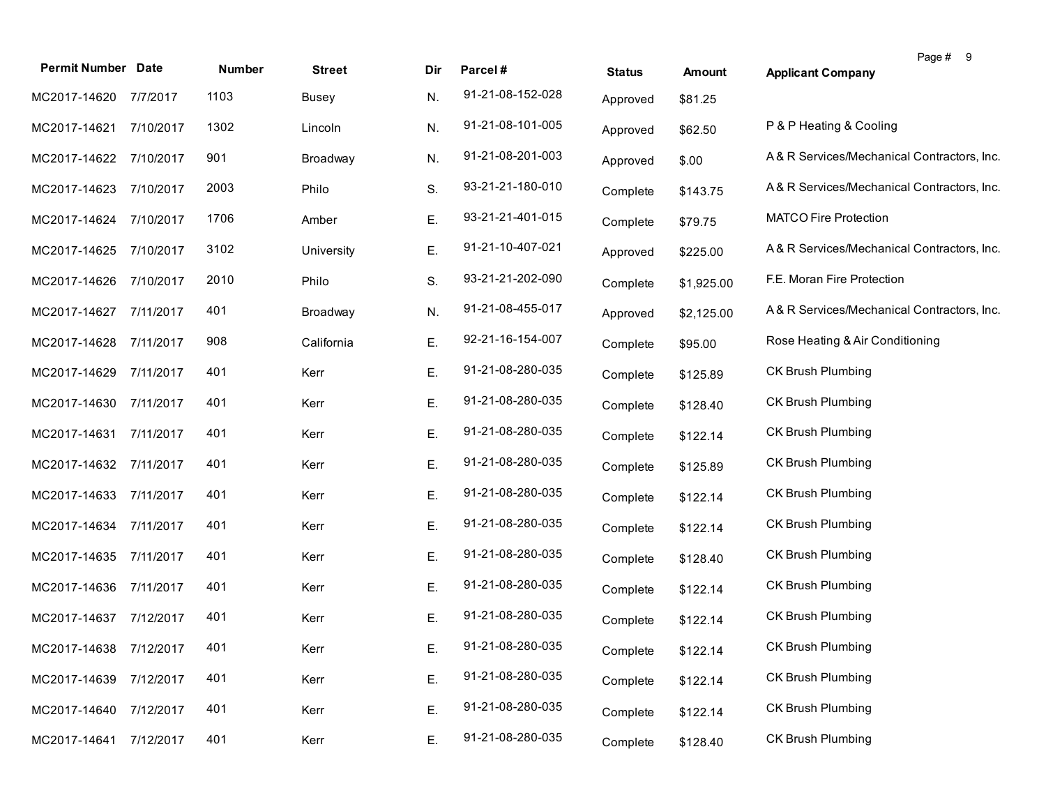| <b>Permit Number Date</b> |           | Number | <b>Street</b> | Dir | Parcel#          | <b>Status</b> | <b>Amount</b> | Page # 9<br><b>Applicant Company</b>       |
|---------------------------|-----------|--------|---------------|-----|------------------|---------------|---------------|--------------------------------------------|
| MC2017-14620              | 7/7/2017  | 1103   | Busey         | N.  | 91-21-08-152-028 | Approved      | \$81.25       |                                            |
| MC2017-14621              | 7/10/2017 | 1302   | Lincoln       | N.  | 91-21-08-101-005 | Approved      | \$62.50       | P & P Heating & Cooling                    |
| MC2017-14622              | 7/10/2017 | 901    | Broadway      | N.  | 91-21-08-201-003 | Approved      | \$.00         | A& R Services/Mechanical Contractors, Inc. |
| MC2017-14623 7/10/2017    |           | 2003   | Philo         | S.  | 93-21-21-180-010 | Complete      | \$143.75      | A& R Services/Mechanical Contractors, Inc. |
| MC2017-14624 7/10/2017    |           | 1706   | Amber         | Ε.  | 93-21-21-401-015 | Complete      | \$79.75       | <b>MATCO Fire Protection</b>               |
| MC2017-14625              | 7/10/2017 | 3102   | University    | Ε.  | 91-21-10-407-021 | Approved      | \$225.00      | A& R Services/Mechanical Contractors, Inc. |
| MC2017-14626              | 7/10/2017 | 2010   | Philo         | S.  | 93-21-21-202-090 | Complete      | \$1,925.00    | F.E. Moran Fire Protection                 |
| MC2017-14627              | 7/11/2017 | 401    | Broadway      | N.  | 91-21-08-455-017 | Approved      | \$2,125.00    | A& R Services/Mechanical Contractors, Inc. |
| MC2017-14628              | 7/11/2017 | 908    | California    | Ε.  | 92-21-16-154-007 | Complete      | \$95.00       | Rose Heating & Air Conditioning            |
| MC2017-14629              | 7/11/2017 | 401    | Kerr          | Ε.  | 91-21-08-280-035 | Complete      | \$125.89      | <b>CK Brush Plumbing</b>                   |
| MC2017-14630              | 7/11/2017 | 401    | Kerr          | Ε.  | 91-21-08-280-035 | Complete      | \$128.40      | <b>CK Brush Plumbing</b>                   |
| MC2017-14631              | 7/11/2017 | 401    | Kerr          | Ε.  | 91-21-08-280-035 | Complete      | \$122.14      | <b>CK Brush Plumbing</b>                   |
| MC2017-14632              | 7/11/2017 | 401    | Kerr          | Ε.  | 91-21-08-280-035 | Complete      | \$125.89      | <b>CK Brush Plumbing</b>                   |
| MC2017-14633              | 7/11/2017 | 401    | Kerr          | Ε.  | 91-21-08-280-035 | Complete      | \$122.14      | <b>CK Brush Plumbing</b>                   |
| MC2017-14634              | 7/11/2017 | 401    | Kerr          | Ε.  | 91-21-08-280-035 | Complete      | \$122.14      | <b>CK Brush Plumbing</b>                   |
| MC2017-14635              | 7/11/2017 | 401    | Kerr          | Ε.  | 91-21-08-280-035 | Complete      | \$128.40      | <b>CK Brush Plumbing</b>                   |
| MC2017-14636              | 7/11/2017 | 401    | Kerr          | Ε.  | 91-21-08-280-035 | Complete      | \$122.14      | <b>CK Brush Plumbing</b>                   |
| MC2017-14637              | 7/12/2017 | 401    | Kerr          | Ε.  | 91-21-08-280-035 | Complete      | \$122.14      | CK Brush Plumbing                          |
| MC2017-14638 7/12/2017    |           | 401    | Kerr          | Е.  | 91-21-08-280-035 | Complete      | \$122.14      | CK Brush Plumbing                          |
| MC2017-14639              | 7/12/2017 | 401    | Kerr          | Ε.  | 91-21-08-280-035 | Complete      | \$122.14      | CK Brush Plumbing                          |
| MC2017-14640              | 7/12/2017 | 401    | Kerr          | Ε.  | 91-21-08-280-035 | Complete      | \$122.14      | CK Brush Plumbing                          |
| MC2017-14641              | 7/12/2017 | 401    | Kerr          | Ε.  | 91-21-08-280-035 | Complete      | \$128.40      | CK Brush Plumbing                          |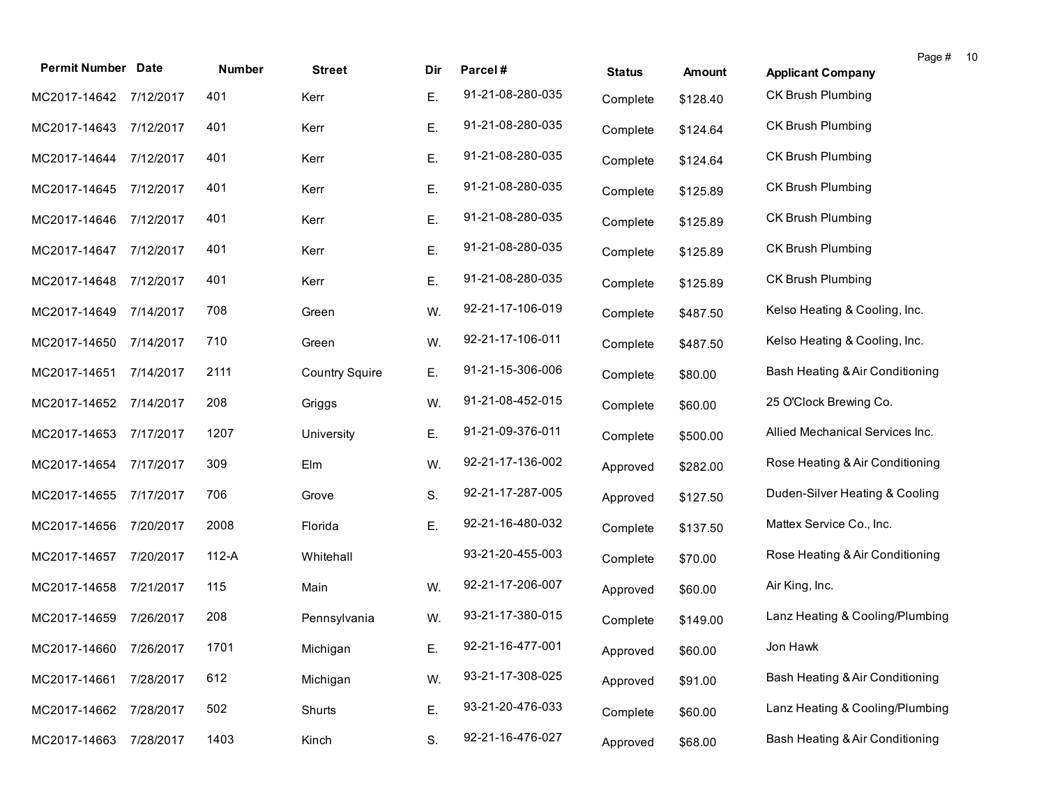| <b>Permit Number Date</b> |           | Number | <b>Street</b>         | Dir | Parcel#          | <b>Status</b> | Amount   | Page #<br>10<br><b>Applicant Company</b> |  |
|---------------------------|-----------|--------|-----------------------|-----|------------------|---------------|----------|------------------------------------------|--|
| MC2017-14642 7/12/2017    |           | 401    | Kerr                  | Ε.  | 91-21-08-280-035 | Complete      | \$128.40 | CK Brush Plumbing                        |  |
| MC2017-14643              | 7/12/2017 | 401    | Kerr                  | Ε.  | 91-21-08-280-035 | Complete      | \$124.64 | CK Brush Plumbing                        |  |
| MC2017-14644 7/12/2017    |           | 401    | Kerr                  | Ε.  | 91-21-08-280-035 | Complete      | \$124.64 | <b>CK Brush Plumbing</b>                 |  |
| MC2017-14645              | 7/12/2017 | 401    | Kerr                  | Ε.  | 91-21-08-280-035 | Complete      | \$125.89 | CK Brush Plumbing                        |  |
| MC2017-14646              | 7/12/2017 | 401    | Kerr                  | Ε.  | 91-21-08-280-035 | Complete      | \$125.89 | <b>CK Brush Plumbing</b>                 |  |
| MC2017-14647              | 7/12/2017 | 401    | Kerr                  | Ε.  | 91-21-08-280-035 | Complete      | \$125.89 | CK Brush Plumbing                        |  |
| MC2017-14648              | 7/12/2017 | 401    | Kerr                  | Ε.  | 91-21-08-280-035 | Complete      | \$125.89 | CK Brush Plumbing                        |  |
| MC2017-14649              | 7/14/2017 | 708    | Green                 | W.  | 92-21-17-106-019 | Complete      | \$487.50 | Kelso Heating & Cooling, Inc.            |  |
| MC2017-14650              | 7/14/2017 | 710    | Green                 | W.  | 92-21-17-106-011 | Complete      | \$487.50 | Kelso Heating & Cooling, Inc.            |  |
| MC2017-14651              | 7/14/2017 | 2111   | <b>Country Squire</b> | Ε.  | 91-21-15-306-006 | Complete      | \$80.00  | Bash Heating & Air Conditioning          |  |
| MC2017-14652              | 7/14/2017 | 208    | Griggs                | W.  | 91-21-08-452-015 | Complete      | \$60.00  | 25 O'Clock Brewing Co.                   |  |
| MC2017-14653              | 7/17/2017 | 1207   | University            | Ε.  | 91-21-09-376-011 | Complete      | \$500.00 | Allied Mechanical Services Inc.          |  |
| MC2017-14654              | 7/17/2017 | 309    | Elm                   | W.  | 92-21-17-136-002 | Approved      | \$282.00 | Rose Heating & Air Conditioning          |  |
| MC2017-14655              | 7/17/2017 | 706    | Grove                 | S.  | 92-21-17-287-005 | Approved      | \$127.50 | Duden-Silver Heating & Cooling           |  |
| MC2017-14656              | 7/20/2017 | 2008   | Florida               | Ε.  | 92-21-16-480-032 | Complete      | \$137.50 | Mattex Service Co., Inc.                 |  |
| MC2017-14657              | 7/20/2017 | 112-A  | Whitehall             |     | 93-21-20-455-003 | Complete      | \$70.00  | Rose Heating & Air Conditioning          |  |
| MC2017-14658              | 7/21/2017 | 115    | Main                  | W.  | 92-21-17-206-007 | Approved      | \$60.00  | Air King, Inc.                           |  |
| MC2017-14659              | 7/26/2017 | 208    | Pennsylvania          | W.  | 93-21-17-380-015 | Complete      | \$149.00 | Lanz Heating & Cooling/Plumbing          |  |
| MC2017-14660 7/26/2017    |           | 1701   | Michigan              | Е.  | 92-21-16-477-001 | Approved      | \$60.00  | Jon Hawk                                 |  |
| MC2017-14661              | 7/28/2017 | 612    | Michigan              | W.  | 93-21-17-308-025 | Approved      | \$91.00  | Bash Heating & Air Conditioning          |  |
| MC2017-14662              | 7/28/2017 | 502    | Shurts                | Ε.  | 93-21-20-476-033 | Complete      | \$60.00  | Lanz Heating & Cooling/Plumbing          |  |
| MC2017-14663              | 7/28/2017 | 1403   | Kinch                 | S.  | 92-21-16-476-027 | Approved      | \$68.00  | Bash Heating & Air Conditioning          |  |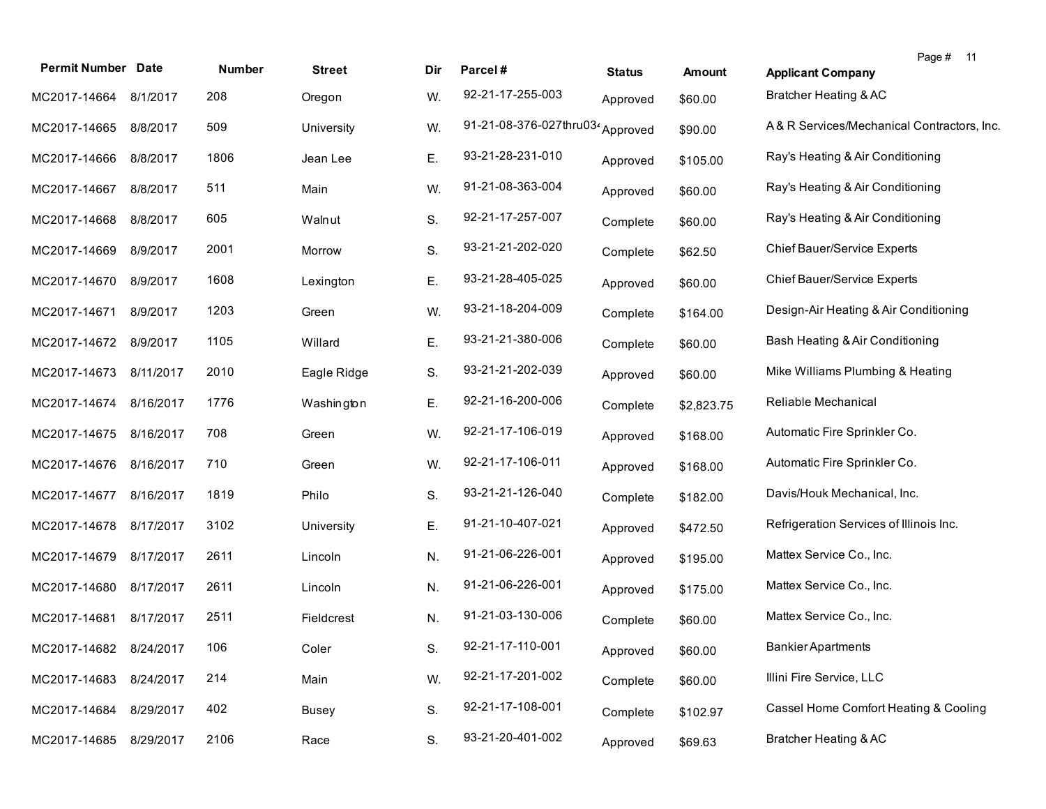| <b>Permit Number Date</b> |           | Number | <b>Street</b> | Dir | Parcel#                          | <b>Status</b> | <b>Amount</b> | Page # 11<br><b>Applicant Company</b>     |
|---------------------------|-----------|--------|---------------|-----|----------------------------------|---------------|---------------|-------------------------------------------|
| MC2017-14664 8/1/2017     |           | 208    | Oregon        | W.  | 92-21-17-255-003                 | Approved      | \$60.00       | Bratcher Heating & AC                     |
| MC2017-14665              | 8/8/2017  | 509    | University    | W.  | 91-21-08-376-027thru034 Approved |               | \$90.00       | A&R Services/Mechanical Contractors, Inc. |
| MC2017-14666              | 8/8/2017  | 1806   | Jean Lee      | Ε.  | 93-21-28-231-010                 | Approved      | \$105.00      | Ray's Heating & Air Conditioning          |
| MC2017-14667              | 8/8/2017  | 511    | Main          | W.  | 91-21-08-363-004                 | Approved      | \$60.00       | Ray's Heating & Air Conditioning          |
| MC2017-14668              | 8/8/2017  | 605    | Walnut        | S.  | 92-21-17-257-007                 | Complete      | \$60.00       | Ray's Heating & Air Conditioning          |
| MC2017-14669              | 8/9/2017  | 2001   | Morrow        | S.  | 93-21-21-202-020                 | Complete      | \$62.50       | Chief Bauer/Service Experts               |
| MC2017-14670              | 8/9/2017  | 1608   | Lexington     | Е.  | 93-21-28-405-025                 | Approved      | \$60.00       | Chief Bauer/Service Experts               |
| MC2017-14671              | 8/9/2017  | 1203   | Green         | W.  | 93-21-18-204-009                 | Complete      | \$164.00      | Design-Air Heating & Air Conditioning     |
| MC2017-14672 8/9/2017     |           | 1105   | Willard       | Е.  | 93-21-21-380-006                 | Complete      | \$60.00       | Bash Heating & Air Conditioning           |
| MC2017-14673              | 8/11/2017 | 2010   | Eagle Ridge   | S.  | 93-21-21-202-039                 | Approved      | \$60.00       | Mike Williams Plumbing & Heating          |
| MC2017-14674              | 8/16/2017 | 1776   | Washington    | Ε.  | 92-21-16-200-006                 | Complete      | \$2,823.75    | Reliable Mechanical                       |
| MC2017-14675              | 8/16/2017 | 708    | Green         | W.  | 92-21-17-106-019                 | Approved      | \$168.00      | Automatic Fire Sprinkler Co.              |
| MC2017-14676              | 8/16/2017 | 710    | Green         | W.  | 92-21-17-106-011                 | Approved      | \$168.00      | Automatic Fire Sprinkler Co.              |
| MC2017-14677              | 8/16/2017 | 1819   | Philo         | S.  | 93-21-21-126-040                 | Complete      | \$182.00      | Davis/Houk Mechanical, Inc.               |
| MC2017-14678              | 8/17/2017 | 3102   | University    | Ε.  | 91-21-10-407-021                 | Approved      | \$472.50      | Refrigeration Services of Illinois Inc.   |
| MC2017-14679              | 8/17/2017 | 2611   | Lincoln       | N.  | 91-21-06-226-001                 | Approved      | \$195.00      | Mattex Service Co., Inc.                  |
| MC2017-14680              | 8/17/2017 | 2611   | Lincoln       | N.  | 91-21-06-226-001                 | Approved      | \$175.00      | Mattex Service Co., Inc.                  |
| MC2017-14681              | 8/17/2017 | 2511   | Fieldcrest    | N.  | 91-21-03-130-006                 | Complete      | \$60.00       | Mattex Service Co., Inc.                  |
| MC2017-14682 8/24/2017    |           | 106    | Coler         | S.  | 92-21-17-110-001                 | Approved      | \$60.00       | <b>Bankier Apartments</b>                 |
| MC2017-14683              | 8/24/2017 | 214    | Main          | W.  | 92-21-17-201-002                 | Complete      | \$60.00       | Illini Fire Service, LLC                  |
| MC2017-14684              | 8/29/2017 | 402    | <b>Busey</b>  | S.  | 92-21-17-108-001                 | Complete      | \$102.97      | Cassel Home Comfort Heating & Cooling     |
| MC2017-14685 8/29/2017    |           | 2106   | Race          | S.  | 93-21-20-401-002                 | Approved      | \$69.63       | <b>Bratcher Heating &amp; AC</b>          |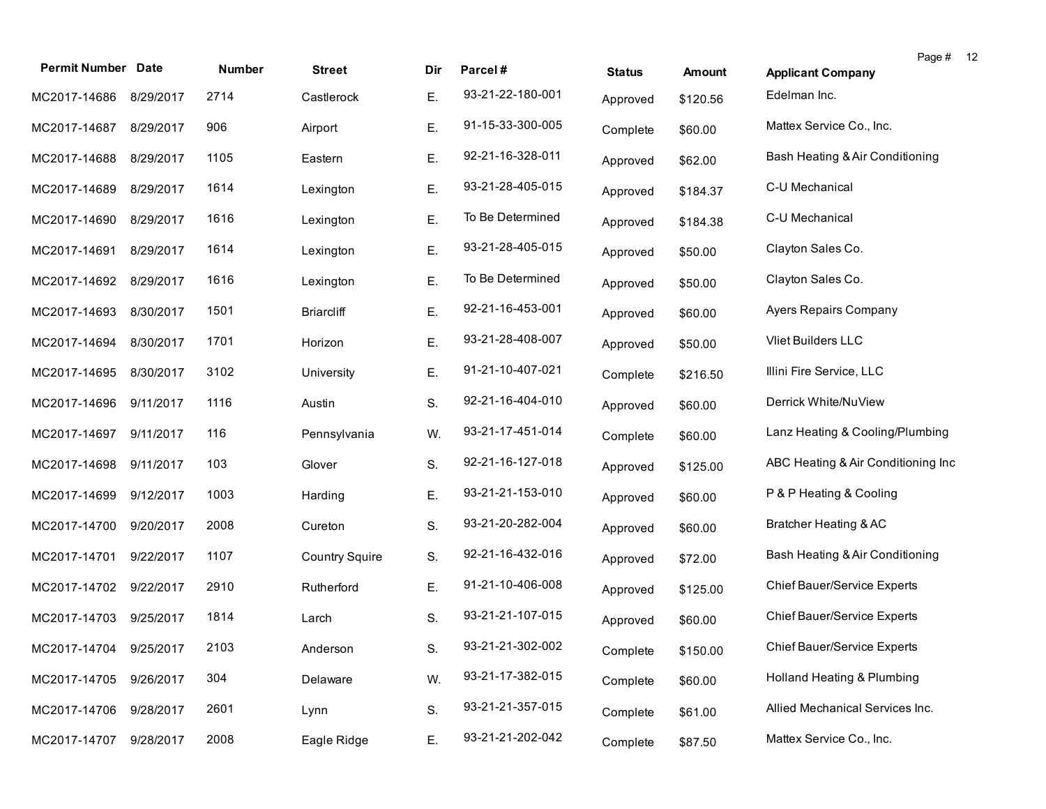| <b>Permit Number Date</b> |           | Number | <b>Street</b>         | Dir | Parcel#          | <b>Status</b> | Amount   | Page #<br>-12<br><b>Applicant Company</b> |
|---------------------------|-----------|--------|-----------------------|-----|------------------|---------------|----------|-------------------------------------------|
| MC2017-14686              | 8/29/2017 | 2714   | Castlerock            | Ε.  | 93-21-22-180-001 | Approved      | \$120.56 | Edelman Inc.                              |
| MC2017-14687 8/29/2017    |           | 906    | Airport               | Ε.  | 91-15-33-300-005 | Complete      | \$60.00  | Mattex Service Co., Inc.                  |
| MC2017-14688              | 8/29/2017 | 1105   | Eastern               | Ε.  | 92-21-16-328-011 | Approved      | \$62.00  | Bash Heating & Air Conditioning           |
| MC2017-14689              | 8/29/2017 | 1614   | Lexington             | Ε.  | 93-21-28-405-015 | Approved      | \$184.37 | C-U Mechanical                            |
| MC2017-14690              | 8/29/2017 | 1616   | Lexington             | Ε.  | To Be Determined | Approved      | \$184.38 | C-U Mechanical                            |
| MC2017-14691              | 8/29/2017 | 1614   | Lexington             | Ε.  | 93-21-28-405-015 | Approved      | \$50.00  | Clayton Sales Co.                         |
| MC2017-14692              | 8/29/2017 | 1616   | Lexington             | Ε.  | To Be Determined | Approved      | \$50.00  | Clayton Sales Co.                         |
| MC2017-14693              | 8/30/2017 | 1501   | <b>Briarcliff</b>     | Ε.  | 92-21-16-453-001 | Approved      | \$60.00  | <b>Ayers Repairs Company</b>              |
| MC2017-14694              | 8/30/2017 | 1701   | Horizon               | Ε.  | 93-21-28-408-007 | Approved      | \$50.00  | Vliet Builders LLC                        |
| MC2017-14695              | 8/30/2017 | 3102   | University            | Ε.  | 91-21-10-407-021 | Complete      | \$216.50 | Illini Fire Service, LLC                  |
| MC2017-14696              | 9/11/2017 | 1116   | Austin                | S.  | 92-21-16-404-010 | Approved      | \$60.00  | Derrick White/NuView                      |
| MC2017-14697              | 9/11/2017 | 116    | Pennsylvania          | W.  | 93-21-17-451-014 | Complete      | \$60.00  | Lanz Heating & Cooling/Plumbing           |
| MC2017-14698              | 9/11/2017 | 103    | Glover                | S.  | 92-21-16-127-018 | Approved      | \$125.00 | ABC Heating & Air Conditioning Inc        |
| MC2017-14699              | 9/12/2017 | 1003   | Harding               | Ε.  | 93-21-21-153-010 | Approved      | \$60.00  | P & P Heating & Cooling                   |
| MC2017-14700              | 9/20/2017 | 2008   | Cureton               | S.  | 93-21-20-282-004 | Approved      | \$60.00  | Bratcher Heating & AC                     |
| MC2017-14701              | 9/22/2017 | 1107   | <b>Country Squire</b> | S.  | 92-21-16-432-016 | Approved      | \$72.00  | Bash Heating & Air Conditioning           |
| MC2017-14702 9/22/2017    |           | 2910   | Rutherford            | Ε.  | 91-21-10-406-008 | Approved      | \$125.00 | Chief Bauer/Service Experts               |
| MC2017-14703              | 9/25/2017 | 1814   | Larch                 | S.  | 93-21-21-107-015 | Approved      | \$60.00  | Chief Bauer/Service Experts               |
| MC2017-14704 9/25/2017    |           | 2103   | Anderson              | S.  | 93-21-21-302-002 | Complete      | \$150.00 | <b>Chief Bauer/Service Experts</b>        |
| MC2017-14705              | 9/26/2017 | 304    | Delaware              | W.  | 93-21-17-382-015 | Complete      | \$60.00  | Holland Heating & Plumbing                |
| MC2017-14706              | 9/28/2017 | 2601   | Lynn                  | S.  | 93-21-21-357-015 | Complete      | \$61.00  | Allied Mechanical Services Inc.           |
| MC2017-14707              | 9/28/2017 | 2008   | Eagle Ridge           | Ε.  | 93-21-21-202-042 | Complete      | \$87.50  | Mattex Service Co., Inc.                  |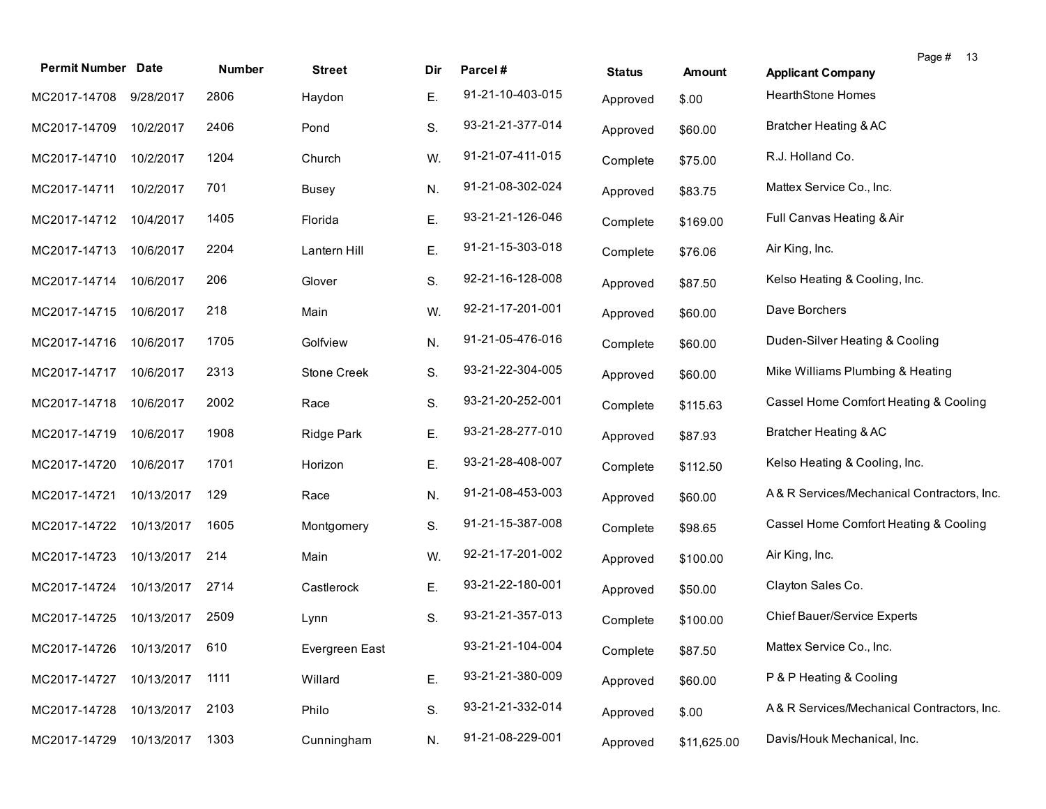| <b>Permit Number Date</b> |            | Number | <b>Street</b>  | Dir | Parcel#          | <b>Status</b> | <b>Amount</b> | Page # 13<br><b>Applicant Company</b>      |
|---------------------------|------------|--------|----------------|-----|------------------|---------------|---------------|--------------------------------------------|
| MC2017-14708              | 9/28/2017  | 2806   | Haydon         | Ε.  | 91-21-10-403-015 | Approved      | \$.00         | <b>HearthStone Homes</b>                   |
| MC2017-14709              | 10/2/2017  | 2406   | Pond           | S.  | 93-21-21-377-014 | Approved      | \$60.00       | Bratcher Heating & AC                      |
| MC2017-14710              | 10/2/2017  | 1204   | Church         | W.  | 91-21-07-411-015 | Complete      | \$75.00       | R.J. Holland Co.                           |
| MC2017-14711              | 10/2/2017  | 701    | Busey          | N.  | 91-21-08-302-024 | Approved      | \$83.75       | Mattex Service Co., Inc.                   |
| MC2017-14712 10/4/2017    |            | 1405   | Florida        | Ε.  | 93-21-21-126-046 | Complete      | \$169.00      | Full Canvas Heating & Air                  |
| MC2017-14713 10/6/2017    |            | 2204   | Lantern Hill   | Ε.  | 91-21-15-303-018 | Complete      | \$76.06       | Air King, Inc.                             |
| MC2017-14714              | 10/6/2017  | 206    | Glover         | S.  | 92-21-16-128-008 | Approved      | \$87.50       | Kelso Heating & Cooling, Inc.              |
| MC2017-14715              | 10/6/2017  | 218    | Main           | W.  | 92-21-17-201-001 | Approved      | \$60.00       | Dave Borchers                              |
| MC2017-14716              | 10/6/2017  | 1705   | Golfview       | N.  | 91-21-05-476-016 | Complete      | \$60.00       | Duden-Silver Heating & Cooling             |
| MC2017-14717              | 10/6/2017  | 2313   | Stone Creek    | S.  | 93-21-22-304-005 | Approved      | \$60.00       | Mike Williams Plumbing & Heating           |
| MC2017-14718              | 10/6/2017  | 2002   | Race           | S.  | 93-21-20-252-001 | Complete      | \$115.63      | Cassel Home Comfort Heating & Cooling      |
| MC2017-14719              | 10/6/2017  | 1908   | Ridge Park     | Ε.  | 93-21-28-277-010 | Approved      | \$87.93       | <b>Bratcher Heating &amp; AC</b>           |
| MC2017-14720              | 10/6/2017  | 1701   | Horizon        | Ε.  | 93-21-28-408-007 | Complete      | \$112.50      | Kelso Heating & Cooling, Inc.              |
| MC2017-14721              | 10/13/2017 | 129    | Race           | N.  | 91-21-08-453-003 | Approved      | \$60.00       | A& R Services/Mechanical Contractors, Inc. |
| MC2017-14722              | 10/13/2017 | 1605   | Montgomery     | S.  | 91-21-15-387-008 | Complete      | \$98.65       | Cassel Home Comfort Heating & Cooling      |
| MC2017-14723              | 10/13/2017 | 214    | Main           | W.  | 92-21-17-201-002 | Approved      | \$100.00      | Air King, Inc.                             |
| MC2017-14724              | 10/13/2017 | 2714   | Castlerock     | Ε.  | 93-21-22-180-001 | Approved      | \$50.00       | Clayton Sales Co.                          |
| MC2017-14725              | 10/13/2017 | 2509   | Lynn           | S.  | 93-21-21-357-013 | Complete      | \$100.00      | <b>Chief Bauer/Service Experts</b>         |
| MC2017-14726 10/13/2017   |            | 610    | Evergreen East |     | 93-21-21-104-004 | Complete      | \$87.50       | Mattex Service Co., Inc.                   |
| MC2017-14727              | 10/13/2017 | 1111   | Willard        | Ε.  | 93-21-21-380-009 | Approved      | \$60.00       | P & P Heating & Cooling                    |
| MC2017-14728              | 10/13/2017 | 2103   | Philo          | S.  | 93-21-21-332-014 | Approved      | \$.00         | A& R Services/Mechanical Contractors, Inc. |
| MC2017-14729              | 10/13/2017 | 1303   | Cunningham     | N.  | 91-21-08-229-001 | Approved      | \$11,625.00   | Davis/Houk Mechanical, Inc.                |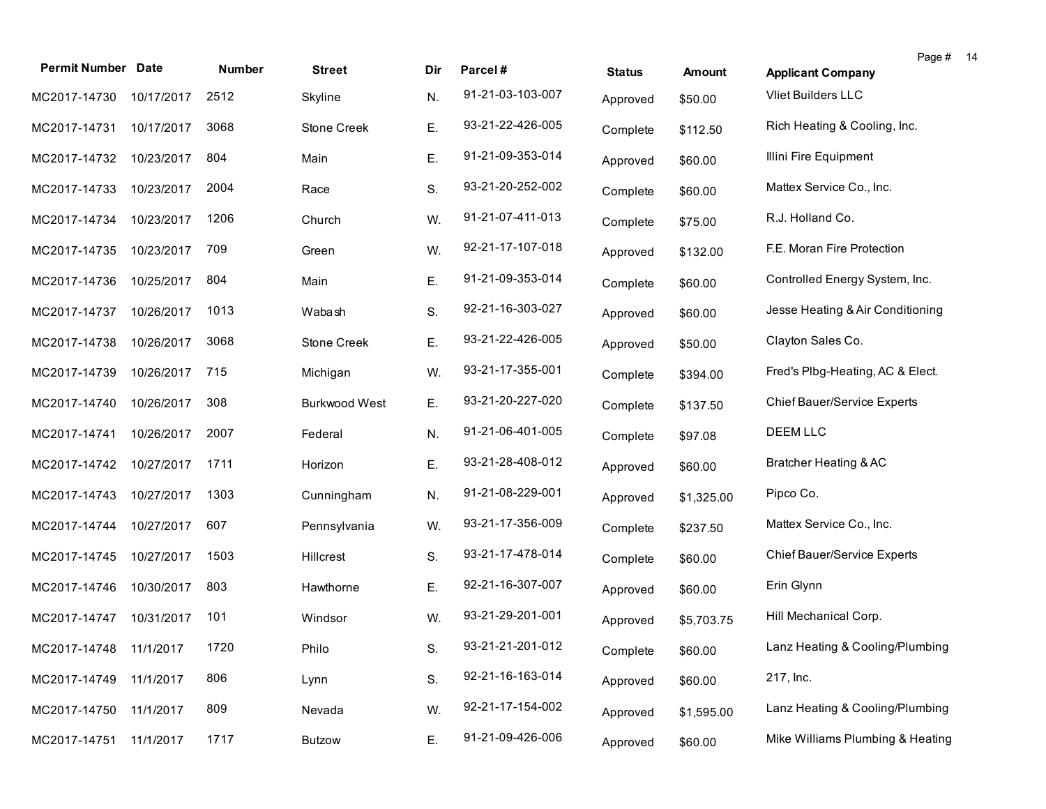| <b>Permit Number Date</b>   |            | Number | <b>Street</b>        | Dir | Parcel#          | <b>Status</b> | Amount     | Page #<br>-14<br><b>Applicant Company</b> |
|-----------------------------|------------|--------|----------------------|-----|------------------|---------------|------------|-------------------------------------------|
| MC2017-14730 10/17/2017     |            | 2512   | Skyline              | N.  | 91-21-03-103-007 | Approved      | \$50.00    | Vliet Builders LLC                        |
| MC2017-14731                | 10/17/2017 | 3068   | <b>Stone Creek</b>   | Ε.  | 93-21-22-426-005 | Complete      | \$112.50   | Rich Heating & Cooling, Inc.              |
| MC2017-14732                | 10/23/2017 | 804    | Main                 | Ε.  | 91-21-09-353-014 | Approved      | \$60.00    | Illini Fire Equipment                     |
| MC2017-14733                | 10/23/2017 | 2004   | Race                 | S.  | 93-21-20-252-002 | Complete      | \$60.00    | Mattex Service Co., Inc.                  |
| MC2017-14734                | 10/23/2017 | 1206   | Church               | W.  | 91-21-07-411-013 | Complete      | \$75.00    | R.J. Holland Co.                          |
| MC2017-14735                | 10/23/2017 | 709    | Green                | W.  | 92-21-17-107-018 | Approved      | \$132.00   | F.E. Moran Fire Protection                |
| MC2017-14736                | 10/25/2017 | 804    | Main                 | Ε.  | 91-21-09-353-014 | Complete      | \$60.00    | Controlled Energy System, Inc.            |
| MC2017-14737                | 10/26/2017 | 1013   | Wabash               | S.  | 92-21-16-303-027 | Approved      | \$60.00    | Jesse Heating & Air Conditioning          |
| MC2017-14738                | 10/26/2017 | 3068   | <b>Stone Creek</b>   | Ε.  | 93-21-22-426-005 | Approved      | \$50.00    | Clayton Sales Co.                         |
| MC2017-14739                | 10/26/2017 | 715    | Michigan             | W.  | 93-21-17-355-001 | Complete      | \$394.00   | Fred's Plbg-Heating, AC & Elect.          |
| MC2017-14740                | 10/26/2017 | 308    | <b>Burkwood West</b> | Ε.  | 93-21-20-227-020 | Complete      | \$137.50   | Chief Bauer/Service Experts               |
| MC2017-14741                | 10/26/2017 | 2007   | Federal              | N.  | 91-21-06-401-005 | Complete      | \$97.08    | DEEM LLC                                  |
| MC2017-14742                | 10/27/2017 | 1711   | Horizon              | Ε.  | 93-21-28-408-012 | Approved      | \$60.00    | Bratcher Heating & AC                     |
| MC2017-14743                | 10/27/2017 | 1303   | Cunningham           | N.  | 91-21-08-229-001 | Approved      | \$1,325.00 | Pipco Co.                                 |
| MC2017-14744                | 10/27/2017 | 607    | Pennsylvania         | W.  | 93-21-17-356-009 | Complete      | \$237.50   | Mattex Service Co., Inc.                  |
| MC2017-14745                | 10/27/2017 | 1503   | Hillcrest            | S.  | 93-21-17-478-014 | Complete      | \$60.00    | Chief Bauer/Service Experts               |
| MC2017-14746                | 10/30/2017 | 803    | Hawthorne            | Ε.  | 92-21-16-307-007 | Approved      | \$60.00    | Erin Glynn                                |
| MC2017-14747 10/31/2017     |            | 101    | Windsor              | W.  | 93-21-29-201-001 | Approved      | \$5,703.75 | Hill Mechanical Corp.                     |
| MC2017-14748 11/1/2017 1720 |            |        | Philo                | S.  | 93-21-21-201-012 | Complete      | \$60.00    | Lanz Heating & Cooling/Plumbing           |
| MC2017-14749                | 11/1/2017  | 806    | Lynn                 | S.  | 92-21-16-163-014 | Approved      | \$60.00    | 217, Inc.                                 |
| MC2017-14750                | 11/1/2017  | 809    | Nevada               | W.  | 92-21-17-154-002 | Approved      | \$1,595.00 | Lanz Heating & Cooling/Plumbing           |
| MC2017-14751                | 11/1/2017  | 1717   | <b>Butzow</b>        | Ε.  | 91-21-09-426-006 | Approved      | \$60.00    | Mike Williams Plumbing & Heating          |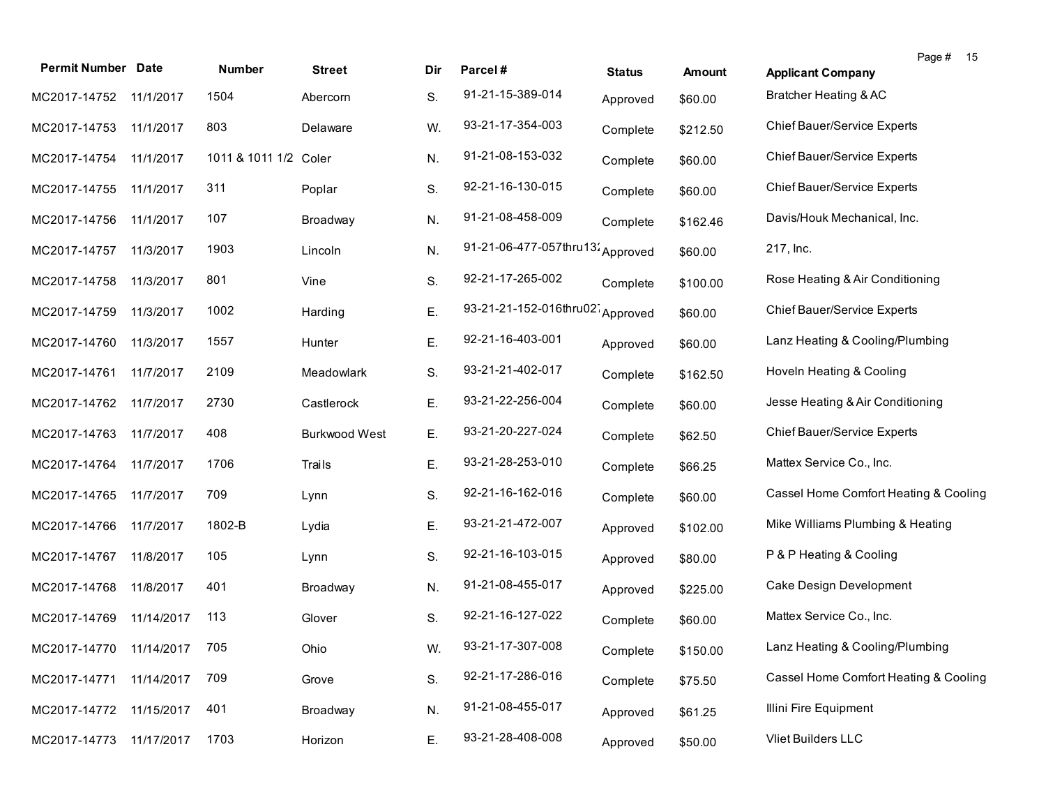|                           |            |                       |                      |     |                                  |               |               |                                       | Page # | 15 |
|---------------------------|------------|-----------------------|----------------------|-----|----------------------------------|---------------|---------------|---------------------------------------|--------|----|
| <b>Permit Number Date</b> |            | Number                | <b>Street</b>        | Dir | Parcel#                          | <b>Status</b> | <b>Amount</b> | <b>Applicant Company</b>              |        |    |
| MC2017-14752              | 11/1/2017  | 1504                  | Abercorn             | S.  | 91-21-15-389-014                 | Approved      | \$60.00       | Bratcher Heating & AC                 |        |    |
| MC2017-14753              | 11/1/2017  | 803                   | Delaware             | W.  | 93-21-17-354-003                 | Complete      | \$212.50      | Chief Bauer/Service Experts           |        |    |
| MC2017-14754              | 11/1/2017  | 1011 & 1011 1/2 Coler |                      | N.  | 91-21-08-153-032                 | Complete      | \$60.00       | Chief Bauer/Service Experts           |        |    |
| MC2017-14755              | 11/1/2017  | 311                   | Poplar               | S.  | 92-21-16-130-015                 | Complete      | \$60.00       | <b>Chief Bauer/Service Experts</b>    |        |    |
| MC2017-14756              | 11/1/2017  | 107                   | Broadway             | N.  | 91-21-08-458-009                 | Complete      | \$162.46      | Davis/Houk Mechanical, Inc.           |        |    |
| MC2017-14757              | 11/3/2017  | 1903                  | Lincoln              | N.  | 91-21-06-477-057thru13; Approved |               | \$60.00       | 217, Inc.                             |        |    |
| MC2017-14758              | 11/3/2017  | 801                   | Vine                 | S.  | 92-21-17-265-002                 | Complete      | \$100.00      | Rose Heating & Air Conditioning       |        |    |
| MC2017-14759              | 11/3/2017  | 1002                  | Harding              | Ε.  | 93-21-21-152-016thru02 Approved  |               | \$60.00       | Chief Bauer/Service Experts           |        |    |
| MC2017-14760              | 11/3/2017  | 1557                  | Hunter               | Ε.  | 92-21-16-403-001                 | Approved      | \$60.00       | Lanz Heating & Cooling/Plumbing       |        |    |
| MC2017-14761              | 11/7/2017  | 2109                  | Meadowlark           | S.  | 93-21-21-402-017                 | Complete      | \$162.50      | Hoveln Heating & Cooling              |        |    |
| MC2017-14762              | 11/7/2017  | 2730                  | Castlerock           | Ε.  | 93-21-22-256-004                 | Complete      | \$60.00       | Jesse Heating & Air Conditioning      |        |    |
| MC2017-14763              | 11/7/2017  | 408                   | <b>Burkwood West</b> | Ε.  | 93-21-20-227-024                 | Complete      | \$62.50       | Chief Bauer/Service Experts           |        |    |
| MC2017-14764              | 11/7/2017  | 1706                  | Trails               | Ε.  | 93-21-28-253-010                 | Complete      | \$66.25       | Mattex Service Co., Inc.              |        |    |
| MC2017-14765              | 11/7/2017  | 709                   | Lynn                 | S.  | 92-21-16-162-016                 | Complete      | \$60.00       | Cassel Home Comfort Heating & Cooling |        |    |
| MC2017-14766              | 11/7/2017  | 1802-B                | Lydia                | Ε.  | 93-21-21-472-007                 | Approved      | \$102.00      | Mike Williams Plumbing & Heating      |        |    |
| MC2017-14767              | 11/8/2017  | 105                   | Lynn                 | S.  | 92-21-16-103-015                 | Approved      | \$80.00       | P & P Heating & Cooling               |        |    |
| MC2017-14768              | 11/8/2017  | 401                   | Broadway             | N.  | 91-21-08-455-017                 | Approved      | \$225.00      | Cake Design Development               |        |    |
| MC2017-14769              | 11/14/2017 | 113                   | Glover               | S.  | 92-21-16-127-022                 | Complete      | \$60.00       | Mattex Service Co., Inc.              |        |    |
| MC2017-14770 11/14/2017   |            | 705                   | Ohio                 | W.  | 93-21-17-307-008                 | Complete      | \$150.00      | Lanz Heating & Cooling/Plumbing       |        |    |
| MC2017-14771              | 11/14/2017 | 709                   | Grove                | S.  | 92-21-17-286-016                 | Complete      | \$75.50       | Cassel Home Comfort Heating & Cooling |        |    |
| MC2017-14772              | 11/15/2017 | 401                   | Broadway             | N.  | 91-21-08-455-017                 | Approved      | \$61.25       | Illini Fire Equipment                 |        |    |
| MC2017-14773              | 11/17/2017 | 1703                  | Horizon              | Ε.  | 93-21-28-408-008                 | Approved      | \$50.00       | Vliet Builders LLC                    |        |    |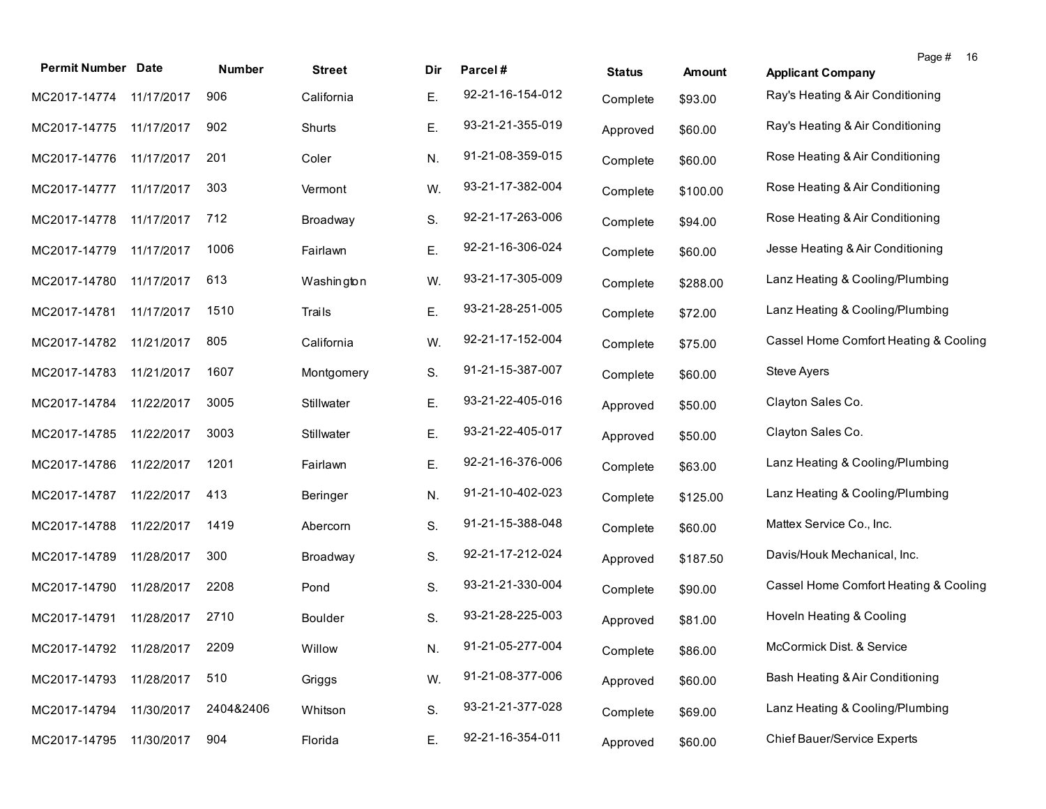| <b>Permit Number Date</b>    |            | <b>Number</b> | <b>Street</b>  | Dir | Parcel#          | <b>Status</b> | <b>Amount</b> | 16<br>Page #<br><b>Applicant Company</b> |
|------------------------------|------------|---------------|----------------|-----|------------------|---------------|---------------|------------------------------------------|
| MC2017-14774 11/17/2017      |            | 906           | California     | Е.  | 92-21-16-154-012 | Complete      | \$93.00       | Ray's Heating & Air Conditioning         |
| MC2017-14775                 | 11/17/2017 | 902           | Shurts         | Е.  | 93-21-21-355-019 | Approved      | \$60.00       | Ray's Heating & Air Conditioning         |
| MC2017-14776                 | 11/17/2017 | 201           | Coler          | N.  | 91-21-08-359-015 | Complete      | \$60.00       | Rose Heating & Air Conditioning          |
| MC2017-14777                 | 11/17/2017 | 303           | Vermont        | W.  | 93-21-17-382-004 | Complete      | \$100.00      | Rose Heating & Air Conditioning          |
| MC2017-14778                 | 11/17/2017 | 712           | Broadway       | S.  | 92-21-17-263-006 | Complete      | \$94.00       | Rose Heating & Air Conditioning          |
| MC2017-14779                 | 11/17/2017 | 1006          | Fairlawn       | Ε.  | 92-21-16-306-024 | Complete      | \$60.00       | Jesse Heating & Air Conditioning         |
| MC2017-14780                 | 11/17/2017 | 613           | Washington     | W.  | 93-21-17-305-009 | Complete      | \$288.00      | Lanz Heating & Cooling/Plumbing          |
| MC2017-14781                 | 11/17/2017 | 1510          | Trails         | Ε.  | 93-21-28-251-005 | Complete      | \$72.00       | Lanz Heating & Cooling/Plumbing          |
| MC2017-14782                 | 11/21/2017 | 805           | California     | W.  | 92-21-17-152-004 | Complete      | \$75.00       | Cassel Home Comfort Heating & Cooling    |
| MC2017-14783                 | 11/21/2017 | 1607          | Montgomery     | S.  | 91-21-15-387-007 | Complete      | \$60.00       | Steve Ayers                              |
| MC2017-14784                 | 11/22/2017 | 3005          | Stillwater     | Ε.  | 93-21-22-405-016 | Approved      | \$50.00       | Clayton Sales Co.                        |
| MC2017-14785                 | 11/22/2017 | 3003          | Stillwater     | Ε.  | 93-21-22-405-017 | Approved      | \$50.00       | Clayton Sales Co.                        |
| MC2017-14786                 | 11/22/2017 | 1201          | Fairlawn       | Ε.  | 92-21-16-376-006 | Complete      | \$63.00       | Lanz Heating & Cooling/Plumbing          |
| MC2017-14787                 | 11/22/2017 | 413           | Beringer       | N.  | 91-21-10-402-023 | Complete      | \$125.00      | Lanz Heating & Cooling/Plumbing          |
| MC2017-14788                 | 11/22/2017 | 1419          | Abercorn       | S.  | 91-21-15-388-048 | Complete      | \$60.00       | Mattex Service Co., Inc.                 |
| MC2017-14789                 | 11/28/2017 | 300           | Broadway       | S.  | 92-21-17-212-024 | Approved      | \$187.50      | Davis/Houk Mechanical, Inc.              |
| MC2017-14790                 | 11/28/2017 | 2208          | Pond           | S.  | 93-21-21-330-004 | Complete      | \$90.00       | Cassel Home Comfort Heating & Cooling    |
| MC2017-14791                 | 11/28/2017 | 2710          | <b>Boulder</b> | S.  | 93-21-28-225-003 | Approved      | \$81.00       | Hoveln Heating & Cooling                 |
| MC2017-14792 11/28/2017 2209 |            |               | Willow         | N.  | 91-21-05-277-004 | Complete      | \$86.00       | McCormick Dist. & Service                |
| MC2017-14793                 | 11/28/2017 | 510           | Griggs         | W.  | 91-21-08-377-006 | Approved      | \$60.00       | Bash Heating & Air Conditioning          |
| MC2017-14794                 | 11/30/2017 | 2404&2406     | Whitson        | S.  | 93-21-21-377-028 | Complete      | \$69.00       | Lanz Heating & Cooling/Plumbing          |
| MC2017-14795                 | 11/30/2017 | 904           | Florida        | Ε.  | 92-21-16-354-011 | Approved      | \$60.00       | <b>Chief Bauer/Service Experts</b>       |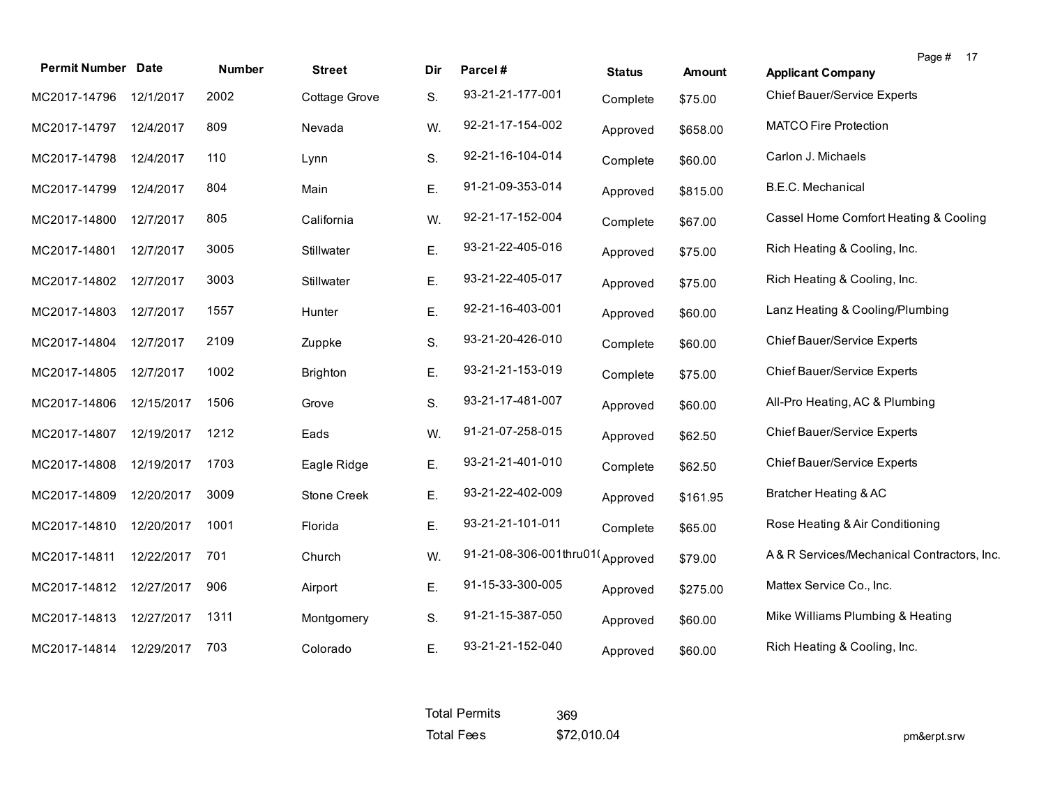| <b>Permit Number Date</b> |            | <b>Number</b> | <b>Street</b>   | Dir | Parcel#                         | <b>Status</b> | <b>Amount</b> | Page # 17<br><b>Applicant Company</b>      |
|---------------------------|------------|---------------|-----------------|-----|---------------------------------|---------------|---------------|--------------------------------------------|
| MC2017-14796              | 12/1/2017  | 2002          | Cottage Grove   | S.  | 93-21-21-177-001                | Complete      | \$75.00       | Chief Bauer/Service Experts                |
| MC2017-14797              | 12/4/2017  | 809           | Nevada          | W.  | 92-21-17-154-002                | Approved      | \$658.00      | <b>MATCO Fire Protection</b>               |
| MC2017-14798              | 12/4/2017  | 110           | Lynn            | S.  | 92-21-16-104-014                | Complete      | \$60.00       | Carlon J. Michaels                         |
| MC2017-14799              | 12/4/2017  | 804           | Main            | Ε.  | 91-21-09-353-014                | Approved      | \$815.00      | B.E.C. Mechanical                          |
| MC2017-14800              | 12/7/2017  | 805           | California      | W.  | 92-21-17-152-004                | Complete      | \$67.00       | Cassel Home Comfort Heating & Cooling      |
| MC2017-14801              | 12/7/2017  | 3005          | Stillwater      | Ε.  | 93-21-22-405-016                | Approved      | \$75.00       | Rich Heating & Cooling, Inc.               |
| MC2017-14802              | 12/7/2017  | 3003          | Stillwater      | Ε.  | 93-21-22-405-017                | Approved      | \$75.00       | Rich Heating & Cooling, Inc.               |
| MC2017-14803              | 12/7/2017  | 1557          | Hunter          | Ε.  | 92-21-16-403-001                | Approved      | \$60.00       | Lanz Heating & Cooling/Plumbing            |
| MC2017-14804              | 12/7/2017  | 2109          | Zuppke          | S.  | 93-21-20-426-010                | Complete      | \$60.00       | Chief Bauer/Service Experts                |
| MC2017-14805              | 12/7/2017  | 1002          | <b>Brighton</b> | Е.  | 93-21-21-153-019                | Complete      | \$75.00       | Chief Bauer/Service Experts                |
| MC2017-14806              | 12/15/2017 | 1506          | Grove           | S.  | 93-21-17-481-007                | Approved      | \$60.00       | All-Pro Heating, AC & Plumbing             |
| MC2017-14807              | 12/19/2017 | 1212          | Eads            | W.  | 91-21-07-258-015                | Approved      | \$62.50       | Chief Bauer/Service Experts                |
| MC2017-14808              | 12/19/2017 | 1703          | Eagle Ridge     | Ε.  | 93-21-21-401-010                | Complete      | \$62.50       | Chief Bauer/Service Experts                |
| MC2017-14809              | 12/20/2017 | 3009          | Stone Creek     | Ε.  | 93-21-22-402-009                | Approved      | \$161.95      | Bratcher Heating & AC                      |
| MC2017-14810              | 12/20/2017 | 1001          | Florida         | Ε.  | 93-21-21-101-011                | Complete      | \$65.00       | Rose Heating & Air Conditioning            |
| MC2017-14811              | 12/22/2017 | 701           | Church          | W.  | 91-21-08-306-001thru01(Approved |               | \$79.00       | A& R Services/Mechanical Contractors, Inc. |
| MC2017-14812              | 12/27/2017 | 906           | Airport         | Е.  | 91-15-33-300-005                | Approved      | \$275.00      | Mattex Service Co., Inc.                   |
| MC2017-14813              | 12/27/2017 | 1311          | Montgomery      | S.  | 91-21-15-387-050                | Approved      | \$60.00       | Mike Williams Plumbing & Heating           |
| MC2017-14814              | 12/29/2017 | 703           | Colorado        | Ε.  | 93-21-21-152-040                | Approved      | \$60.00       | Rich Heating & Cooling, Inc.               |

| <b>Total Permits</b> | 369         |
|----------------------|-------------|
| <b>Total Fees</b>    | \$72,010.04 |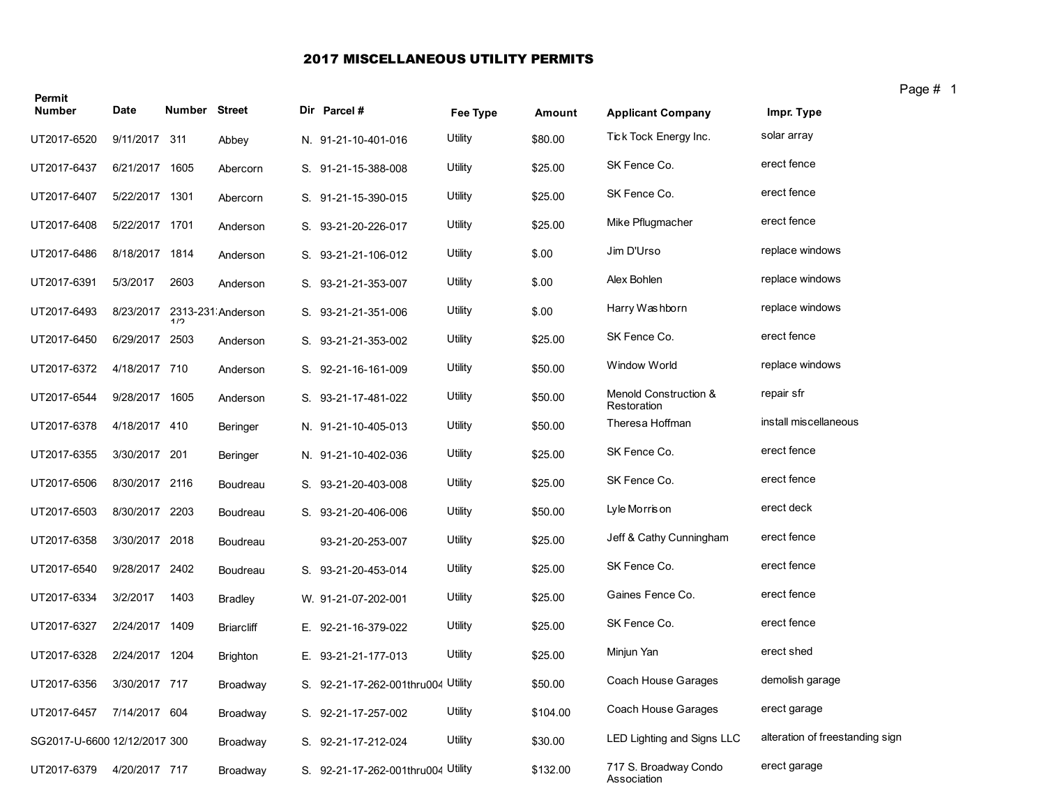## 2017 MISCELLANEOUS UTILITY PERMITS

| Permit<br><b>Number</b>      | Date           | <b>Number Street</b> |                   | Dir Parcel #                       | Fee Type | Amount   | <b>Applicant Company</b>             | г٠<br>Impr. Type                |
|------------------------------|----------------|----------------------|-------------------|------------------------------------|----------|----------|--------------------------------------|---------------------------------|
| UT2017-6520                  | 9/11/2017 311  |                      | Abbey             | N. 91-21-10-401-016                | Utility  | \$80.00  | Tick Tock Energy Inc.                | solar array                     |
| UT2017-6437                  | 6/21/2017      | 1605                 | Abercorn          | S. 91-21-15-388-008                | Utility  | \$25.00  | SK Fence Co.                         | erect fence                     |
| UT2017-6407                  | 5/22/2017 1301 |                      | Abercorn          | S. 91-21-15-390-015                | Utility  | \$25.00  | SK Fence Co.                         | erect fence                     |
| UT2017-6408                  | 5/22/2017 1701 |                      | Anderson          | S. 93-21-20-226-017                | Utility  | \$25.00  | Mike Pflugmacher                     | erect fence                     |
| UT2017-6486                  | 8/18/2017 1814 |                      | Anderson          | S. 93-21-21-106-012                | Utility  | \$.00    | Jim D'Urso                           | replace windows                 |
| UT2017-6391                  | 5/3/2017       | 2603                 | Anderson          | S. 93-21-21-353-007                | Utility  | \$.00    | Alex Bohlen                          | replace windows                 |
| UT2017-6493                  | 8/23/2017      | 1/2                  | 2313-231 Anderson | S. 93-21-21-351-006                | Utility  | \$.00    | Harry Washborn                       | replace windows                 |
| UT2017-6450                  | 6/29/2017 2503 |                      | Anderson          | S. 93-21-21-353-002                | Utility  | \$25.00  | SK Fence Co.                         | erect fence                     |
| UT2017-6372                  | 4/18/2017 710  |                      | Anderson          | S. 92-21-16-161-009                | Utility  | \$50.00  | <b>Window World</b>                  | replace windows                 |
| UT2017-6544                  | 9/28/2017 1605 |                      | Anderson          | S. 93-21-17-481-022                | Utility  | \$50.00  | Menold Construction &<br>Restoration | repair sfr                      |
| UT2017-6378                  | 4/18/2017 410  |                      | Beringer          | N. 91-21-10-405-013                | Utility  | \$50.00  | Theresa Hoffman                      | install miscellaneous           |
| UT2017-6355                  | 3/30/2017 201  |                      | Beringer          | N. 91-21-10-402-036                | Utility  | \$25.00  | SK Fence Co.                         | erect fence                     |
| UT2017-6506                  | 8/30/2017 2116 |                      | Boudreau          | S. 93-21-20-403-008                | Utility  | \$25.00  | SK Fence Co.                         | erect fence                     |
| UT2017-6503                  | 8/30/2017 2203 |                      | Boudreau          | S. 93-21-20-406-006                | Utility  | \$50.00  | Lyle Morris on                       | erect deck                      |
| UT2017-6358                  | 3/30/2017 2018 |                      | Boudreau          | 93-21-20-253-007                   | Utility  | \$25.00  | Jeff & Cathy Cunningham              | erect fence                     |
| UT2017-6540                  | 9/28/2017 2402 |                      | Boudreau          | S. 93-21-20-453-014                | Utility  | \$25.00  | SK Fence Co.                         | erect fence                     |
| UT2017-6334                  | 3/2/2017       | 1403                 | <b>Bradley</b>    | W. 91-21-07-202-001                | Utility  | \$25.00  | Gaines Fence Co.                     | erect fence                     |
| UT2017-6327                  | 2/24/2017      | 1409                 | <b>Briarcliff</b> | E. 92-21-16-379-022                | Utility  | \$25.00  | SK Fence Co.                         | erect fence                     |
| UT2017-6328                  | 2/24/2017 1204 |                      | <b>Brighton</b>   | E. 93-21-21-177-013                | Utility  | \$25.00  | Minjun Yan                           | erect shed                      |
| UT2017-6356                  | 3/30/2017 717  |                      | Broadway          | S. 92-21-17-262-001thru004 Utility |          | \$50.00  | Coach House Garages                  | demolish garage                 |
| UT2017-6457                  | 7/14/2017 604  |                      | Broadway          | S. 92-21-17-257-002                | Utility  | \$104.00 | Coach House Garages                  | erect garage                    |
| SG2017-U-6600 12/12/2017 300 |                |                      | Broadway          | S. 92-21-17-212-024                | Utility  | \$30.00  | LED Lighting and Signs LLC           | alteration of freestanding sign |
| UT2017-6379                  | 4/20/2017 717  |                      | Broadway          | S. 92-21-17-262-001thru004 Utility |          | \$132.00 | 717 S. Broadway Condo<br>Association | erect garage                    |

Page # 1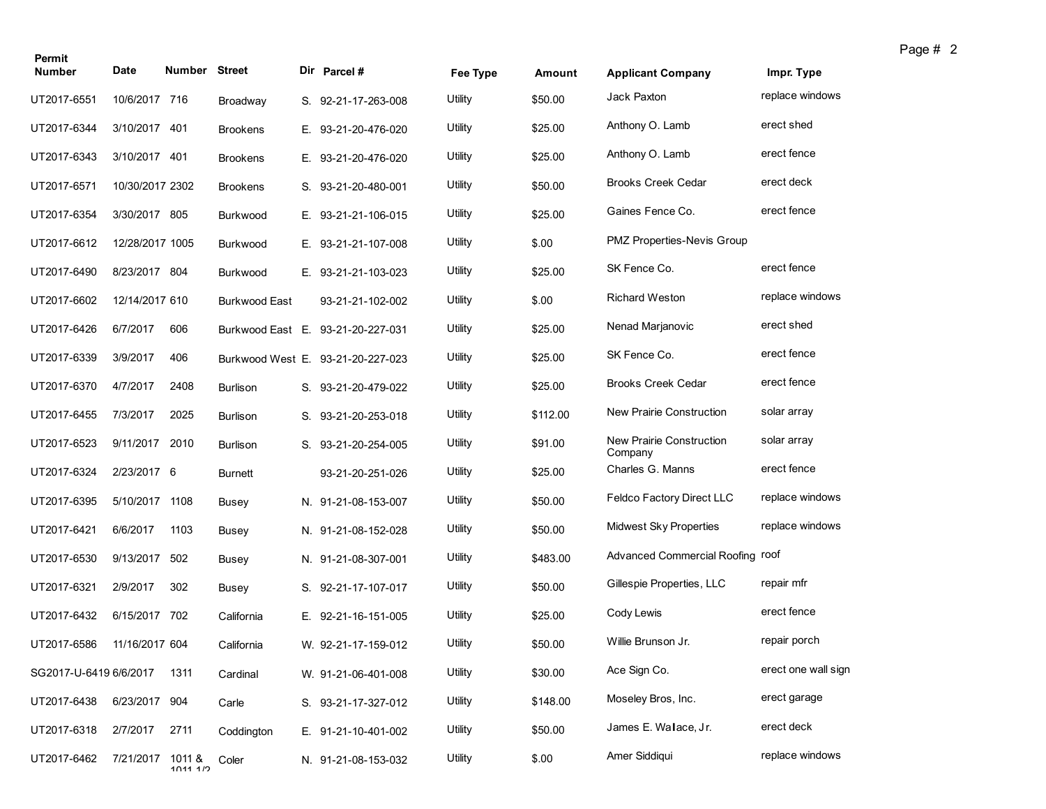| Permit                 |                  |                      |                 |                                   |          |          |                                     |                     |
|------------------------|------------------|----------------------|-----------------|-----------------------------------|----------|----------|-------------------------------------|---------------------|
| <b>Number</b>          | Date             | <b>Number Street</b> |                 | Dir Parcel#                       | Fee Type | Amount   | <b>Applicant Company</b>            | Impr. Type          |
| UT2017-6551            | 10/6/2017 716    |                      | Broadway        | S. 92-21-17-263-008               | Utility  | \$50.00  | Jack Paxton                         | replace windows     |
| UT2017-6344            | 3/10/2017 401    |                      | <b>Brookens</b> | E. 93-21-20-476-020               | Utility  | \$25.00  | Anthony O. Lamb                     | erect shed          |
| UT2017-6343            | 3/10/2017 401    |                      | <b>Brookens</b> | E. 93-21-20-476-020               | Utility  | \$25.00  | Anthony O. Lamb                     | erect fence         |
| UT2017-6571            | 10/30/2017 2302  |                      | <b>Brookens</b> | S. 93-21-20-480-001               | Utility  | \$50.00  | <b>Brooks Creek Cedar</b>           | erect deck          |
| UT2017-6354            | 3/30/2017 805    |                      | Burkwood        | E. 93-21-21-106-015               | Utility  | \$25.00  | Gaines Fence Co.                    | erect fence         |
| UT2017-6612            | 12/28/2017 1005  |                      | Burkwood        | E. 93-21-21-107-008               | Utility  | \$.00    | PMZ Properties-Nevis Group          |                     |
| UT2017-6490            | 8/23/2017 804    |                      | Burkwood        | E. 93-21-21-103-023               | Utility  | \$25.00  | SK Fence Co.                        | erect fence         |
| UT2017-6602            | 12/14/2017 610   |                      | Burkwood East   | 93-21-21-102-002                  | Utility  | \$.00    | <b>Richard Weston</b>               | replace windows     |
| UT2017-6426            | 6/7/2017         | 606                  |                 | Burkwood East E. 93-21-20-227-031 | Utility  | \$25.00  | Nenad Marjanovic                    | erect shed          |
| UT2017-6339            | 3/9/2017         | 406                  |                 | Burkwood West E. 93-21-20-227-023 | Utility  | \$25.00  | SK Fence Co.                        | erect fence         |
| UT2017-6370            | 4/7/2017         | 2408                 | <b>Burlison</b> | S. 93-21-20-479-022               | Utility  | \$25.00  | <b>Brooks Creek Cedar</b>           | erect fence         |
| UT2017-6455            | 7/3/2017         | 2025                 | <b>Burlison</b> | S. 93-21-20-253-018               | Utility  | \$112.00 | New Prairie Construction            | solar array         |
| UT2017-6523            | 9/11/2017 2010   |                      | <b>Burlison</b> | S. 93-21-20-254-005               | Utility  | \$91.00  | New Prairie Construction<br>Company | solar array         |
| UT2017-6324            | 2/23/2017 6      |                      | <b>Burnett</b>  | 93-21-20-251-026                  | Utility  | \$25.00  | Charles G. Manns                    | erect fence         |
| UT2017-6395            | 5/10/2017 1108   |                      | Busey           | N. 91-21-08-153-007               | Utility  | \$50.00  | Feldco Factory Direct LLC           | replace windows     |
| UT2017-6421            | 6/6/2017         | 1103                 | Busey           | N. 91-21-08-152-028               | Utility  | \$50.00  | <b>Midwest Sky Properties</b>       | replace windows     |
| UT2017-6530            | 9/13/2017        | 502                  | Busey           | N. 91-21-08-307-001               | Utility  | \$483.00 | Advanced Commercial Roofing roof    |                     |
| UT2017-6321            | 2/9/2017         | 302                  | Busey           | S. 92-21-17-107-017               | Utility  | \$50.00  | Gillespie Properties, LLC           | repair mfr          |
| UT2017-6432            | 6/15/2017        | 702                  | California      | E. 92-21-16-151-005               | Utility  | \$25.00  | Cody Lewis                          | erect fence         |
| UT2017-6586            | 11/16/2017 604   |                      | California      | W. 92-21-17-159-012               | Utility  | \$50.00  | Willie Brunson Jr.                  | repair porch        |
| SG2017-U-6419 6/6/2017 |                  | 1311                 | Cardinal        | W. 91-21-06-401-008               | Utility  | \$30.00  | Ace Sign Co.                        | erect one wall sign |
| UT2017-6438            | 6/23/2017 904    |                      | Carle           | S. 93-21-17-327-012               | Utility  | \$148.00 | Moseley Bros, Inc.                  | erect garage        |
| UT2017-6318            | 2/7/2017         | 2711                 | Coddington      | E. 91-21-10-401-002               | Utility  | \$50.00  | James E. Walace, Jr.                | erect deck          |
| UT2017-6462            | 7/21/2017 1011 & | 1011117              | Coler           | N. 91-21-08-153-032               | Utility  | \$.00    | Amer Siddiqui                       | replace windows     |
|                        |                  |                      |                 |                                   |          |          |                                     |                     |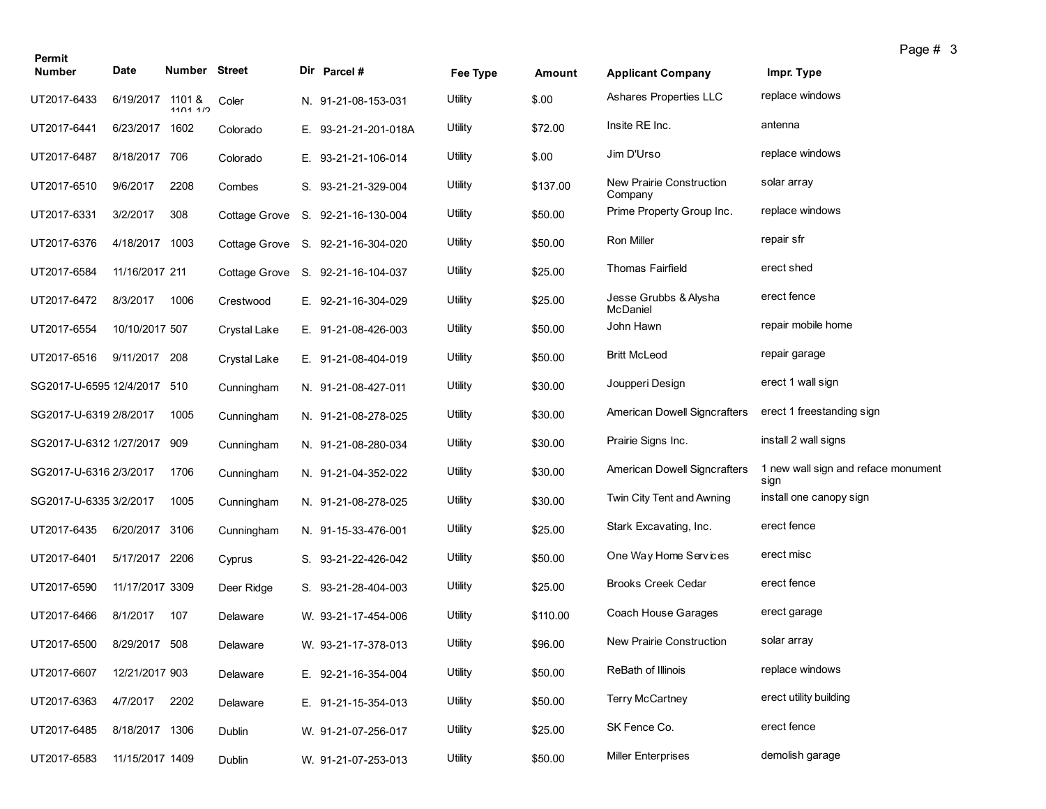| Permit                      |                  |               |               |                                   |          |          |                                          |                                             | Page # 3 |  |
|-----------------------------|------------------|---------------|---------------|-----------------------------------|----------|----------|------------------------------------------|---------------------------------------------|----------|--|
| <b>Number</b>               | Date             | Number Street |               | Dir Parcel #                      | Fee Type | Amount   | <b>Applicant Company</b>                 | Impr. Type                                  |          |  |
| UT2017-6433                 | 6/19/2017 1101 & | 1101112       | Coler         | N. 91-21-08-153-031               | Utility  | \$.00    | Ashares Properties LLC                   | replace windows                             |          |  |
| UT2017-6441                 | 6/23/2017 1602   |               | Colorado      | E. 93-21-21-201-018A              | Utility  | \$72.00  | Insite RE Inc.                           | antenna                                     |          |  |
| UT2017-6487                 | 8/18/2017        | 706           | Colorado      | E. 93-21-21-106-014               | Utility  | \$.00    | Jim D'Urso                               | replace windows                             |          |  |
| UT2017-6510                 | 9/6/2017         | 2208          | Combes        | S. 93-21-21-329-004               | Utility  | \$137.00 | New Prairie Construction<br>Company      | solar array                                 |          |  |
| UT2017-6331                 | 3/2/2017         | 308           | Cottage Grove | S. 92-21-16-130-004               | Utility  | \$50.00  | Prime Property Group Inc.                | replace windows                             |          |  |
| UT2017-6376                 | 4/18/2017 1003   |               |               | Cottage Grove S. 92-21-16-304-020 | Utility  | \$50.00  | Ron Miller                               | repair sfr                                  |          |  |
| UT2017-6584                 | 11/16/2017 211   |               |               | Cottage Grove S. 92-21-16-104-037 | Utility  | \$25.00  | <b>Thomas Fairfield</b>                  | erect shed                                  |          |  |
| UT2017-6472                 | 8/3/2017         | 1006          | Crestwood     | E. 92-21-16-304-029               | Utility  | \$25.00  | Jesse Grubbs & Alysha<br><b>McDaniel</b> | erect fence                                 |          |  |
| UT2017-6554                 | 10/10/2017 507   |               | Crystal Lake  | E. 91-21-08-426-003               | Utility  | \$50.00  | John Hawn                                | repair mobile home                          |          |  |
| UT2017-6516                 | 9/11/2017 208    |               | Crystal Lake  | E. 91-21-08-404-019               | Utility  | \$50.00  | <b>Britt McLeod</b>                      | repair garage                               |          |  |
| SG2017-U-6595 12/4/2017     |                  | -510          | Cunningham    | N. 91-21-08-427-011               | Utility  | \$30.00  | Joupperi Design                          | erect 1 wall sign                           |          |  |
| SG2017-U-6319 2/8/2017      |                  | 1005          | Cunningham    | N. 91-21-08-278-025               | Utility  | \$30.00  | American Dowell Signcrafters             | erect 1 freestanding sign                   |          |  |
| SG2017-U-6312 1/27/2017 909 |                  |               | Cunningham    | N. 91-21-08-280-034               | Utility  | \$30.00  | Prairie Signs Inc.                       | install 2 wall signs                        |          |  |
| SG2017-U-6316 2/3/2017      |                  | 1706          | Cunningham    | N. 91-21-04-352-022               | Utility  | \$30.00  | American Dowell Signcrafters             | 1 new wall sign and reface monument<br>sign |          |  |
| SG2017-U-6335 3/2/2017      |                  | 1005          | Cunningham    | N. 91-21-08-278-025               | Utility  | \$30.00  | Twin City Tent and Awning                | install one canopy sign                     |          |  |
| UT2017-6435                 | 6/20/2017 3106   |               | Cunningham    | N. 91-15-33-476-001               | Utility  | \$25.00  | Stark Excavating, Inc.                   | erect fence                                 |          |  |
| UT2017-6401                 | 5/17/2017 2206   |               | Cyprus        | S. 93-21-22-426-042               | Utility  | \$50.00  | One Way Home Services                    | erect misc                                  |          |  |
| UT2017-6590                 | 11/17/2017 3309  |               | Deer Ridge    | S. 93-21-28-404-003               | Utility  | \$25.00  | <b>Brooks Creek Cedar</b>                | erect fence                                 |          |  |
| UT2017-6466                 | 8/1/2017         | 107           | Delaware      | W. 93-21-17-454-006               | Utility  | \$110.00 | Coach House Garages                      | erect garage                                |          |  |
| UT2017-6500                 | 8/29/2017 508    |               | Delaware      | W. 93-21-17-378-013               | Utility  | \$96.00  | New Prairie Construction                 | solar array                                 |          |  |
| UT2017-6607                 | 12/21/2017 903   |               | Delaware      | E. 92-21-16-354-004               | Utility  | \$50.00  | ReBath of Illinois                       | replace windows                             |          |  |
| UT2017-6363                 | 4/7/2017         | 2202          | Delaware      | E. 91-21-15-354-013               | Utility  | \$50.00  | <b>Terry McCartney</b>                   | erect utility building                      |          |  |
| UT2017-6485                 | 8/18/2017 1306   |               | Dublin        | W. 91-21-07-256-017               | Utility  | \$25.00  | SK Fence Co.                             | erect fence                                 |          |  |
| UT2017-6583                 | 11/15/2017 1409  |               | Dublin        | W. 91-21-07-253-013               | Utility  | \$50.00  | <b>Miller Enterprises</b>                | demolish garage                             |          |  |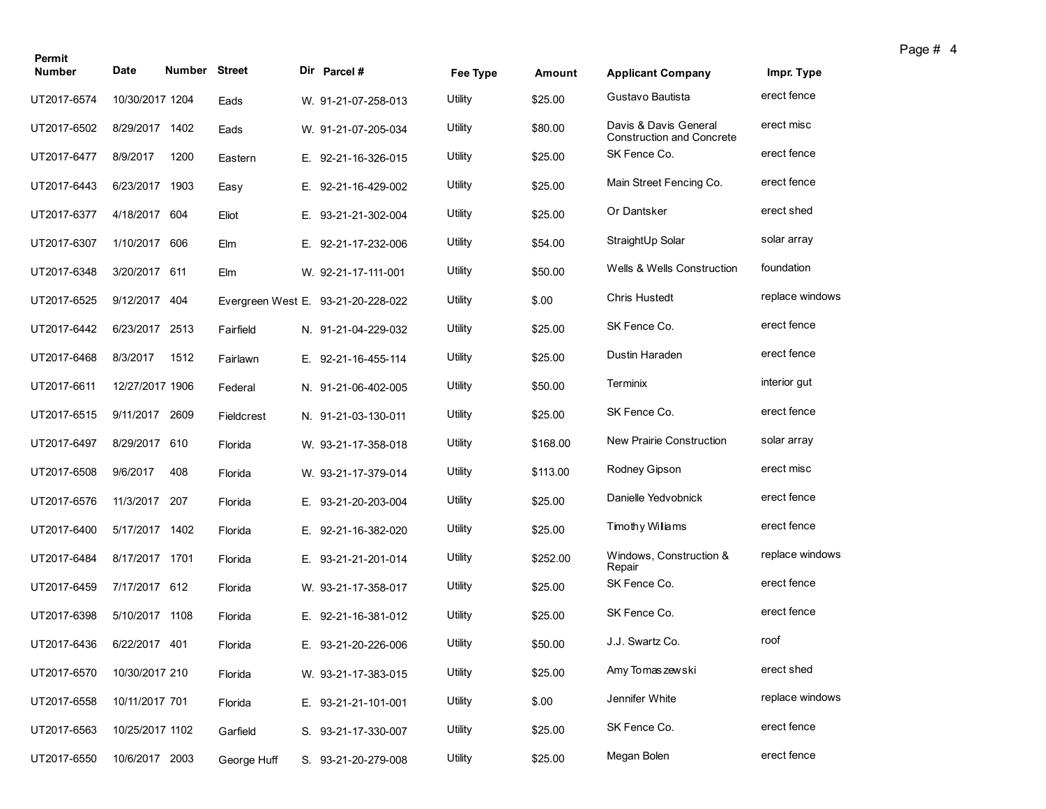| Permit<br><b>Number</b> | Date            | <b>Number Street</b> |             | Dir Parcel #                       |          |          |                                                           |                 |
|-------------------------|-----------------|----------------------|-------------|------------------------------------|----------|----------|-----------------------------------------------------------|-----------------|
|                         |                 |                      |             |                                    | Fee Type | Amount   | <b>Applicant Company</b>                                  | Impr. Type      |
| UT2017-6574             | 10/30/2017 1204 |                      | Eads        | W. 91-21-07-258-013                | Utility  | \$25.00  | Gustavo Bautista                                          | erect fence     |
| UT2017-6502             | 8/29/2017 1402  |                      | Eads        | W. 91-21-07-205-034                | Utility  | \$80.00  | Davis & Davis General<br><b>Construction and Concrete</b> | erect misc      |
| UT2017-6477             | 8/9/2017        | 1200                 | Eastern     | E. 92-21-16-326-015                | Utility  | \$25.00  | SK Fence Co.                                              | erect fence     |
| UT2017-6443             | 6/23/2017       | 1903                 | Easy        | E. 92-21-16-429-002                | Utility  | \$25.00  | Main Street Fencing Co.                                   | erect fence     |
| UT2017-6377             | 4/18/2017 604   |                      | Eliot       | E. 93-21-21-302-004                | Utility  | \$25.00  | Or Dantsker                                               | erect shed      |
| UT2017-6307             | 1/10/2017       | 606                  | Elm         | E. 92-21-17-232-006                | Utility  | \$54.00  | StraightUp Solar                                          | solar array     |
| UT2017-6348             | 3/20/2017 611   |                      | Elm         | W. 92-21-17-111-001                | Utility  | \$50.00  | <b>Wells &amp; Wells Construction</b>                     | foundation      |
| UT2017-6525             | 9/12/2017 404   |                      |             | Evergreen West E. 93-21-20-228-022 | Utility  | \$.00    | <b>Chris Hustedt</b>                                      | replace windows |
| UT2017-6442             | 6/23/2017 2513  |                      | Fairfield   | N. 91-21-04-229-032                | Utility  | \$25.00  | SK Fence Co.                                              | erect fence     |
| UT2017-6468             | 8/3/2017        | 1512                 | Fairlawn    | E. 92-21-16-455-114                | Utility  | \$25.00  | Dustin Haraden                                            | erect fence     |
| UT2017-6611             | 12/27/2017 1906 |                      | Federal     | N. 91-21-06-402-005                | Utility  | \$50.00  | Terminix                                                  | interior gut    |
| UT2017-6515             | 9/11/2017       | 2609                 | Fieldcrest  | N. 91-21-03-130-011                | Utility  | \$25.00  | SK Fence Co.                                              | erect fence     |
| UT2017-6497             | 8/29/2017 610   |                      | Florida     | W. 93-21-17-358-018                | Utility  | \$168.00 | New Prairie Construction                                  | solar array     |
| UT2017-6508             | 9/6/2017        | 408                  | Florida     | W. 93-21-17-379-014                | Utility  | \$113.00 | Rodney Gipson                                             | erect misc      |
| UT2017-6576             | 11/3/2017 207   |                      | Florida     | E. 93-21-20-203-004                | Utility  | \$25.00  | Danielle Yedvobnick                                       | erect fence     |
| UT2017-6400             | 5/17/2017 1402  |                      | Florida     | E. 92-21-16-382-020                | Utility  | \$25.00  | Tmothy Willams                                            | erect fence     |
| UT2017-6484             | 8/17/2017 1701  |                      | Florida     | E. 93-21-21-201-014                | Utility  | \$252.00 | Windows, Construction &<br>Repair                         | replace windows |
| UT2017-6459             | 7/17/2017 612   |                      | Florida     | W. 93-21-17-358-017                | Utility  | \$25.00  | SK Fence Co.                                              | erect fence     |
| UT2017-6398             | 5/10/2017 1108  |                      | Florida     | E. 92-21-16-381-012                | Utility  | \$25.00  | SK Fence Co.                                              | erect fence     |
| UT2017-6436             | 6/22/2017 401   |                      | Florida     | E. 93-21-20-226-006                | Utility  | \$50.00  | J.J. Swartz Co.                                           | roof            |
| UT2017-6570             | 10/30/2017 210  |                      | Florida     | W. 93-21-17-383-015                | Utility  | \$25.00  | Amy Tomas zewski                                          | erect shed      |
| UT2017-6558             | 10/11/2017 701  |                      | Florida     | E. 93-21-21-101-001                | Utility  | \$.00    | Jennifer White                                            | replace windows |
| UT2017-6563             | 10/25/2017 1102 |                      | Garfield    | S. 93-21-17-330-007                | Utility  | \$25.00  | SK Fence Co.                                              | erect fence     |
| UT2017-6550             | 10/6/2017 2003  |                      | George Huff | S. 93-21-20-279-008                | Utility  | \$25.00  | Megan Bolen                                               | erect fence     |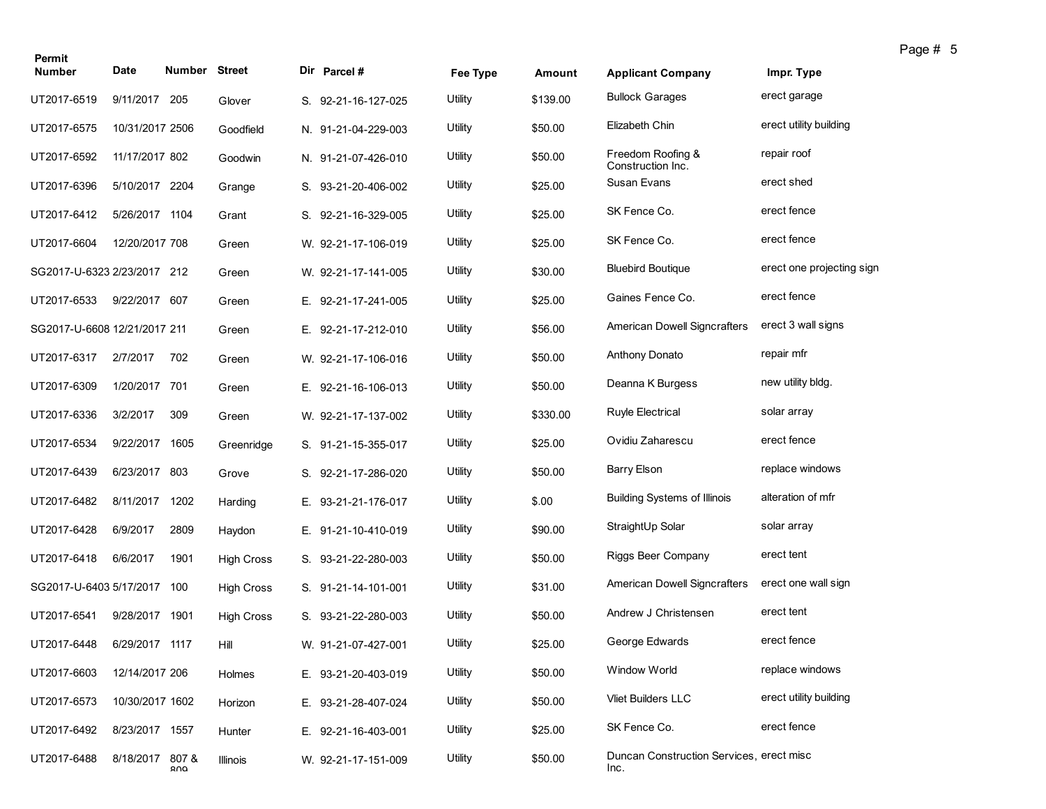| Permit<br><b>Number</b>      | Date            | <b>Number Street</b> |                   | Dir Parcel#         | Fee Type | Amount   | <b>Applicant Company</b>                         | Impr. Type                |
|------------------------------|-----------------|----------------------|-------------------|---------------------|----------|----------|--------------------------------------------------|---------------------------|
| UT2017-6519                  | 9/11/2017       | 205                  | Glover            | S. 92-21-16-127-025 | Utility  | \$139.00 | <b>Bullock Garages</b>                           | erect garage              |
| UT2017-6575                  | 10/31/2017 2506 |                      | Goodfield         | N. 91-21-04-229-003 | Utility  | \$50.00  | Elizabeth Chin                                   | erect utility building    |
| UT2017-6592                  | 11/17/2017 802  |                      | Goodwin           | N. 91-21-07-426-010 | Utility  | \$50.00  | Freedom Roofing &<br>Construction Inc.           | repair roof               |
| UT2017-6396                  | 5/10/2017 2204  |                      | Grange            | S. 93-21-20-406-002 | Utility  | \$25.00  | Susan Evans                                      | erect shed                |
| UT2017-6412                  | 5/26/2017 1104  |                      | Grant             | S. 92-21-16-329-005 | Utility  | \$25.00  | SK Fence Co.                                     | erect fence               |
| UT2017-6604                  | 12/20/2017 708  |                      | Green             | W. 92-21-17-106-019 | Utility  | \$25.00  | SK Fence Co.                                     | erect fence               |
| SG2017-U-6323 2/23/2017 212  |                 |                      | Green             | W. 92-21-17-141-005 | Utility  | \$30.00  | <b>Bluebird Boutique</b>                         | erect one projecting sign |
| UT2017-6533                  | 9/22/2017 607   |                      | Green             | E. 92-21-17-241-005 | Utility  | \$25.00  | Gaines Fence Co.                                 | erect fence               |
| SG2017-U-6608 12/21/2017 211 |                 |                      | Green             | E. 92-21-17-212-010 | Utility  | \$56.00  | American Dowell Signcrafters                     | erect 3 wall signs        |
| UT2017-6317                  | 2/7/2017        | 702                  | Green             | W. 92-21-17-106-016 | Utility  | \$50.00  | <b>Anthony Donato</b>                            | repair mfr                |
| UT2017-6309                  | 1/20/2017 701   |                      | Green             | E. 92-21-16-106-013 | Utility  | \$50.00  | Deanna K Burgess                                 | new utility bldg.         |
| UT2017-6336                  | 3/2/2017        | 309                  | Green             | W. 92-21-17-137-002 | Utility  | \$330.00 | Ruyle Electrical                                 | solar array               |
| UT2017-6534                  | 9/22/2017 1605  |                      | Greenridge        | S. 91-21-15-355-017 | Utility  | \$25.00  | Ovidiu Zaharescu                                 | erect fence               |
| UT2017-6439                  | 6/23/2017 803   |                      | Grove             | S. 92-21-17-286-020 | Utility  | \$50.00  | <b>Barry Elson</b>                               | replace windows           |
| UT2017-6482                  | 8/11/2017       | 1202                 | Harding           | E. 93-21-21-176-017 | Utility  | \$.00    | <b>Building Systems of Illinois</b>              | alteration of mfr         |
| UT2017-6428                  | 6/9/2017        | 2809                 | Haydon            | E. 91-21-10-410-019 | Utility  | \$90.00  | StraightUp Solar                                 | solar array               |
| UT2017-6418                  | 6/6/2017        | 1901                 | <b>High Cross</b> | S. 93-21-22-280-003 | Utility  | \$50.00  | Riggs Beer Company                               | erect tent                |
| SG2017-U-6403 5/17/2017 100  |                 |                      | <b>High Cross</b> | S. 91-21-14-101-001 | Utility  | \$31.00  | <b>American Dowell Signcrafters</b>              | erect one wall sign       |
| UT2017-6541                  | 9/28/2017 1901  |                      | <b>High Cross</b> | S. 93-21-22-280-003 | Utility  | \$50.00  | Andrew J Christensen                             | erect tent                |
| UT2017-6448                  | 6/29/2017 1117  |                      | Hill              | W. 91-21-07-427-001 | Utility  | \$25.00  | George Edwards                                   | erect fence               |
| UT2017-6603                  | 12/14/2017 206  |                      | Holmes            | E. 93-21-20-403-019 | Utility  | \$50.00  | Window World                                     | replace windows           |
| UT2017-6573                  | 10/30/2017 1602 |                      | Horizon           | E. 93-21-28-407-024 | Utility  | \$50.00  | Vliet Builders LLC                               | erect utility building    |
| UT2017-6492                  | 8/23/2017 1557  |                      | Hunter            | E. 92-21-16-403-001 | Utility  | \$25.00  | SK Fence Co.                                     | erect fence               |
| UT2017-6488                  | 8/18/2017 807 & | ח∩ם                  | Illinois          | W. 92-21-17-151-009 | Utility  | \$50.00  | Duncan Construction Services, erect misc<br>Inc. |                           |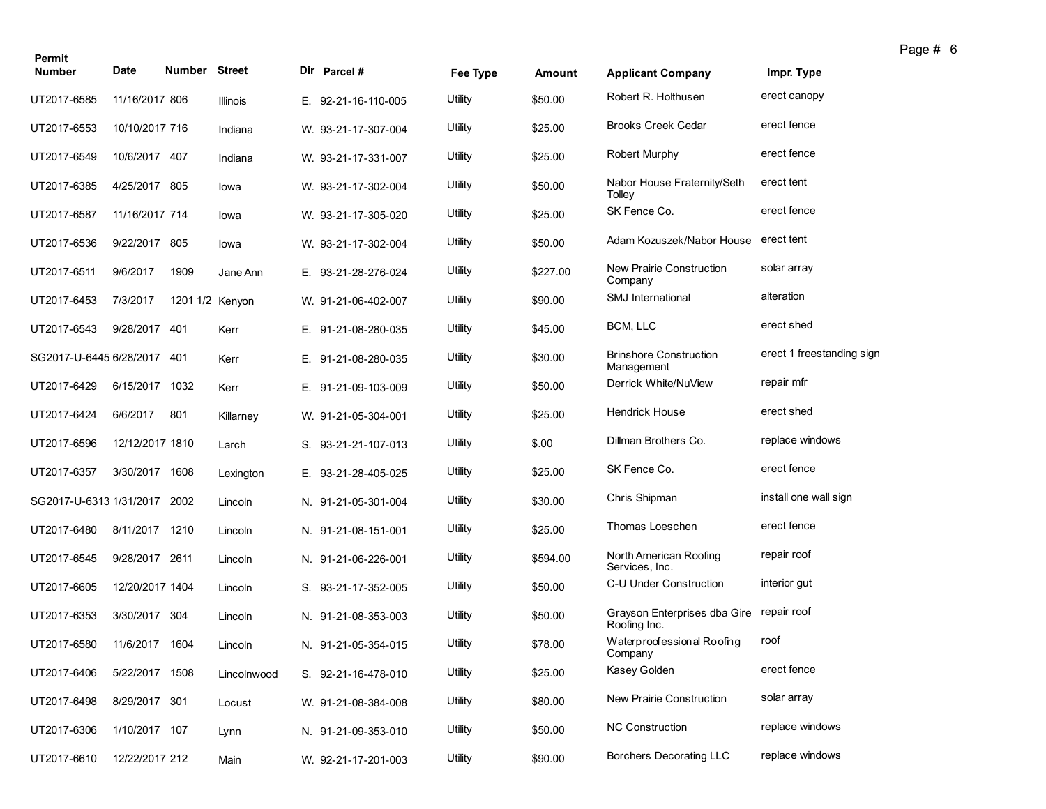| Permit                  |                 |                 |             |                     |          |          |                                                          |                           | Page # 6 |  |
|-------------------------|-----------------|-----------------|-------------|---------------------|----------|----------|----------------------------------------------------------|---------------------------|----------|--|
| <b>Number</b>           | Date            | Number Street   |             | Dir Parcel #        | Fee Type | Amount   | <b>Applicant Company</b>                                 | Impr. Type                |          |  |
| UT2017-6585             | 11/16/2017 806  |                 | Illinois    | E. 92-21-16-110-005 | Utility  | \$50.00  | Robert R. Holthusen                                      | erect canopy              |          |  |
| UT2017-6553             | 10/10/2017 716  |                 | Indiana     | W. 93-21-17-307-004 | Utility  | \$25.00  | <b>Brooks Creek Cedar</b>                                | erect fence               |          |  |
| UT2017-6549             | 10/6/2017 407   |                 | Indiana     | W. 93-21-17-331-007 | Utility  | \$25.00  | <b>Robert Murphy</b>                                     | erect fence               |          |  |
| UT2017-6385             | 4/25/2017 805   |                 | lowa        | W. 93-21-17-302-004 | Utility  | \$50.00  | Nabor House Fraternity/Seth<br>Tolley                    | erect tent                |          |  |
| UT2017-6587             | 11/16/2017 714  |                 | lowa        | W. 93-21-17-305-020 | Utility  | \$25.00  | SK Fence Co.                                             | erect fence               |          |  |
| UT2017-6536             | 9/22/2017 805   |                 | lowa        | W. 93-21-17-302-004 | Utility  | \$50.00  | Adam Kozuszek/Nabor House                                | erect tent                |          |  |
| UT2017-6511             | 9/6/2017        | 1909            | Jane Ann    | E. 93-21-28-276-024 | Utility  | \$227.00 | New Prairie Construction<br>Company                      | solar array               |          |  |
| UT2017-6453             | 7/3/2017        | 1201 1/2 Kenyon |             | W. 91-21-06-402-007 | Utility  | \$90.00  | <b>SMJ</b> International                                 | alteration                |          |  |
| UT2017-6543             | 9/28/2017 401   |                 | Kerr        | E. 91-21-08-280-035 | Utility  | \$45.00  | BCM, LLC                                                 | erect shed                |          |  |
| SG2017-U-6445 6/28/2017 |                 | 401             | Kerr        | E. 91-21-08-280-035 | Utility  | \$30.00  | <b>Brinshore Construction</b><br>Management              | erect 1 freestanding sign |          |  |
| UT2017-6429             | 6/15/2017       | 1032            | Kerr        | E. 91-21-09-103-009 | Utility  | \$50.00  | Derrick White/NuView                                     | repair mfr                |          |  |
| UT2017-6424             | 6/6/2017        | 801             | Killarney   | W. 91-21-05-304-001 | Utility  | \$25.00  | <b>Hendrick House</b>                                    | erect shed                |          |  |
| UT2017-6596             | 12/12/2017 1810 |                 | Larch       | S. 93-21-21-107-013 | Utility  | \$.00    | Dillman Brothers Co.                                     | replace windows           |          |  |
| UT2017-6357             | 3/30/2017 1608  |                 | Lexington   | E. 93-21-28-405-025 | Utility  | \$25.00  | SK Fence Co.                                             | erect fence               |          |  |
| SG2017-U-6313 1/31/2017 |                 | 2002            | Lincoln     | N. 91-21-05-301-004 | Utility  | \$30.00  | Chris Shipman                                            | install one wall sign     |          |  |
| UT2017-6480             | 8/11/2017       | 1210            | Lincoln     | N. 91-21-08-151-001 | Utility  | \$25.00  | Thomas Loeschen                                          | erect fence               |          |  |
| UT2017-6545             | 9/28/2017 2611  |                 | Lincoln     | N. 91-21-06-226-001 | Utility  | \$594.00 | North American Roofing<br>Services, Inc.                 | repair roof               |          |  |
| UT2017-6605             | 12/20/2017 1404 |                 | Lincoln     | S. 93-21-17-352-005 | Utility  | \$50.00  | C-U Under Construction                                   | interior gut              |          |  |
| UT2017-6353             | 3/30/2017 304   |                 | Lincoln     | N. 91-21-08-353-003 | Utility  | \$50.00  | Grayson Enterprises dba Gire repair roof<br>Roofing Inc. |                           |          |  |
| UT2017-6580             | 11/6/2017 1604  |                 | Lincoln     | N. 91-21-05-354-015 | Utility  | \$78.00  | Waterproofessional Roofing<br>Company                    | roof                      |          |  |
| UT2017-6406             | 5/22/2017 1508  |                 | Lincolnwood | S. 92-21-16-478-010 | Utility  | \$25.00  | Kasey Golden                                             | erect fence               |          |  |
| UT2017-6498             | 8/29/2017 301   |                 | Locust      | W. 91-21-08-384-008 | Utility  | \$80.00  | New Prairie Construction                                 | solar array               |          |  |
| UT2017-6306             | 1/10/2017 107   |                 | Lynn        | N. 91-21-09-353-010 | Utility  | \$50.00  | <b>NC Construction</b>                                   | replace windows           |          |  |
| UT2017-6610             | 12/22/2017 212  |                 | Main        | W. 92-21-17-201-003 | Utility  | \$90.00  | Borchers Decorating LLC                                  | replace windows           |          |  |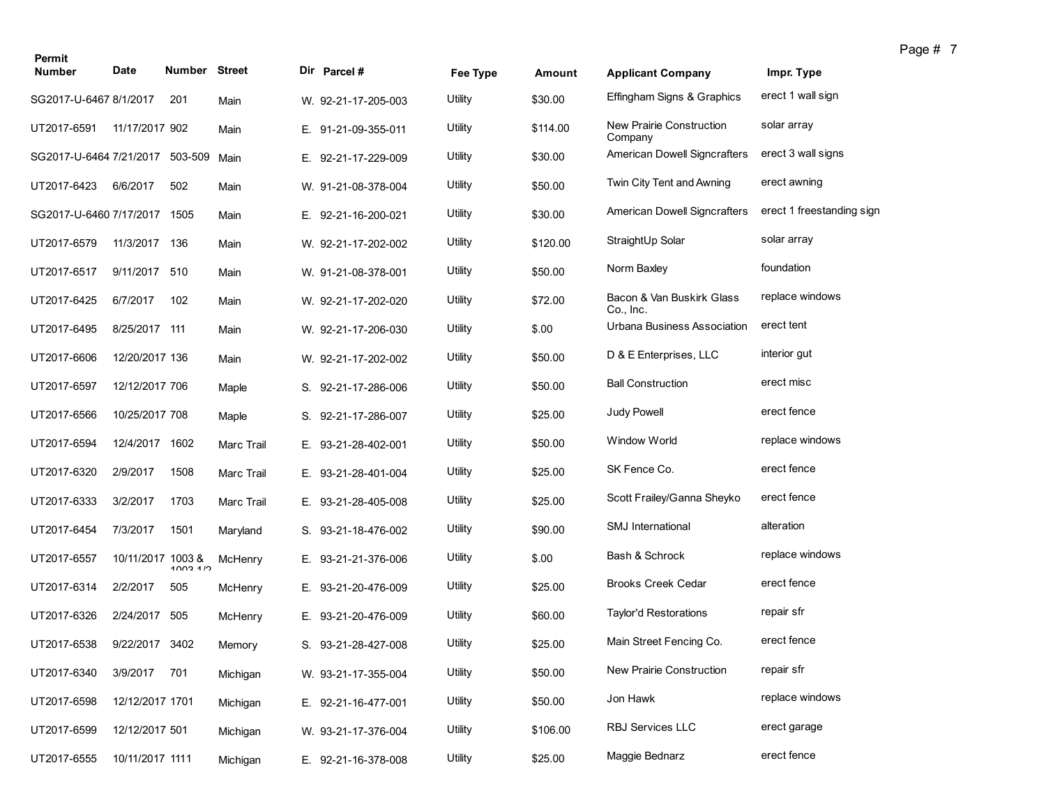| Permit                          |                   | <b>Number Street</b> |                   |                     |          |          |                                        |                           |
|---------------------------------|-------------------|----------------------|-------------------|---------------------|----------|----------|----------------------------------------|---------------------------|
| <b>Number</b>                   | Date              |                      |                   | Dir Parcel#         | Fee Type | Amount   | <b>Applicant Company</b>               | Impr. Type                |
| SG2017-U-6467 8/1/2017          |                   | 201                  | Main              | W. 92-21-17-205-003 | Utility  | \$30.00  | Effingham Signs & Graphics             | erect 1 wall sign         |
| UT2017-6591                     | 11/17/2017 902    |                      | Main              | E. 91-21-09-355-011 | Utility  | \$114.00 | New Prairie Construction<br>Company    | solar array               |
| SG2017-U-6464 7/21/2017 503-509 |                   |                      | Main              | E. 92-21-17-229-009 | Utility  | \$30.00  | <b>American Dowell Signcrafters</b>    | erect 3 wall signs        |
| UT2017-6423                     | 6/6/2017          | 502                  | Main              | W. 91-21-08-378-004 | Utility  | \$50.00  | Twin City Tent and Awning              | erect awning              |
| SG2017-U-6460 7/17/2017         |                   | 1505                 | Main              | E. 92-21-16-200-021 | Utility  | \$30.00  | <b>American Dowell Signcrafters</b>    | erect 1 freestanding sign |
| UT2017-6579                     | 11/3/2017         | 136                  | Main              | W. 92-21-17-202-002 | Utility  | \$120.00 | StraightUp Solar                       | solar array               |
| UT2017-6517                     | 9/11/2017 510     |                      | Main              | W. 91-21-08-378-001 | Utility  | \$50.00  | Norm Baxley                            | foundation                |
| UT2017-6425                     | 6/7/2017          | 102                  | Main              | W. 92-21-17-202-020 | Utility  | \$72.00  | Bacon & Van Buskirk Glass<br>Co., Inc. | replace windows           |
| UT2017-6495                     | 8/25/2017 111     |                      | Main              | W. 92-21-17-206-030 | Utility  | \$.00    | Urbana Business Association            | erect tent                |
| UT2017-6606                     | 12/20/2017 136    |                      | Main              | W. 92-21-17-202-002 | Utility  | \$50.00  | D & E Enterprises, LLC                 | interior gut              |
| UT2017-6597                     | 12/12/2017 706    |                      | Maple             | S. 92-21-17-286-006 | Utility  | \$50.00  | <b>Ball Construction</b>               | erect misc                |
| UT2017-6566                     | 10/25/2017 708    |                      | Maple             | S. 92-21-17-286-007 | Utility  | \$25.00  | Judy Powell                            | erect fence               |
| UT2017-6594                     | 12/4/2017 1602    |                      | <b>Marc Trail</b> | E. 93-21-28-402-001 | Utility  | \$50.00  | <b>Window World</b>                    | replace windows           |
| UT2017-6320                     | 2/9/2017          | 1508                 | Marc Trail        | E. 93-21-28-401-004 | Utility  | \$25.00  | SK Fence Co.                           | erect fence               |
| UT2017-6333                     | 3/2/2017          | 1703                 | <b>Marc Trail</b> | E. 93-21-28-405-008 | Utility  | \$25.00  | Scott Frailey/Ganna Sheyko             | erect fence               |
| UT2017-6454                     | 7/3/2017          | 1501                 | Maryland          | S. 93-21-18-476-002 | Utility  | \$90.00  | <b>SMJ</b> International               | alteration                |
| UT2017-6557                     | 10/11/2017 1003 & | 1003.17              | McHenry           | E. 93-21-21-376-006 | Utility  | \$.00    | Bash & Schrock                         | replace windows           |
| UT2017-6314                     | 2/2/2017          | 505                  | McHenry           | E. 93-21-20-476-009 | Utility  | \$25.00  | <b>Brooks Creek Cedar</b>              | erect fence               |
| UT2017-6326                     | 2/24/2017         | 505                  | McHenry           | E. 93-21-20-476-009 | Utility  | \$60.00  | <b>Taylor'd Restorations</b>           | repair sfr                |
| UT2017-6538                     | 9/22/2017 3402    |                      | Memory            | S. 93-21-28-427-008 | Utility  | \$25.00  | Main Street Fencing Co.                | erect fence               |
| UT2017-6340                     | 3/9/2017 701      |                      | Michigan          | W. 93-21-17-355-004 | Utility  | \$50.00  | New Prairie Construction               | repair sfr                |
| UT2017-6598                     | 12/12/2017 1701   |                      | Michigan          | E. 92-21-16-477-001 | Utility  | \$50.00  | Jon Hawk                               | replace windows           |
| UT2017-6599                     | 12/12/2017 501    |                      | Michigan          | W. 93-21-17-376-004 | Utility  | \$106.00 | RBJ Services LLC                       | erect garage              |
| UT2017-6555                     | 10/11/2017 1111   |                      | Michigan          | E. 92-21-16-378-008 | Utility  | \$25.00  | Maggie Bednarz                         | erect fence               |

Page # 7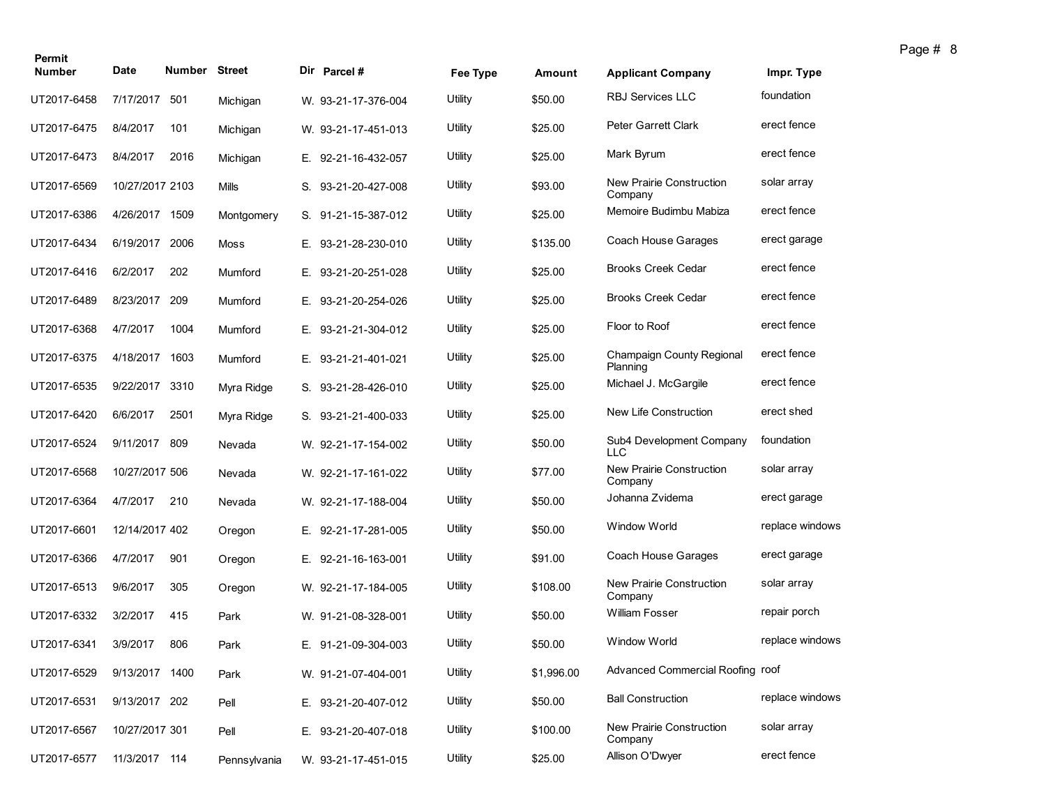| Permit<br><b>Number</b> | Date            | Number Street |              |    | Dir Parcel#         | Fee Type | Amount     | <b>Applicant Company</b>               | Impr. Type      |
|-------------------------|-----------------|---------------|--------------|----|---------------------|----------|------------|----------------------------------------|-----------------|
| UT2017-6458             | 7/17/2017       | 501           |              |    |                     | Utility  | \$50.00    | <b>RBJ Services LLC</b>                | foundation      |
|                         |                 |               | Michigan     |    | W. 93-21-17-376-004 |          |            |                                        |                 |
| UT2017-6475             | 8/4/2017        | 101           | Michigan     |    | W. 93-21-17-451-013 | Utility  | \$25.00    | <b>Peter Garrett Clark</b>             | erect fence     |
| UT2017-6473             | 8/4/2017        | 2016          | Michigan     |    | E. 92-21-16-432-057 | Utility  | \$25.00    | Mark Byrum                             | erect fence     |
| UT2017-6569             | 10/27/2017 2103 |               | Mills        |    | S. 93-21-20-427-008 | Utility  | \$93.00    | New Prairie Construction<br>Company    | solar array     |
| UT2017-6386             | 4/26/2017       | 1509          | Montgomery   |    | S. 91-21-15-387-012 | Utility  | \$25.00    | Memoire Budimbu Mabiza                 | erect fence     |
| UT2017-6434             | 6/19/2017       | 2006          | Moss         |    | E. 93-21-28-230-010 | Utility  | \$135.00   | Coach House Garages                    | erect garage    |
| UT2017-6416             | 6/2/2017        | 202           | Mumford      | Е. | 93-21-20-251-028    | Utility  | \$25.00    | <b>Brooks Creek Cedar</b>              | erect fence     |
| UT2017-6489             | 8/23/2017 209   |               | Mumford      |    | E. 93-21-20-254-026 | Utility  | \$25.00    | <b>Brooks Creek Cedar</b>              | erect fence     |
| UT2017-6368             | 4/7/2017        | 1004          | Mumford      |    | E. 93-21-21-304-012 | Utility  | \$25.00    | Floor to Roof                          | erect fence     |
| UT2017-6375             | 4/18/2017       | 1603          | Mumford      | Е. | 93-21-21-401-021    | Utility  | \$25.00    | Champaign County Regional<br>Planning  | erect fence     |
| UT2017-6535             | 9/22/2017       | 3310          | Myra Ridge   |    | S. 93-21-28-426-010 | Utility  | \$25.00    | Michael J. McGargile                   | erect fence     |
| UT2017-6420             | 6/6/2017        | 2501          | Myra Ridge   |    | S. 93-21-21-400-033 | Utility  | \$25.00    | New Life Construction                  | erect shed      |
| UT2017-6524             | 9/11/2017 809   |               | Nevada       |    | W. 92-21-17-154-002 | Utility  | \$50.00    | Sub4 Development Company<br><b>LLC</b> | foundation      |
| UT2017-6568             | 10/27/2017 506  |               | Nevada       |    | W. 92-21-17-161-022 | Utility  | \$77.00    | New Prairie Construction<br>Company    | solar array     |
| UT2017-6364             | 4/7/2017        | 210           | Nevada       |    | W. 92-21-17-188-004 | Utility  | \$50.00    | Johanna Zvidema                        | erect garage    |
| UT2017-6601             | 12/14/2017 402  |               | Oregon       |    | E. 92-21-17-281-005 | Utility  | \$50.00    | Window World                           | replace windows |
| UT2017-6366             | 4/7/2017        | 901           | Oregon       |    | E. 92-21-16-163-001 | Utility  | \$91.00    | Coach House Garages                    | erect garage    |
| UT2017-6513             | 9/6/2017        | 305           | Oregon       |    | W. 92-21-17-184-005 | Utility  | \$108.00   | New Prairie Construction<br>Company    | solar array     |
| UT2017-6332             | 3/2/2017        | 415           | Park         |    | W. 91-21-08-328-001 | Utility  | \$50.00    | <b>William Fosser</b>                  | repair porch    |
| UT2017-6341             | 3/9/2017        | 806           | Park         |    | E. 91-21-09-304-003 | Utility  | \$50.00    | Window World                           | replace windows |
| UT2017-6529             | 9/13/2017 1400  |               | Park         |    | W. 91-21-07-404-001 | Utility  | \$1,996.00 | Advanced Commercial Roofing roof       |                 |
| UT2017-6531             | 9/13/2017 202   |               | Pell         |    | E. 93-21-20-407-012 | Utility  | \$50.00    | <b>Ball Construction</b>               | replace windows |
| UT2017-6567             | 10/27/2017 301  |               | Pell         |    | E. 93-21-20-407-018 | Utility  | \$100.00   | New Prairie Construction<br>Company    | solar array     |
| UT2017-6577             | 11/3/2017 114   |               | Pennsylvania |    | W. 93-21-17-451-015 | Utility  | \$25.00    | Allison O'Dwyer                        | erect fence     |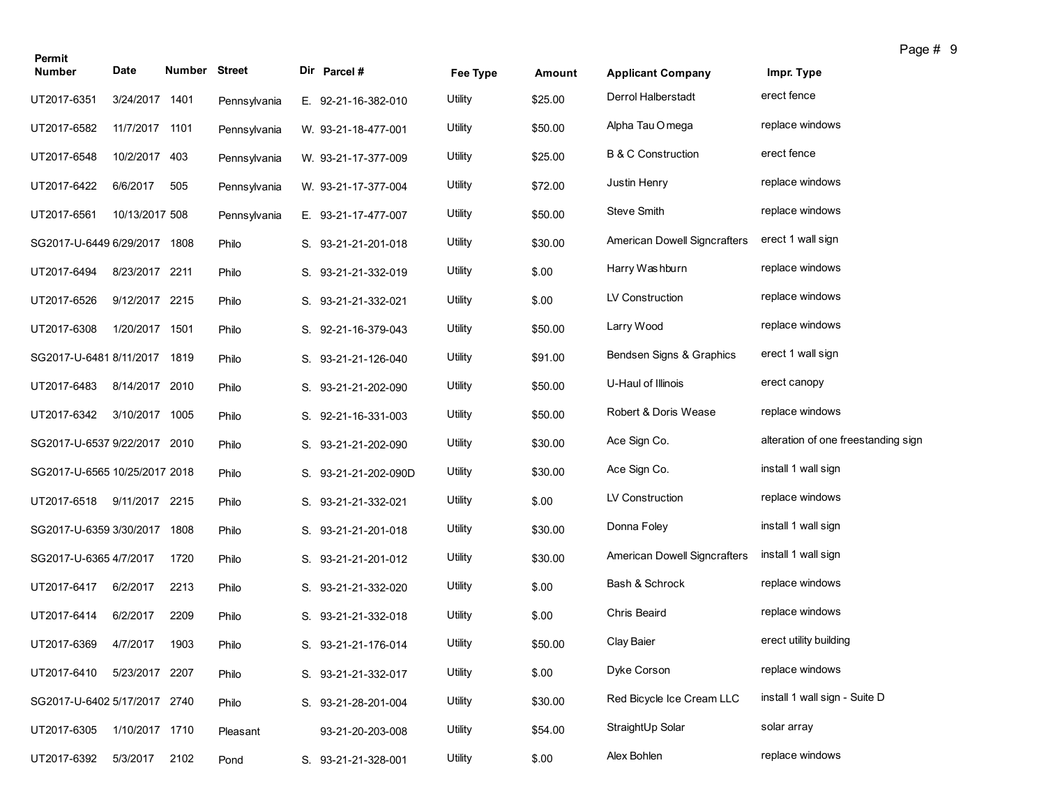| Permit                        |                |               |              |                      |          |         |                               |                                     | Page # 9 |
|-------------------------------|----------------|---------------|--------------|----------------------|----------|---------|-------------------------------|-------------------------------------|----------|
| <b>Number</b>                 | Date           | Number Street |              | Dir Parcel #         | Fee Type | Amount  | <b>Applicant Company</b>      | Impr. Type                          |          |
| UT2017-6351                   | 3/24/2017 1401 |               | Pennsylvania | E. 92-21-16-382-010  | Utility  | \$25.00 | Derrol Halberstadt            | erect fence                         |          |
| UT2017-6582                   | 11/7/2017 1101 |               | Pennsylvania | W. 93-21-18-477-001  | Utility  | \$50.00 | Alpha Tau O mega              | replace windows                     |          |
| UT2017-6548                   | 10/2/2017 403  |               | Pennsylvania | W. 93-21-17-377-009  | Utility  | \$25.00 | <b>B &amp; C Construction</b> | erect fence                         |          |
| UT2017-6422                   | 6/6/2017       | 505           | Pennsylvania | W. 93-21-17-377-004  | Utility  | \$72.00 | Justin Henry                  | replace windows                     |          |
| UT2017-6561                   | 10/13/2017 508 |               | Pennsylvania | E. 93-21-17-477-007  | Utility  | \$50.00 | Steve Smith                   | replace windows                     |          |
| SG2017-U-6449 6/29/2017 1808  |                |               | Philo        | S. 93-21-21-201-018  | Utility  | \$30.00 | American Dowell Signcrafters  | erect 1 wall sign                   |          |
| UT2017-6494                   | 8/23/2017 2211 |               | Philo        | S. 93-21-21-332-019  | Utility  | \$.00   | Harry Washburn                | replace windows                     |          |
| UT2017-6526                   | 9/12/2017 2215 |               | Philo        | S. 93-21-21-332-021  | Utility  | \$.00   | LV Construction               | replace windows                     |          |
| UT2017-6308                   | 1/20/2017 1501 |               | Philo        | S. 92-21-16-379-043  | Utility  | \$50.00 | Larry Wood                    | replace windows                     |          |
| SG2017-U-6481 8/11/2017 1819  |                |               | Philo        | S. 93-21-21-126-040  | Utility  | \$91.00 | Bendsen Signs & Graphics      | erect 1 wall sign                   |          |
| UT2017-6483                   | 8/14/2017 2010 |               | Philo        | S. 93-21-21-202-090  | Utility  | \$50.00 | U-Haul of Illinois            | erect canopy                        |          |
| UT2017-6342                   | 3/10/2017 1005 |               | Philo        | S. 92-21-16-331-003  | Utility  | \$50.00 | Robert & Doris Wease          | replace windows                     |          |
| SG2017-U-6537 9/22/2017 2010  |                |               | Philo        | S. 93-21-21-202-090  | Utility  | \$30.00 | Ace Sign Co.                  | alteration of one freestanding sign |          |
| SG2017-U-6565 10/25/2017 2018 |                |               | Philo        | S. 93-21-21-202-090D | Utility  | \$30.00 | Ace Sign Co.                  | install 1 wall sign                 |          |
| UT2017-6518                   | 9/11/2017 2215 |               | Philo        | S. 93-21-21-332-021  | Utility  | \$.00   | LV Construction               | replace windows                     |          |
| SG2017-U-6359 3/30/2017       |                | 1808          | Philo        | S. 93-21-21-201-018  | Utility  | \$30.00 | Donna Foley                   | install 1 wall sign                 |          |
| SG2017-U-6365 4/7/2017        |                | 1720          | Philo        | S. 93-21-21-201-012  | Utility  | \$30.00 | American Dowell Signcrafters  | install 1 wall sign                 |          |
| UT2017-6417                   | 6/2/2017       | 2213          | Philo        | S. 93-21-21-332-020  | Utility  | \$.00   | Bash & Schrock                | replace windows                     |          |
| UT2017-6414                   | 6/2/2017       | 2209          | Philo        | S. 93-21-21-332-018  | Utility  | \$.00   | Chris Beaird                  | replace windows                     |          |
| UT2017-6369                   | 4/7/2017       | 1903          | Philo        | S. 93-21-21-176-014  | Utility  | \$50.00 | Clay Baier                    | erect utility building              |          |
| UT2017-6410                   | 5/23/2017 2207 |               | Philo        | S. 93-21-21-332-017  | Utility  | \$.00   | Dyke Corson                   | replace windows                     |          |
| SG2017-U-6402 5/17/2017 2740  |                |               | Philo        | S. 93-21-28-201-004  | Utility  | \$30.00 | Red Bicycle Ice Cream LLC     | install 1 wall sign - Suite D       |          |
| UT2017-6305                   | 1/10/2017 1710 |               | Pleasant     | 93-21-20-203-008     | Utility  | \$54.00 | StraightUp Solar              | solar array                         |          |
| UT2017-6392                   | 5/3/2017       | 2102          | Pond         | S. 93-21-21-328-001  | Utility  | \$.00   | Alex Bohlen                   | replace windows                     |          |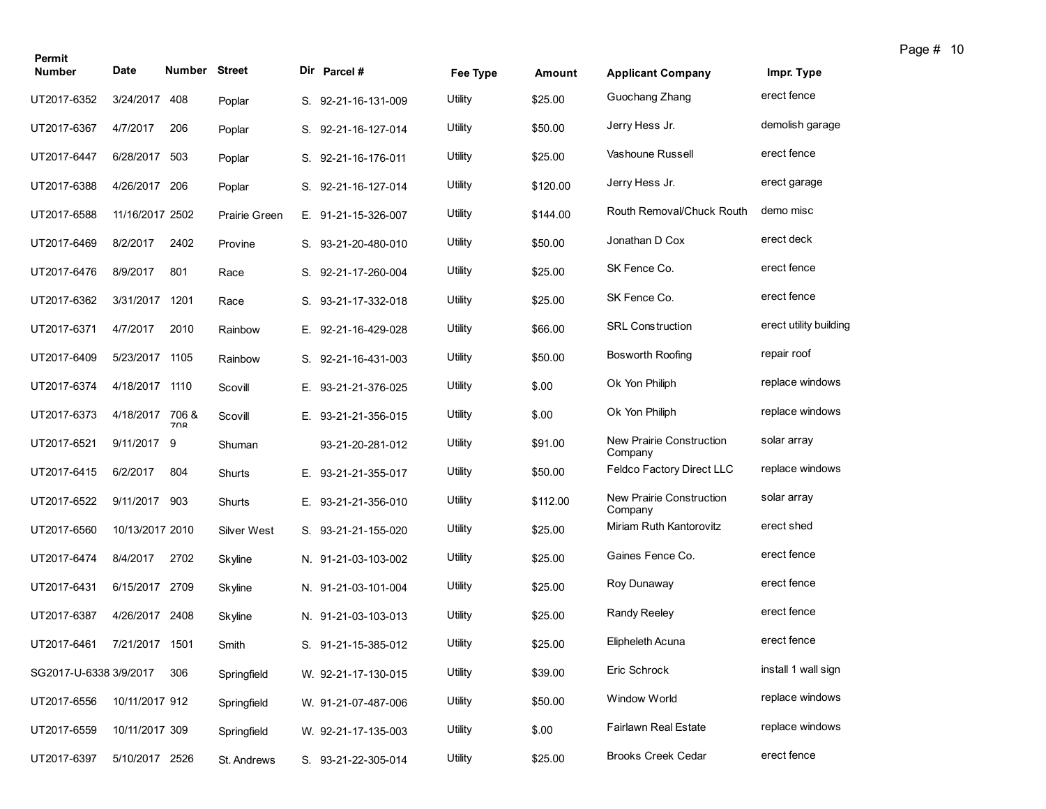| Permit                     |                 |               |                      |    |                     |          |          |                                     |                        |
|----------------------------|-----------------|---------------|----------------------|----|---------------------|----------|----------|-------------------------------------|------------------------|
| <b>Number</b>              | Date            | <b>Number</b> | <b>Street</b>        |    | Dir Parcel #        | Fee Type | Amount   | <b>Applicant Company</b>            | Impr. Type             |
| UT2017-6352                | 3/24/2017       | 408           | Poplar               |    | S. 92-21-16-131-009 | Utility  | \$25.00  | Guochang Zhang                      | erect fence            |
| UT2017-6367                | 4/7/2017        | 206           | Poplar               |    | S. 92-21-16-127-014 | Utility  | \$50.00  | Jerry Hess Jr.                      | demolish garage        |
| UT2017-6447                | 6/28/2017 503   |               | Poplar               |    | S. 92-21-16-176-011 | Utility  | \$25.00  | Vashoune Russell                    | erect fence            |
| UT2017-6388                | 4/26/2017       | 206           | Poplar               |    | S. 92-21-16-127-014 | Utility  | \$120.00 | Jerry Hess Jr.                      | erect garage           |
| UT2017-6588                | 11/16/2017 2502 |               | <b>Prairie Green</b> |    | E. 91-21-15-326-007 | Utility  | \$144.00 | Routh Removal/Chuck Routh           | demo misc              |
| UT2017-6469                | 8/2/2017        | 2402          | Provine              |    | S. 93-21-20-480-010 | Utility  | \$50.00  | Jonathan D Cox                      | erect deck             |
| UT2017-6476                | 8/9/2017        | 801           | Race                 | S. | 92-21-17-260-004    | Utility  | \$25.00  | SK Fence Co.                        | erect fence            |
| UT2017-6362                | 3/31/2017       | 1201          | Race                 |    | S. 93-21-17-332-018 | Utility  | \$25.00  | SK Fence Co.                        | erect fence            |
| UT2017-6371                | 4/7/2017        | 2010          | Rainbow              |    | E. 92-21-16-429-028 | Utility  | \$66.00  | <b>SRL Construction</b>             | erect utility building |
| UT2017-6409                | 5/23/2017 1105  |               | Rainbow              | S. | 92-21-16-431-003    | Utility  | \$50.00  | <b>Bosworth Roofing</b>             | repair roof            |
| UT2017-6374                | 4/18/2017       | 1110          | Scovill              |    | E. 93-21-21-376-025 | Utility  | \$.00    | Ok Yon Philiph                      | replace windows        |
| UT2017-6373                | 4/18/2017       | 706 &<br>700  | Scovill              | Е. | 93-21-21-356-015    | Utility  | \$.00    | Ok Yon Philiph                      | replace windows        |
| UT2017-6521                | 9/11/2017 9     |               | Shuman               |    | 93-21-20-281-012    | Utility  | \$91.00  | New Prairie Construction<br>Company | solar array            |
| UT2017-6415                | 6/2/2017        | 804           | Shurts               |    | E. 93-21-21-355-017 | Utility  | \$50.00  | <b>Feldco Factory Direct LLC</b>    | replace windows        |
| UT2017-6522                | 9/11/2017       | 903           | Shurts               |    | E. 93-21-21-356-010 | Utility  | \$112.00 | New Prairie Construction<br>Company | solar array            |
| UT2017-6560                | 10/13/2017 2010 |               | Silver West          |    | S. 93-21-21-155-020 | Utility  | \$25.00  | Miriam Ruth Kantorovitz             | erect shed             |
| UT2017-6474                | 8/4/2017        | 2702          | Skyline              |    | N. 91-21-03-103-002 | Utility  | \$25.00  | Gaines Fence Co.                    | erect fence            |
| UT2017-6431                | 6/15/2017 2709  |               | Skyline              |    | N. 91-21-03-101-004 | Utility  | \$25.00  | Roy Dunaway                         | erect fence            |
| UT2017-6387                | 4/26/2017 2408  |               | Skyline              |    | N. 91-21-03-103-013 | Utility  | \$25.00  | <b>Randy Reeley</b>                 | erect fence            |
| UT2017-6461 7/21/2017 1501 |                 |               | Smith                |    | S. 91-21-15-385-012 | Utility  | \$25.00  | Elipheleth Acuna                    | erect fence            |
| SG2017-U-6338 3/9/2017     |                 | 306           | Springfield          |    | W. 92-21-17-130-015 | Utility  | \$39.00  | Eric Schrock                        | install 1 wall sign    |
| UT2017-6556                | 10/11/2017 912  |               | Springfield          |    | W. 91-21-07-487-006 | Utility  | \$50.00  | Window World                        | replace windows        |
| UT2017-6559                | 10/11/2017 309  |               | Springfield          |    | W. 92-21-17-135-003 | Utility  | \$.00    | <b>Fairlawn Real Estate</b>         | replace windows        |
| UT2017-6397                | 5/10/2017 2526  |               | St. Andrews          |    | S. 93-21-22-305-014 | Utility  | \$25.00  | <b>Brooks Creek Cedar</b>           | erect fence            |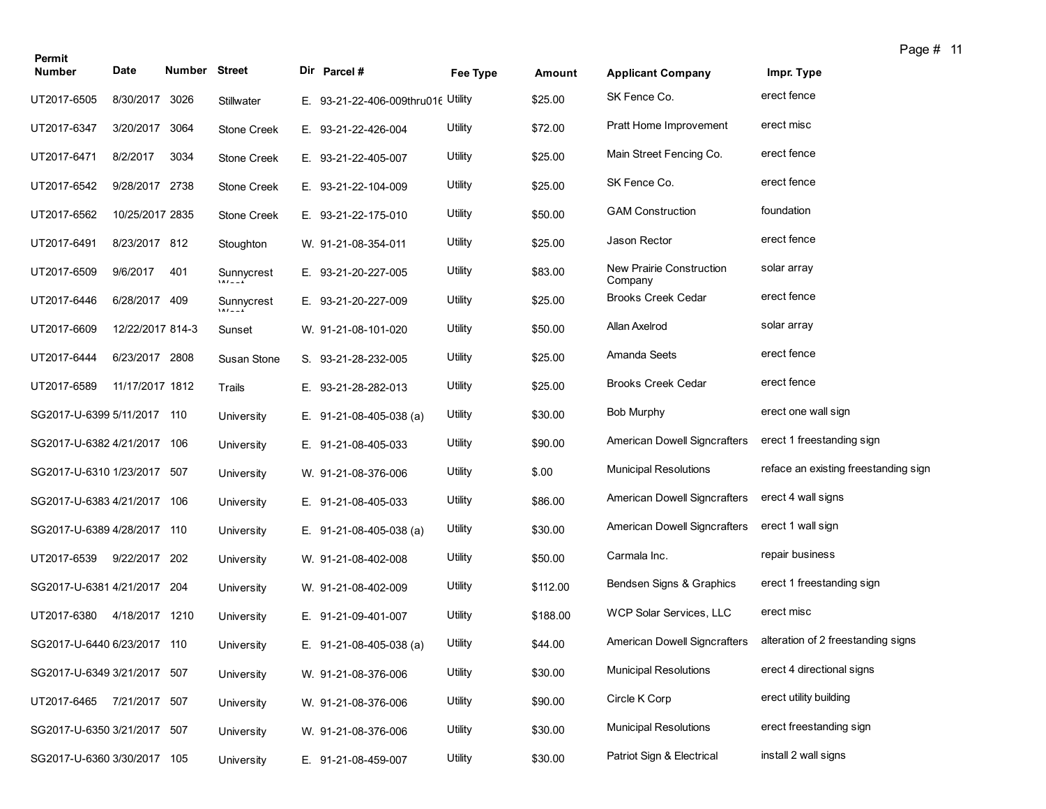| Permit                      |                  |                      |                   |                                    |          |          |                                     |                                      | Page # 11 |  |
|-----------------------------|------------------|----------------------|-------------------|------------------------------------|----------|----------|-------------------------------------|--------------------------------------|-----------|--|
| <b>Number</b>               | <b>Date</b>      | <b>Number Street</b> |                   | Dir Parcel #                       | Fee Type | Amount   | <b>Applicant Company</b>            | Impr. Type                           |           |  |
| UT2017-6505                 | 8/30/2017        | 3026                 | <b>Stillwater</b> | E. 93-21-22-406-009thru016 Utility |          | \$25.00  | SK Fence Co.                        | erect fence                          |           |  |
| UT2017-6347                 | 3/20/2017        | 3064                 | Stone Creek       | E. 93-21-22-426-004                | Utility  | \$72.00  | Pratt Home Improvement              | erect misc                           |           |  |
| UT2017-6471                 | 8/2/2017         | 3034                 | Stone Creek       | E. 93-21-22-405-007                | Utility  | \$25.00  | Main Street Fencing Co.             | erect fence                          |           |  |
| UT2017-6542                 | 9/28/2017 2738   |                      | Stone Creek       | E. 93-21-22-104-009                | Utility  | \$25.00  | SK Fence Co.                        | erect fence                          |           |  |
| UT2017-6562                 | 10/25/2017 2835  |                      | Stone Creek       | E. 93-21-22-175-010                | Utility  | \$50.00  | <b>GAM Construction</b>             | foundation                           |           |  |
| UT2017-6491                 | 8/23/2017 812    |                      | Stoughton         | W. 91-21-08-354-011                | Utility  | \$25.00  | Jason Rector                        | erect fence                          |           |  |
| UT2017-6509                 | 9/6/2017         | 401                  | Sunnycrest        | E. 93-21-20-227-005                | Utility  | \$83.00  | New Prairie Construction<br>Company | solar array                          |           |  |
| UT2017-6446                 | 6/28/2017 409    |                      | Sunnycrest        | E. 93-21-20-227-009                | Utility  | \$25.00  | <b>Brooks Creek Cedar</b>           | erect fence                          |           |  |
| UT2017-6609                 | 12/22/2017 814-3 |                      | Sunset            | W. 91-21-08-101-020                | Utility  | \$50.00  | Allan Axelrod                       | solar array                          |           |  |
| UT2017-6444                 | 6/23/2017 2808   |                      | Susan Stone       | S. 93-21-28-232-005                | Utility  | \$25.00  | Amanda Seets                        | erect fence                          |           |  |
| UT2017-6589                 | 11/17/2017 1812  |                      | Trails            | E. 93-21-28-282-013                | Utility  | \$25.00  | <b>Brooks Creek Cedar</b>           | erect fence                          |           |  |
| SG2017-U-6399 5/11/2017 110 |                  |                      | University        | E. $91-21-08-405-038$ (a)          | Utility  | \$30.00  | Bob Murphy                          | erect one wall sign                  |           |  |
| SG2017-U-6382 4/21/2017 106 |                  |                      | University        | E. 91-21-08-405-033                | Utility  | \$90.00  | <b>American Dowell Signcrafters</b> | erect 1 freestanding sign            |           |  |
| SG2017-U-6310 1/23/2017     |                  | 507                  | University        | W. 91-21-08-376-006                | Utility  | \$.00    | <b>Municipal Resolutions</b>        | reface an existing freestanding sign |           |  |
| SG2017-U-6383 4/21/2017 106 |                  |                      | University        | E. 91-21-08-405-033                | Utility  | \$86.00  | American Dowell Signcrafters        | erect 4 wall signs                   |           |  |
| SG2017-U-6389 4/28/2017 110 |                  |                      | University        | E. $91-21-08-405-038$ (a)          | Utility  | \$30.00  | American Dowell Signcrafters        | erect 1 wall sign                    |           |  |
| UT2017-6539                 | 9/22/2017        | 202                  | University        | W. 91-21-08-402-008                | Utility  | \$50.00  | Carmala Inc.                        | repair business                      |           |  |
| SG2017-U-6381 4/21/2017 204 |                  |                      | University        | W. 91-21-08-402-009                | Utility  | \$112.00 | Bendsen Signs & Graphics            | erect 1 freestanding sign            |           |  |
| UT2017-6380                 | 4/18/2017 1210   |                      | University        | E. 91-21-09-401-007                | Utility  | \$188.00 | WCP Solar Services, LLC             | erect misc                           |           |  |
| SG2017-U-6440 6/23/2017 110 |                  |                      | University        | E. $91-21-08-405-038$ (a)          | Utility  | \$44.00  | American Dowell Signcrafters        | alteration of 2 freestanding signs   |           |  |
| SG2017-U-6349 3/21/2017 507 |                  |                      | University        | W. 91-21-08-376-006                | Utility  | \$30.00  | <b>Municipal Resolutions</b>        | erect 4 directional signs            |           |  |
| UT2017-6465                 | 7/21/2017 507    |                      | University        | W. 91-21-08-376-006                | Utility  | \$90.00  | Circle K Corp                       | erect utility building               |           |  |
| SG2017-U-6350 3/21/2017 507 |                  |                      | University        | W. 91-21-08-376-006                | Utility  | \$30.00  | <b>Municipal Resolutions</b>        | erect freestanding sign              |           |  |
| SG2017-U-6360 3/30/2017 105 |                  |                      | University        | E. 91-21-08-459-007                | Utility  | \$30.00  | Patriot Sign & Electrical           | install 2 wall signs                 |           |  |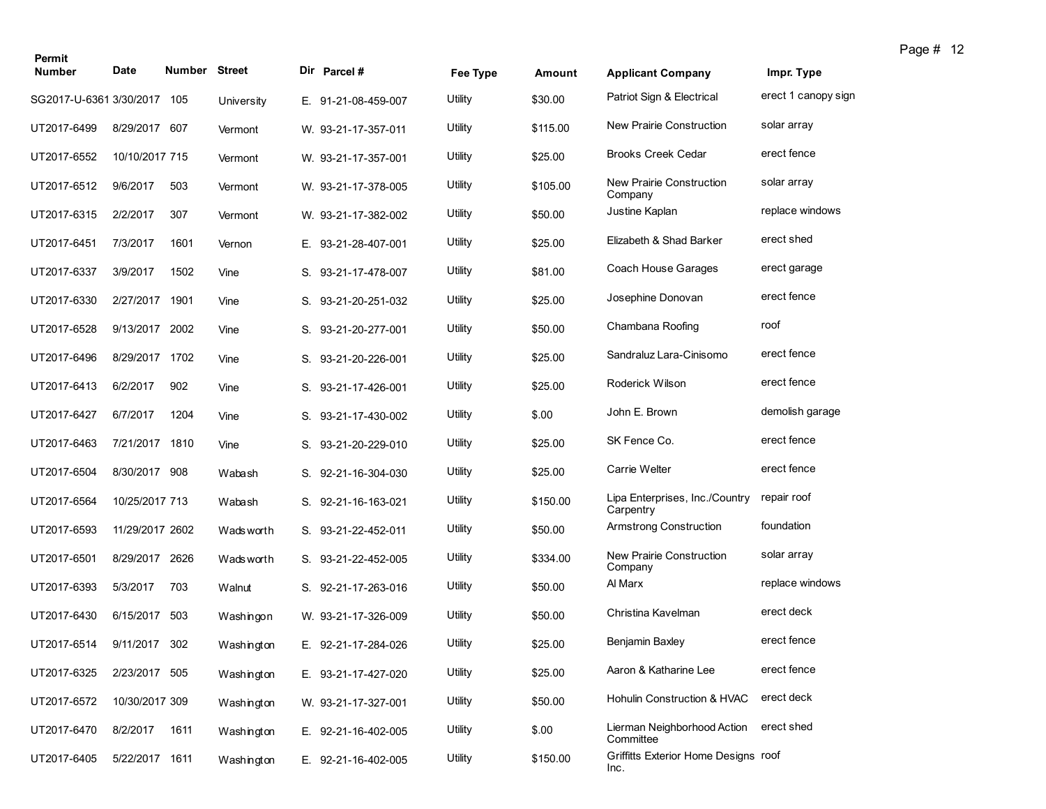| Permit<br><b>Number</b> | Date            | <b>Number Street</b> |            |    | Dir Parcel #        | Fee Type | Amount   | <b>Applicant Company</b>                     | Impr. Type          |
|-------------------------|-----------------|----------------------|------------|----|---------------------|----------|----------|----------------------------------------------|---------------------|
| SG2017-U-6361 3/30/2017 |                 | 105                  | University |    | E. 91-21-08-459-007 | Utility  | \$30.00  | Patriot Sign & Electrical                    | erect 1 canopy sign |
| UT2017-6499             | 8/29/2017 607   |                      | Vermont    |    | W. 93-21-17-357-011 | Utility  | \$115.00 | New Prairie Construction                     | solar array         |
| UT2017-6552             | 10/10/2017 715  |                      | Vermont    |    | W. 93-21-17-357-001 | Utility  | \$25.00  | <b>Brooks Creek Cedar</b>                    | erect fence         |
| UT2017-6512             | 9/6/2017        | 503                  | Vermont    |    | W. 93-21-17-378-005 | Utility  | \$105.00 | New Prairie Construction<br>Company          | solar array         |
| UT2017-6315             | 2/2/2017        | 307                  | Vermont    |    | W. 93-21-17-382-002 | Utility  | \$50.00  | Justine Kaplan                               | replace windows     |
| UT2017-6451             | 7/3/2017        | 1601                 | Vernon     |    | E. 93-21-28-407-001 | Utility  | \$25.00  | Elizabeth & Shad Barker                      | erect shed          |
| UT2017-6337             | 3/9/2017        | 1502                 | Vine       |    | S. 93-21-17-478-007 | Utility  | \$81.00  | Coach House Garages                          | erect garage        |
| UT2017-6330             | 2/27/2017       | 1901                 | Vine       |    | S. 93-21-20-251-032 | Utility  | \$25.00  | Josephine Donovan                            | erect fence         |
| UT2017-6528             | 9/13/2017       | 2002                 | Vine       |    | S. 93-21-20-277-001 | Utility  | \$50.00  | Chambana Roofing                             | roof                |
| UT2017-6496             | 8/29/2017 1702  |                      | Vine       |    | S. 93-21-20-226-001 | Utility  | \$25.00  | Sandraluz Lara-Cinisomo                      | erect fence         |
| UT2017-6413             | 6/2/2017        | 902                  | Vine       |    | S. 93-21-17-426-001 | Utility  | \$25.00  | Roderick Wilson                              | erect fence         |
| UT2017-6427             | 6/7/2017        | 1204                 | Vine       | S. | 93-21-17-430-002    | Utility  | \$.00    | John E. Brown                                | demolish garage     |
| UT2017-6463             | 7/21/2017 1810  |                      | Vine       |    | S. 93-21-20-229-010 | Utility  | \$25.00  | SK Fence Co.                                 | erect fence         |
| UT2017-6504             | 8/30/2017       | 908                  | Wabash     |    | S. 92-21-16-304-030 | Utility  | \$25.00  | Carrie Welter                                | erect fence         |
| UT2017-6564             | 10/25/2017 713  |                      | Wabash     |    | S. 92-21-16-163-021 | Utility  | \$150.00 | Lipa Enterprises, Inc./Country<br>Carpentry  | repair roof         |
| UT2017-6593             | 11/29/2017 2602 |                      | Wads worth |    | S. 93-21-22-452-011 | Utility  | \$50.00  | Armstrong Construction                       | foundation          |
| UT2017-6501             | 8/29/2017       | 2626                 | Wads worth |    | S. 93-21-22-452-005 | Utility  | \$334.00 | New Prairie Construction<br>Company          | solar array         |
| UT2017-6393             | 5/3/2017        | 703                  | Walnut     |    | S. 92-21-17-263-016 | Utility  | \$50.00  | Al Marx                                      | replace windows     |
| UT2017-6430             | 6/15/2017       | 503                  | Washingon  |    | W. 93-21-17-326-009 | Utility  | \$50.00  | Christina Kavelman                           | erect deck          |
| UT2017-6514             | 9/11/2017       | 302                  | Washington |    | E. 92-21-17-284-026 | Utility  | \$25.00  | Benjamin Baxley                              | erect fence         |
| UT2017-6325             | 2/23/2017 505   |                      | Washington |    | E. 93-21-17-427-020 | Utility  | \$25.00  | Aaron & Katharine Lee                        | erect fence         |
| UT2017-6572             | 10/30/2017 309  |                      | Washington |    | W. 93-21-17-327-001 | Utility  | \$50.00  | Hohulin Construction & HVAC                  | erect deck          |
| UT2017-6470             | 8/2/2017        | 1611                 | Washington |    | E. 92-21-16-402-005 | Utility  | \$.00    | Lierman Neighborhood Action<br>Committee     | erect shed          |
| UT2017-6405             | 5/22/2017 1611  |                      | Washington |    | E. 92-21-16-402-005 | Utility  | \$150.00 | Griffitts Exterior Home Designs roof<br>Inc. |                     |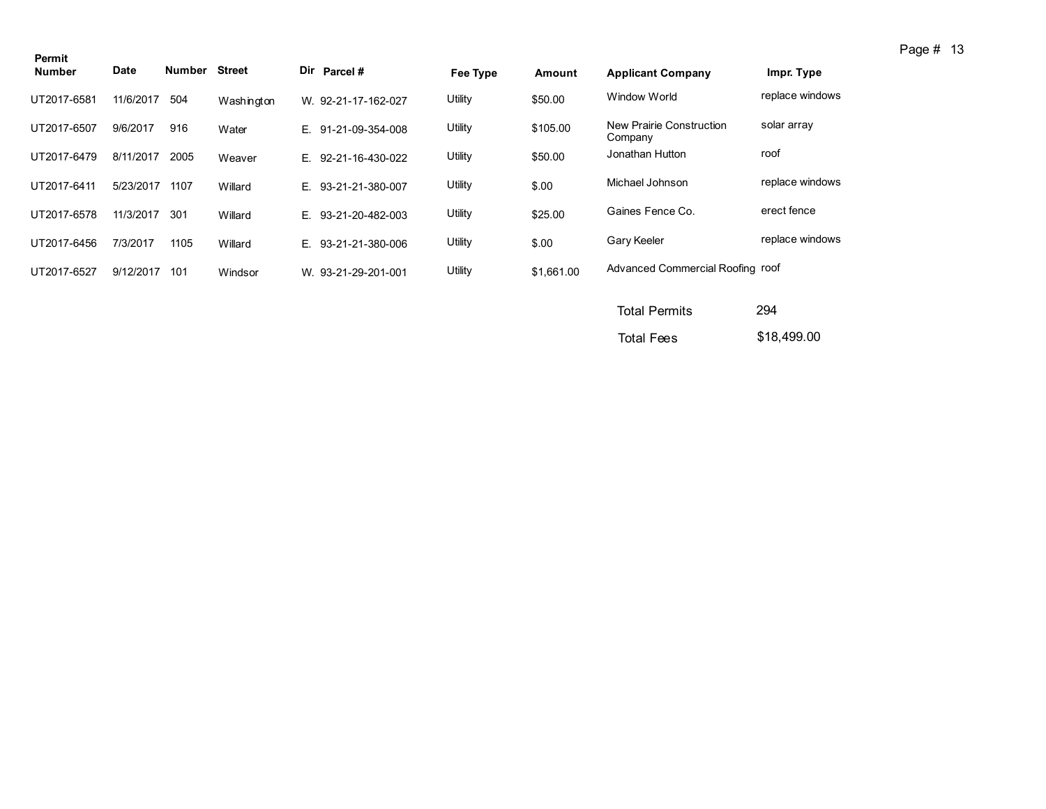| Permit        |             |        |               |    |                     |          |            |                                     |                 |
|---------------|-------------|--------|---------------|----|---------------------|----------|------------|-------------------------------------|-----------------|
| <b>Number</b> | <b>Date</b> | Number | <b>Street</b> |    | Dir Parcel #        | Fee Type | Amount     | <b>Applicant Company</b>            | Impr. Type      |
| UT2017-6581   | 11/6/2017   | 504    | Washington    |    | W. 92-21-17-162-027 | Utility  | \$50.00    | Window World                        | replace windows |
| UT2017-6507   | 9/6/2017    | 916    | Water         |    | E. 91-21-09-354-008 | Utility  | \$105.00   | New Prairie Construction<br>Company | solar array     |
| UT2017-6479   | 8/11/2017   | 2005   | Weaver        | E. | 92-21-16-430-022    | Utility  | \$50.00    | Jonathan Hutton                     | roof            |
| UT2017-6411   | 5/23/2017   | 1107   | Willard       | E. | 93-21-21-380-007    | Utility  | \$.00      | Michael Johnson                     | replace windows |
| UT2017-6578   | 11/3/2017   | 301    | Willard       | E. | 93-21-20-482-003    | Utility  | \$25.00    | Gaines Fence Co.                    | erect fence     |
| UT2017-6456   | 7/3/2017    | 1105   | Willard       | E. | 93-21-21-380-006    | Utility  | \$.00      | Gary Keeler                         | replace windows |
| UT2017-6527   | 9/12/2017   | 101    | Windsor       |    | W. 93-21-29-201-001 | Utility  | \$1,661.00 | Advanced Commercial Roofing roof    |                 |
|               |             |        |               |    |                     |          |            |                                     |                 |

| <b>Total Permits</b> | 294         |
|----------------------|-------------|
| <b>Total Fees</b>    | \$18,499.00 |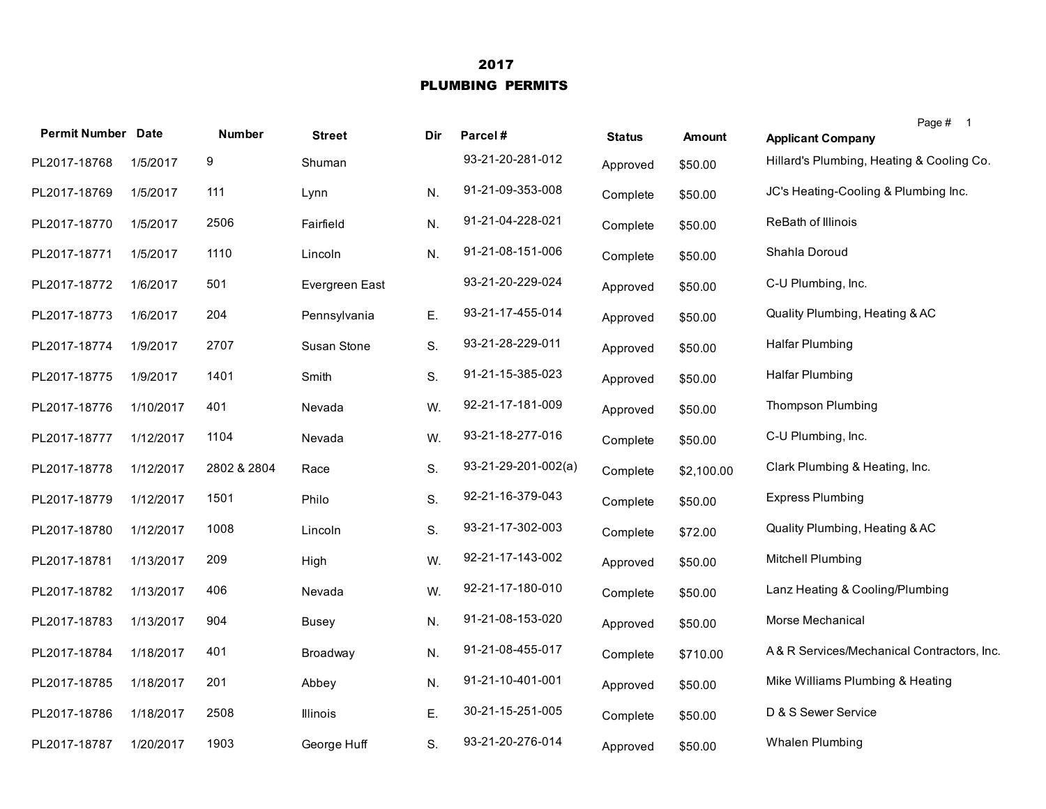## 2017 PLUMBING PERMITS

| <b>Permit Number Date</b> |           | Number      | <b>Street</b>  | Dir | Parcel#               | <b>Status</b> | <b>Amount</b> | Page # 1<br><b>Applicant Company</b>       |
|---------------------------|-----------|-------------|----------------|-----|-----------------------|---------------|---------------|--------------------------------------------|
| PL2017-18768              | 1/5/2017  | 9           | Shuman         |     | 93-21-20-281-012      | Approved      | \$50.00       | Hillard's Plumbing, Heating & Cooling Co.  |
| PL2017-18769              | 1/5/2017  | 111         | Lynn           | N.  | 91-21-09-353-008      | Complete      | \$50.00       | JC's Heating-Cooling & Plumbing Inc.       |
| PL2017-18770              | 1/5/2017  | 2506        | Fairfield      | N.  | 91-21-04-228-021      | Complete      | \$50.00       | ReBath of Illinois                         |
| PL2017-18771              | 1/5/2017  | 1110        | Lincoln        | N.  | 91-21-08-151-006      | Complete      | \$50.00       | Shahla Doroud                              |
| PL2017-18772              | 1/6/2017  | 501         | Evergreen East |     | 93-21-20-229-024      | Approved      | \$50.00       | C-U Plumbing, Inc.                         |
| PL2017-18773              | 1/6/2017  | 204         | Pennsylvania   | Ε.  | 93-21-17-455-014      | Approved      | \$50.00       | Quality Plumbing, Heating & AC             |
| PL2017-18774              | 1/9/2017  | 2707        | Susan Stone    | S.  | 93-21-28-229-011      | Approved      | \$50.00       | Halfar Plumbing                            |
| PL2017-18775              | 1/9/2017  | 1401        | Smith          | S.  | 91-21-15-385-023      | Approved      | \$50.00       | <b>Halfar Plumbing</b>                     |
| PL2017-18776              | 1/10/2017 | 401         | Nevada         | W.  | 92-21-17-181-009      | Approved      | \$50.00       | <b>Thompson Plumbing</b>                   |
| PL2017-18777              | 1/12/2017 | 1104        | Nevada         | W.  | 93-21-18-277-016      | Complete      | \$50.00       | C-U Plumbing, Inc.                         |
| PL2017-18778              | 1/12/2017 | 2802 & 2804 | Race           | S.  | $93-21-29-201-002(a)$ | Complete      | \$2,100.00    | Clark Plumbing & Heating, Inc.             |
| PL2017-18779              | 1/12/2017 | 1501        | Philo          | S.  | 92-21-16-379-043      | Complete      | \$50.00       | <b>Express Plumbing</b>                    |
| PL2017-18780              | 1/12/2017 | 1008        | Lincoln        | S.  | 93-21-17-302-003      | Complete      | \$72.00       | Quality Plumbing, Heating & AC             |
| PL2017-18781              | 1/13/2017 | 209         | High           | W.  | 92-21-17-143-002      | Approved      | \$50.00       | Mitchell Plumbing                          |
| PL2017-18782              | 1/13/2017 | 406         | Nevada         | W.  | 92-21-17-180-010      | Complete      | \$50.00       | Lanz Heating & Cooling/Plumbing            |
| PL2017-18783              | 1/13/2017 | 904         | Busey          | N.  | 91-21-08-153-020      | Approved      | \$50.00       | Morse Mechanical                           |
| PL2017-18784              | 1/18/2017 | 401         | Broadway       | N.  | 91-21-08-455-017      | Complete      | \$710.00      | A& R Services/Mechanical Contractors, Inc. |
| PL2017-18785              | 1/18/2017 | 201         | Abbey          | N.  | 91-21-10-401-001      | Approved      | \$50.00       | Mike Williams Plumbing & Heating           |
| PL2017-18786              | 1/18/2017 | 2508        | Illinois       | E.  | 30-21-15-251-005      | Complete      | \$50.00       | D & S Sewer Service                        |
| PL2017-18787              | 1/20/2017 | 1903        | George Huff    | S.  | 93-21-20-276-014      | Approved      | \$50.00       | Whalen Plumbing                            |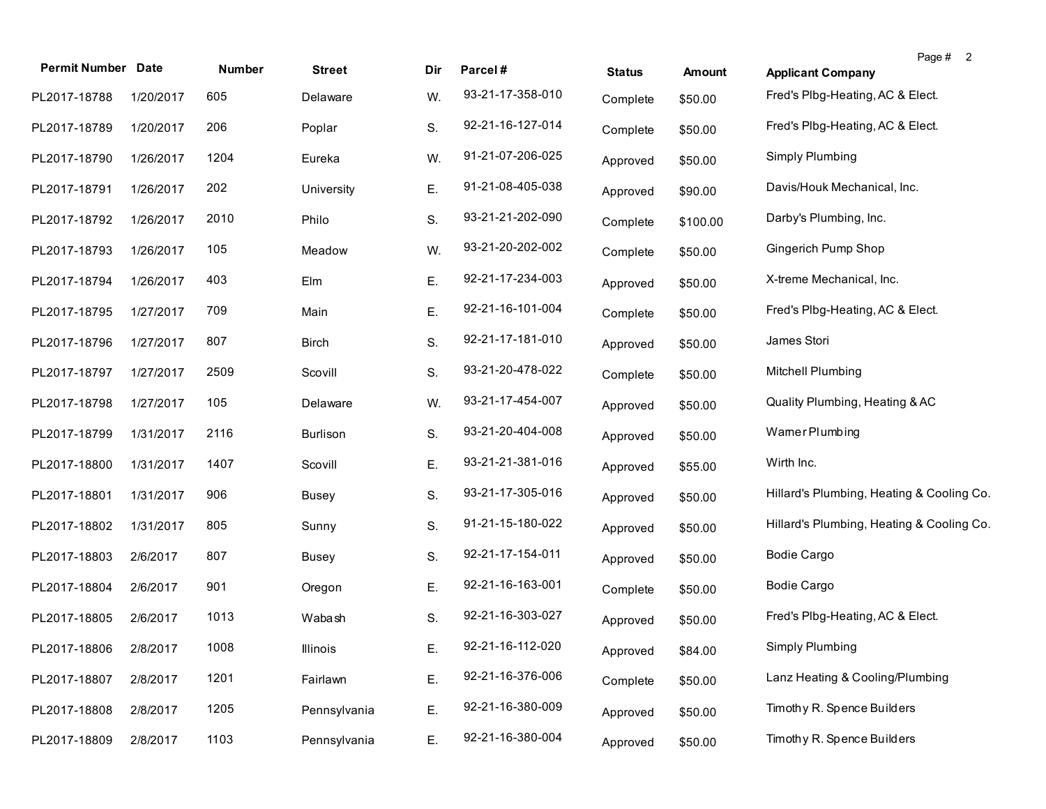| <b>Permit Number Date</b> |           | Number | <b>Street</b>   | Dir | Parcel#          | <b>Status</b> | <b>Amount</b> | Page # 2<br><b>Applicant Company</b>      |  |
|---------------------------|-----------|--------|-----------------|-----|------------------|---------------|---------------|-------------------------------------------|--|
| PL2017-18788              | 1/20/2017 | 605    | Delaware        | W.  | 93-21-17-358-010 | Complete      | \$50.00       | Fred's Plbg-Heating, AC & Elect.          |  |
| PL2017-18789              | 1/20/2017 | 206    | Poplar          | S.  | 92-21-16-127-014 | Complete      | \$50.00       | Fred's Plbg-Heating, AC & Elect.          |  |
| PL2017-18790              | 1/26/2017 | 1204   | Eureka          | W.  | 91-21-07-206-025 | Approved      | \$50.00       | Simply Plumbing                           |  |
| PL2017-18791              | 1/26/2017 | 202    | University      | Ε.  | 91-21-08-405-038 | Approved      | \$90.00       | Davis/Houk Mechanical, Inc.               |  |
| PL2017-18792              | 1/26/2017 | 2010   | Philo           | S.  | 93-21-21-202-090 | Complete      | \$100.00      | Darby's Plumbing, Inc.                    |  |
| PL2017-18793              | 1/26/2017 | 105    | Meadow          | W.  | 93-21-20-202-002 | Complete      | \$50.00       | Gingerich Pump Shop                       |  |
| PL2017-18794              | 1/26/2017 | 403    | Elm             | Ε.  | 92-21-17-234-003 | Approved      | \$50.00       | X-treme Mechanical, Inc.                  |  |
| PL2017-18795              | 1/27/2017 | 709    | Main            | Ε.  | 92-21-16-101-004 | Complete      | \$50.00       | Fred's Plbg-Heating, AC & Elect.          |  |
| PL2017-18796              | 1/27/2017 | 807    | <b>Birch</b>    | S.  | 92-21-17-181-010 | Approved      | \$50.00       | James Stori                               |  |
| PL2017-18797              | 1/27/2017 | 2509   | Scovill         | S.  | 93-21-20-478-022 | Complete      | \$50.00       | Mitchell Plumbing                         |  |
| PL2017-18798              | 1/27/2017 | 105    | Delaware        | W.  | 93-21-17-454-007 | Approved      | \$50.00       | Quality Plumbing, Heating & AC            |  |
| PL2017-18799              | 1/31/2017 | 2116   | <b>Burlison</b> | S.  | 93-21-20-404-008 | Approved      | \$50.00       | Wamer Plumbing                            |  |
| PL2017-18800              | 1/31/2017 | 1407   | Scovill         | Ε.  | 93-21-21-381-016 | Approved      | \$55.00       | Wirth Inc.                                |  |
| PL2017-18801              | 1/31/2017 | 906    | <b>Busey</b>    | S.  | 93-21-17-305-016 | Approved      | \$50.00       | Hillard's Plumbing, Heating & Cooling Co. |  |
| PL2017-18802              | 1/31/2017 | 805    | Sunny           | S.  | 91-21-15-180-022 | Approved      | \$50.00       | Hillard's Plumbing, Heating & Cooling Co. |  |
| PL2017-18803              | 2/6/2017  | 807    | <b>Busey</b>    | S.  | 92-21-17-154-011 | Approved      | \$50.00       | <b>Bodie Cargo</b>                        |  |
| PL2017-18804              | 2/6/2017  | 901    | Oregon          | Ε.  | 92-21-16-163-001 | Complete      | \$50.00       | <b>Bodie Cargo</b>                        |  |
| PL2017-18805              | 2/6/2017  | 1013   | Wabash          | S.  | 92-21-16-303-027 | Approved      | \$50.00       | Fred's Plbg-Heating, AC & Elect.          |  |
| PL2017-18806              | 2/8/2017  | 1008   | Illinois        | Е.  | 92-21-16-112-020 | Approved      | \$84.00       | Simply Plumbing                           |  |
| PL2017-18807              | 2/8/2017  | 1201   | Fairlawn        | Ε.  | 92-21-16-376-006 | Complete      | \$50.00       | Lanz Heating & Cooling/Plumbing           |  |
| PL2017-18808              | 2/8/2017  | 1205   | Pennsylvania    | Ε.  | 92-21-16-380-009 | Approved      | \$50.00       | Timothy R. Spence Builders                |  |
| PL2017-18809              | 2/8/2017  | 1103   | Pennsylvania    | Ε.  | 92-21-16-380-004 | Approved      | \$50.00       | Timothy R. Spence Builders                |  |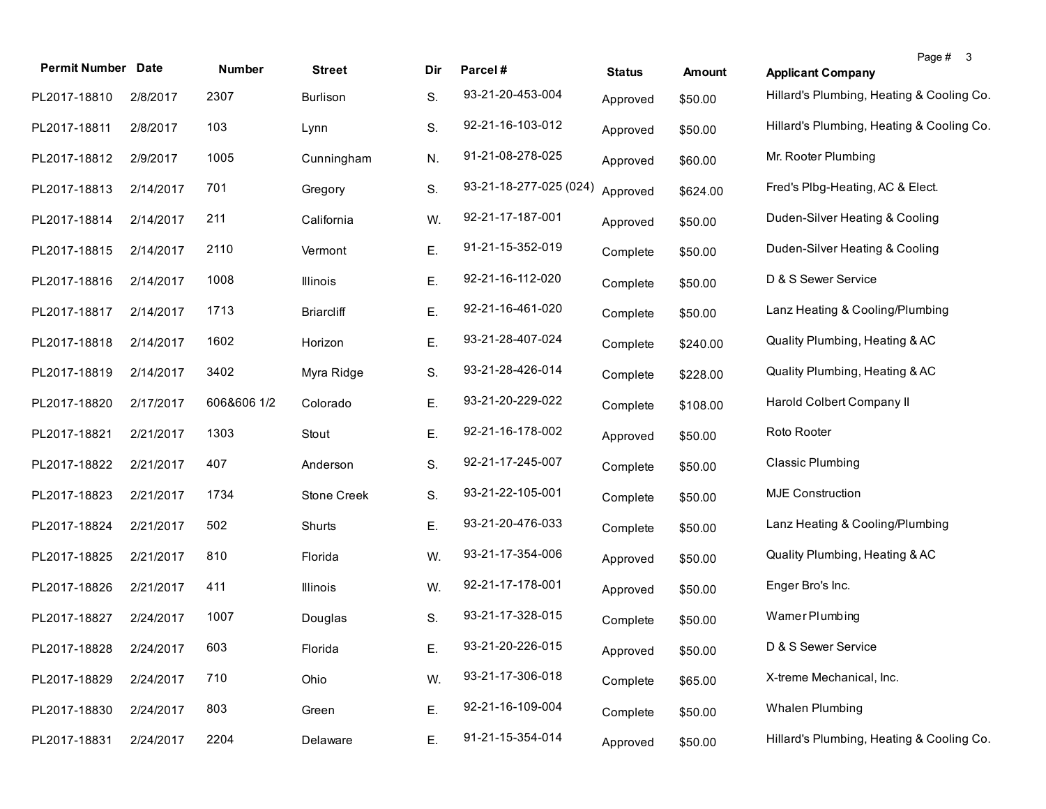| <b>Permit Number Date</b> |           | <b>Number</b> | <b>Street</b>      | Dir | Parcel#                | <b>Status</b> | <b>Amount</b> | <b>Applicant Company</b>                  | Page # 3 |
|---------------------------|-----------|---------------|--------------------|-----|------------------------|---------------|---------------|-------------------------------------------|----------|
| PL2017-18810              | 2/8/2017  | 2307          | <b>Burlison</b>    | S.  | 93-21-20-453-004       | Approved      | \$50.00       | Hillard's Plumbing, Heating & Cooling Co. |          |
| PL2017-18811              | 2/8/2017  | 103           | Lynn               | S.  | 92-21-16-103-012       | Approved      | \$50.00       | Hillard's Plumbing, Heating & Cooling Co. |          |
| PL2017-18812              | 2/9/2017  | 1005          | Cunningham         | N.  | 91-21-08-278-025       | Approved      | \$60.00       | Mr. Rooter Plumbing                       |          |
| PL2017-18813              | 2/14/2017 | 701           | Gregory            | S.  | 93-21-18-277-025 (024) | Approved      | \$624.00      | Fred's Plbg-Heating, AC & Elect.          |          |
| PL2017-18814              | 2/14/2017 | 211           | California         | W.  | 92-21-17-187-001       | Approved      | \$50.00       | Duden-Silver Heating & Cooling            |          |
| PL2017-18815              | 2/14/2017 | 2110          | Vermont            | Ε.  | 91-21-15-352-019       | Complete      | \$50.00       | Duden-Silver Heating & Cooling            |          |
| PL2017-18816              | 2/14/2017 | 1008          | <b>Illinois</b>    | Ε.  | 92-21-16-112-020       | Complete      | \$50.00       | D & S Sewer Service                       |          |
| PL2017-18817              | 2/14/2017 | 1713          | <b>Briarcliff</b>  | Ε.  | 92-21-16-461-020       | Complete      | \$50.00       | Lanz Heating & Cooling/Plumbing           |          |
| PL2017-18818              | 2/14/2017 | 1602          | Horizon            | Ε.  | 93-21-28-407-024       | Complete      | \$240.00      | Quality Plumbing, Heating & AC            |          |
| PL2017-18819              | 2/14/2017 | 3402          | Myra Ridge         | S.  | 93-21-28-426-014       | Complete      | \$228.00      | Quality Plumbing, Heating & AC            |          |
| PL2017-18820              | 2/17/2017 | 606&606 1/2   | Colorado           | Ε.  | 93-21-20-229-022       | Complete      | \$108.00      | Harold Colbert Company II                 |          |
| PL2017-18821              | 2/21/2017 | 1303          | Stout              | Ε.  | 92-21-16-178-002       | Approved      | \$50.00       | Roto Rooter                               |          |
| PL2017-18822              | 2/21/2017 | 407           | Anderson           | S.  | 92-21-17-245-007       | Complete      | \$50.00       | <b>Classic Plumbing</b>                   |          |
| PL2017-18823              | 2/21/2017 | 1734          | <b>Stone Creek</b> | S.  | 93-21-22-105-001       | Complete      | \$50.00       | <b>MJE Construction</b>                   |          |
| PL2017-18824              | 2/21/2017 | 502           | Shurts             | Ε.  | 93-21-20-476-033       | Complete      | \$50.00       | Lanz Heating & Cooling/Plumbing           |          |
| PL2017-18825              | 2/21/2017 | 810           | Florida            | W.  | 93-21-17-354-006       | Approved      | \$50.00       | Quality Plumbing, Heating & AC            |          |
| PL2017-18826              | 2/21/2017 | 411           | <b>Illinois</b>    | W.  | 92-21-17-178-001       | Approved      | \$50.00       | Enger Bro's Inc.                          |          |
| PL2017-18827              | 2/24/2017 | 1007          | Douglas            | S.  | 93-21-17-328-015       | Complete      | \$50.00       | Wamer Plumbing                            |          |
| PL2017-18828              | 2/24/2017 | 603           | Florida            | Ε.  | 93-21-20-226-015       | Approved      | \$50.00       | D & S Sewer Service                       |          |
| PL2017-18829              | 2/24/2017 | 710           | Ohio               | W.  | 93-21-17-306-018       | Complete      | \$65.00       | X-treme Mechanical, Inc.                  |          |
| PL2017-18830              | 2/24/2017 | 803           | Green              | Ε.  | 92-21-16-109-004       | Complete      | \$50.00       | Whalen Plumbing                           |          |
| PL2017-18831              | 2/24/2017 | 2204          | Delaware           | Ε.  | 91-21-15-354-014       | Approved      | \$50.00       | Hillard's Plumbing, Heating & Cooling Co. |          |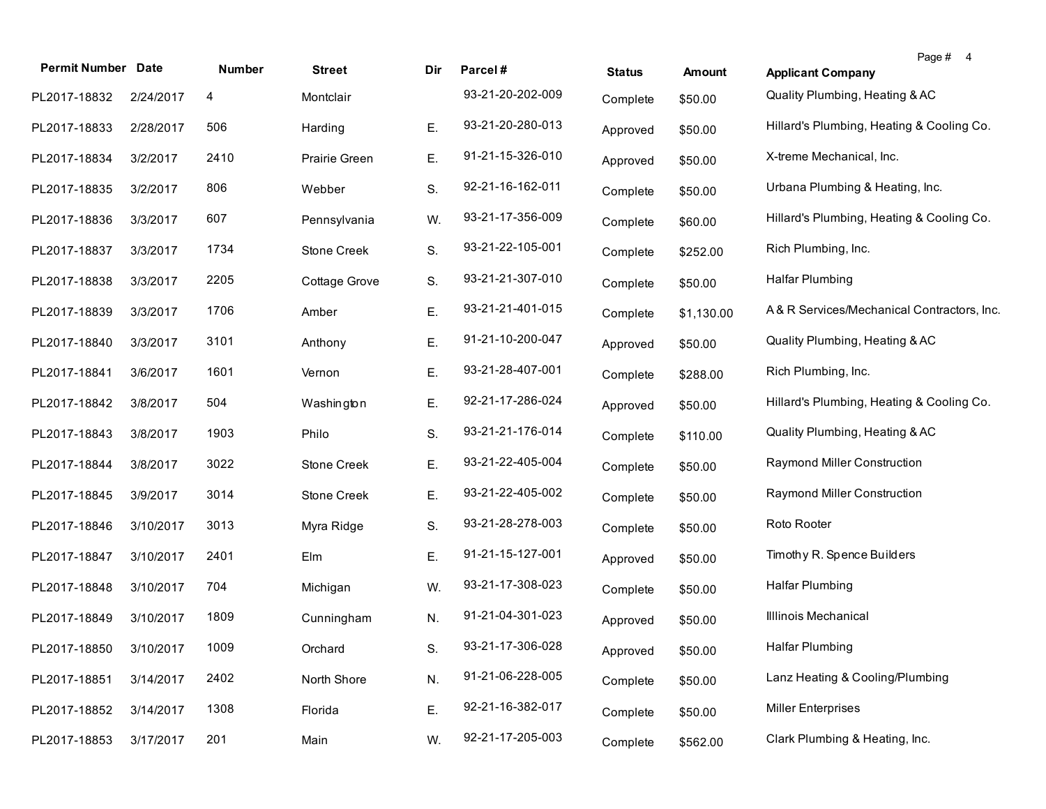| <b>Permit Number Date</b> |           | Number | <b>Street</b> | Dir | Parcel#          | <b>Status</b> | <b>Amount</b> | Page # 4<br><b>Applicant Company</b>       |
|---------------------------|-----------|--------|---------------|-----|------------------|---------------|---------------|--------------------------------------------|
| PL2017-18832              | 2/24/2017 | 4      | Montclair     |     | 93-21-20-202-009 | Complete      | \$50.00       | Quality Plumbing, Heating & AC             |
| PL2017-18833              | 2/28/2017 | 506    | Harding       | Ε.  | 93-21-20-280-013 | Approved      | \$50.00       | Hillard's Plumbing, Heating & Cooling Co.  |
| PL2017-18834              | 3/2/2017  | 2410   | Prairie Green | Е.  | 91-21-15-326-010 | Approved      | \$50.00       | X-treme Mechanical, Inc.                   |
| PL2017-18835              | 3/2/2017  | 806    | Webber        | S.  | 92-21-16-162-011 | Complete      | \$50.00       | Urbana Plumbing & Heating, Inc.            |
| PL2017-18836              | 3/3/2017  | 607    | Pennsylvania  | W.  | 93-21-17-356-009 | Complete      | \$60.00       | Hillard's Plumbing, Heating & Cooling Co.  |
| PL2017-18837              | 3/3/2017  | 1734   | Stone Creek   | S.  | 93-21-22-105-001 | Complete      | \$252.00      | Rich Plumbing, Inc.                        |
| PL2017-18838              | 3/3/2017  | 2205   | Cottage Grove | S.  | 93-21-21-307-010 | Complete      | \$50.00       | <b>Halfar Plumbing</b>                     |
| PL2017-18839              | 3/3/2017  | 1706   | Amber         | Е.  | 93-21-21-401-015 | Complete      | \$1,130.00    | A& R Services/Mechanical Contractors, Inc. |
| PL2017-18840              | 3/3/2017  | 3101   | Anthony       | Е.  | 91-21-10-200-047 | Approved      | \$50.00       | Quality Plumbing, Heating & AC             |
| PL2017-18841              | 3/6/2017  | 1601   | Vernon        | Е.  | 93-21-28-407-001 | Complete      | \$288.00      | Rich Plumbing, Inc.                        |
| PL2017-18842              | 3/8/2017  | 504    | Washington    | Е.  | 92-21-17-286-024 | Approved      | \$50.00       | Hillard's Plumbing, Heating & Cooling Co.  |
| PL2017-18843              | 3/8/2017  | 1903   | Philo         | S.  | 93-21-21-176-014 | Complete      | \$110.00      | Quality Plumbing, Heating & AC             |
| PL2017-18844              | 3/8/2017  | 3022   | Stone Creek   | Е.  | 93-21-22-405-004 | Complete      | \$50.00       | Raymond Miller Construction                |
| PL2017-18845              | 3/9/2017  | 3014   | Stone Creek   | Е.  | 93-21-22-405-002 | Complete      | \$50.00       | Raymond Miller Construction                |
| PL2017-18846              | 3/10/2017 | 3013   | Myra Ridge    | S.  | 93-21-28-278-003 | Complete      | \$50.00       | Roto Rooter                                |
| PL2017-18847              | 3/10/2017 | 2401   | Elm           | Е.  | 91-21-15-127-001 | Approved      | \$50.00       | Timothy R. Spence Builders                 |
| PL2017-18848              | 3/10/2017 | 704    | Michigan      | W.  | 93-21-17-308-023 | Complete      | \$50.00       | <b>Halfar Plumbing</b>                     |
| PL2017-18849              | 3/10/2017 | 1809   | Cunningham    | N.  | 91-21-04-301-023 | Approved      | \$50.00       | Illinois Mechanical                        |
| PL2017-18850 3/10/2017    |           | 1009   | Orchard       | S.  | 93-21-17-306-028 | Approved      | \$50.00       | Halfar Plumbing                            |
| PL2017-18851              | 3/14/2017 | 2402   | North Shore   | N.  | 91-21-06-228-005 | Complete      | \$50.00       | Lanz Heating & Cooling/Plumbing            |
| PL2017-18852              | 3/14/2017 | 1308   | Florida       | Е.  | 92-21-16-382-017 | Complete      | \$50.00       | <b>Miller Enterprises</b>                  |
| PL2017-18853              | 3/17/2017 | 201    | Main          | W.  | 92-21-17-205-003 | Complete      | \$562.00      | Clark Plumbing & Heating, Inc.             |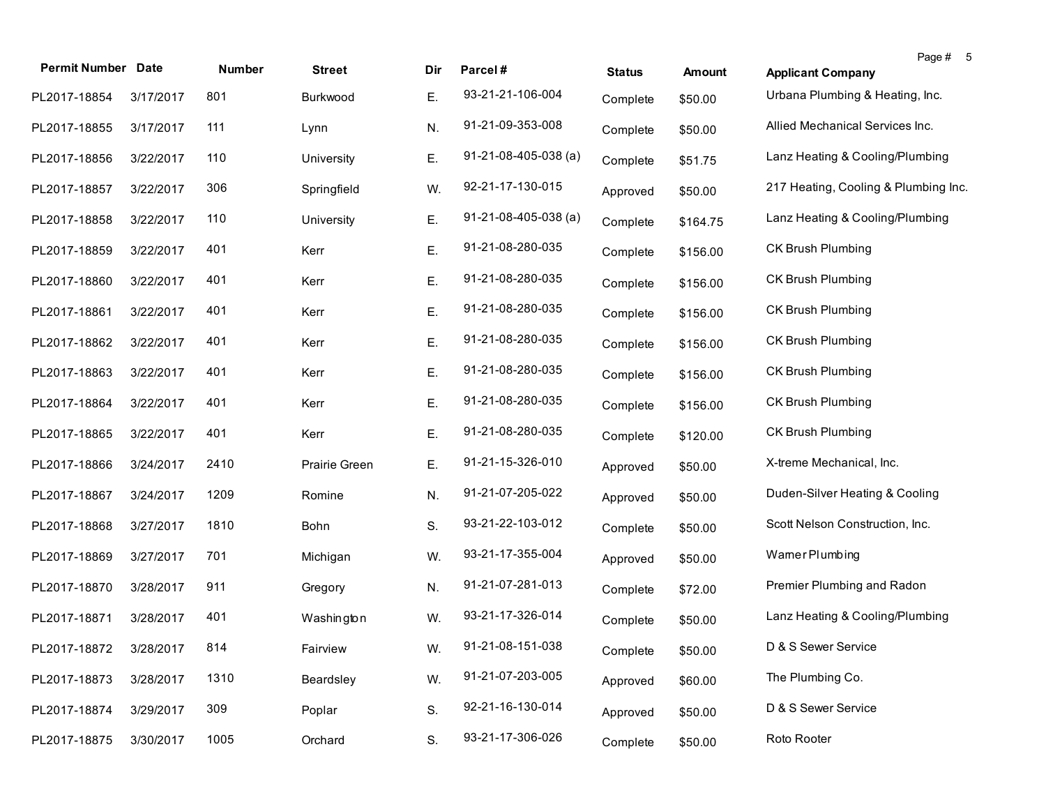| <b>Permit Number Date</b> |           | Number | <b>Street</b> | Dir. | Parcel#                        | <b>Status</b> | <b>Amount</b> | Page # 5<br><b>Applicant Company</b> |
|---------------------------|-----------|--------|---------------|------|--------------------------------|---------------|---------------|--------------------------------------|
| PL2017-18854              | 3/17/2017 | 801    | Burkwood      | Е.   | 93-21-21-106-004               | Complete      | \$50.00       | Urbana Plumbing & Heating, Inc.      |
| PL2017-18855              | 3/17/2017 | 111    | Lynn          | N.   | 91-21-09-353-008               | Complete      | \$50.00       | Allied Mechanical Services Inc.      |
| PL2017-18856              | 3/22/2017 | 110    | University    | Ε.   | $91 - 21 - 08 - 405 - 038$ (a) | Complete      | \$51.75       | Lanz Heating & Cooling/Plumbing      |
| PL2017-18857              | 3/22/2017 | 306    | Springfield   | W.   | 92-21-17-130-015               | Approved      | \$50.00       | 217 Heating, Cooling & Plumbing Inc. |
| PL2017-18858              | 3/22/2017 | 110    | University    | Ε.   | 91-21-08-405-038 (a)           | Complete      | \$164.75      | Lanz Heating & Cooling/Plumbing      |
| PL2017-18859              | 3/22/2017 | 401    | Kerr          | Ε.   | 91-21-08-280-035               | Complete      | \$156.00      | CK Brush Plumbing                    |
| PL2017-18860              | 3/22/2017 | 401    | Kerr          | Ε.   | 91-21-08-280-035               | Complete      | \$156.00      | CK Brush Plumbing                    |
| PL2017-18861              | 3/22/2017 | 401    | Kerr          | Ε.   | 91-21-08-280-035               | Complete      | \$156.00      | CK Brush Plumbing                    |
| PL2017-18862              | 3/22/2017 | 401    | Kerr          | E.   | 91-21-08-280-035               | Complete      | \$156.00      | CK Brush Plumbing                    |
| PL2017-18863              | 3/22/2017 | 401    | Kerr          | E.   | 91-21-08-280-035               | Complete      | \$156.00      | <b>CK Brush Plumbing</b>             |
| PL2017-18864              | 3/22/2017 | 401    | Kerr          | Ε.   | 91-21-08-280-035               | Complete      | \$156.00      | CK Brush Plumbing                    |
| PL2017-18865              | 3/22/2017 | 401    | Kerr          | Ε.   | 91-21-08-280-035               | Complete      | \$120.00      | CK Brush Plumbing                    |
| PL2017-18866              | 3/24/2017 | 2410   | Prairie Green | Ε.   | 91-21-15-326-010               | Approved      | \$50.00       | X-treme Mechanical, Inc.             |
| PL2017-18867              | 3/24/2017 | 1209   | Romine        | N.   | 91-21-07-205-022               | Approved      | \$50.00       | Duden-Silver Heating & Cooling       |
| PL2017-18868              | 3/27/2017 | 1810   | Bohn          | S.   | 93-21-22-103-012               | Complete      | \$50.00       | Scott Nelson Construction, Inc.      |
| PL2017-18869              | 3/27/2017 | 701    | Michigan      | W.   | 93-21-17-355-004               | Approved      | \$50.00       | Wamer Plumbing                       |
| PL2017-18870              | 3/28/2017 | 911    | Gregory       | N.   | 91-21-07-281-013               | Complete      | \$72.00       | Premier Plumbing and Radon           |
| PL2017-18871              | 3/28/2017 | 401    | Washington    | W.   | 93-21-17-326-014               | Complete      | \$50.00       | Lanz Heating & Cooling/Plumbing      |
| PL2017-18872 3/28/2017    |           | 814    | Fairview      | W.   | 91-21-08-151-038               | Complete      | \$50.00       | D & S Sewer Service                  |
| PL2017-18873              | 3/28/2017 | 1310   | Beardsley     | W.   | 91-21-07-203-005               | Approved      | \$60.00       | The Plumbing Co.                     |
| PL2017-18874              | 3/29/2017 | 309    | Poplar        | S.   | 92-21-16-130-014               | Approved      | \$50.00       | D & S Sewer Service                  |
| PL2017-18875              | 3/30/2017 | 1005   | Orchard       | S.   | 93-21-17-306-026               | Complete      | \$50.00       | Roto Rooter                          |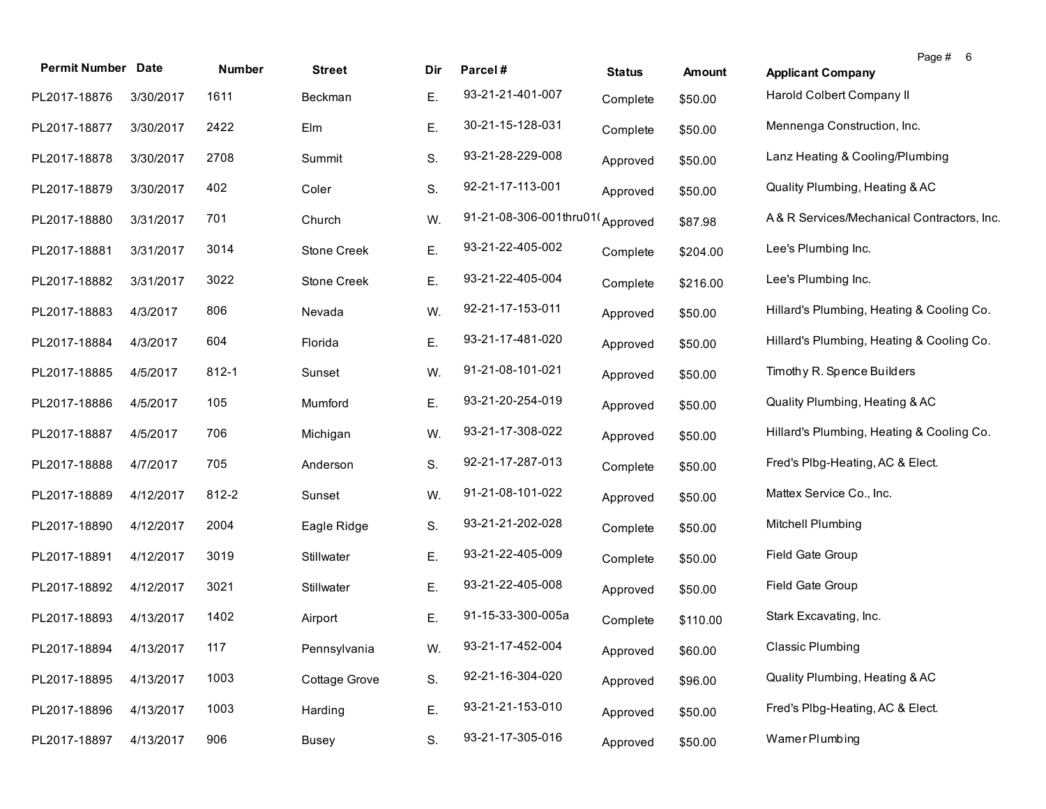| <b>Permit Number Date</b> |           | Number | <b>Street</b> | Dir | Parcel#                         | <b>Status</b> | <b>Amount</b> | Page # 6<br><b>Applicant Company</b>       |
|---------------------------|-----------|--------|---------------|-----|---------------------------------|---------------|---------------|--------------------------------------------|
| PL2017-18876              | 3/30/2017 | 1611   | Beckman       | Ε.  | 93-21-21-401-007                | Complete      | \$50.00       | Harold Colbert Company II                  |
| PL2017-18877              | 3/30/2017 | 2422   | Elm           | Ε.  | 30-21-15-128-031                | Complete      | \$50.00       | Mennenga Construction, Inc.                |
| PL2017-18878              | 3/30/2017 | 2708   | Summit        | S.  | 93-21-28-229-008                | Approved      | \$50.00       | Lanz Heating & Cooling/Plumbing            |
| PL2017-18879              | 3/30/2017 | 402    | Coler         | S.  | 92-21-17-113-001                | Approved      | \$50.00       | Quality Plumbing, Heating & AC             |
| PL2017-18880              | 3/31/2017 | 701    | Church        | W.  | 91-21-08-306-001thru01(Approved |               | \$87.98       | A& R Services/Mechanical Contractors, Inc. |
| PL2017-18881              | 3/31/2017 | 3014   | Stone Creek   | Ε.  | 93-21-22-405-002                | Complete      | \$204.00      | Lee's Plumbing Inc.                        |
| PL2017-18882              | 3/31/2017 | 3022   | Stone Creek   | Ε.  | 93-21-22-405-004                | Complete      | \$216.00      | Lee's Plumbing Inc.                        |
| PL2017-18883              | 4/3/2017  | 806    | Nevada        | W.  | 92-21-17-153-011                | Approved      | \$50.00       | Hillard's Plumbing, Heating & Cooling Co.  |
| PL2017-18884              | 4/3/2017  | 604    | Florida       | Ε.  | 93-21-17-481-020                | Approved      | \$50.00       | Hillard's Plumbing, Heating & Cooling Co.  |
| PL2017-18885              | 4/5/2017  | 812-1  | Sunset        | W.  | 91-21-08-101-021                | Approved      | \$50.00       | Timothy R. Spence Builders                 |
| PL2017-18886              | 4/5/2017  | 105    | Mumford       | Ε.  | 93-21-20-254-019                | Approved      | \$50.00       | Quality Plumbing, Heating & AC             |
| PL2017-18887              | 4/5/2017  | 706    | Michigan      | W.  | 93-21-17-308-022                | Approved      | \$50.00       | Hillard's Plumbing, Heating & Cooling Co.  |
| PL2017-18888              | 4/7/2017  | 705    | Anderson      | S.  | 92-21-17-287-013                | Complete      | \$50.00       | Fred's Plbg-Heating, AC & Elect.           |
| PL2017-18889              | 4/12/2017 | 812-2  | Sunset        | W.  | 91-21-08-101-022                | Approved      | \$50.00       | Mattex Service Co., Inc.                   |
| PL2017-18890              | 4/12/2017 | 2004   | Eagle Ridge   | S.  | 93-21-21-202-028                | Complete      | \$50.00       | Mitchell Plumbing                          |
| PL2017-18891              | 4/12/2017 | 3019   | Stillwater    | Ε.  | 93-21-22-405-009                | Complete      | \$50.00       | Field Gate Group                           |
| PL2017-18892              | 4/12/2017 | 3021   | Stillwater    | Ε.  | 93-21-22-405-008                | Approved      | \$50.00       | Field Gate Group                           |
| PL2017-18893              | 4/13/2017 | 1402   | Airport       | Ε.  | 91-15-33-300-005a               | Complete      | \$110.00      | Stark Excavating, Inc.                     |
| PL2017-18894              | 4/13/2017 | 117    | Pennsylvania  | W.  | 93-21-17-452-004                | Approved      | \$60.00       | <b>Classic Plumbing</b>                    |
| PL2017-18895              | 4/13/2017 | 1003   | Cottage Grove | S.  | 92-21-16-304-020                | Approved      | \$96.00       | Quality Plumbing, Heating & AC             |
| PL2017-18896              | 4/13/2017 | 1003   | Harding       | Ε.  | 93-21-21-153-010                | Approved      | \$50.00       | Fred's Plbg-Heating, AC & Elect.           |
| PL2017-18897              | 4/13/2017 | 906    | <b>Busey</b>  | S.  | 93-21-17-305-016                | Approved      | \$50.00       | Wamer Plumbing                             |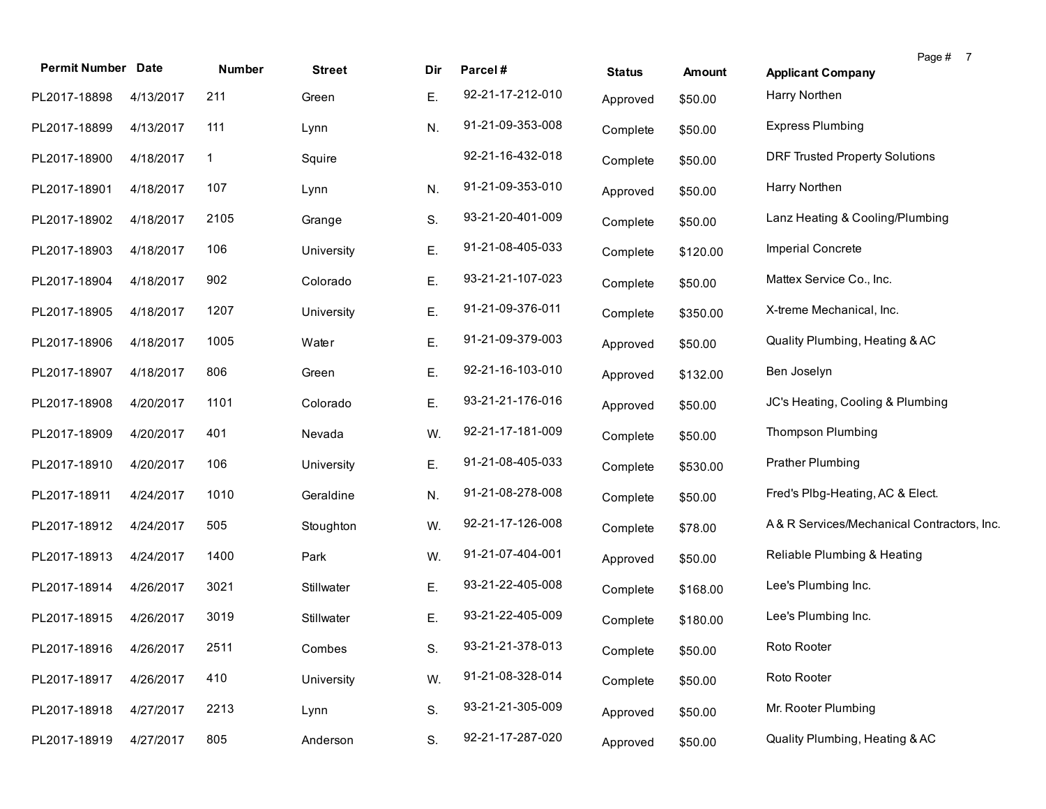| <b>Permit Number Date</b> |           | Number      | <b>Street</b> | Dir | Parcel#          | <b>Status</b> | Amount   | Page # 7<br><b>Applicant Company</b>       |
|---------------------------|-----------|-------------|---------------|-----|------------------|---------------|----------|--------------------------------------------|
| PL2017-18898              | 4/13/2017 | 211         | Green         | Е.  | 92-21-17-212-010 | Approved      | \$50.00  | Harry Northen                              |
| PL2017-18899              | 4/13/2017 | 111         | Lynn          | N.  | 91-21-09-353-008 | Complete      | \$50.00  | <b>Express Plumbing</b>                    |
| PL2017-18900              | 4/18/2017 | $\mathbf 1$ | Squire        |     | 92-21-16-432-018 | Complete      | \$50.00  | <b>DRF Trusted Property Solutions</b>      |
| PL2017-18901              | 4/18/2017 | 107         | Lynn          | N.  | 91-21-09-353-010 | Approved      | \$50.00  | Harry Northen                              |
| PL2017-18902              | 4/18/2017 | 2105        | Grange        | S.  | 93-21-20-401-009 | Complete      | \$50.00  | Lanz Heating & Cooling/Plumbing            |
| PL2017-18903              | 4/18/2017 | 106         | University    | Ε.  | 91-21-08-405-033 | Complete      | \$120.00 | Imperial Concrete                          |
| PL2017-18904              | 4/18/2017 | 902         | Colorado      | Ε.  | 93-21-21-107-023 | Complete      | \$50.00  | Mattex Service Co., Inc.                   |
| PL2017-18905              | 4/18/2017 | 1207        | University    | Ε.  | 91-21-09-376-011 | Complete      | \$350.00 | X-treme Mechanical, Inc.                   |
| PL2017-18906              | 4/18/2017 | 1005        | Water         | Е.  | 91-21-09-379-003 | Approved      | \$50.00  | Quality Plumbing, Heating & AC             |
| PL2017-18907              | 4/18/2017 | 806         | Green         | Ε.  | 92-21-16-103-010 | Approved      | \$132.00 | Ben Joselyn                                |
| PL2017-18908              | 4/20/2017 | 1101        | Colorado      | Е.  | 93-21-21-176-016 | Approved      | \$50.00  | JC's Heating, Cooling & Plumbing           |
| PL2017-18909              | 4/20/2017 | 401         | Nevada        | W.  | 92-21-17-181-009 | Complete      | \$50.00  | Thompson Plumbing                          |
| PL2017-18910              | 4/20/2017 | 106         | University    | Ε.  | 91-21-08-405-033 | Complete      | \$530.00 | <b>Prather Plumbing</b>                    |
| PL2017-18911              | 4/24/2017 | 1010        | Geraldine     | N.  | 91-21-08-278-008 | Complete      | \$50.00  | Fred's Plbg-Heating, AC & Elect.           |
| PL2017-18912              | 4/24/2017 | 505         | Stoughton     | W.  | 92-21-17-126-008 | Complete      | \$78.00  | A& R Services/Mechanical Contractors, Inc. |
| PL2017-18913              | 4/24/2017 | 1400        | Park          | W.  | 91-21-07-404-001 | Approved      | \$50.00  | Reliable Plumbing & Heating                |
| PL2017-18914              | 4/26/2017 | 3021        | Stillwater    | Е.  | 93-21-22-405-008 | Complete      | \$168.00 | Lee's Plumbing Inc.                        |
| PL2017-18915              | 4/26/2017 | 3019        | Stillwater    | Ε.  | 93-21-22-405-009 | Complete      | \$180.00 | Lee's Plumbing Inc.                        |
| PL2017-18916 4/26/2017    |           | 2511        | Combes        | S.  | 93-21-21-378-013 | Complete      | \$50.00  | Roto Rooter                                |
| PL2017-18917              | 4/26/2017 | 410         | University    | W.  | 91-21-08-328-014 | Complete      | \$50.00  | Roto Rooter                                |
| PL2017-18918              | 4/27/2017 | 2213        | Lynn          | S.  | 93-21-21-305-009 | Approved      | \$50.00  | Mr. Rooter Plumbing                        |
| PL2017-18919              | 4/27/2017 | 805         | Anderson      | S.  | 92-21-17-287-020 | Approved      | \$50.00  | Quality Plumbing, Heating & AC             |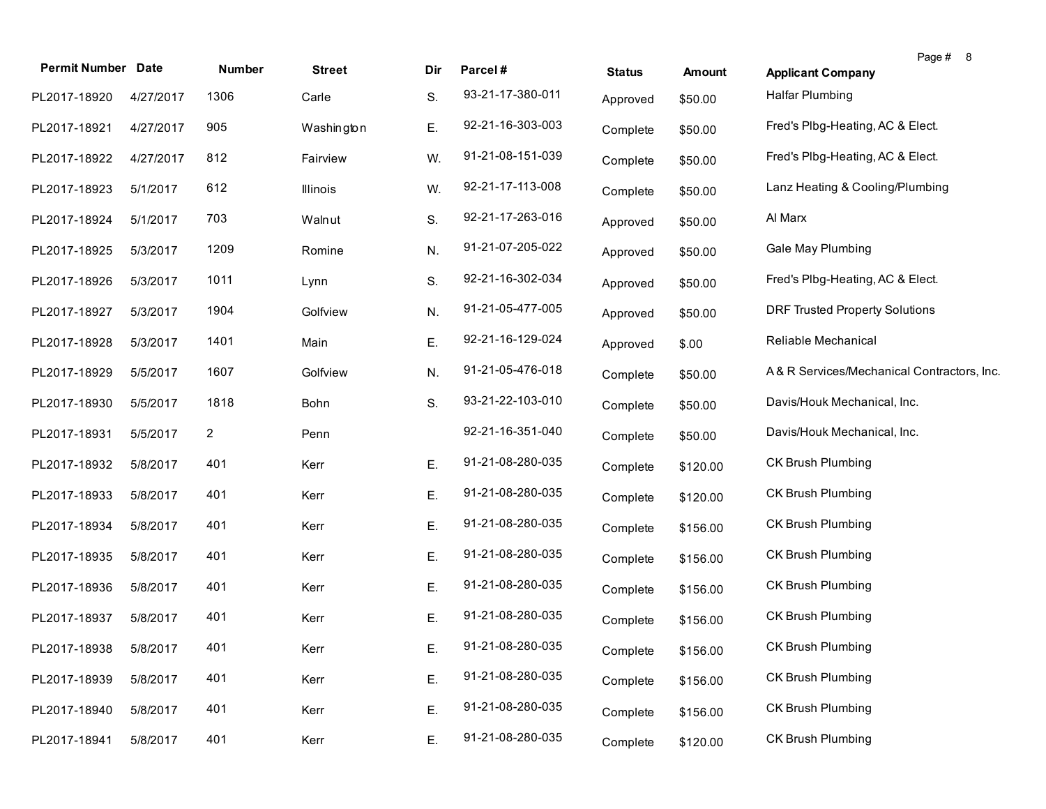| <b>Permit Number Date</b> |           | Number       | <b>Street</b> | Dir | Parcel#          | <b>Status</b> | <b>Amount</b> | Page # 8<br><b>Applicant Company</b>       |
|---------------------------|-----------|--------------|---------------|-----|------------------|---------------|---------------|--------------------------------------------|
| PL2017-18920              | 4/27/2017 | 1306         | Carle         | S.  | 93-21-17-380-011 | Approved      | \$50.00       | Halfar Plumbing                            |
| PL2017-18921              | 4/27/2017 | 905          | Washington    | Ε.  | 92-21-16-303-003 | Complete      | \$50.00       | Fred's Plbg-Heating, AC & Elect.           |
| PL2017-18922              | 4/27/2017 | 812          | Fairview      | W.  | 91-21-08-151-039 | Complete      | \$50.00       | Fred's Plbg-Heating, AC & Elect.           |
| PL2017-18923              | 5/1/2017  | 612          | Illinois      | W.  | 92-21-17-113-008 | Complete      | \$50.00       | Lanz Heating & Cooling/Plumbing            |
| PL2017-18924              | 5/1/2017  | 703          | Walnut        | S.  | 92-21-17-263-016 | Approved      | \$50.00       | Al Marx                                    |
| PL2017-18925              | 5/3/2017  | 1209         | Romine        | N.  | 91-21-07-205-022 | Approved      | \$50.00       | Gale May Plumbing                          |
| PL2017-18926              | 5/3/2017  | 1011         | Lynn          | S.  | 92-21-16-302-034 | Approved      | \$50.00       | Fred's Plbg-Heating, AC & Elect.           |
| PL2017-18927              | 5/3/2017  | 1904         | Golfview      | N.  | 91-21-05-477-005 | Approved      | \$50.00       | <b>DRF Trusted Property Solutions</b>      |
| PL2017-18928              | 5/3/2017  | 1401         | Main          | Ε.  | 92-21-16-129-024 | Approved      | \$.00         | Reliable Mechanical                        |
| PL2017-18929              | 5/5/2017  | 1607         | Golfview      | N.  | 91-21-05-476-018 | Complete      | \$50.00       | A& R Services/Mechanical Contractors, Inc. |
| PL2017-18930              | 5/5/2017  | 1818         | Bohn          | S.  | 93-21-22-103-010 | Complete      | \$50.00       | Davis/Houk Mechanical, Inc.                |
| PL2017-18931              | 5/5/2017  | $\mathbf{2}$ | Penn          |     | 92-21-16-351-040 | Complete      | \$50.00       | Davis/Houk Mechanical, Inc.                |
| PL2017-18932              | 5/8/2017  | 401          | Kerr          | Ε.  | 91-21-08-280-035 | Complete      | \$120.00      | <b>CK Brush Plumbing</b>                   |
| PL2017-18933              | 5/8/2017  | 401          | Kerr          | Е.  | 91-21-08-280-035 | Complete      | \$120.00      | <b>CK Brush Plumbing</b>                   |
| PL2017-18934              | 5/8/2017  | 401          | Kerr          | Ε.  | 91-21-08-280-035 | Complete      | \$156.00      | CK Brush Plumbing                          |
| PL2017-18935              | 5/8/2017  | 401          | Kerr          | Е.  | 91-21-08-280-035 | Complete      | \$156.00      | CK Brush Plumbing                          |
| PL2017-18936              | 5/8/2017  | 401          | Kerr          | Е.  | 91-21-08-280-035 | Complete      | \$156.00      | CK Brush Plumbing                          |
| PL2017-18937              | 5/8/2017  | 401          | Kerr          | Е.  | 91-21-08-280-035 | Complete      | \$156.00      | CK Brush Plumbing                          |
| PL2017-18938              | 5/8/2017  | 401          | Kerr          | Е.  | 91-21-08-280-035 | Complete      | \$156.00      | CK Brush Plumbing                          |
| PL2017-18939              | 5/8/2017  | 401          | Kerr          | Ε.  | 91-21-08-280-035 | Complete      | \$156.00      | CK Brush Plumbing                          |
| PL2017-18940              | 5/8/2017  | 401          | Kerr          | Ε.  | 91-21-08-280-035 | Complete      | \$156.00      | CK Brush Plumbing                          |
| PL2017-18941              | 5/8/2017  | 401          | Kerr          | E.  | 91-21-08-280-035 | Complete      | \$120.00      | CK Brush Plumbing                          |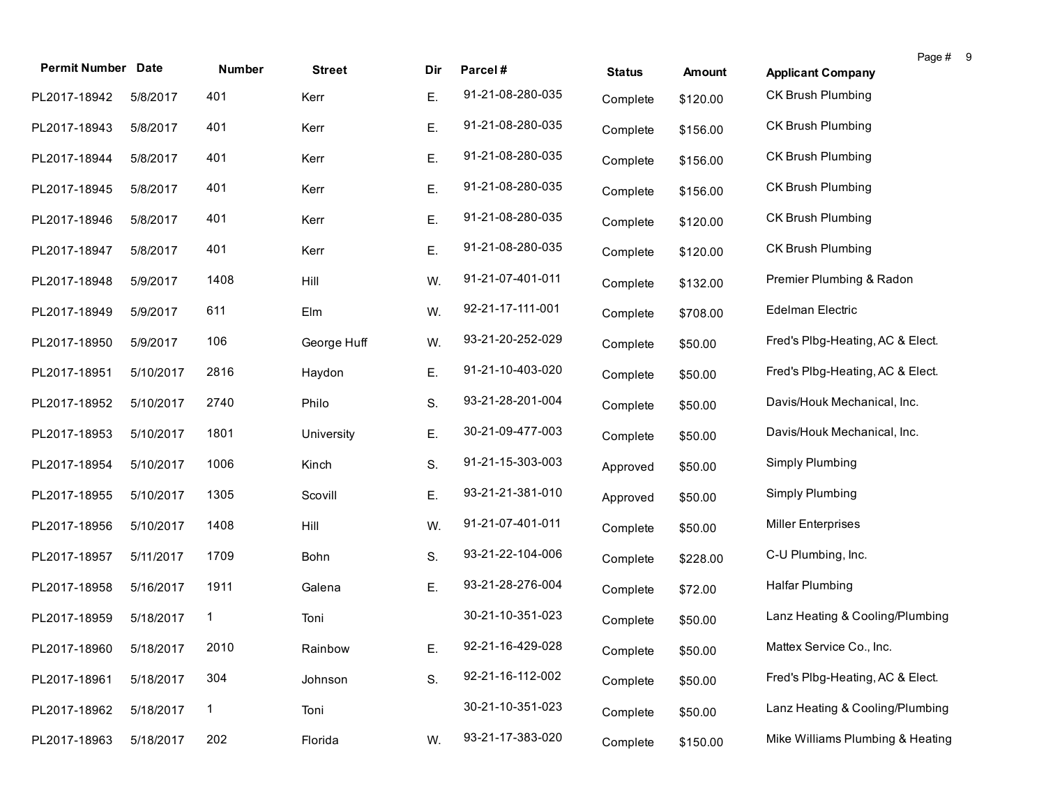| <b>Permit Number Date</b> |           | <b>Number</b> | <b>Street</b> | Dir | Parcel#          | <b>Status</b> | Amount   | <b>Applicant Company</b>         | Page # 9 |
|---------------------------|-----------|---------------|---------------|-----|------------------|---------------|----------|----------------------------------|----------|
| PL2017-18942              | 5/8/2017  | 401           | Kerr          | Ε.  | 91-21-08-280-035 | Complete      | \$120.00 | <b>CK Brush Plumbing</b>         |          |
| PL2017-18943              | 5/8/2017  | 401           | Kerr          | Ε.  | 91-21-08-280-035 | Complete      | \$156.00 | CK Brush Plumbing                |          |
| PL2017-18944              | 5/8/2017  | 401           | Kerr          | Ε.  | 91-21-08-280-035 | Complete      | \$156.00 | CK Brush Plumbing                |          |
| PL2017-18945              | 5/8/2017  | 401           | Kerr          | Ε.  | 91-21-08-280-035 | Complete      | \$156.00 | CK Brush Plumbing                |          |
| PL2017-18946              | 5/8/2017  | 401           | Kerr          | Ε.  | 91-21-08-280-035 | Complete      | \$120.00 | CK Brush Plumbing                |          |
| PL2017-18947              | 5/8/2017  | 401           | Kerr          | Ε.  | 91-21-08-280-035 | Complete      | \$120.00 | CK Brush Plumbing                |          |
| PL2017-18948              | 5/9/2017  | 1408          | Hill          | W.  | 91-21-07-401-011 | Complete      | \$132.00 | Premier Plumbing & Radon         |          |
| PL2017-18949              | 5/9/2017  | 611           | Elm           | W.  | 92-21-17-111-001 | Complete      | \$708.00 | Edelman Electric                 |          |
| PL2017-18950              | 5/9/2017  | 106           | George Huff   | W.  | 93-21-20-252-029 | Complete      | \$50.00  | Fred's Plbg-Heating, AC & Elect. |          |
| PL2017-18951              | 5/10/2017 | 2816          | Haydon        | Ε.  | 91-21-10-403-020 | Complete      | \$50.00  | Fred's Plbg-Heating, AC & Elect. |          |
| PL2017-18952              | 5/10/2017 | 2740          | Philo         | S.  | 93-21-28-201-004 | Complete      | \$50.00  | Davis/Houk Mechanical, Inc.      |          |
| PL2017-18953              | 5/10/2017 | 1801          | University    | Ε.  | 30-21-09-477-003 | Complete      | \$50.00  | Davis/Houk Mechanical, Inc.      |          |
| PL2017-18954              | 5/10/2017 | 1006          | Kinch         | S.  | 91-21-15-303-003 | Approved      | \$50.00  | Simply Plumbing                  |          |
| PL2017-18955              | 5/10/2017 | 1305          | Scovill       | Ε.  | 93-21-21-381-010 | Approved      | \$50.00  | Simply Plumbing                  |          |
| PL2017-18956              | 5/10/2017 | 1408          | Hill          | W.  | 91-21-07-401-011 | Complete      | \$50.00  | <b>Miller Enterprises</b>        |          |
| PL2017-18957              | 5/11/2017 | 1709          | Bohn          | S.  | 93-21-22-104-006 | Complete      | \$228.00 | C-U Plumbing, Inc.               |          |
| PL2017-18958              | 5/16/2017 | 1911          | Galena        | Ε.  | 93-21-28-276-004 | Complete      | \$72.00  | Halfar Plumbing                  |          |
| PL2017-18959              | 5/18/2017 | 1             | Toni          |     | 30-21-10-351-023 | Complete      | \$50.00  | Lanz Heating & Cooling/Plumbing  |          |
| PL2017-18960 5/18/2017    |           | 2010          | Rainbow       | Е.  | 92-21-16-429-028 | Complete      | \$50.00  | Mattex Service Co., Inc.         |          |
| PL2017-18961              | 5/18/2017 | 304           | Johnson       | S.  | 92-21-16-112-002 | Complete      | \$50.00  | Fred's Plbg-Heating, AC & Elect. |          |
| PL2017-18962              | 5/18/2017 | $\mathbf{1}$  | Toni          |     | 30-21-10-351-023 | Complete      | \$50.00  | Lanz Heating & Cooling/Plumbing  |          |
| PL2017-18963              | 5/18/2017 | 202           | Florida       | W.  | 93-21-17-383-020 | Complete      | \$150.00 | Mike Williams Plumbing & Heating |          |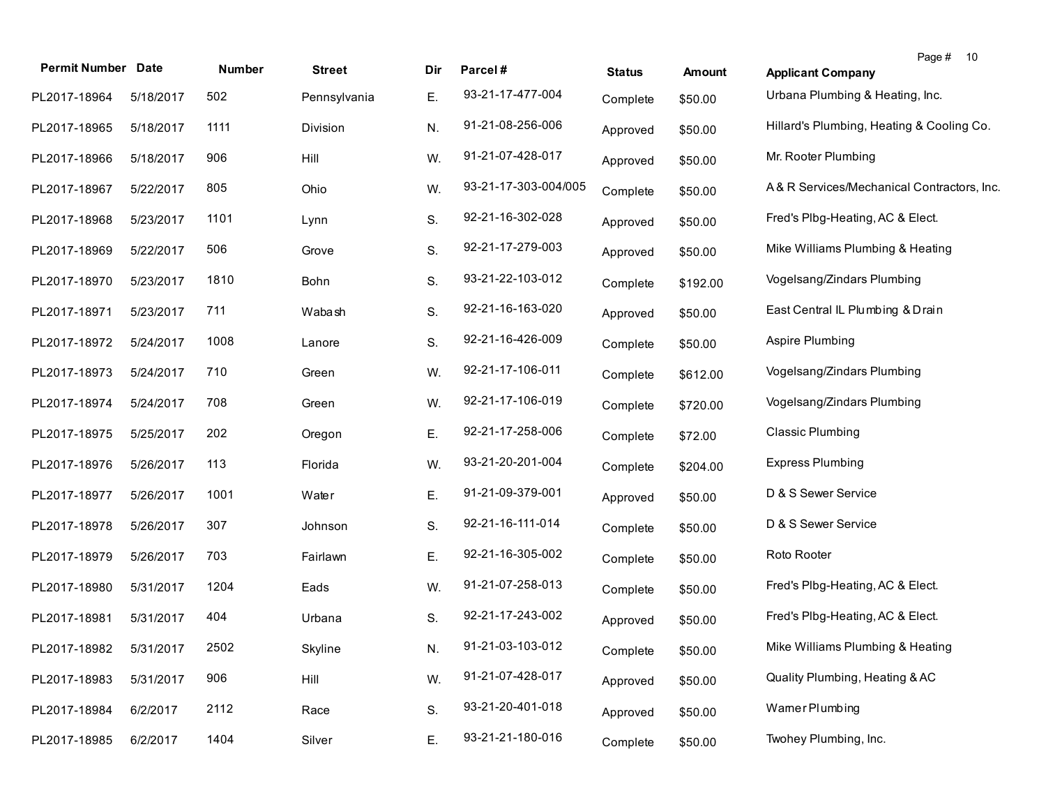| <b>Permit Number Date</b> |           |        |               |     |                      |               |               | Page # 10                                  |
|---------------------------|-----------|--------|---------------|-----|----------------------|---------------|---------------|--------------------------------------------|
|                           |           | Number | <b>Street</b> | Dir | Parcel#              | <b>Status</b> | <b>Amount</b> | <b>Applicant Company</b>                   |
| PL2017-18964              | 5/18/2017 | 502    | Pennsylvania  | Ε.  | 93-21-17-477-004     | Complete      | \$50.00       | Urbana Plumbing & Heating, Inc.            |
| PL2017-18965              | 5/18/2017 | 1111   | Division      | N.  | 91-21-08-256-006     | Approved      | \$50.00       | Hillard's Plumbing, Heating & Cooling Co.  |
| PL2017-18966              | 5/18/2017 | 906    | Hill          | W.  | 91-21-07-428-017     | Approved      | \$50.00       | Mr. Rooter Plumbing                        |
| PL2017-18967              | 5/22/2017 | 805    | Ohio          | W.  | 93-21-17-303-004/005 | Complete      | \$50.00       | A& R Services/Mechanical Contractors, Inc. |
| PL2017-18968              | 5/23/2017 | 1101   | Lynn          | S.  | 92-21-16-302-028     | Approved      | \$50.00       | Fred's Plbg-Heating, AC & Elect.           |
| PL2017-18969              | 5/22/2017 | 506    | Grove         | S.  | 92-21-17-279-003     | Approved      | \$50.00       | Mike Williams Plumbing & Heating           |
| PL2017-18970              | 5/23/2017 | 1810   | Bohn          | S.  | 93-21-22-103-012     | Complete      | \$192.00      | Vogelsang/Zindars Plumbing                 |
| PL2017-18971              | 5/23/2017 | 711    | Wabash        | S.  | 92-21-16-163-020     | Approved      | \$50.00       | East Central IL Plumbing & Drain           |
| PL2017-18972              | 5/24/2017 | 1008   | Lanore        | S.  | 92-21-16-426-009     | Complete      | \$50.00       | Aspire Plumbing                            |
| PL2017-18973              | 5/24/2017 | 710    | Green         | W.  | 92-21-17-106-011     | Complete      | \$612.00      | Vogelsang/Zindars Plumbing                 |
| PL2017-18974              | 5/24/2017 | 708    | Green         | W.  | 92-21-17-106-019     | Complete      | \$720.00      | Vogelsang/Zindars Plumbing                 |
| PL2017-18975              | 5/25/2017 | 202    | Oregon        | Ε.  | 92-21-17-258-006     | Complete      | \$72.00       | <b>Classic Plumbing</b>                    |
| PL2017-18976              | 5/26/2017 | 113    | Florida       | W.  | 93-21-20-201-004     | Complete      | \$204.00      | <b>Express Plumbing</b>                    |
| PL2017-18977              | 5/26/2017 | 1001   | Water         | Ε.  | 91-21-09-379-001     | Approved      | \$50.00       | D & S Sewer Service                        |
| PL2017-18978              | 5/26/2017 | 307    | Johnson       | S.  | 92-21-16-111-014     | Complete      | \$50.00       | D & S Sewer Service                        |
| PL2017-18979              | 5/26/2017 | 703    | Fairlawn      | Ε.  | 92-21-16-305-002     | Complete      | \$50.00       | Roto Rooter                                |
| PL2017-18980              | 5/31/2017 | 1204   | Eads          | W.  | 91-21-07-258-013     | Complete      | \$50.00       | Fred's Plbg-Heating, AC & Elect.           |
| PL2017-18981              | 5/31/2017 | 404    | Urbana        | S.  | 92-21-17-243-002     | Approved      | \$50.00       | Fred's Plbg-Heating, AC & Elect.           |
| PL2017-18982              | 5/31/2017 | 2502   | Skyline       | N.  | 91-21-03-103-012     | Complete      | \$50.00       | Mike Williams Plumbing & Heating           |
| PL2017-18983              | 5/31/2017 | 906    | Hill          | W.  | 91-21-07-428-017     | Approved      | \$50.00       | Quality Plumbing, Heating & AC             |
| PL2017-18984              | 6/2/2017  | 2112   | Race          | S.  | 93-21-20-401-018     | Approved      | \$50.00       | Wamer Plumbing                             |
| PL2017-18985              | 6/2/2017  | 1404   | Silver        | Ε.  | 93-21-21-180-016     | Complete      | \$50.00       | Twohey Plumbing, Inc.                      |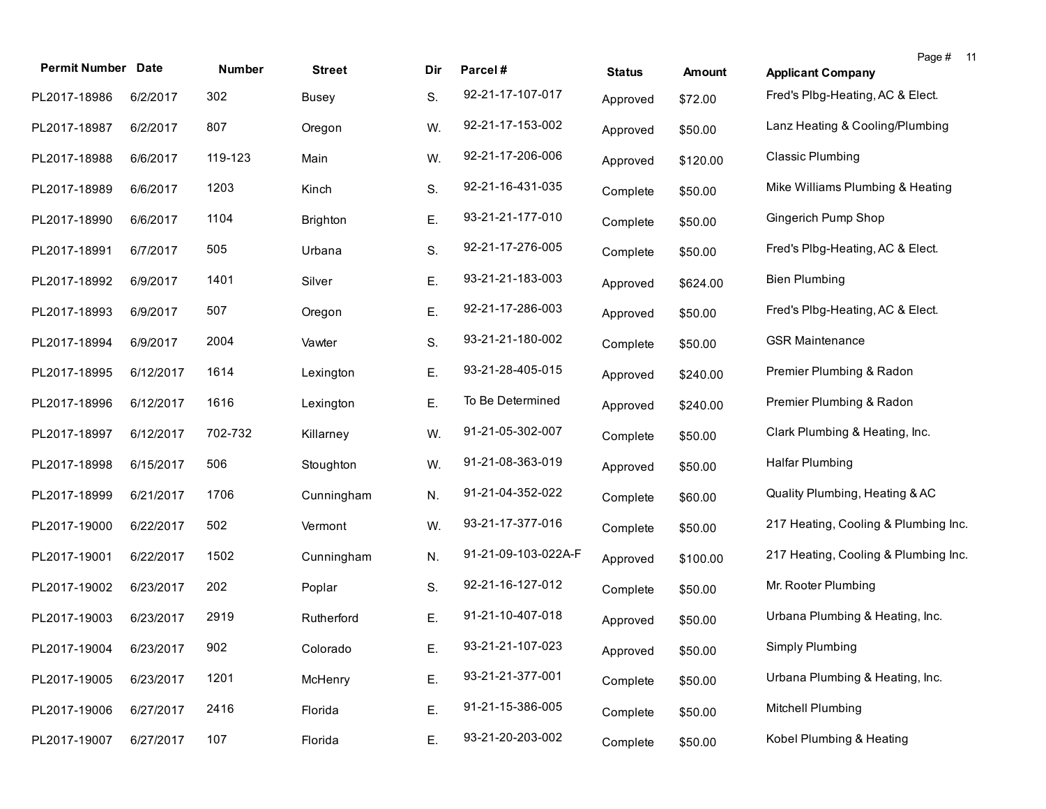| <b>Permit Number Date</b> |           | <b>Number</b> | <b>Street</b>   | Dir | Parcel#             | <b>Status</b> | <b>Amount</b> | Page # 11<br><b>Applicant Company</b> |
|---------------------------|-----------|---------------|-----------------|-----|---------------------|---------------|---------------|---------------------------------------|
| PL2017-18986              | 6/2/2017  | 302           | <b>Busey</b>    | S.  | 92-21-17-107-017    | Approved      | \$72.00       | Fred's Plbg-Heating, AC & Elect.      |
| PL2017-18987              | 6/2/2017  | 807           | Oregon          | W.  | 92-21-17-153-002    | Approved      | \$50.00       | Lanz Heating & Cooling/Plumbing       |
| PL2017-18988              | 6/6/2017  | 119-123       | Main            | W.  | 92-21-17-206-006    | Approved      | \$120.00      | Classic Plumbing                      |
| PL2017-18989              | 6/6/2017  | 1203          | Kinch           | S.  | 92-21-16-431-035    | Complete      | \$50.00       | Mike Williams Plumbing & Heating      |
| PL2017-18990              | 6/6/2017  | 1104          | <b>Brighton</b> | Ε.  | 93-21-21-177-010    | Complete      | \$50.00       | Gingerich Pump Shop                   |
| PL2017-18991              | 6/7/2017  | 505           | Urbana          | S.  | 92-21-17-276-005    | Complete      | \$50.00       | Fred's Plbg-Heating, AC & Elect.      |
| PL2017-18992              | 6/9/2017  | 1401          | Silver          | Ε.  | 93-21-21-183-003    | Approved      | \$624.00      | <b>Bien Plumbing</b>                  |
| PL2017-18993              | 6/9/2017  | 507           | Oregon          | Ε.  | 92-21-17-286-003    | Approved      | \$50.00       | Fred's Plbg-Heating, AC & Elect.      |
| PL2017-18994              | 6/9/2017  | 2004          | Vawter          | S.  | 93-21-21-180-002    | Complete      | \$50.00       | <b>GSR Maintenance</b>                |
| PL2017-18995              | 6/12/2017 | 1614          | Lexington       | Ε.  | 93-21-28-405-015    | Approved      | \$240.00      | Premier Plumbing & Radon              |
| PL2017-18996              | 6/12/2017 | 1616          | Lexington       | Ε.  | To Be Determined    | Approved      | \$240.00      | Premier Plumbing & Radon              |
| PL2017-18997              | 6/12/2017 | 702-732       | Killarney       | W.  | 91-21-05-302-007    | Complete      | \$50.00       | Clark Plumbing & Heating, Inc.        |
| PL2017-18998              | 6/15/2017 | 506           | Stoughton       | W.  | 91-21-08-363-019    | Approved      | \$50.00       | <b>Halfar Plumbing</b>                |
| PL2017-18999              | 6/21/2017 | 1706          | Cunningham      | N.  | 91-21-04-352-022    | Complete      | \$60.00       | Quality Plumbing, Heating & AC        |
| PL2017-19000              | 6/22/2017 | 502           | Vermont         | W.  | 93-21-17-377-016    | Complete      | \$50.00       | 217 Heating, Cooling & Plumbing Inc.  |
| PL2017-19001              | 6/22/2017 | 1502          | Cunningham      | N.  | 91-21-09-103-022A-F | Approved      | \$100.00      | 217 Heating, Cooling & Plumbing Inc.  |
| PL2017-19002              | 6/23/2017 | 202           | Poplar          | S.  | 92-21-16-127-012    | Complete      | \$50.00       | Mr. Rooter Plumbing                   |
| PL2017-19003              | 6/23/2017 | 2919          | Rutherford      | Ε.  | 91-21-10-407-018    | Approved      | \$50.00       | Urbana Plumbing & Heating, Inc.       |
| PL2017-19004 6/23/2017    |           | 902           | Colorado        | Ε.  | 93-21-21-107-023    | Approved      | \$50.00       | Simply Plumbing                       |
| PL2017-19005              | 6/23/2017 | 1201          | McHenry         | Ε.  | 93-21-21-377-001    | Complete      | \$50.00       | Urbana Plumbing & Heating, Inc.       |
| PL2017-19006              | 6/27/2017 | 2416          | Florida         | Ε.  | 91-21-15-386-005    | Complete      | \$50.00       | Mitchell Plumbing                     |
| PL2017-19007              | 6/27/2017 | 107           | Florida         | Ε.  | 93-21-20-203-002    | Complete      | \$50.00       | Kobel Plumbing & Heating              |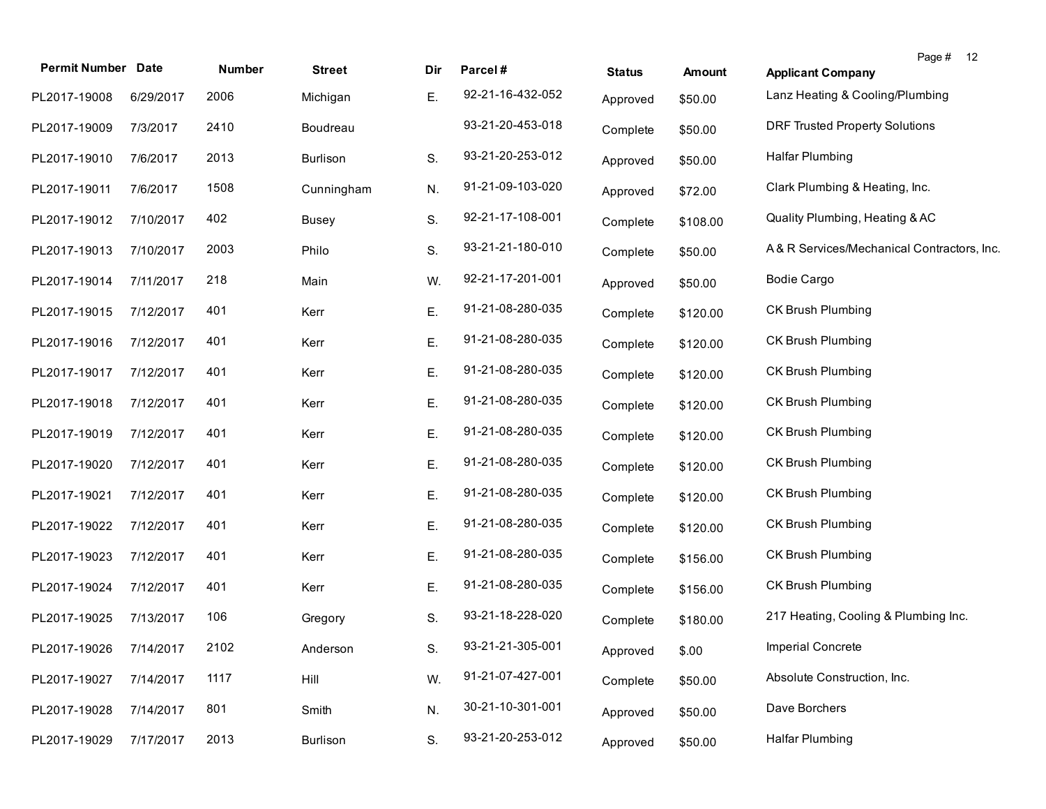| <b>Permit Number</b> | <b>Date</b> | Number | <b>Street</b> | Dir | Parcel#          | <b>Status</b> | <b>Amount</b> | Page # 12<br><b>Applicant Company</b>      |
|----------------------|-------------|--------|---------------|-----|------------------|---------------|---------------|--------------------------------------------|
| PL2017-19008         | 6/29/2017   | 2006   | Michigan      | Ε.  | 92-21-16-432-052 | Approved      | \$50.00       | Lanz Heating & Cooling/Plumbing            |
| PL2017-19009         | 7/3/2017    | 2410   | Boudreau      |     | 93-21-20-453-018 | Complete      | \$50.00       | <b>DRF Trusted Property Solutions</b>      |
| PL2017-19010         | 7/6/2017    | 2013   | Burlison      | S.  | 93-21-20-253-012 | Approved      | \$50.00       | <b>Halfar Plumbing</b>                     |
| PL2017-19011         | 7/6/2017    | 1508   | Cunningham    | N.  | 91-21-09-103-020 | Approved      | \$72.00       | Clark Plumbing & Heating, Inc.             |
| PL2017-19012         | 7/10/2017   | 402    | <b>Busey</b>  | S.  | 92-21-17-108-001 | Complete      | \$108.00      | Quality Plumbing, Heating & AC             |
| PL2017-19013         | 7/10/2017   | 2003   | Philo         | S.  | 93-21-21-180-010 | Complete      | \$50.00       | A& R Services/Mechanical Contractors, Inc. |
| PL2017-19014         | 7/11/2017   | 218    | Main          | W.  | 92-21-17-201-001 | Approved      | \$50.00       | <b>Bodie Cargo</b>                         |
| PL2017-19015         | 7/12/2017   | 401    | Kerr          | Ε.  | 91-21-08-280-035 | Complete      | \$120.00      | <b>CK Brush Plumbing</b>                   |
| PL2017-19016         | 7/12/2017   | 401    | Kerr          | Ε.  | 91-21-08-280-035 | Complete      | \$120.00      | <b>CK Brush Plumbing</b>                   |
| PL2017-19017         | 7/12/2017   | 401    | Kerr          | Ε.  | 91-21-08-280-035 | Complete      | \$120.00      | CK Brush Plumbing                          |
| PL2017-19018         | 7/12/2017   | 401    | Kerr          | Ε.  | 91-21-08-280-035 | Complete      | \$120.00      | CK Brush Plumbing                          |
| PL2017-19019         | 7/12/2017   | 401    | Kerr          | Ε.  | 91-21-08-280-035 | Complete      | \$120.00      | <b>CK Brush Plumbing</b>                   |
| PL2017-19020         | 7/12/2017   | 401    | Kerr          | Ε.  | 91-21-08-280-035 | Complete      | \$120.00      | <b>CK Brush Plumbing</b>                   |
| PL2017-19021         | 7/12/2017   | 401    | Kerr          | Ε.  | 91-21-08-280-035 | Complete      | \$120.00      | <b>CK Brush Plumbing</b>                   |
| PL2017-19022         | 7/12/2017   | 401    | Kerr          | Е.  | 91-21-08-280-035 | Complete      | \$120.00      | <b>CK Brush Plumbing</b>                   |
| PL2017-19023         | 7/12/2017   | 401    | Kerr          | Ε.  | 91-21-08-280-035 | Complete      | \$156.00      | <b>CK Brush Plumbing</b>                   |
| PL2017-19024         | 7/12/2017   | 401    | Kerr          | Ε.  | 91-21-08-280-035 | Complete      | \$156.00      | CK Brush Plumbing                          |
| PL2017-19025         | 7/13/2017   | 106    | Gregory       | S.  | 93-21-18-228-020 | Complete      | \$180.00      | 217 Heating, Cooling & Plumbing Inc.       |
| PL2017-19026         | 7/14/2017   | 2102   | Anderson      | S.  | 93-21-21-305-001 | Approved      | \$.00         | Imperial Concrete                          |
| PL2017-19027         | 7/14/2017   | 1117   | Hill          | W.  | 91-21-07-427-001 | Complete      | \$50.00       | Absolute Construction, Inc.                |
| PL2017-19028         | 7/14/2017   | 801    | Smith         | N.  | 30-21-10-301-001 | Approved      | \$50.00       | Dave Borchers                              |
| PL2017-19029         | 7/17/2017   | 2013   | Burlison      | S.  | 93-21-20-253-012 | Approved      | \$50.00       | Halfar Plumbing                            |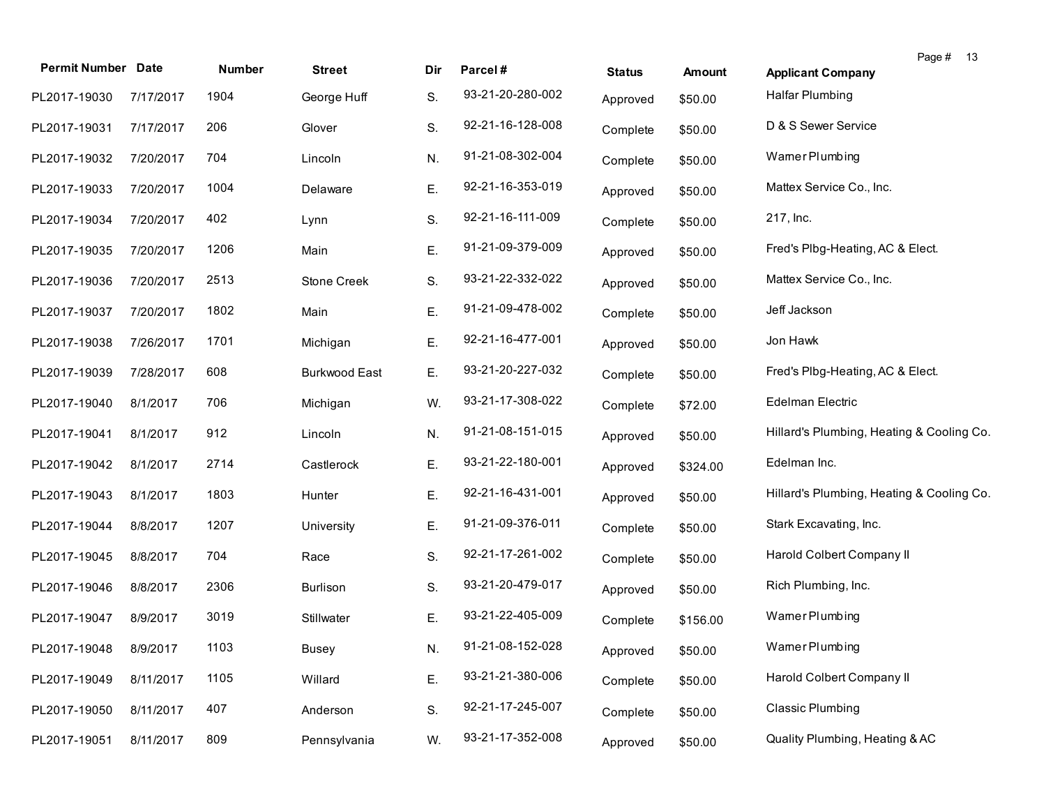|                           |           |               |                      |     |                  |               |          | Page #<br>13                              |
|---------------------------|-----------|---------------|----------------------|-----|------------------|---------------|----------|-------------------------------------------|
| <b>Permit Number Date</b> |           | <b>Number</b> | <b>Street</b>        | Dir | Parcel#          | <b>Status</b> | Amount   | <b>Applicant Company</b>                  |
| PL2017-19030              | 7/17/2017 | 1904          | George Huff          | S.  | 93-21-20-280-002 | Approved      | \$50.00  | <b>Halfar Plumbing</b>                    |
| PL2017-19031              | 7/17/2017 | 206           | Glover               | S.  | 92-21-16-128-008 | Complete      | \$50.00  | D & S Sewer Service                       |
| PL2017-19032              | 7/20/2017 | 704           | Lincoln              | N.  | 91-21-08-302-004 | Complete      | \$50.00  | Wamer Plumbing                            |
| PL2017-19033              | 7/20/2017 | 1004          | Delaware             | Ε.  | 92-21-16-353-019 | Approved      | \$50.00  | Mattex Service Co., Inc.                  |
| PL2017-19034              | 7/20/2017 | 402           | Lynn                 | S.  | 92-21-16-111-009 | Complete      | \$50.00  | 217, Inc.                                 |
| PL2017-19035              | 7/20/2017 | 1206          | Main                 | Ε.  | 91-21-09-379-009 | Approved      | \$50.00  | Fred's Plbg-Heating, AC & Elect.          |
| PL2017-19036              | 7/20/2017 | 2513          | Stone Creek          | S.  | 93-21-22-332-022 | Approved      | \$50.00  | Mattex Service Co., Inc.                  |
| PL2017-19037              | 7/20/2017 | 1802          | Main                 | Ε.  | 91-21-09-478-002 | Complete      | \$50.00  | Jeff Jackson                              |
| PL2017-19038              | 7/26/2017 | 1701          | Michigan             | Ε.  | 92-21-16-477-001 | Approved      | \$50.00  | Jon Hawk                                  |
| PL2017-19039              | 7/28/2017 | 608           | <b>Burkwood East</b> | Ε.  | 93-21-20-227-032 | Complete      | \$50.00  | Fred's Plbg-Heating, AC & Elect.          |
| PL2017-19040              | 8/1/2017  | 706           | Michigan             | W.  | 93-21-17-308-022 | Complete      | \$72.00  | <b>Edelman Electric</b>                   |
| PL2017-19041              | 8/1/2017  | 912           | Lincoln              | N.  | 91-21-08-151-015 | Approved      | \$50.00  | Hillard's Plumbing, Heating & Cooling Co. |
| PL2017-19042              | 8/1/2017  | 2714          | Castlerock           | Ε.  | 93-21-22-180-001 | Approved      | \$324.00 | Edelman Inc.                              |
| PL2017-19043              | 8/1/2017  | 1803          | Hunter               | Ε.  | 92-21-16-431-001 | Approved      | \$50.00  | Hillard's Plumbing, Heating & Cooling Co. |
| PL2017-19044              | 8/8/2017  | 1207          | University           | Ε.  | 91-21-09-376-011 | Complete      | \$50.00  | Stark Excavating, Inc.                    |
| PL2017-19045              | 8/8/2017  | 704           | Race                 | S.  | 92-21-17-261-002 | Complete      | \$50.00  | Harold Colbert Company II                 |
| PL2017-19046              | 8/8/2017  | 2306          | <b>Burlison</b>      | S.  | 93-21-20-479-017 | Approved      | \$50.00  | Rich Plumbing, Inc.                       |
| PL2017-19047              | 8/9/2017  | 3019          | Stillwater           | Ε.  | 93-21-22-405-009 | Complete      | \$156.00 | Wamer Plumbing                            |
| PL2017-19048              | 8/9/2017  | 1103          | <b>Busey</b>         | N.  | 91-21-08-152-028 | Approved      | \$50.00  | Wamer Plumbing                            |
| PL2017-19049              | 8/11/2017 | 1105          | Willard              | Ε.  | 93-21-21-380-006 | Complete      | \$50.00  | Harold Colbert Company II                 |
| PL2017-19050              | 8/11/2017 | 407           | Anderson             | S.  | 92-21-17-245-007 | Complete      | \$50.00  | <b>Classic Plumbing</b>                   |
| PL2017-19051              | 8/11/2017 | 809           | Pennsylvania         | W.  | 93-21-17-352-008 | Approved      | \$50.00  | Quality Plumbing, Heating & AC            |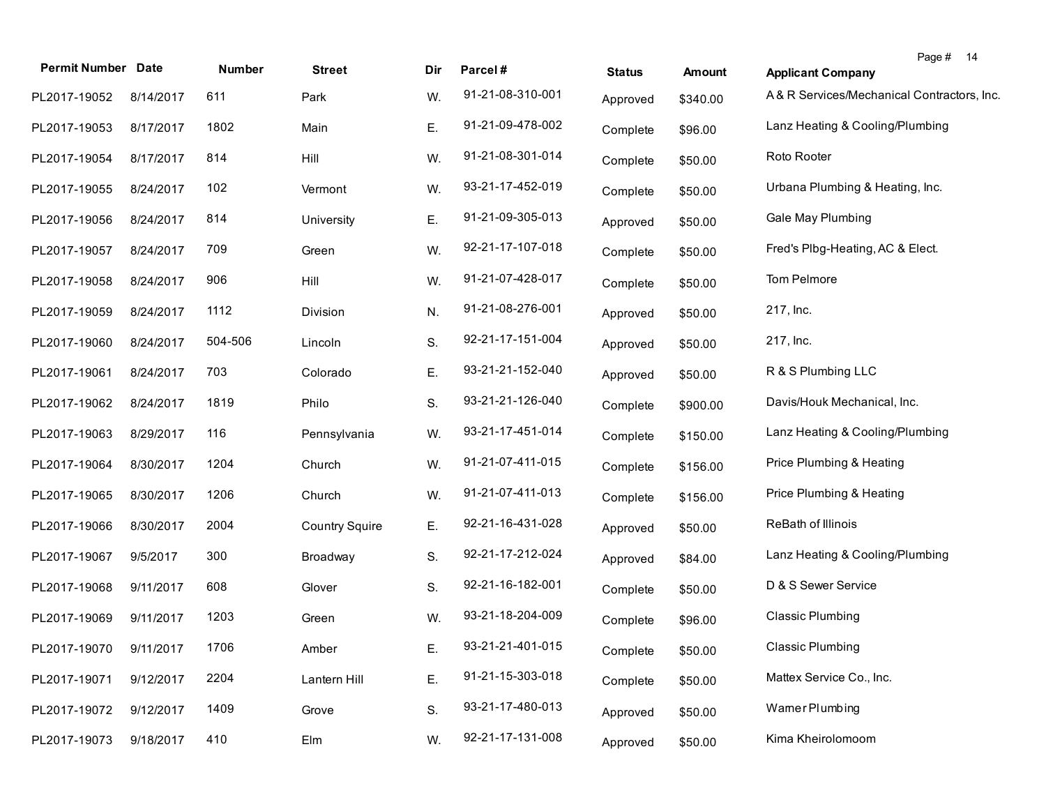| <b>Permit Number Date</b> |           | Number  | <b>Street</b>         | Dir | Parcel#          | <b>Status</b> | Amount   | Page # 14<br><b>Applicant Company</b>      |
|---------------------------|-----------|---------|-----------------------|-----|------------------|---------------|----------|--------------------------------------------|
| PL2017-19052              | 8/14/2017 | 611     | Park                  | W.  | 91-21-08-310-001 | Approved      | \$340.00 | A& R Services/Mechanical Contractors, Inc. |
| PL2017-19053              | 8/17/2017 | 1802    | Main                  | Ε.  | 91-21-09-478-002 | Complete      | \$96.00  | Lanz Heating & Cooling/Plumbing            |
| PL2017-19054              | 8/17/2017 | 814     | Hill                  | W.  | 91-21-08-301-014 | Complete      | \$50.00  | Roto Rooter                                |
| PL2017-19055              | 8/24/2017 | 102     | Vermont               | W.  | 93-21-17-452-019 | Complete      | \$50.00  | Urbana Plumbing & Heating, Inc.            |
| PL2017-19056              | 8/24/2017 | 814     | University            | Ε.  | 91-21-09-305-013 | Approved      | \$50.00  | Gale May Plumbing                          |
| PL2017-19057              | 8/24/2017 | 709     | Green                 | W.  | 92-21-17-107-018 | Complete      | \$50.00  | Fred's Plbg-Heating, AC & Elect.           |
| PL2017-19058              | 8/24/2017 | 906     | Hill                  | W.  | 91-21-07-428-017 | Complete      | \$50.00  | Tom Pelmore                                |
| PL2017-19059              | 8/24/2017 | 1112    | Division              | N.  | 91-21-08-276-001 | Approved      | \$50.00  | 217, Inc.                                  |
| PL2017-19060              | 8/24/2017 | 504-506 | Lincoln               | S.  | 92-21-17-151-004 | Approved      | \$50.00  | 217, Inc.                                  |
| PL2017-19061              | 8/24/2017 | 703     | Colorado              | Ε.  | 93-21-21-152-040 | Approved      | \$50.00  | R & S Plumbing LLC                         |
| PL2017-19062              | 8/24/2017 | 1819    | Philo                 | S.  | 93-21-21-126-040 | Complete      | \$900.00 | Davis/Houk Mechanical, Inc.                |
| PL2017-19063              | 8/29/2017 | 116     | Pennsylvania          | W.  | 93-21-17-451-014 | Complete      | \$150.00 | Lanz Heating & Cooling/Plumbing            |
| PL2017-19064              | 8/30/2017 | 1204    | Church                | W.  | 91-21-07-411-015 | Complete      | \$156.00 | Price Plumbing & Heating                   |
| PL2017-19065              | 8/30/2017 | 1206    | Church                | W.  | 91-21-07-411-013 | Complete      | \$156.00 | Price Plumbing & Heating                   |
| PL2017-19066              | 8/30/2017 | 2004    | <b>Country Squire</b> | Ε.  | 92-21-16-431-028 | Approved      | \$50.00  | ReBath of Illinois                         |
| PL2017-19067              | 9/5/2017  | 300     | Broadway              | S.  | 92-21-17-212-024 | Approved      | \$84.00  | Lanz Heating & Cooling/Plumbing            |
| PL2017-19068              | 9/11/2017 | 608     | Glover                | S.  | 92-21-16-182-001 | Complete      | \$50.00  | D & S Sewer Service                        |
| PL2017-19069              | 9/11/2017 | 1203    | Green                 | W.  | 93-21-18-204-009 | Complete      | \$96.00  | <b>Classic Plumbing</b>                    |
| PL2017-19070 9/11/2017    |           | 1706    | Amber                 | E.  | 93-21-21-401-015 | Complete      | \$50.00  | Classic Plumbing                           |
| PL2017-19071              | 9/12/2017 | 2204    | Lantern Hill          | Ε.  | 91-21-15-303-018 | Complete      | \$50.00  | Mattex Service Co., Inc.                   |
| PL2017-19072              | 9/12/2017 | 1409    | Grove                 | S.  | 93-21-17-480-013 | Approved      | \$50.00  | Wamer Plumbing                             |
| PL2017-19073              | 9/18/2017 | 410     | Elm                   | W.  | 92-21-17-131-008 | Approved      | \$50.00  | Kima Kheirolomoom                          |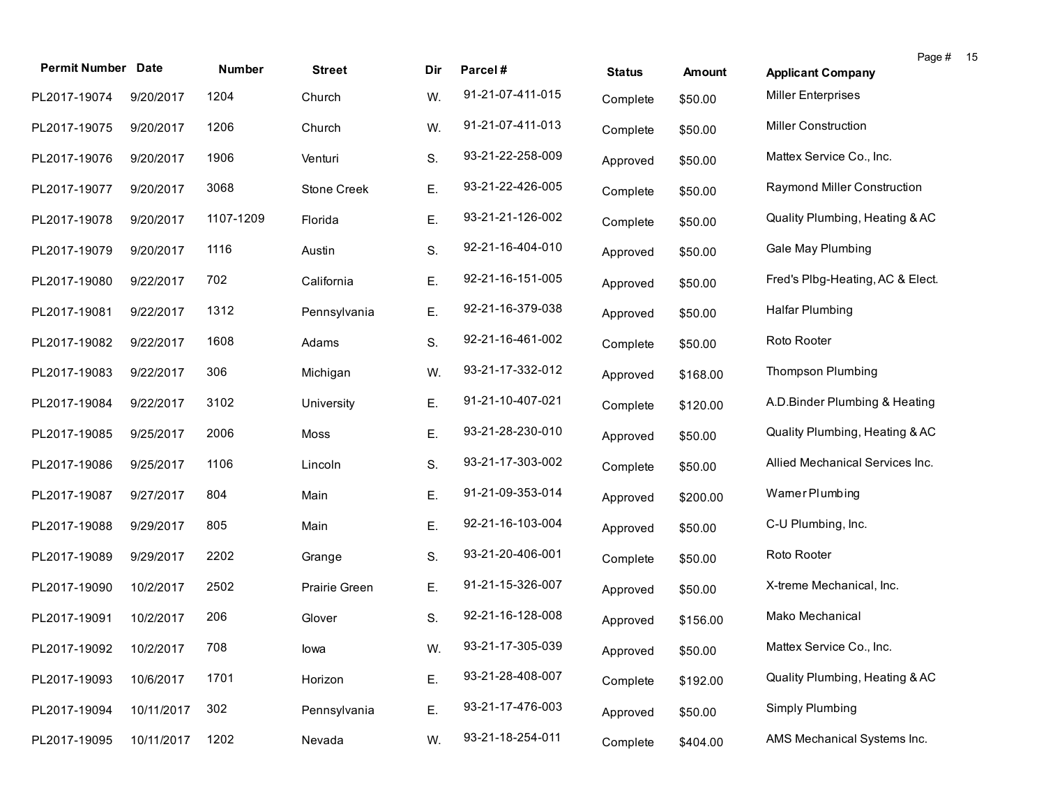| <b>Permit Number Date</b> |            | Number    | <b>Street</b> | Dir | Parcel#          | <b>Status</b> | Amount   | Page #<br>- 15<br><b>Applicant Company</b> |
|---------------------------|------------|-----------|---------------|-----|------------------|---------------|----------|--------------------------------------------|
| PL2017-19074              | 9/20/2017  | 1204      | Church        | W.  | 91-21-07-411-015 | Complete      | \$50.00  | <b>Miller Enterprises</b>                  |
| PL2017-19075              | 9/20/2017  | 1206      | Church        | W.  | 91-21-07-411-013 | Complete      | \$50.00  | <b>Miller Construction</b>                 |
| PL2017-19076              | 9/20/2017  | 1906      | Venturi       | S.  | 93-21-22-258-009 | Approved      | \$50.00  | Mattex Service Co., Inc.                   |
| PL2017-19077              | 9/20/2017  | 3068      | Stone Creek   | Ε.  | 93-21-22-426-005 | Complete      | \$50.00  | Raymond Miller Construction                |
| PL2017-19078              | 9/20/2017  | 1107-1209 | Florida       | Ε.  | 93-21-21-126-002 | Complete      | \$50.00  | Quality Plumbing, Heating & AC             |
| PL2017-19079              | 9/20/2017  | 1116      | Austin        | S.  | 92-21-16-404-010 | Approved      | \$50.00  | Gale May Plumbing                          |
| PL2017-19080              | 9/22/2017  | 702       | California    | Ε.  | 92-21-16-151-005 | Approved      | \$50.00  | Fred's Plbg-Heating, AC & Elect.           |
| PL2017-19081              | 9/22/2017  | 1312      | Pennsylvania  | Ε.  | 92-21-16-379-038 | Approved      | \$50.00  | <b>Halfar Plumbing</b>                     |
| PL2017-19082              | 9/22/2017  | 1608      | Adams         | S.  | 92-21-16-461-002 | Complete      | \$50.00  | Roto Rooter                                |
| PL2017-19083              | 9/22/2017  | 306       | Michigan      | W.  | 93-21-17-332-012 | Approved      | \$168.00 | <b>Thompson Plumbing</b>                   |
| PL2017-19084              | 9/22/2017  | 3102      | University    | Ε.  | 91-21-10-407-021 | Complete      | \$120.00 | A.D.Binder Plumbing & Heating              |
| PL2017-19085              | 9/25/2017  | 2006      | Moss          | Ε.  | 93-21-28-230-010 | Approved      | \$50.00  | Quality Plumbing, Heating & AC             |
| PL2017-19086              | 9/25/2017  | 1106      | Lincoln       | S.  | 93-21-17-303-002 | Complete      | \$50.00  | Allied Mechanical Services Inc.            |
| PL2017-19087              | 9/27/2017  | 804       | Main          | Ε.  | 91-21-09-353-014 | Approved      | \$200.00 | Wamer Plumbing                             |
| PL2017-19088              | 9/29/2017  | 805       | Main          | Ε.  | 92-21-16-103-004 | Approved      | \$50.00  | C-U Plumbing, Inc.                         |
| PL2017-19089              | 9/29/2017  | 2202      | Grange        | S.  | 93-21-20-406-001 | Complete      | \$50.00  | Roto Rooter                                |
| PL2017-19090              | 10/2/2017  | 2502      | Prairie Green | Ε.  | 91-21-15-326-007 | Approved      | \$50.00  | X-treme Mechanical, Inc.                   |
| PL2017-19091              | 10/2/2017  | 206       | Glover        | S.  | 92-21-16-128-008 | Approved      | \$156.00 | Mako Mechanical                            |
| PL2017-19092 10/2/2017    |            | 708       | lowa          | W.  | 93-21-17-305-039 | Approved      | \$50.00  | Mattex Service Co., Inc.                   |
| PL2017-19093              | 10/6/2017  | 1701      | Horizon       | Ε.  | 93-21-28-408-007 | Complete      | \$192.00 | Quality Plumbing, Heating & AC             |
| PL2017-19094              | 10/11/2017 | 302       | Pennsylvania  | Ε.  | 93-21-17-476-003 | Approved      | \$50.00  | Simply Plumbing                            |
| PL2017-19095              | 10/11/2017 | 1202      | Nevada        | W.  | 93-21-18-254-011 | Complete      | \$404.00 | AMS Mechanical Systems Inc.                |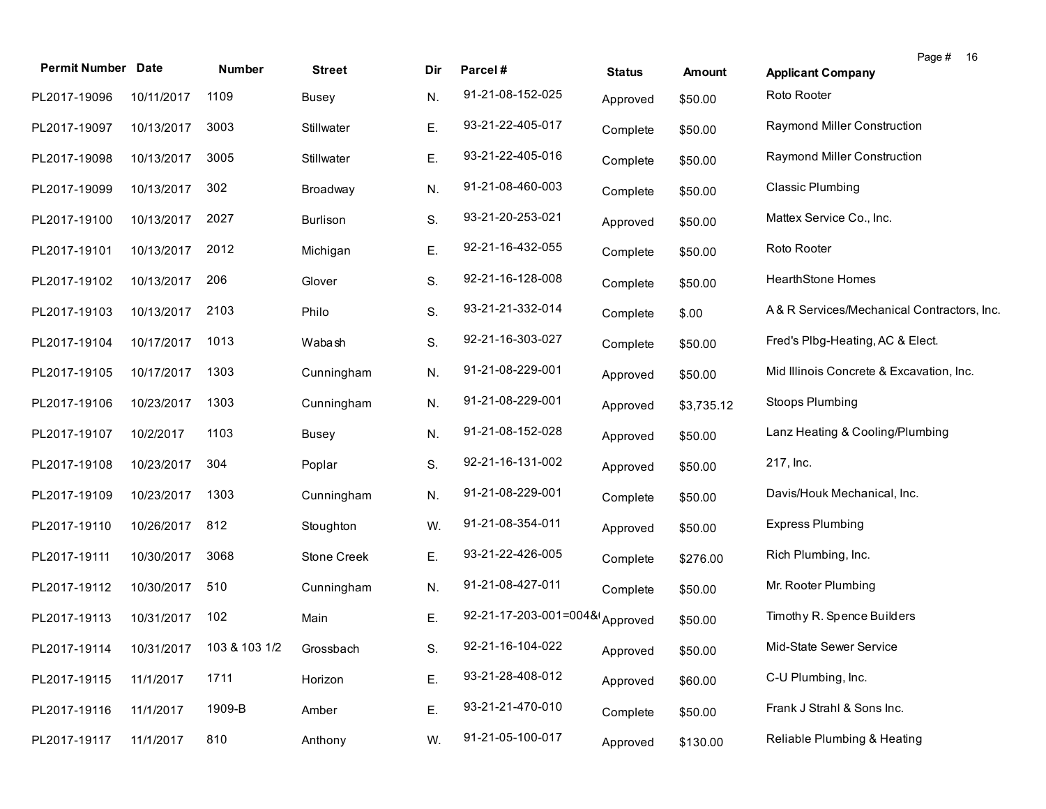| <b>Permit Number Date</b>             |            | Number | <b>Street</b>   | Dir | Parcel#                        | <b>Status</b> | Amount     | Page # 16<br><b>Applicant Company</b>      |
|---------------------------------------|------------|--------|-----------------|-----|--------------------------------|---------------|------------|--------------------------------------------|
| PL2017-19096                          | 10/11/2017 | 1109   | Busey           | N.  | 91-21-08-152-025               | Approved      | \$50.00    | Roto Rooter                                |
| PL2017-19097                          | 10/13/2017 | 3003   | Stillwater      | Ε.  | 93-21-22-405-017               | Complete      | \$50.00    | Raymond Miller Construction                |
| PL2017-19098                          | 10/13/2017 | 3005   | Stillwater      | Ε.  | 93-21-22-405-016               | Complete      | \$50.00    | Raymond Miller Construction                |
| PL2017-19099                          | 10/13/2017 | 302    | Broadway        | N.  | 91-21-08-460-003               | Complete      | \$50.00    | <b>Classic Plumbing</b>                    |
| PL2017-19100                          | 10/13/2017 | 2027   | <b>Burlison</b> | S.  | 93-21-20-253-021               | Approved      | \$50.00    | Mattex Service Co., Inc.                   |
| PL2017-19101                          | 10/13/2017 | 2012   | Michigan        | Ε.  | 92-21-16-432-055               | Complete      | \$50.00    | Roto Rooter                                |
| PL2017-19102                          | 10/13/2017 | 206    | Glover          | S.  | 92-21-16-128-008               | Complete      | \$50.00    | <b>HearthStone Homes</b>                   |
| PL2017-19103                          | 10/13/2017 | 2103   | Philo           | S.  | 93-21-21-332-014               | Complete      | \$.00      | A& R Services/Mechanical Contractors, Inc. |
| PL2017-19104                          | 10/17/2017 | 1013   | Wabash          | S.  | 92-21-16-303-027               | Complete      | \$50.00    | Fred's Plbg-Heating, AC & Elect.           |
| PL2017-19105                          | 10/17/2017 | 1303   | Cunningham      | N.  | 91-21-08-229-001               | Approved      | \$50.00    | Mid Illinois Concrete & Excavation, Inc.   |
| PL2017-19106                          | 10/23/2017 | 1303   | Cunningham      | N.  | 91-21-08-229-001               | Approved      | \$3,735.12 | Stoops Plumbing                            |
| PL2017-19107                          | 10/2/2017  | 1103   | <b>Busey</b>    | N.  | 91-21-08-152-028               | Approved      | \$50.00    | Lanz Heating & Cooling/Plumbing            |
| PL2017-19108                          | 10/23/2017 | 304    | Poplar          | S.  | 92-21-16-131-002               | Approved      | \$50.00    | 217, Inc.                                  |
| PL2017-19109                          | 10/23/2017 | 1303   | Cunningham      | N.  | 91-21-08-229-001               | Complete      | \$50.00    | Davis/Houk Mechanical, Inc.                |
| PL2017-19110                          | 10/26/2017 | 812    | Stoughton       | W.  | 91-21-08-354-011               | Approved      | \$50.00    | <b>Express Plumbing</b>                    |
| PL2017-19111                          | 10/30/2017 | 3068   | Stone Creek     | Ε.  | 93-21-22-426-005               | Complete      | \$276.00   | Rich Plumbing, Inc.                        |
| PL2017-19112                          | 10/30/2017 | 510    | Cunningham      | N.  | 91-21-08-427-011               | Complete      | \$50.00    | Mr. Rooter Plumbing                        |
| PL2017-19113                          | 10/31/2017 | 102    | Main            | Ε.  | 92-21-17-203-001=004& Approved |               | \$50.00    | Timothy R. Spence Builders                 |
| PL2017-19114 10/31/2017 103 & 103 1/2 |            |        | Grossbach       | S.  | 92-21-16-104-022               | Approved      | \$50.00    | Mid-State Sewer Service                    |
| PL2017-19115                          | 11/1/2017  | 1711   | Horizon         | Ε.  | 93-21-28-408-012               | Approved      | \$60.00    | C-U Plumbing, Inc.                         |
| PL2017-19116                          | 11/1/2017  | 1909-B | Amber           | Ε.  | 93-21-21-470-010               | Complete      | \$50.00    | Frank J Strahl & Sons Inc.                 |
| PL2017-19117                          | 11/1/2017  | 810    | Anthony         | W.  | 91-21-05-100-017               | Approved      | \$130.00   | Reliable Plumbing & Heating                |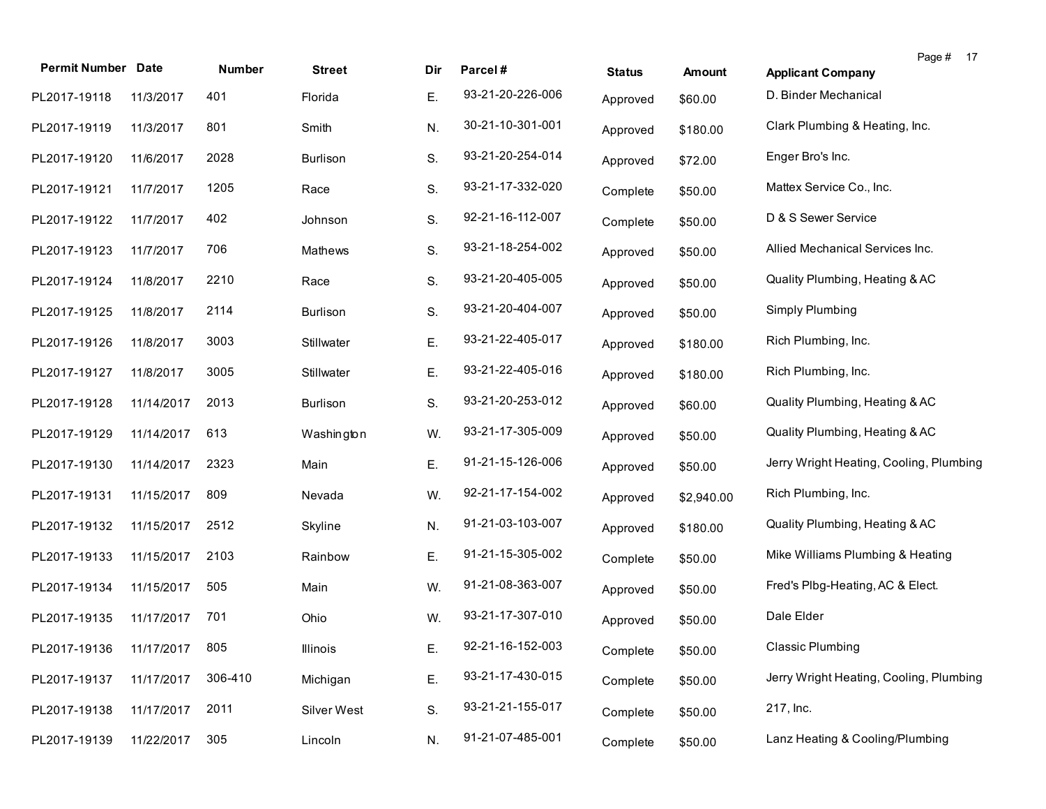| <b>Permit Number Date</b>   |            | Number  | <b>Street</b>   | Dir | Parcel#          | <b>Status</b> | <b>Amount</b> | <b>Applicant Company</b>                | Page # | 17 |
|-----------------------------|------------|---------|-----------------|-----|------------------|---------------|---------------|-----------------------------------------|--------|----|
| PL2017-19118                | 11/3/2017  | 401     | Florida         | Е.  | 93-21-20-226-006 | Approved      | \$60.00       | D. Binder Mechanical                    |        |    |
| PL2017-19119                | 11/3/2017  | 801     | Smith           | N.  | 30-21-10-301-001 | Approved      | \$180.00      | Clark Plumbing & Heating, Inc.          |        |    |
| PL2017-19120                | 11/6/2017  | 2028    | <b>Burlison</b> | S.  | 93-21-20-254-014 | Approved      | \$72.00       | Enger Bro's Inc.                        |        |    |
| PL2017-19121                | 11/7/2017  | 1205    | Race            | S.  | 93-21-17-332-020 | Complete      | \$50.00       | Mattex Service Co., Inc.                |        |    |
| PL2017-19122                | 11/7/2017  | 402     | Johnson         | S.  | 92-21-16-112-007 | Complete      | \$50.00       | D & S Sewer Service                     |        |    |
| PL2017-19123                | 11/7/2017  | 706     | Mathews         | S.  | 93-21-18-254-002 | Approved      | \$50.00       | Allied Mechanical Services Inc.         |        |    |
| PL2017-19124                | 11/8/2017  | 2210    | Race            | S.  | 93-21-20-405-005 | Approved      | \$50.00       | Quality Plumbing, Heating & AC          |        |    |
| PL2017-19125                | 11/8/2017  | 2114    | <b>Burlison</b> | S.  | 93-21-20-404-007 | Approved      | \$50.00       | Simply Plumbing                         |        |    |
| PL2017-19126                | 11/8/2017  | 3003    | Stillwater      | Ε.  | 93-21-22-405-017 | Approved      | \$180.00      | Rich Plumbing, Inc.                     |        |    |
| PL2017-19127                | 11/8/2017  | 3005    | Stillwater      | Ε.  | 93-21-22-405-016 | Approved      | \$180.00      | Rich Plumbing, Inc.                     |        |    |
| PL2017-19128                | 11/14/2017 | 2013    | Burlison        | S.  | 93-21-20-253-012 | Approved      | \$60.00       | Quality Plumbing, Heating & AC          |        |    |
| PL2017-19129                | 11/14/2017 | 613     | Washington      | W.  | 93-21-17-305-009 | Approved      | \$50.00       | Quality Plumbing, Heating & AC          |        |    |
| PL2017-19130                | 11/14/2017 | 2323    | Main            | Ε.  | 91-21-15-126-006 | Approved      | \$50.00       | Jerry Wright Heating, Cooling, Plumbing |        |    |
| PL2017-19131                | 11/15/2017 | 809     | Nevada          | W.  | 92-21-17-154-002 | Approved      | \$2,940.00    | Rich Plumbing, Inc.                     |        |    |
| PL2017-19132                | 11/15/2017 | 2512    | Skyline         | N.  | 91-21-03-103-007 | Approved      | \$180.00      | Quality Plumbing, Heating & AC          |        |    |
| PL2017-19133                | 11/15/2017 | 2103    | Rainbow         | Ε.  | 91-21-15-305-002 | Complete      | \$50.00       | Mike Williams Plumbing & Heating        |        |    |
| PL2017-19134                | 11/15/2017 | 505     | Main            | W.  | 91-21-08-363-007 | Approved      | \$50.00       | Fred's Plbg-Heating, AC & Elect.        |        |    |
| PL2017-19135                | 11/17/2017 | 701     | Ohio            | W.  | 93-21-17-307-010 | Approved      | \$50.00       | Dale Elder                              |        |    |
| PL2017-19136 11/17/2017 805 |            |         | Illinois        | E.  | 92-21-16-152-003 | Complete      | \$50.00       | Classic Plumbing                        |        |    |
| PL2017-19137                | 11/17/2017 | 306-410 | Michigan        | Ε.  | 93-21-17-430-015 | Complete      | \$50.00       | Jerry Wright Heating, Cooling, Plumbing |        |    |
| PL2017-19138                | 11/17/2017 | 2011    | Silver West     | S.  | 93-21-21-155-017 | Complete      | \$50.00       | 217, Inc.                               |        |    |
| PL2017-19139                | 11/22/2017 | 305     | Lincoln         | N.  | 91-21-07-485-001 | Complete      | \$50.00       | Lanz Heating & Cooling/Plumbing         |        |    |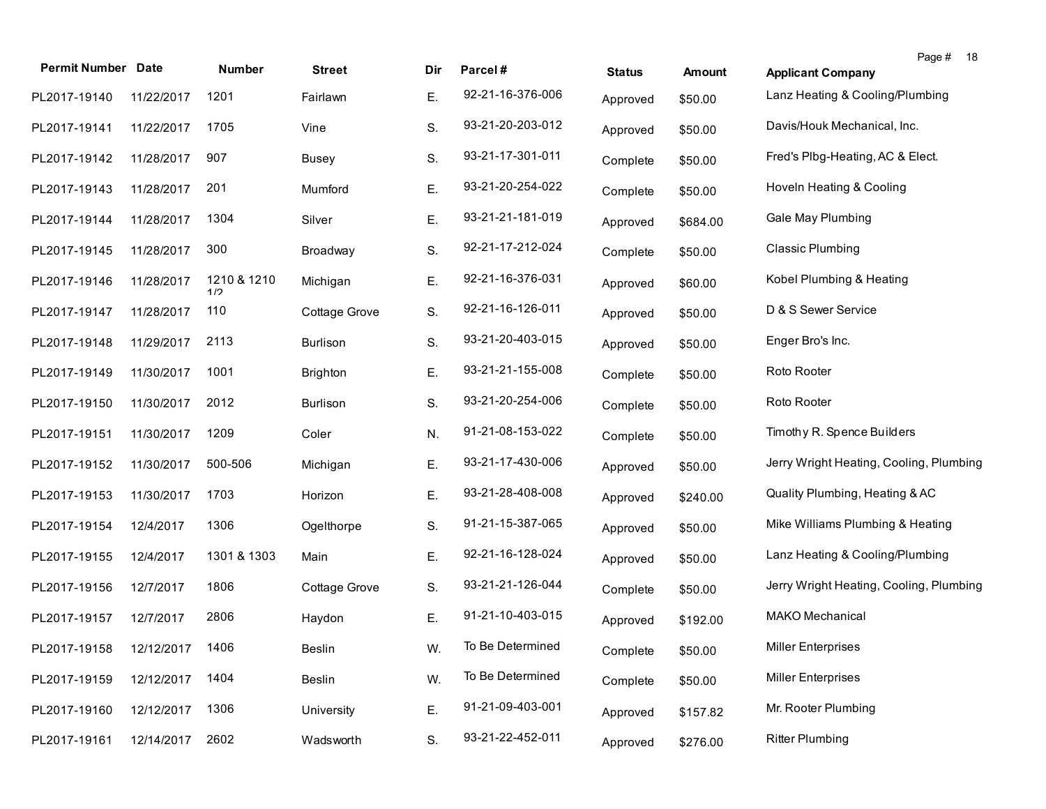|                           |            |                    |                 |     |                  |               |               | Page #<br>18                            |
|---------------------------|------------|--------------------|-----------------|-----|------------------|---------------|---------------|-----------------------------------------|
| <b>Permit Number Date</b> |            | Number             | <b>Street</b>   | Dir | Parcel#          | <b>Status</b> | <b>Amount</b> | <b>Applicant Company</b>                |
| PL2017-19140              | 11/22/2017 | 1201               | Fairlawn        | Ε.  | 92-21-16-376-006 | Approved      | \$50.00       | Lanz Heating & Cooling/Plumbing         |
| PL2017-19141              | 11/22/2017 | 1705               | Vine            | S.  | 93-21-20-203-012 | Approved      | \$50.00       | Davis/Houk Mechanical, Inc.             |
| PL2017-19142              | 11/28/2017 | 907                | <b>Busey</b>    | S.  | 93-21-17-301-011 | Complete      | \$50.00       | Fred's Plbg-Heating, AC & Elect.        |
| PL2017-19143              | 11/28/2017 | 201                | Mumford         | Ε.  | 93-21-20-254-022 | Complete      | \$50.00       | Hoveln Heating & Cooling                |
| PL2017-19144              | 11/28/2017 | 1304               | Silver          | Ε.  | 93-21-21-181-019 | Approved      | \$684.00      | Gale May Plumbing                       |
| PL2017-19145              | 11/28/2017 | 300                | Broadway        | S.  | 92-21-17-212-024 | Complete      | \$50.00       | <b>Classic Plumbing</b>                 |
| PL2017-19146              | 11/28/2017 | 1210 & 1210<br>1/2 | Michigan        | Ε.  | 92-21-16-376-031 | Approved      | \$60.00       | Kobel Plumbing & Heating                |
| PL2017-19147              | 11/28/2017 | 110                | Cottage Grove   | S.  | 92-21-16-126-011 | Approved      | \$50.00       | D & S Sewer Service                     |
| PL2017-19148              | 11/29/2017 | 2113               | <b>Burlison</b> | S.  | 93-21-20-403-015 | Approved      | \$50.00       | Enger Bro's Inc.                        |
| PL2017-19149              | 11/30/2017 | 1001               | <b>Brighton</b> | Ε.  | 93-21-21-155-008 | Complete      | \$50.00       | Roto Rooter                             |
| PL2017-19150              | 11/30/2017 | 2012               | <b>Burlison</b> | S.  | 93-21-20-254-006 | Complete      | \$50.00       | Roto Rooter                             |
| PL2017-19151              | 11/30/2017 | 1209               | Coler           | N.  | 91-21-08-153-022 | Complete      | \$50.00       | Timothy R. Spence Builders              |
| PL2017-19152              | 11/30/2017 | 500-506            | Michigan        | Ε.  | 93-21-17-430-006 | Approved      | \$50.00       | Jerry Wright Heating, Cooling, Plumbing |
| PL2017-19153              | 11/30/2017 | 1703               | Horizon         | Ε.  | 93-21-28-408-008 | Approved      | \$240.00      | Quality Plumbing, Heating & AC          |
| PL2017-19154              | 12/4/2017  | 1306               | Ogelthorpe      | S.  | 91-21-15-387-065 | Approved      | \$50.00       | Mike Williams Plumbing & Heating        |
| PL2017-19155              | 12/4/2017  | 1301 & 1303        | Main            | Ε.  | 92-21-16-128-024 | Approved      | \$50.00       | Lanz Heating & Cooling/Plumbing         |
| PL2017-19156              | 12/7/2017  | 1806               | Cottage Grove   | S.  | 93-21-21-126-044 | Complete      | \$50.00       | Jerry Wright Heating, Cooling, Plumbing |
| PL2017-19157              | 12/7/2017  | 2806               | Haydon          | Ε.  | 91-21-10-403-015 | Approved      | \$192.00      | <b>MAKO Mechanical</b>                  |
| PL2017-19158              | 12/12/2017 | 1406               | <b>Beslin</b>   | W.  | To Be Determined | Complete      | \$50.00       | <b>Miller Enterprises</b>               |
| PL2017-19159              | 12/12/2017 | 1404               | <b>Beslin</b>   | W.  | To Be Determined | Complete      | \$50.00       | <b>Miller Enterprises</b>               |
| PL2017-19160              | 12/12/2017 | 1306               | University      | Ε.  | 91-21-09-403-001 | Approved      | \$157.82      | Mr. Rooter Plumbing                     |
| PL2017-19161              | 12/14/2017 | 2602               | Wadsworth       | S.  | 93-21-22-452-011 | Approved      | \$276.00      | <b>Ritter Plumbing</b>                  |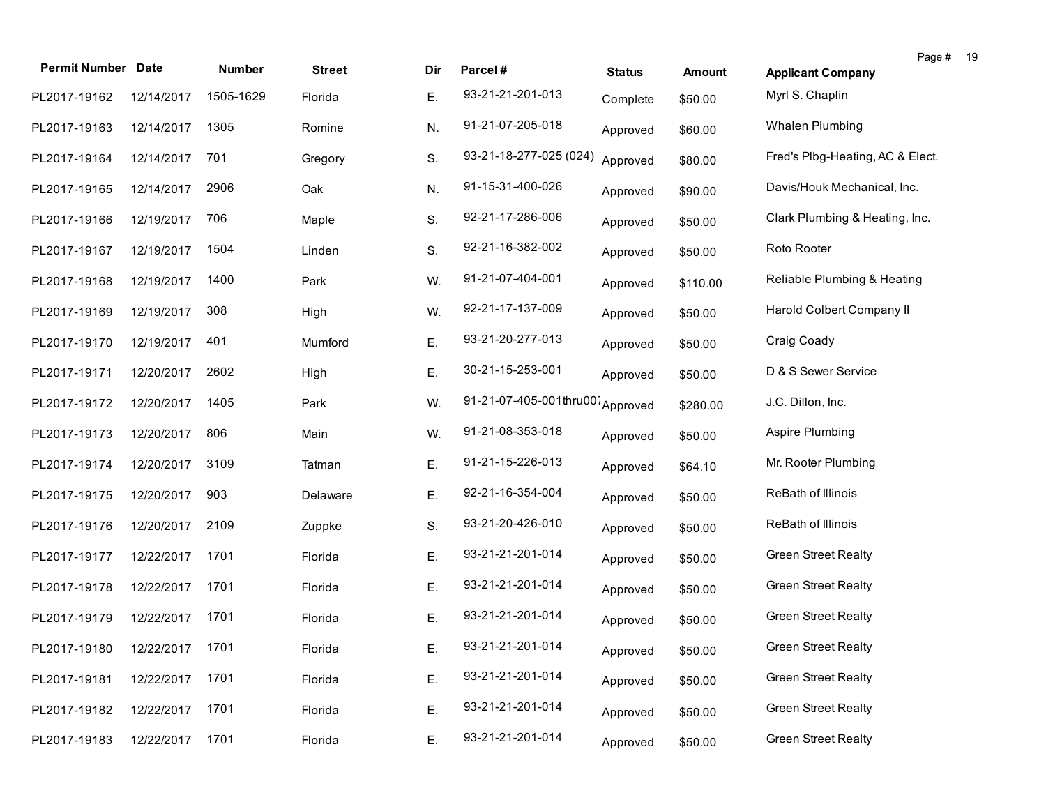| <b>Permit Number Date</b>    |            | Number    | <b>Street</b> | Dir | Parcel#                | <b>Status</b> | <b>Amount</b> | Page #<br><b>Applicant Company</b> | - 19 |
|------------------------------|------------|-----------|---------------|-----|------------------------|---------------|---------------|------------------------------------|------|
| PL2017-19162                 | 12/14/2017 | 1505-1629 | Florida       | Ε.  | 93-21-21-201-013       | Complete      | \$50.00       | Myrl S. Chaplin                    |      |
| PL2017-19163                 | 12/14/2017 | 1305      | Romine        | N.  | 91-21-07-205-018       | Approved      | \$60.00       | Whalen Plumbing                    |      |
| PL2017-19164                 | 12/14/2017 | 701       | Gregory       | S.  | 93-21-18-277-025 (024) | Approved      | \$80.00       | Fred's Plbg-Heating, AC & Elect.   |      |
| PL2017-19165                 | 12/14/2017 | 2906      | Oak           | N.  | 91-15-31-400-026       | Approved      | \$90.00       | Davis/Houk Mechanical, Inc.        |      |
| PL2017-19166                 | 12/19/2017 | 706       | Maple         | S.  | 92-21-17-286-006       | Approved      | \$50.00       | Clark Plumbing & Heating, Inc.     |      |
| PL2017-19167                 | 12/19/2017 | 1504      | Linden        | S.  | 92-21-16-382-002       | Approved      | \$50.00       | Roto Rooter                        |      |
| PL2017-19168                 | 12/19/2017 | 1400      | Park          | W.  | 91-21-07-404-001       | Approved      | \$110.00      | Reliable Plumbing & Heating        |      |
| PL2017-19169                 | 12/19/2017 | 308       | High          | W.  | 92-21-17-137-009       | Approved      | \$50.00       | Harold Colbert Company II          |      |
| PL2017-19170                 | 12/19/2017 | 401       | Mumford       | Ε.  | 93-21-20-277-013       | Approved      | \$50.00       | Craig Coady                        |      |
| PL2017-19171                 | 12/20/2017 | 2602      | High          | Ε.  | 30-21-15-253-001       | Approved      | \$50.00       | D & S Sewer Service                |      |
| PL2017-19172                 | 12/20/2017 | 1405      | Park          | W.  | 91-21-07-405-001thru00 | Approved      | \$280.00      | J.C. Dillon, Inc.                  |      |
| PL2017-19173                 | 12/20/2017 | 806       | Main          | W.  | 91-21-08-353-018       | Approved      | \$50.00       | Aspire Plumbing                    |      |
| PL2017-19174                 | 12/20/2017 | 3109      | Tatman        | Ε.  | 91-21-15-226-013       | Approved      | \$64.10       | Mr. Rooter Plumbing                |      |
| PL2017-19175                 | 12/20/2017 | 903       | Delaware      | Ε.  | 92-21-16-354-004       | Approved      | \$50.00       | ReBath of Illinois                 |      |
| PL2017-19176                 | 12/20/2017 | 2109      | Zuppke        | S.  | 93-21-20-426-010       | Approved      | \$50.00       | ReBath of Illinois                 |      |
| PL2017-19177                 | 12/22/2017 | 1701      | Florida       | Ε.  | 93-21-21-201-014       | Approved      | \$50.00       | <b>Green Street Realty</b>         |      |
| PL2017-19178                 | 12/22/2017 | 1701      | Florida       | Ε.  | 93-21-21-201-014       | Approved      | \$50.00       | <b>Green Street Realty</b>         |      |
| PL2017-19179                 | 12/22/2017 | 1701      | Florida       | Ε.  | 93-21-21-201-014       | Approved      | \$50.00       | <b>Green Street Realty</b>         |      |
| PL2017-19180 12/22/2017 1701 |            |           | Florida       | Ε.  | 93-21-21-201-014       | Approved      | \$50.00       | <b>Green Street Realty</b>         |      |
| PL2017-19181                 | 12/22/2017 | 1701      | Florida       | Ε.  | 93-21-21-201-014       | Approved      | \$50.00       | <b>Green Street Realty</b>         |      |
| PL2017-19182                 | 12/22/2017 | 1701      | Florida       | Ε.  | 93-21-21-201-014       | Approved      | \$50.00       | <b>Green Street Realty</b>         |      |
| PL2017-19183                 | 12/22/2017 | 1701      | Florida       | Ε.  | 93-21-21-201-014       | Approved      | \$50.00       | <b>Green Street Realty</b>         |      |